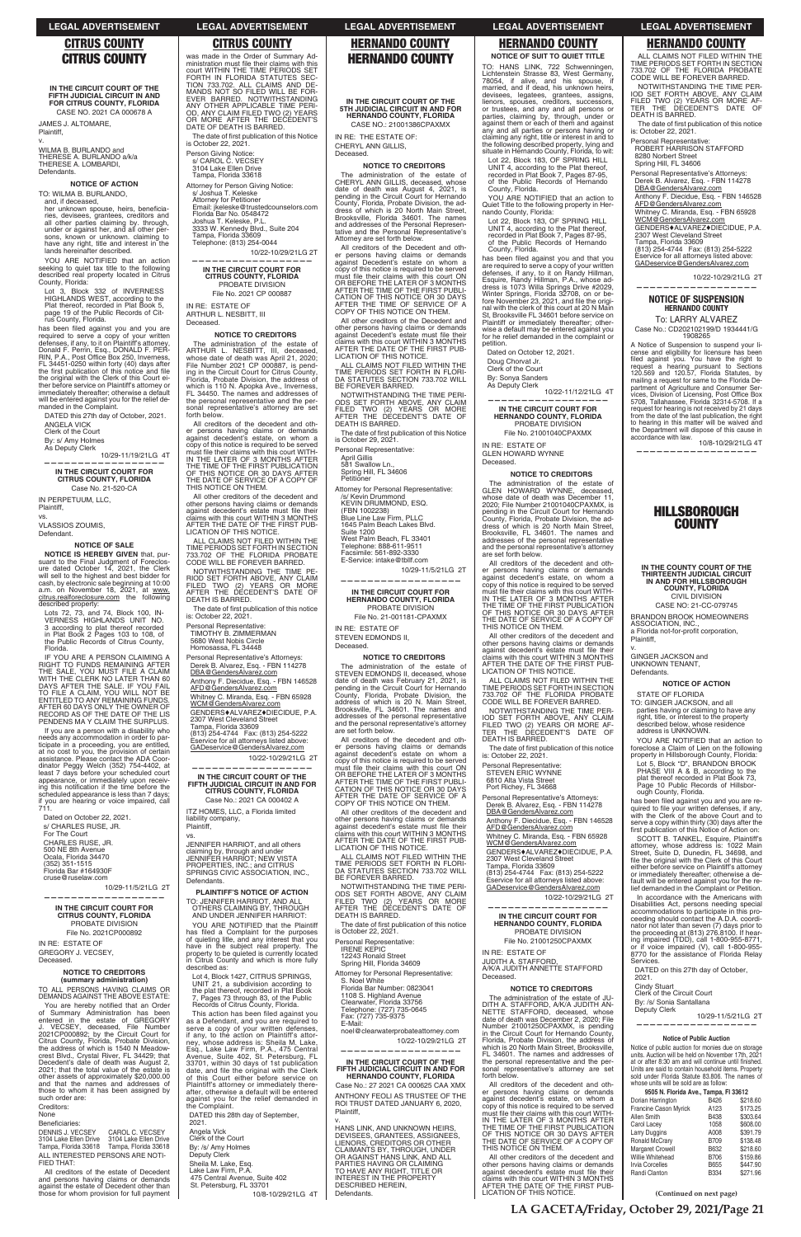## **CITRUS COUNTY**

**IN THE CIRCUIT COURT OF THE FlFTH JUDICIAL CIRCUIT IN AND FOR CITRUS COUNTY, FLORIDA** CASE NO. 2021 CA 000678 A

v. WILMA B. BURLANDO and THERESE A. BURLANDO a/k/a THERESE A. LOMBARDI, **Defendants** 

JAMES J. ALTOMARE, Plaintiff,

### **NOTICE OF ACTION**

TO: WILMA B. BURLANDO,<br>and. if deceased.

and, if deceased,<br>her unknown spouse, heirs, beneficia-<br>tries, devisees, grantees, creditors and<br>all other parties claiming by. through,<br>under or against her, and all other per-<br>sons, known or unknown. claiming to<br>have any

YOU ARE NOTIFIED that an action seeking to quiet tax title to the following described real property located in Citrus County, Florida:

has been filed against you and you are required to serve a copy of your written<br>defenses, if any, to it on Plaintiff's attorney,<br>Donald F. Perrin, Esq., DONALD F. PER-<br>RIN, P.A., Post Office Box 250, Inverness,<br>FL 34451-0250 within forty (40) days after<br>the fir the original with the Clerk of this Court ei-ther before service on Plaintiff's attorney or immediately thereafter; otherwise a default will be entered against you for the relief de-manded in the Complaint.

Lot 3, Block 332 of INVERNESS HIGHLANDS WEST, according to the Plat thereof, recorded in Plat Book 5, page 19 of the Public Records of Citrus County, Florida.

IF YOU ARE A PERSON CLAIMING A RIGHT TO FUNDS REMAINING AFTER<br>THE SALE, YOU MUST FILE A CLAIM<br>WITH THE CLERK NO LATER THAN 60<br>DAYS AFTER THE SALE. IF YOU FAIL<br>TO FILE A CLAIM, YOU WILL NOT BE<br>ENTITLED TO ANY REMAINING FUNDS.<br>AFTER 60 DAYS ONLY THE OWNER PENDENS MAY CLAIM THE SURPLUS.

DATED this 27th day of October, 2021. ANGELA VICK

Clerk of the Court

By: s/ Amy Holmes

As Deputy Clerk 10/29-11/19/21LG 4T **——————————————————**

**IN THE CIRCUIT COURT FOR CITRUS COUNTY, FLORIDA**

Case No. 21-520-CA IN PERPETUUM, LLC, Plaintiff,

vs.

VLASSIOS ZOUMIS,

## Defendant.

**NOTICE OF SALE**

**NOTICE IS HEREBY GIVEN** that, pursuant to the Final Judgment of Foreclos-<br>ure dated October 14, 2021, the Clerk<br>will sell to the highest and best bidder for cash, by electronic sale beginning at 10:00<br>a.m. on November 18, 2021, at <u>www.</u><br><u>citrus.realforeclosure.com</u> the following described property:

You are hereby notified that an Order<br>of Summary Administration has been<br>entered in the estate of GREGORY J. VECSEY, deceased, File Number<br>2021CP000892; by the Circuit Court for<br>Citrus County, Florida, Probate Division,<br>the address of which is 1540 N Meadow-<br>crest Blvd., Crystal River, FL 34429; that<br>Decedent's date of death w 2021; that the total value of the estate is other assets of approximately \$20,000.00 and that the names and addresses of those to whom it has been assigned by such order are:

Beneficiaries:<br>DENNIS J. VECSEY DENNIS J. VECSEY CAROL C. VECSEY 3104 Lake Ellen Drive 3104 Lake Ellen Drive Tampa, Florida 33618 Tampa, Florida 33618

Lots 72, 73, and 74, Block 100, IN-VERNESS HIGHLANDS UNIT NO. 3 according to plat thereof recorded in Plat Book 2 Pages 103 to 108, of the Public Records of Citrus County, Florida.

The date of first publication of this Notice is October 22, 2021.

**NOTICE TO CREDITORS** The administration of the estate of ARTHUR L. NESBITT, III, deceased, whose date of death was April 21, 2020; File Number 2021 CP 000887, is pending in the Circuit Court for Citrus County, Florida, Probate Division, the address of which is 110 N. Apopka Ave., Inverness, FL 34450. The names and addresses of the personal representative and the personal representative's attorney are set forth below.

If you are a person with a disability who needs any accommodation in order to participate in a proceeding, you are entitled, at no cost to you, the provision of certain assistance. Please contact the ADA Coordinator Peggy Welch (352) 754-4402, at least 7 days before your scheduled court appearance, or immediately upon receiving this notification if the time before the scheduled appearance is less than 7 days; if you are hearing or voice impaired, call 711.

Dated on October 22, 2021. s/ CHARLES RUSE, JR. For The Court CHARLES RUSE, JR. 500 NE 8th Avenue Ocala, Florida 34470 (352) 351-1515 Florida Bar #164930F cruse@ruselaw.com

All other creditors of the decedent and other persons having claims or demands against decedent's estate must file their claims with this court WITHIN 3 MONTHS AFTER THE DATE OF THE FIRST PUB-LICATION OF THIS NOTICE.

10/29-11/5/21LG 2T **——————————————————**

**IN THE CIRCUIT COURT FOR**

was made in the Order of Summary Ad-<br>ministration must file their claims with this<br>court WITHIN THE TIME PERIODS SET FORTH IN FLORIDA STATUTES SEC-TION 733.702. ALL CLAIMS AND DE-MANDS NOT SO FILED WILL BE FOR-EVER BARRED. NOTWITHSTANDING<br>ANY OTHER APPLICABLE TIME PERI-<br>OD, ANY CLAIM FILED TWO (2) YEARS<br>OR MORE AFTER THE DECEDENT'S<br>DATE OF DEATH IS BARRED.

**CITRUS COUNTY, FLORIDA** PROBATE DIVISION File No. 2021CP000892

IN RE: ESTATE OF GREGORY J. VECSEY, Deceased.

### **NOTICE TO CREDITORS (summary administration)**

TO ALL PERSONS HAVING CLAIMS OR DEMANDS AGAINST THE ABOVE ESTATE:

GENDERS<sup>+</sup>ALVAREZ<sup>+</sup>DIECIDUE, P.A. 2307 West Cleveland Street

YOU ARE NOTIFIED that the Plaintiff has filed a Complaint for the purposes of quieting litle, and any interest that you have in the subject real property. The property to be quieted is currently located in Citrus County and which is more fully described as:

Creditors: None

ALL INTERESTED PERSONS ARE NOTI-FIED THAT:

All creditors of the estate of Decedent and persons having claims or demands against the estate of Decedent other than those for whom provision for full payment

This action has been filed against you as a Defendant, and you are required to serve a copy of your written defenses, if any, to the action on Plaintiff's attorney, whose address is: Sheila M. Lake, Esq., Lake Law Firm, P.A., 475 Central Avenue, Suite 402, St. Petersburg, FL 33701, within 30 days of 1st publication<br>date, and file the original with the Clerk<br>of this Court either before service on Plaintiff's attorney or immediately there-after, otherwise a default will be entered against you for the relief demanded in the Complaint.

Person Giving Notice: s/ CAROL C. VECSEY 3104 Lake Ellen Drive

Tampa, Florida 33618

Attorney for Person Giving Notice: s/ Joshua T. Keleske Attorney for Petitioner Email: jkeleske@trustedcounselors.com Florida Bar No. 0548472 Joshua T. Keleske, P.L.

3333 W. Kennedy Blvd., Suite 204 Tampa, Florida 33609 Telephone: (813) 254-0044

10/22-10/29/21LG 2T

## **—————————————————— IN THE CIRCUIT COURT FOR CITRUS COUNTY, FLORIDA** PROBATE DIVISION

April Gillis 581 Swallow Ln.

File No. 2021 CP 000887 IN RE: ESTATE OF ARTHUR L. NESBITT, III

## Deceased.

IN RE: ESTATE OF STEVEN EDMONDS II, **Deceased** 

administration of the estate of STEVEN EDMONDS II, deceased, whose date of death was February 21, 2021, is pending in the Circuit Court for Hernando County, Florida, Probate Division, the address of which is 20 N. Main Street, Brooksville, FL 34601. The names and addresses of the personal representative and the personal representative's attorney are set forth below.

All creditors of the decedent and other persons having claims or demands against decedent's estate on whom a copy of this notice is required to be served must file their claims with this court ON<br>OR BEFORE THE LATER OF 3 MONTHS AFTER THE TIME OF THE FIRST PUBLI-<br>CATION OF THIS NOTICE OR 30 DAYS<br>AFTER THE DATE OF SERVICE OF A<br>COPY OF THIS NOTICE ON THEM.

All other creditors of the decedent and other persons having claims or demands<br>against decedent's estate must file their<br>claims with this court WITHIN 3 MONTHS<br>AFTER THE DATE OF THE FIRST PUB-<br>LICATION OF THIS NOTICE.

All creditors of the decedent and other persons having claims or demands against decedent's estate, on whom a copy of this notice is required to be served<br>must file their claims with this court WITH-<br>IN THE LATER OF 3 MONTHS AFTER THE TIME OF THE FIRST PUBLICATION OF THIS NOTICE OR 30 DAYS AFTER THE DATE OF SERVICE OF A COPY OF THIS NOTICE ON THEM.

> The date of first publication of this notice is October 22, 2021.

ALL CLAIMS NOT FILED WITHIN THE TIME PERIODS SET FORTH IN SECTION 733.702 OF THE FLORIDA PROBATE CODE WILL BE FOREVER BARRED.

NOTWITHSTANDING THE TIME PE-RIOD SET FORTH ABOVE, ANY CLAIM FILED TWO (2) YEARS OR MORE AFTER THE DECEDENT'S DATE OF DEATH IS BARRED.

The date of first publication of this notice<br>is: October 22, 2021.

Personal Representative: TIMOTHY B. ZIMMERMAN

5680 West Nobis Circle Homosassa, FL 34448

Personal Representative's Attorneys: Derek B. Alvarez, Esq. - FBN 114278 DBA@GendersAlvarez.com

Anthony F. Diecidue, Esq. - FBN 146528<br><u>AFD@GendersAlvarez.com</u>

Whitney C. Miranda, Esq. - FBN 65928<br>WCM@GendersAlvarez.com

YOU ARE NOTIFIED that an action to Quiet Title to the following property in Her-nando County, Florida:

Tampa, Florida 33609 (813) 254-4744 Fax: (813) 254-5222

Eservice for all attorneys listed above: GADeservice@GendersAlvarez,com

 10/22-10/29/21LG 2T **——————————————————**

**IN THE CIRCUIT COURT OF THE FIFTH JUDICIAL CIRCUIT IN AND FOR CITRUS COUNTY, FLORIDA**

has been filed against you and that you are required to serve a copy of your written<br>defenses, if any, to it on Randy Hillman,<br>Esquire, Randy Hillman, P.A., whose ad-<br>dress is 1073 Willa Springs Drive #2029,<br>Winter Springs, Florida 32708, on or before November 23, 2021, and file the fore November 23, 2021, and file the origi-<br>nal with the clerk of this court at 20 N Main<br>St, Brooksville FL 34601 before service on Plaintiff or immediately thereafter; other-wise a default may be entered against you for he relief demanded in the complaint or petition.

Case No.: 2021 CA 000402 A ITZ HOMES, LLC, a Florida limited liability company, Plaintiff,

vs. JENNIFER HARRlOT, and all others claiming by, through and under JENNIFER HARRlOT; NEW VISTA PROPERTIES, INC.; and CITRUS SPRINGS CIVIC ASSOCIATION, INC., Defendants.

**PLAINTIFF'S NOTICE OF ACTION** TO: JENNIFER HARRIOT, AND ALL

OTHERS CLAIMING BY, THROUGH AND UNDER JENNIFER HARRIOT:

All creditors of the decedent and other persons having claims or demands against decedent's estate, on whom a copy of this notice is required to be served<br>must file their claims with this court WITH-<br>IN THE LATER OF 3 MONTHS AFTER

Lot 4, Block 1427, CITRUS SPRINGS, UNIT 21, a subdivision according to the plat thereof, recorded in Plat Book 7, Pages 73 through 83, of the Public Records of Citrus County, Florida.

Anthony F. Diecidue, Esq. - FBN 146528<br><u>AFD@GendersAlvarez.com</u> Whitney C. Miranda, Esq. - FBN 65928<br><u>WCM@GendersAlvarez.com</u> GENDERS $*$ ALVAREZ $*$ DIECIDUE, P.A. 2307 West Cleveland Street

DATED this 28th day of September, 2021.

All creditors of the decedent and other persons having claims or demands against decedent's estate, on whom a copy of this notice is required to be served<br>must file their claims with this court WITH-<br>IN THE LATER OF 3 MONTHS AFTER THE TIME OF THE FIRST PUBLICATION OF THIS NOTICE OR 30 DAYS AFTER THE DATE OF SERVICE OF A COPY OF THIS NOTICE ON THEM.

Angela Vick Clerk of the Court

By: /s/ Amy Holmes

Deputy Clerk

Sheila M. Lake, Esq. Lake Law Firm, P.A.

475 Central Avenue, Suite 402

St. Petersburg, FL 33701

10/8-10/29/21LG 4T

## **HERNANDO COUNTY**

**IN THE CIRCUIT COURT OF THE 5TH JUDICIAL CIRCUIT IN AND FOR HERNANDO COUNTY, FLORIDA**

CASE NO.: 21001386CPAXMX IN RE: THE ESTATE OF:

CHERYL ANN GILLIS, Deceased.

### **NOTICE TO CREDITORS**

Personal Representative's Attorneys: Derek B. Alvarez, Esq. - FBN 114278 DBA@GendersAlvarez.com

Anthony F. Diecidue, Esq. - FBN 146528 AFD@GendersAlvarez.com Whitney C. Miranda, Esq. - FBN 65928 WCM@GendersAlvarez.com GENDERS $*$ ALVAREZ $*$ DIECIDUE, P.A.

The administration of the estate of CHERYL ANN GILLIS, deceased, whose date of death was August 4, 2021, is pending in the Circuit Court for Hernando County, Florida, Probate Division, the address of which is 20 North Main Street, Brooksville, Florida 34601. The names and addresses of the Personal Represen-tative and the Personal Representative's Attorney are set forth below.

All creditors of the Decedent and other persons having claims or demands against Decedent's estate on whom a copy of this notice is required to be served must file their claims with this court ON<br>OR BEFORE THE LATER OF 3 MONTHS AFTER THE TIME OF THE FIRST PUBLI-CATION OF THIS NOTICE OR 30 DAYS AFTER THE TIME OF SERVICE OF A COPY OF THIS NOTICE ON THEM.

> **IN THE COUNTY COURT OF THE THIRTEENTH JUDICIAL CIRCUIT IN AND FOR HILLSBOROUGH COUNTY, FLORIDA** CIVIL DIVISION CASE NO: 21-CC-079745 BRANDON BROOK HOMEOWNERS ASSOCIATION, INC.,<br>a Florida not-for-profit corporation,

All other creditors of the Decedent and other persons having claims or demands<br>against Decedent's estate must file their claims with this court WITHIN 3 MONTHS AFTER THE DATE OF THE FIRST PUB-LICATION OF THIS NOTICE.

ALL CLAIMS NOT FILED WITHIN THE TIME PERIODS SET FORTH IN FLORI-DA STATUTES SECTION 733.702 WILL BE FOREVER BARRED.

NOTWITHSTANDING THE TIME PERI-ODS SET FORTH ABOVE, ANY CLAIM FILED TWO (2) YEARS OR MORE AFTER THE DECEDENT'S DATE OF DEATH IS BARRED.

The date of first publication of this Notice<br>is October 29, 2021.

Personal Representative:

Spring Hill, FL 34606 Petitioner

Attorney for Personal Representative:

/s/ Kevin Drummond KEVIN DRUMMOND, ESQ.

(FBN 1002238)

Blue Line Law Firm, PLLC 1645 Palm Beach Lakes Blvd. Suite 1200

West Palm Beach, FL 33401 Telephone: 888-611-9511

Facsimile: 561-892-3330 E-Service: intake@tbllf.com

10/29-11/5/21LG 2T

### **—————————————————— IN THE CIRCUIT COURT FOR HERNANDO COUNTY, FLORIDA** PROBATE DIVISION

File No. 21-001181-CPAXMX

Notice of public auction for monies due on storage<br>units. Auction will be held on November 17th, 2021<br>at or after 8:30 am and will continue until finished. Units are said to contain household items. Property sold under Florida Statute 83.806. The names of whose units will be sold are as follow:

**NOTICE TO CREDITORS**

ALL CLAIMS NOT FILED WITHIN THE TIME PERIODS SET FORTH IN FLORI-DA STATUTES SECTION 733.702 WILL BE FOREVER BARRED.

NOTWITHSTANDING THE TIME PERI-ODS SET FORTH ABOVE, ANY CLAIM FILED TWO (2) YEARS OR MORE AFTER THE DECEDENT'S DATE OF DEATH IS BARRED.

Personal Representative: IRENE KEPIC 12243 Ronald Street Spring Hill, Florida 34609

Attorney for Personal Representative: S. Noel White Florida Bar Number: 0823041 1108 S. Highland Avenue Clearwater, Florida 33756 Telephone: (727) 735-0645 Fax: (727) 735-9375 E-Mail: noel@clearwaterprobateattorney.com

10/22-10/29/21LG 2T

## **—————————————————— IN THE CIRCUIT COURT OF THE FIFTH JUDICIAL CIRCUIT IN AND FOR HERNANDO COUNTY, FLORIDA**

Case No.: 27 2021 CA 000625 CAA XMX

ANTHONY FEOLI AS TRUSTEE OF THE ROI TRUST DATED JANUARY 6, 2020, Plaintiff,

### v.

HANS LINK, AND UNKNOWN HEIRS, DEVISEES, GRANTEES, ASSIGNEES, LIENORS, CREDITORS OR OTHER CLAIMANTS BY, THROUGH, UNDER<br>OR AGAINST HANS LINK, AND ALL<br>PARTIES HAVING OR CLAIMING<br>TO HAVE ANY RIGHT, TITLE OR INTEREST IN THE PROPERTY DESCRIBED HEREIN, Defendants.

TO: HANS LINK, 722 Schwenningen, Lich tenstein Strasse 83, West Germany, 78054, if alive, and his spouse, if married, and if dead, his unknown heirs, devisees, legatees, grantees, assigns, lienors, spouses, creditors, successors, or trustees, and any and all persons or parties, claiming by, through, under or against them or each of them and against any and all parties or persons having or claiming any right, title or interest in and to the following described property, lying and situate in Hernando County, Florida, to wit:

Lot 22, Block 183, OF SPRING HILL UNIT 4, according to the Plat thereof, recorded in Plat Book 7, Pages 87-95, of the Public Records of Hernando County, Florida.

Lot 22, Block 183, OF SPRING HILL UNIT 4, according to the Plat thereof, recorded in Plat Book 7, Pages 87-95, of the Public Records of Hernando County, Florida.

Dated on October 12, 2021.

Doug Chorvat Jr. Clerk of the Court By: Sonya Sanders As Deputy Clerk

10/22-11/12/21LG 4T

**—————————————————— IN THE CIRCUIT COURT FOR HERNANDO COUNTY, FLORIDA** PROBATE DIVISION File No. 21001040CPAXMX

IN RE: ESTATE OF GLEN HOWARD WYNNE

Deceased.

**NOTICE TO CREDITORS** The administration of the estate of GLEN HOWARD WYNNE, deceased, whose date of death was December 11, 2020; File Number 21001040CPAXMX, is

pending in the Circuit Court for Hernando County, Florida, Probate Division, the ad-dress of which is 20 North Main Street, Brooksville, FL 34601. The names and addresses of the personal representative and the personal representative's attorney

are set forth below.

THE TIME OF THE FIRST PUBLICATION OF THIS NOTICE OR 30 DAYS AFTER THE DATE OF SERVICE OF A COPY OF

THIS NOTICE ON THEM.

All other creditors of the decedent and other persons having claims or demands<br>against decedent's estate must file their claims with this court WITHIN 3 MONTHS AFTER THE DATE OF THE FIRST PUB-LICATION OF THIS NOTICE. ALL CLAIMS NOT FILED WITHIN THE TIME PERIODS SET FORTH IN SECTION 733.702 OF THE FLORIDA PROBATE CODE WILL BE FOREVER BARRED. NOTWITHSTANDING THE TIME PER-IOD SET FORTH ABOVE, ANY CLAIM FILED TWO (2) YEARS OR MORE AF-TER THE DECEDENT'S DATE OF

The date of first publication of this notice<br>is: October 22, 2021.

DEATH IS BARRED.

Personal Representative: STEVEN ERIC WYNNE 6810 Alta Vista Street Port Richey, FL 34668 Personal Representative's Attorneys: Derek B. Alvarez, Esq. - FBN 114278 DBA@GendersAlvarez.com

Tampa, Florida 33609 (813) 254-4744 Fax: (813) 254-5222 Eservice for all attorneys listed above: GADeservice@GendersAlvarez,com

10/22-10/29/21LG 2T

**——————————————————**

**IN THE CIRCUIT COURT FOR HERNANDO COUNTY, FLORIDA** PROBATE DIVISION File No. 21001250CPAXMX

IN RE: ESTATE OF JUDITH A. STAFFORD,<br>A/K/A JUDITH ANNETTE STAFFORD Deceased.

### **NOTICE TO CREDITORS**

The administration of the estate of JU-DITH A. STAFFORD, A/K/A JUDITH AN-NETTE STAFFORD, deceased, whose<br>date of death was December 2, 2020; File<br>Number 21001250CPAXMX, is pending<br>in the Circuit Court for Hernando County,<br>Florida, Probate Division, the address of which is 20 North Main Street, Brooksville FL 34601. The names and addresses of the personal representative and the personal representative's attorney are set forth below.

## **NOTICE OF SUIT TO QUIET TITLE CITRUS COUNTY CITRUS COUNTY HERNANDO COUNTY HERNANDO COUNTY HERNANDO COUNTY**

All other creditors of the decedent and other persons having claims or demands against decedent's estate must file their claims with this court WITHIN 3 MONTHS AFTER THE DATE OF THE FIRST PUB-LICATION OF THIS NOTICE. ALL CLAIMS NOT FILED WITHIN THE TIME PERIODS SET FORTH IN SECTION 733.702 OF THE FLORIDA PROBATE CODE WILL BE FOREVER BARRED.

NOTWITHSTANDING THE TIME PER-IOD SET FORTH ABOVE, ANY CLAIM FILED TWO (2) YEARS OR MORE AF-TER THE DECEDENT'S DATE OF

The date of first publication of this notice

DEATH IS BARRED.

is: October 22, 2021.

Personal Representative: ROBERT HARRISON STAFFORD

8280 Norbert Street Spring Hill, FL 34606

2307 West Cleveland Street Tampa, Florida 33609 (813) 254-4744 Fax: (813) 254-5222 Eservice for all attorneys listed above: GADeservice@GendersAlvarez,com

10/22-10/29/21LG 2T

**—————————————————— NOTICE OF SUSPENSION HERNANDO COUNTY** To: LARRY ALVAREZ Case No.: CD202102199/D 1934441/G 1908265 A Notice of Suspension to suspend your li-

cense and eligibility for licensure has been<br>filed against you. You have the right to<br>request a hearing pursuant to Sections<br>120.569 and 120.57, Florida Statutes, by<br>mailing a request for same to the Florida De-

partment of Agriculture and Consumer Ser-<br>vices, Division of Licensing, Post Office Box<br>5708, Tallahassee, Florida 32314-5708. If a request for hearing is not received by 21 days from the date of the last publication, the right to hearing in this matter will be waived and the Department will dispose of this cause in accordance with law.<br>
10/8-10/29/21LG 4T<br>
————————————————————

> **HILLSBOROUGH COUNTY**

Plaintiff, v.

**Defendants** 

GINGER JACKSON and UNKNOWN TENANT,

**NOTICE OF ACTION**

STATE OF FLORIDA TO: GINGER JACKSON, and all parties having or claiming to have any right, title, or interest to the property described below, whose residence address is UNKNOWN. YOU ARE NOTIFIED that an action to foreclose a Claim of Lien on the following property in Hillsborough County, Florida:

Lot 5, Block "D", BRANDON BROOK PHASE VIII A & B, according to the plat thereof recorded in Plat Book 73, Page 10 Public Records of Hillsbor-

has been filed against you and you are required to file your written defenses, if any,<br>with the Clerk of the above Court and to serve a copy within thirty (30) days after the<br>first publication of this Notice of Action on:

SCOTT B. TANKEL, Esquire, Plaintiff's<br>attorney, whose address is: 1022 Main<br>Street, Suite D, Dunedin, FL 34698, and<br>file the original with the Clerk of this Court<br>either before service on Plaintiff's attorney

ough County, Florida.

or immediately thereafter; otherwise a default will be entered against you for the re-lief demanded in the Complaint or Petition. In accordance with the Americans with

Disabilities Act, persons needing special accommodations to participate in this pro-ceeding should contact the A.D.A. coordinator not later than seven (7) days prior to<br>the proceeding at (813) 276.8100. If hear-<br>ing impaired (TDD), call 1-800-955-8771,<br>or if voice impaired (V), call 1-800-955-<br>8770 for the assistance of Florida Relay **Services** DATED on this 27th day of October, 2021. Cindy Stuart

Clerk of the Circuit Court By: /s/ Sonia Santallana Deputy Clerk

10/29-11/5/21LG 2T **——————————————————**

### **Notice of Public Auction**

### **9505 N. Florida Ave., Tampa, Fl 33612**

| Dorian Harrington            | B426        | \$218.60 |
|------------------------------|-------------|----------|
| <b>Francine Cason Myrick</b> | A123        | \$173.25 |
| Allen Smith                  | <b>B438</b> | \$303.64 |
| Carol Lacey                  | 1058        | \$608.00 |
| <b>Larry Duggins</b>         | A008        | \$391.79 |
| <b>Ronald McCrary</b>        | <b>B709</b> | \$138.48 |
| <b>Margaret Crowell</b>      | B632        | \$218.60 |
| Willie Whitehead             | <b>B706</b> | \$159.86 |
| Irvia Corcelles              | B655        | \$447.90 |
| Randi Clanton                | <b>B334</b> | \$271.96 |

**(Continued on next page)**

## **LEGAL ADVERTISEMENT LEGAL ADVERTISEMENT LEGAL ADVERTISEMENT LEGAL ADVERTISEMENT LEGAL ADVERTISEMENT**

**LA GACETA/Friday, October 29, 2021/Page 21**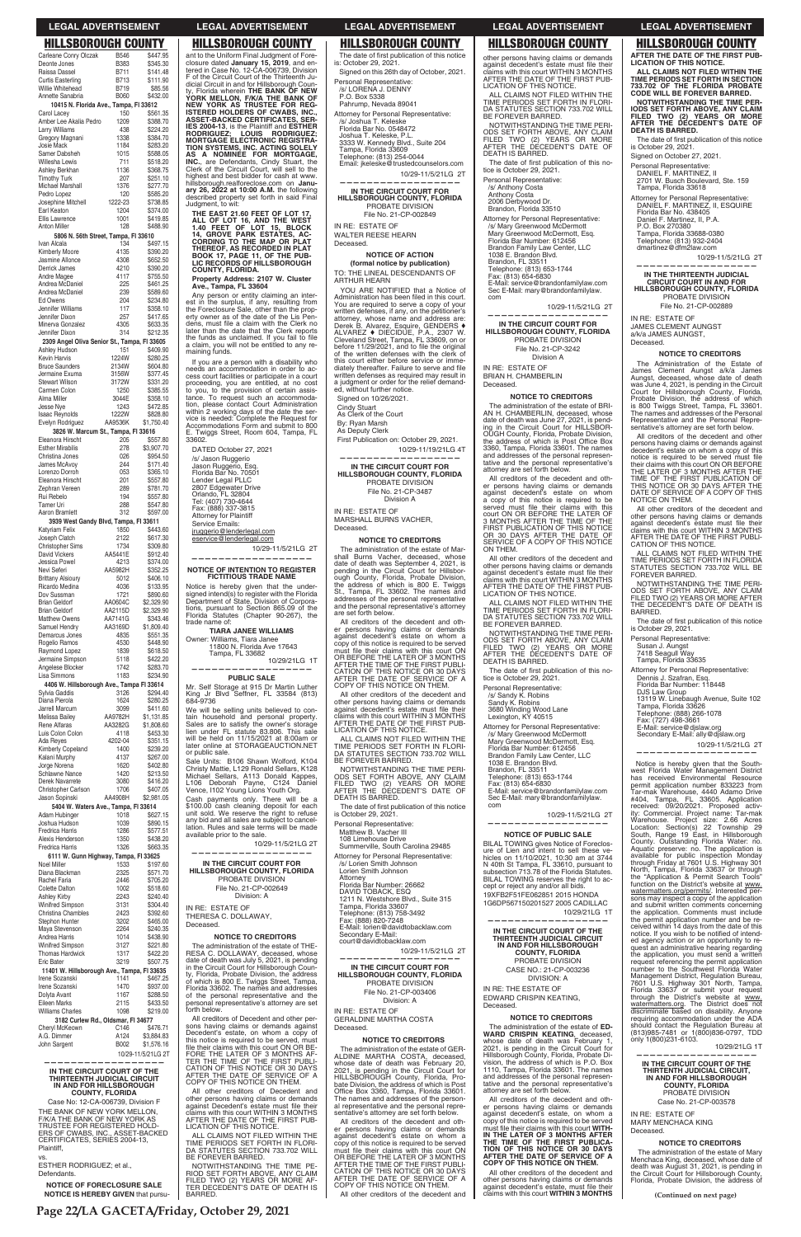The date of first publication of this notice<br>is: October 29, 2021. Signed on this 26th day of October, 2021.

Personal Representative: /s/ LORENA J. DENNY P.O. Box 5338 Pahrump, Nevada 89041

Attorney for Personal Representative:

/s/ Joshua T. Keleske Florida Bar No. 0548472 Joshua T. Keleske, P.L. 3333 W. Kennedy Blvd., Suite 204 Tampa, Florida 33609 Telephone: (813) 254-0044 Email: jkeleske@trustedcounselors.com

10/29-11/5/21LG 2T **——————————————————**

### **IN THE CIRCUIT COURT FOR HILLSBOROUGH COUNTY, FLORIDA** PROBATE DIVISION File No. 21-CP-002849

IN RE: ESTATE OF WALTER REESE HEARN

Deceased.

### **NOTICE OF ACTION**

YOU ARE NOTIFIED that a Notice of Administration has been filed in this court. You are required to serve a copy of your written defenses, if any, on the petitioner's attorney, whose name and address are:<br>Derek B. Alvarez, Esquire, GENDERS  $\blacklozenge$ <br>ALVAREZ  $\blacklozenge$  DECIDUE, P.A., 2307 W.<br>Cleveland Street, Tampa, FL 33609, on or<br>before 11/29/2021, and to file the original<br>of the written de this court either before service or immediately thereafter. Failure to serve and file written defenses as required may result in a judgment or order for the relief demanded, without further notice.

**(formal notice by publication)** TO: THE LINEAL DESCENDANTS OF ARTHUR HEARN

ALL CLAIMS NOT FILED WITHIN THE TIME PERIODS SET FORTH IN FLORI-DA STATUTES SECTION 733.702 WILL BE FOREVER BARRED.

Signed on 10/26/2021.

Cindy Stuart As Clerk of the Court

By: Ryan Marsh As Deputy Clerk

First Publication on: October 29, 2021. 10/29-11/19/21LG 4T

The date of first publication of this notice is October 29, 2021.

**—————————————————— IN THE CIRCUIT COURT FOR HILLSBOROUGH COUNTY, FLORIDA** PROBATE DIVISION File No. 21-CP-3487 Division A

1211 N. Westshore Blvd., Suite 315 Tampa, Florida 33607 Telephone: (813) 758-3492 Fax: (888) 820-7248 E-Mail: lorien@davidtobacklaw.com Secondary E-Mail: court@davidtobacklaw.com 10/29-11/5/21LG 2T **—————————————————— IN THE CIRCUIT COURT FOR HILLSBOROUGH COUNTY, FLORIDA** PROBATE DIVISION File No. 21-CP-003406 Division: A IN RE: ESTATE OF GERALDINE MARTHA COSTA Deceased. **NOTICE TO CREDITORS** The administration of the estate of GER-ALDINE MARTHA COSTA, deceased, whose date of death was February 20, 2021, is pending in the Circuit Court for HILLSBOROUGH County, Florida, Probate Division, the address of which is Post<br>Office Box 3360, Tampa, Florida 33601. The names and addresses of the personal representative and the personal representative's attorney are set forth below. All creditors of the decedent and other persons having claims or demands against decedent's estate on whom a copy of this notice is required to be served must file their claims with this court ON<br>OR BEFORE THE LATER OF 3 MONTHS AFTER THE TIME OF THE FIRST PUBLI-CATION OF THIS NOTICE OR 30 DAYS AFTER THE DATE OF SERVICE OF A COPY OF THIS NOTICE ON THEM. All other creditors of the decedent and **claims with this court WITHIN 3 MONTHS** (Continued on next page)

IN RE: ESTATE OF MARSHALL BURNS VACHER, Deceased.

### **NOTICE TO CREDITORS**

The administration of the estate of Marshall Burns Vacher, deceased, whose date of death was September 4, 2021, is pending in the Circuit Court for Hillsborough County, Florida, Probate Division, the address of which is 800 E. Twiggs St., Tampa, FL 33602. The names and addresses of the personal representative and the personal representative's attorney are set forth below.

All creditors of the decedent and other persons having claims or demands against decedent's estate on whom a copy of this notice is required to be served must file their claims with this court ON<br>OR BEFORE THE LATER OF 3 MONTHS<br>AFTER THE TIME OF THE FIRST PUBLI-CATION OF THIS NOTICE OR 30 DAYS AFTER THE DATE OF SERVICE OF A COPY OF THIS NOTICE ON THEM.

All other creditors of the decedent and other persons having claims or demands<br>against decedent's estate must file their<br>claims with this court WITHIN 3 MONTHS AFTER THE DATE OF THE FIRST PUB-LICATION OF THIS NOTICE.

NOTWITHSTANDING THE TIME PERI-ODS SET FORTH ABOVE, ANY CLAIM FILED TWO (2) YEARS OR MORE AFTER THE DECEDENT'S DATE OF DEATH IS BARRED.

Personal Representative: Matthew B. Vacher III

108 Limehouse Drive Summerville, South Carolina 29485

Attorney for Personal Representative:

/s/ Lorien Smith Johnson Lorien Smith Johnson Attorney Florida Bar Number: 26662 DAVID TOBACK, ESQ

ant to the Uniform Final Judgment of Fore-closure dated **January 15, 2019**, and en-tered in Case No. 12-CA-006739, Division uit Court of the Thirteenth Judicial Circuit in and for Hillsborough Coun-ty, Florida wherein **THE BANK OF NEW YORK MELLON, F/K/A THE BANK OF NEW YORK AS TRUSTEE FOR REG-ISTERED HOLDERS OF CWABS, INC., ASSET-BACKED CERTIFICATES, SER-IES 2004-13, is the Plaintiff and ESTHER<br>RODRIGUEZ; LOUIS RODRIGUEZ;<br>MORTGAGE ELECTRONIC REGISTRA-TIMS, INC. ACTING SOLELY AS A NOMINEE FOR MORTGAGE, INC.**, are Defendants, Cindy Stuart, the<br>Clerk of the Circuit Court, will sell to the best bidder for cash at www. hillsborough.realforeclose.com on **Janu-ary 26, 2022 at 10:00 A.M.** the following operty set forth in said Final wit:

n or entity claiming an interest in the surplus, if any, resulting from the Foreclosure Sale, other than the prop-erty owner as of the date of the Lis Pendens, must file a claim with the Clerk no<br>later than the date that the Clerk reports as unclaimed. If you fail to file will not be entitled to any remaining funds.

a person with a disability who ommodation in order to accilities or participate in a court vou are entitled, at no cost to you, the provision of certain assisquest such an accommodacontact Court Administration within 2 working days of the date the ser-vice is needed: Complete the Request for ions Form and submit to 800 E. Twiggs Street, Room 604, Tampa, FL

### **INTENTION TO REGISTER FICTITIOUS TRADE NAME**

ereby given that the undersigned intend(s) to register with the Florida Department of State, Division of Corporations, pursuant to Section 865.09 of the Florida Statutes (Chapter 90-267), the trade name of:

> 0a, FL 33682 10/29/21LG 1T

elling units believed to contain household and personal property. Sales are to satisfy the owner's storage lien under FL statute 83.806. This sale nn 11/15/2021 at 8:00am or at STORAGEAUCTION.NET or public sale.

B106 Shawn Wolford, K104 Christy Mattie, L129 Ronald Sellars, K128 Michael Sellars, A113 Donald Kappes, L106 Deborah Payne, C124 Daniel Vence, I102 Young Lions Youth Org. Cash payments only. There will be a \$100.00 cash cleaning deposit for each unit sold. We reserve the right to refuse any bid and all sales are subject to cancel-lation. Rules and sale terms will be made

or to the sale. 10/29-11/5/21LG 2T

## **IN THE CIRCUIT COURT FOR HILLSBOROUGH COUNTY, FLORIDA OBATE DIVISION** No. 21-CP-002649

The date of first publication of this notice is October 29, 2021.

ALL CLAIMS NOT FILED WITHIN THE TIME PERIODS SET FORTH IN FLORI-DA STATUTES SECTION 733.702 WILL BE FOREVER BARRED.

BILAL TOWING gives Notice of Foreclosure of Lien and intent to sell these ve-hicles on 11/10/2021, 10:30 am at 3744 N 40th St Tampa, FL 33610, pursuant to subsection 713.78 of the Florida Statutes. BILAL TOWING reserves the right to ac-cept or reject any and/or all bids. 19XFB2F51FE062851 2015 HONDA 1G6DP567150201527 2005 CADILLAC

| Carleane Conry Olczak                                         | <b>B546</b>            | \$447.95                 | ant to the Uniform Final Judgment of Fore                                                       |
|---------------------------------------------------------------|------------------------|--------------------------|-------------------------------------------------------------------------------------------------|
| Deonte Jones                                                  | <b>B383</b>            | \$345.30                 | closure dated January 15, 2019, and el                                                          |
| Raissa Dassel                                                 | B711                   | \$141.48                 | tered in Case No. 12-CA-006739, Divisio<br>F of the Circuit Court of the Thirteenth Jr          |
| <b>Curtis Easterling</b><br>Willie Whitehead                  | B713<br>B719           | \$111.90<br>\$85.56      | dicial Circuit in and for Hillsborough Cour<br>ty, Florida wherein THE BANK OF NEV              |
| Annette Sanabria                                              | <b>B060</b>            | \$432.00                 | YORK MELLON, F/K/A THE BANK O                                                                   |
| 10415 N. Florida Ave., Tampa, FI 33612<br>Carol Lacey         | 150                    | \$561.35                 | NEW YORK AS TRUSTEE FOR REO<br><b>ISTERED HOLDERS OF CWABS, INC</b>                             |
| Amber Lee Akalia Pedro                                        | 1209                   | \$388.70                 | ASSET-BACKED CERTIFICATES, SEI                                                                  |
| Larry Williams                                                | 438                    | \$224.20                 | IES 2004-13, is the Plaintiff and ESTHE<br><b>RODRIGUEZ:</b><br><b>LOUIS</b><br><b>RODRIGUE</b> |
| Gregory Magnani<br>Josie Mack                                 | 1338<br>1184           | \$384.70<br>\$283.20     | <b>MORTGAGE ELECTRONIC REGISTRA</b><br>TION SYSTEMS, INC. ACTING SOLEL                          |
| Samer Dabsheh                                                 | 1015                   | \$588.05                 | <b>AS A NOMINEE FOR MORTGAGI</b>                                                                |
| Willesha Lewis<br>Ashley Berkhan                              | 711<br>1136            | \$518.20<br>\$368.75     | <b>INC.</b> , are Defendants, Cindy Stuart, the<br>Clerk of the Circuit Court, will sell to the |
| <b>Timothy Turk</b>                                           | 207                    | \$251.10                 | highest and best bidder for cash at www                                                         |
| Michael Marshall                                              | 1376                   | \$277.70                 | hillsborough.realforeclose.com on Janu<br>ary 26, 2022 at 10:00 A.M. the followir               |
| Pedro Lopez<br>Josephine Mitchell                             | 120<br>1222-23         | \$585.20<br>\$738.85     | described property set forth in said Fin                                                        |
| Earl Keaton                                                   | 1204                   | \$374.00                 | Judgment, to wit:                                                                               |
| Ellis Lawrence                                                | 1001                   | \$419.85                 | THE EAST 21.60 FEET OF LOT 17,<br>ALL OF LOT 16, AND THE WEST                                   |
| Anton Miller<br>5806 N. 56th Street, Tampa, FI 33610          | 128                    | \$488.90                 | 1.40 FEET OF LOT 15, BLOCK<br>14, GROVE PARK ESTATES, AC-                                       |
| Ivan Alcala                                                   | 134                    | \$497.15                 | <b>CORDING TO THE MAP OR PLAT</b>                                                               |
| <b>Kimberly Moore</b>                                         | 4135                   | \$390.20                 | THEREOF, AS RECORDED IN PLAT<br>BOOK 17, PAGE 11, OF THE PUB-                                   |
| Jasmine Allonce<br>Derrick James                              | 4308<br>4210           | \$652.50<br>\$390.20     | <b>LIC RECORDS OF HILLSBOROUGH</b><br><b>COUNTY, FLORIDA.</b>                                   |
| Andre Magee                                                   | 4117                   | \$755.50                 | Property Address: 2107 W. Cluster                                                               |
| Andrea McDaniel<br>Andrea McDaniel                            | 225<br>239             | \$461.25<br>\$589.60     | Ave., Tampa, FL 33604                                                                           |
| Ed Owens                                                      | 204                    | \$234.80                 | Any person or entity claiming an inte<br>est in the surplus, if any, resulting from             |
| Jennifer Williams                                             | 117                    | \$358.10                 | the Foreclosure Sale, other than the prop                                                       |
| Jennifer Dixon<br>Minerva Gonzalez                            | 257<br>4305            | \$417.65<br>\$633.35     | erty owner as of the date of the Lis Per<br>dens, must file a claim with the Clerk r            |
| Jennifer Dixon                                                | 314                    | \$212.35                 | later than the date that the Clerk repor                                                        |
| 2309 Angel Oliva Senior St., Tampa, FI 33605                  |                        |                          | the funds as unclaimed. If you fail to fi<br>a claim, you will not be entitled to any re        |
| Ashley Hudson<br><b>Kevin Harvis</b>                          | 151<br>1224W           | \$409.90<br>\$280.25     | maining funds.                                                                                  |
| <b>Bruce Saunders</b>                                         | 2134W                  | \$604.80                 | If you are a person with a disability wh<br>needs an accommodation in order to a                |
| Jermaine Exuma                                                | 3156W                  | \$377.45                 | cess court facilities or participate in a cou                                                   |
| <b>Stewart Wilson</b><br>Carmen Colon                         | 3172W<br>1250          | \$331.20<br>\$385.55     | proceeding, you are entitled, at no co<br>to you, to the provision of certain assi              |
| Alma Miller                                                   | 3044E                  | \$358.10                 | tance. To request such an accommoda                                                             |
| Jesse Nye<br><b>Isaac Reynolds</b>                            | 1243<br>1222W          | \$472.85<br>\$828.80     | tion, please contact Court Administration<br>within 2 working days of the date the se           |
| Evelyn Rodriguez                                              | AA9536K                | \$1,750.40               | vice is needed: Complete the Request fo<br>Accommodations Form and submit to 80                 |
| 3826 W. Marcum St., Tampa, FI 33616                           |                        |                          | E. Twiggs Street, Room 604, Tampa, F                                                            |
| Eleanora Hirscht<br><b>Esther Mirabilis</b>                   | 205<br>278             | \$557.80<br>\$3,907.70   | 33602.                                                                                          |
| Christina Jones                                               | 026                    | \$954.50                 | DATED October 27, 2021<br>/s/ Jason Ruggerio                                                    |
| James McAvoy                                                  | 244                    | \$171.40                 | Jason Ruggerio, Esq.                                                                            |
| Lorenzo Dorroh<br>Eleanora Hirscht                            | 053<br>201             | \$365.10<br>\$557.80     | Florida Bar No. 70501<br>Lender Legal PLLC                                                      |
| Zephran Vereen                                                | 289                    | \$781.70                 | 2807 Edgewater Drive                                                                            |
| Rui Rebelo<br>Tamer Uri                                       | 194<br>288             | \$557.80<br>\$547.80     | Orlando, FL 32804<br>Tel: (407) 730-4644                                                        |
| Aaron Bramlett                                                | 312                    | \$597.00                 | Fax: (888) 337-3815<br><b>Attorney for Plaintiff</b>                                            |
| 3939 West Gandy Blvd, Tampa, Fl 33611                         |                        |                          | Service Emails:                                                                                 |
| Katyriam Felix<br>Joseph Clatch                               | 1850<br>2122           | \$443.60<br>\$617.30     | jruggerio@lenderlegal.com                                                                       |
| Christopher Sims                                              | 1734                   | \$309.80                 | eservice@lenderlegal.com<br>10/29-11/5/21LG 2                                                   |
| <b>David Vickers</b>                                          | AA5441E                | \$912.40                 |                                                                                                 |
| Jessica Powel<br>Nevi Seferi                                  | 4213<br>AA5982H        | \$374.00<br>\$352.25     | <b>NOTICE OF INTENTION TO REGISTEI</b>                                                          |
| <b>Brittany Alsioury</b>                                      | 5012                   | \$406.10                 | <b>FICTITIOUS TRADE NAME</b>                                                                    |
| Ricardo Medina                                                | 4036                   | \$133.95                 | Notice is hereby given that the unde                                                            |
| Dov Sussman<br><b>Brian Geldorf</b>                           | 1721<br>AA0604C        | \$890.60<br>\$2,329.90   | signed intend(s) to register with the Floric<br>Department of State, Division of Corpora        |
| <b>Brian Geldorf</b>                                          | AA2115D                | \$2,329.90               | tions, pursuant to Section 865.09 of th<br>Florida Statutes (Chapter 90-267), th                |
| <b>Matthew Owens</b>                                          | AA7141G<br>AA3169D     | \$343.46                 | trade name of:                                                                                  |
| Samuel Hendry<br>Demarcus Jones                               | 4835                   | \$1,809.40<br>\$551.35   | <b>TIARA JANEE WILLIAMS</b>                                                                     |
| Rogelio Ramos                                                 | 4530                   | \$448.90                 | Owner: Williams, Tiara Janee<br>11800 N. Florida Ave 17643                                      |
| Raymond Lopez<br>Jermaine Simpson                             | 1839<br>5118           | \$618.50<br>\$422.20     | Tampa, FL 33682                                                                                 |
| Angelese Blocker                                              | 1742                   | \$283.70                 | 10/29/21LG 1                                                                                    |
| Lisa Simmons                                                  | 1183                   | \$234.90                 | <b>PUBLIC SALE</b>                                                                              |
| 4406 W. Hillsborough Ave., Tampa FI 33614<br>Sylvia Gaddis    | 3126                   | \$294.40                 | Mr. Self Storage at 915 Dr Martin Luthe<br>King Jr Blvd Seffner, FL 33584 (81:                  |
| Diana Pierola                                                 | 1624                   | \$280.25                 | 684-9736                                                                                        |
| Jarrell Marcum                                                | 3099<br>AA9782H        | \$411.60                 | We will be selling units believed to cor                                                        |
| Melissa Bailey<br>Rene Alfaras                                | AA3282G                | \$1,131.85<br>\$1,808.60 | tain household and personal propert<br>Sales are to satisfy the owner's storage                 |
| Luis Colon Colon                                              | 4118                   | \$453.30                 | lien under FL statute 83.806. This sa<br>will be held on 11/15/2021 at 8:00am                   |
| Ada Reyes<br>Kimberly Copeland                                | 4202-04<br>1400        | \$351.15<br>\$239.20     | later online at STORAGEAUCTION.NE                                                               |
| Kalani Murphy                                                 | 4137                   | \$267.00                 | or public sale.                                                                                 |
| Jorge Norena                                                  | 1620                   | \$402.80                 | Sale Units: B106 Shawn Wolford, K10<br>Christy Mattie, L129 Ronald Sellars, K12                 |
| <b>Schlawne Nance</b><br>Derek Navarrete                      | 1420<br>3080           | \$213.50<br>\$416.20     | Michael Sellars, A113 Donald Kappe<br>Deborah Payne, C124 Dani<br>L106                          |
| <b>Christopher Carlson</b>                                    | 1706                   | \$407.05                 | Vence, I102 Young Lions Youth Org.                                                              |
| Jason Sopinski                                                | AA4908H                | \$2,981.05               | Cash payments only. There will be                                                               |
| 5404 W. Waters Ave., Tampa, FI 33614<br>Adam Hubinger         | 1018                   | \$627.15                 | \$100.00 cash cleaning deposit for ead<br>unit sold. We reserve the right to refus              |
| Joshua Hudson                                                 | 1039                   | \$890.15                 | any bid and all sales are subject to cance<br>lation. Rules and sale terms will be mac          |
| <b>Fredrica Harris</b><br>Alexis Henderson                    | 1286<br>1350           | \$577.51<br>\$438.20     | available prior to the sale.                                                                    |
| Fredrica Harris                                               | 1326                   | \$663.35                 | 10/29-11/5/21LG 2                                                                               |
| 6111 W. Gunn Highway, Tampa, FI 33625                         |                        |                          |                                                                                                 |
| Noel Miller<br>Diana Blackman                                 | 1533<br>2325           | \$197.60<br>\$571.70     | IN THE CIRCUIT COURT FOR<br>HILLSBOROUGH COUNTY, FLORIDA                                        |
| Rachel Faria                                                  | 2446                   | \$705.20                 | PROBATE DIVISION                                                                                |
| Colette Dalton                                                | 1002                   | \$518.60                 | File No. 21-CP-002649                                                                           |
| <b>Ashley Kirby</b><br><b>Winifred Simpson</b>                | 2243<br>3131           | \$240.40<br>\$304.40     | Division: A                                                                                     |
| Christina Chambles                                            | 2423                   | \$392.60                 | IN RE: ESTATE OF<br>THERESA C. DOLLAWAY,                                                        |
| Stephon Hunter                                                | 3202                   | \$465.00                 | Deceased.                                                                                       |
| Maya Stevenson<br>Andrea Harris                               | 2264<br>1014           | \$240.35<br>\$438.90     | <b>NOTICE TO CREDITORS</b>                                                                      |
| Winifred Simpson                                              | 3127                   | \$221.80                 | The administration of the estate of THI                                                         |
| <b>Thomas Hardwick</b>                                        | 1317<br>3219           | \$422.20<br>\$507.75     | RESA C. DOLLAWAY, deceased, whos<br>date of death was July 5, 2021, is pendir                   |
| Eric Bater<br>11401 W. Hillsborough Ave., Tampa, FI 33635     |                        |                          | in the Circuit Court for Hillsborough Cour                                                      |
| Irene Sozanski                                                | 1141                   | \$467.25                 | ty, Florida, Probate Division, the addres<br>of which is 800 E. Twiggs Street, Tamp             |
| Irene Sozanski<br>Dolyta Avant                                | 1470<br>1167           | \$937.00<br>\$288.50     | Florida 33602. The names and addresse<br>of the personal representative and th                  |
| <b>Eileen Marks</b>                                           | 2115                   | \$433.50                 | personal representative's attorney are se                                                       |
| <b>Williams Charles</b>                                       | 1098                   | \$219.00                 | forth below.                                                                                    |
| 3182 Curlew Rd., Oldsmar, FI 34677<br>Chervl McKeown          | C146                   | \$476.71                 | All creditors of Decedent and other pe<br>sons having claims or demands again                   |
| A.G. Dimmer                                                   | A124                   | \$3,884.83               | Decedent's estate, on whom a copy                                                               |
| John Sargent                                                  | B002                   | \$1,576.16               | this notice is required to be served, mu<br>file their claims with this court ON OR BI          |
|                                                               |                        | 10/29-11/5/21LG 2T       | FORE THE LATER OF 3 MONTHS AI                                                                   |
| IN THE CIRCUIT COURT OF THE                                   |                        |                          | CATION OF THIS NOTICE OR 30 DAY                                                                 |
| THIRTEENTH JUDICIAL CIRCUIT                                   |                        |                          | AFTER THE DATE OF SERVICE OF<br>COPY OF THIS NOTICE ON THEM.                                    |
| IN AND FOR HILLSBOROUGH                                       | <b>COUNTY, FLORIDA</b> |                          | All other creditors of Decedent ar                                                              |
| Case No: 12-CA-006739, Division F                             |                        |                          | other persons having claims or demand<br>against Decedent's estate must file the                |
| THE BANK OF NEW YORK MELLON,                                  |                        |                          | claims with this court WITHIN 3 MONTH                                                           |
| F/K/A THE BANK OF NEW YORK AS<br>TRUSTEE FOR REGISTERED HOLD- |                        |                          | AFTER THE DATE OF THE FIRST PUI<br>LICATION OF THIS NOTICE.                                     |
| ERS OF CWABS, INC., ASSET-BACKED                              |                        |                          | ALL CLAIMS NOT FILED WITHIN TH                                                                  |
| CERTIFICATES, SERIES 2004-13,<br>Plaintiff.                   |                        |                          | TIME PERIODS SET FORTH IN FLOR<br>DA STATUTES SECTION 733.702 WIL                               |
| VS.                                                           |                        |                          | BE FOREVER BARRED.                                                                              |
| ESTHER RODRIGUEZ; et al.,<br>Defendants.                      |                        |                          | NOTWITHSTANDING THE TIME PI                                                                     |
|                                                               |                        |                          | RIOD SET FORTH ABOVE, ANY CLAI<br>FILED TWO (2) YEARS OR MORE AI                                |
| <b>NOTICE OF FORECLOSURE SALE</b>                             |                        |                          | TER DECEDENT'S DATE OF DEATH I                                                                  |

The date of first publication of this notice is October 29, 2021. Signed on October 27, 2021.

The Administration of the Estate of<br>James Clement Aunost a/k/a James Clement Aungst a/k/a James Aungst, deceased, whose date of death was June 4, 2021, is pending in the Circuit Court for Hillsborough County, Florida, Probate Division, the address of which is 800 Twiggs Street, Tampa, FL 33601. The names and addresses of the Personal Representative and the Personal Repre-sentative's attorney are set forth below.

NOTWITHSTANDING THE TIME PERI-ODS SET FORTH ABOVE, ANY CLAIM FILED TWO (2) YEARS OR MORE AFTER THE DECEDENT'S DATE OF DEATH IS

The date of first publication of this notice<br>is October 29, 2021.

**NOTICE IS HEREBY GIVEN** that pursu-BARRED. TE OF DOLLAWAY. **NOTICE TO CREDITORS** istration of the estate of THE-RESA C. DOLLAWAY, deceased, whose date of death was July 5, 2021, is pending in the Circuit Court for Hillsborough County, Florida, Probate Division, the address of which is 800 E. Twiggs Street, Tampa, 2. The names and addresses onal representative and the resentative's attorney are set s of Decedent and other persons having claims or demands against Decedent's estate, on whom a copy of this notice is required to be served, must<br>file their claims with this court ON OR BE-<br>FORE THE LATER OF 3 MONTHS AF-TER THE TIME OF THE FIRST PUBLI-CATION OF THIS NOTICE OR 30 DAYS AFTER THE DATE OF SERVICE OF A HIS NOTICE ON THEM. creditors of Decedent and s having claims or demands Decedent's estate must file their claims count WITHIN 3 MONTHS DATE OF THE FIRST PUB-F THIS NOTICE.<br>AS NOT FILED WITHIN THE ALL CLAIMS NOT FILED WITHIN THE TIME PERIODS SET FORTH IN FLORI-DA STATUTES SECTION 733.702 WILL B RABRED. STANDING THE TIME PE-RIOD SET FORTH ABOVE, ANY CLAIM FILED TWO (2) YEARS OR MORE AF-TER DECEDENT'S DATE OF DEATH IS

## **PUBLIC SALE**

Mr. Self Storage at 915 Dr Martin Luther King Jr Blvd Seffner, FL 33584 (813)

other persons having claims or demands against decedent's estate must file their claims with this court WITHIN 3 MONTHS AFTER THE DATE OF THE FIRST PUB-LICATION OF THIS NOTICE.

ALL CLAIMS NOT FILED WITHIN THE TIME PERIODS SET FORTH IN FLORI-DA STATUTES SECTION 733.702 WILL BE FOREVER BARRED.

NOTWITHSTANDING THE TIME PERI-ODS SET FORTH ABOVE, ANY CLAIM FILED TWO (2) YEARS OR MORE AFTER THE DECEDENT'S DATE OF DEATH IS BARRED.

Personal Representative: /s/ Anthony Costa Anthony Costa

2006 Derbywood Dr. Brandon, Florida 33510

Attorney for Personal Representative:

/s/ Mary Greenwood McDermott Mary Greenwood McDermott, Esq. Florida Bar Number: 612456 Brandon Family Law Center, LLC 1038 E. Brandon Blvd. Brandon, FL 33511 Telephone: (813) 653-1744 Fax: (813) 654-6830 E-Mail: service@brandonfamilylaw.com Sec E-Mail: mary@brandonfamilylaw.

com 10/29-11/5/21LG 2T

**—————————————————— IN THE CIRCUIT COURT FOR HILLSBOROUGH COUNTY, FLORIDA** PROBATE DIVISION File No. 21-CP-3242 Division A

IN RE: ESTATE OF BRIAN H. CHAMBERLIN Deceased.

**NOTICE TO CREDITORS**

The administration of the estate of BRI-AN H. CHAMBERLIN, deceased, whose date of death was June 27, 2021, is pend-ing in the Circuit Court for HILLSBOR-OUGH County, Florida, Probate Division, the address of which is Post Office Box<br>3360, Tampa, Florida 33601. The names<br>and addresses of the personal representative and the personal representative's attorney are set forth below.

All creditors of the decedent and other persons having claims or demands against decedent's estate on whom<br>a copy of this notice is required to be<br>served must file their claims with this court ON OR BEFORE THE LATER OF 3 MONTHS AFTER THE TIME OF THE FIRST PUBLICATION OF THIS NOTICE OR 30 DAYS AFTER THE DATE OF SERVICE OF A COPY OF THIS NOTICE ON THEM.

All other creditors of the decedent and other persons having claims or demands<br>against decedent's estate must file their<br>claims with this court WITHIN 3 MONTHS AFTER THE DATE OF THE FIRST PUB-LICATION OF THIS NOTICE.

NOTWITHSTANDING THE TIME PERI-ODS SET FORTH ABOVE, ANY CLAIM FILED TWO (2) YEARS OR MORE AFTER THE DECEDENT'S DATE OF DEATH IS BARRED.

The date of first publication of this no-<br>tice is October 29, 2021.

Personal Representative:

/s/ Sandy K. Robins Sandy K. Robins 3680 Winding Wood Lane Lexington, KY 40515

Attorney for Personal Representative: /s/ Mary Greenwood McDermott Mary Greenwood McDermott, Esq. Florida Bar Number: 612456 Brandon Family Law Center, LLC 1038 E. Brandon Blvd. Brandon, FL 33511 Telephone: (813) 653-1744 Fax: (813) 654-6830<br>E-Mail: service@hran E-Mail: service@brandonfamilylaw.com Sec E-Mail: mary@brandonfamilylaw.

com

10/29-11/5/21LG 2T

### **—————————————————— NOTICE OF PUBLIC SALE**

### 10/29/21LG 1T **——————————————————**

**IN THE CIRCUIT COURT OF THE THIRTEENTH JUDICIAL CIRCUIT IN AND FOR HILLSBOROUGH COUNTY, FLORIDA** PROBATE DIVISION CASE NO.: 21-CP-003236 DIVISION: A IN RE: THE ESTATE OF

## EDWARD CRISPIN KEATING, Deceased.

### **NOTICE TO CREDITORS**

The administration of the estate of **ED-WARD CRISPIN KEATING**, deceased, whose date of death was February 1 2021, is pending in the Circuit Court for Hillsborough County, Florida, Probate Di-vision, the address of which is P.O. Box 1110, Tampa, Florida 33601. The names and addresses of the personal representative and the personal representative's attorney are set forth below.

All creditors of the decedent and other persons having claims or demands against decedent's estate, on whom a copy of this notice is required to be served must file their claims with this court **WITH-**<br>IN THE LATER OF 3 MONTHS AFTER **THE TIME OF THE FIRST PUBLICA-TION OF THIS NOTICE OR 30 DAYS AFTER THE DATE OF SERVICE OF A COPY OF THIS NOTICE ON THEM.**

All other creditors of the decedent and other persons having claims or demands against decedent's estate, must file their claims with this court **WITHIN 3 MONTHS**  **AFTER THE DATE OF THE FIRST PUB-LICATION OF THIS NOTICE. ALL CLAIMS NOT FILED WITHIN THE** 

**TIME PERIODS SET FORTH IN SECTION 733.702 OF THE FLORIDA PROBATE CODE WILL BE FOREVER BARRED.**

**NOTWITHSTANDING THE TIME PER-IODS SET FORTH ABOVE, ANY CLAIM FILED TWO (2) YEARS OR MORE AF TER THE DECEDENT'S DATE OF DEATH IS BARRED.**

Personal Representative: DANIEL F. MARTINEZ, II 2701 W. Busch Boulevard, Ste. 159 Tampa, Florida 33618

Attorney for Personal Representative: DANIEL F. MARTINEZ, II, ESQUIRE Florida Bar No. 438405 Daniel F. Martinez, II, P.A. P.O. Box 270380

Tampa, Florida 33688-0380 Telephone: (813) 932-2404 dmartinez@dfm2law.com

10/29-11/5/21LG 2T

**—————————————————— IN THE THIRTEENTH JUDICIAL CIRCUIT COURT IN AND FOR HILLSBOROUGH COUNTY, FLORIDA** PROBATE DIVISION

File No. 21-CP-002889

IN RE: ESTATE OF JAMES CLEMENT AUNGST a/k/a JAMES AUNGST, Deceased.

## **NOTICE TO CREDITORS**

All creditors of the decedent and other persons having claims or demands against decedent's estate on whom a copy of this<br>notice is required to be served must file<br>their claims with this court ON OR BEFORE THE LATER OF 3 MONTHS AFTER THE TIME OF THE FIRST PUBLICATION OF THIS NOTICE OR 30 DAYS AFTER THE DATE OF SERVICE OF A COPY OF THIS NOTICE ON THEM.

All other creditors of the decedent and other persons having claims or demands against decedent's estate must file their<br>claims with this court WITHIN 3 MONTHS<br>AFTER THE DATE OF THE FIRST PUBLI-CATION OF THIS NOTICE.

ALL CLAIMS NOT FILED WITHIN THE TIME PERIODS SET FORTH IN FLORIDA STATUTES SECTION 733.702 WILL BE

FOREVER BARRED.

BARRED.

Personal Representative: Susan J. Aungst 7418 Seagull Way Tampa, Florida 33635

Attorney for Personal Representative: Dennis J. Szafran, Esq. Florida Bar Number: 118448

DJS Law Group

13119 W. Linebaugh Avenue, Suite 102 Tampa, Florida 33626 Telephone: (888) 266-1078

Fax: (727) 498-3661 E-Mail: service@djslaw.org Secondary E-Mail: ally@djslaw.org

10/29-11/5/21LG 2T

**——————————————————** Notice is hereby given that the South-west Florida Water Management District

has received Environmental Resource<br>permit application number 833223 from<br>Tar-mak Warehouse, 4440 Adamo Drive<br>#404, Tampa, FL 33605. Application<br>received: 09/20/2021. Proposed activ-<br>ity: Commercial. Project name: Tar-mak

Warehouse. Project size: 2.66 Acres<br>Location: Section(s) 22 Township 29<br>South, Range 19 East, in Hillsborough

County. Outstanding Florida Water: no.<br>Aquatic preserve: no. The application is<br>available for public inspection Monday

through Friday at 7601 U.S. Highway 301<br>North, Tampa, Florida 33637 or through<br>the "Application & Permit Search Tools"

function on the District's website at www.<br>watermatters.org/permits/. Interested per-<br>sons may inspect a copy of the application

and submit written comments concerning the application. Comments must include the permit application number and be received within 14 days from the date of this<br>notice. If you wish to be notified of intend-<br>ed agency action or an opportunity to request an administrative hearing regarding the application, you must send a written request referencing the permit application number to the Southwest Florida Water Management District, Regulation Bureau, 7601 U.S. Highway 301 North, Tampa, Florida 33637 or submit your request<br>through the District's website at www.<br>watermatters.org. The District does not discriminate based on disability. Anyone requiring accommodation under the ADA should contact the Regulation Bureau at (813)985-7481 or 1(800)836-0797, TDD only 1(800)231-6103.

 10/29/21LG 1T **——————————————————**

**IN THE CIRCUIT COURT OF THE THIRTENTH JUDICIAL CIRCUIT, IN AND FOR HILLSBOROUGH COUNTY, FLORIDA** PROBATE DIVISION Case No. 21-CP-003578

IN RE: ESTATE OF MARY MENCHACA KING Deceased.

## **NOTICE TO CREDITORS**

The administration of the estate of Mary Menchaca King, deceased, whose date of death was August 31, 2021, is pending in the Circuit Court for Hillsborough County, Florida, Probate Division, the address of

## **LEGAL ADVERTISEMENT LEGAL ADVERTISEMENT LEGAL ADVERTISEMENT LEGAL ADVERTISEMENT LEGAL ADVERTISEMENT**

## **HILLSBOROUGH COUNTY HILLSBOROUGH COUNTY HILLSBOROUGH COUNTY HILLSBOROUGH COUNTY HILLSBOROUGH COUNTY**

**Page 22/LA GACETA/Friday, October 29, 2021**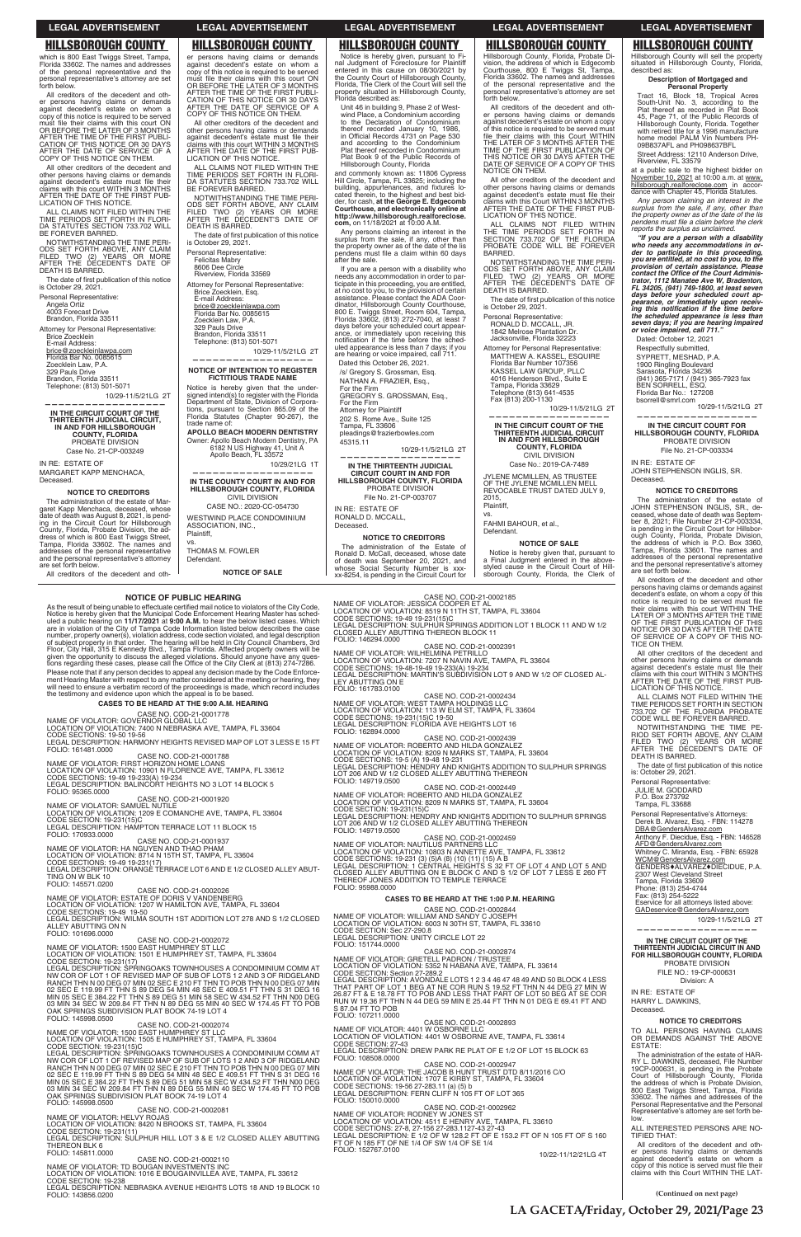**(Continued on next page)**

er persons having claims or demands against decedent's estate on whom a copy of this notice is required to be served<br>must file their claims with this court ON<br>OR BEFORE THE LATER OF 3 MONTHS AFTER THE TIME OF THE FIRST PUBLI-CATION OF THIS NOTICE OR 30 DAYS AFTER THE DATE OF SERVICE OF A COPY OF THIS NOTICE ON THEM.

All other creditors of the decedent and other persons having claims or demands against decedent's estate must file their claims with this court WITHIN 3 MONTHS AFTER THE DATE OF THE FIRST PUB-LICATION OF THIS NOTICE.

ALL CLAIMS NOT FILED WITHIN THE TIME PERIODS SET FORTH IN FLORI-DA STATUTES SECTION 733.702 WILL BE FOREVER BARRED.

NOTWITHSTANDING THE TIME PERI-ODS SET FORTH ABOVE, ANY CLAIM FILED TWO (2) YEARS OR MORE AFTER THE DECEDENT'S DATE OF DEATH IS BARRED.

The date of first publication of this notice<br>is October 29, 2021.

Personal Representative: Felicitas Mabry 8606 Dee Circle Riverview, Florida 33569

All creditors of the decedent and other persons having claims or demands against decedent's estate on whom a copy of this notice is required to be served must file their claims with this court ON<br>OR BEFORE THE LATER OF 3 MONTHS<br>CATION OF THIS NOTICE OR 30 DAYS<br>CATION OF THIS NOTICE OR 30 DAYS<br>AFTER THE DATE OF SERVICE OF A<br>COPY OF THIS NOTICE ON THEM.

> Attorney for Personal Representative: Brice Zoecklein, Esq. E-mail Address:<br><u>brice@zoeckleinlawpa.com</u><br>Florida Bar No. 0085615 Zoecklein Law, P.A. 329 Pauls Drive Brandon, Florida 33511 Telephone: (813) 501-5071

10/29-11/5/21LG 2T

All other creditors of the decedent and other persons having claims or demands<br>against decedent's estate must file their<br>claims with this court WITHIN 3 MONTHS<br>AFTER THE DATE OF THE FIRST PUB-<br>LICATION OF THIS NOTICE.

> **—————————————————— NOTICE OF INTENTION TO REGISTER**

ALL CLAIMS NOT FILED WITHIN THE TIME PERIODS SET FORTH IN FLORI-DA STATUTES SECTION 733.702 WILL BE FOREVER BARRED.

> **FICTITIOUS TRADE NAME** Notice is hereby given that the undersigned intend(s) to register with the Florida Department of State, Division of Corpora-tions, pursuant to Section 865.09 of the Florida Statutes (Chapter 90-267), the trade name of:

The date of first publication of this notice is October 29, 2021.

> **APOLLO BEACH MODERN DENTISTRY** Owner: Apollo Beach Modern Dentistry, PA 6182 N US Highway 41, Unit A Apollo Beach, FL 33572

<u>brice@zoeckleinlawpa.com</u><br>Florida Bar No. 0085615 Zoecklein Law, P.A. 329 Pauls Drive Brandon, Florida 33511

> 10/29/21LG 1T **—————————————————— IN THE COUNTY COURT IN AND FOR HILLSBOROUGH COUNTY, FLORIDA** CIVIL DIVISION

CASE NO.: 2020-CC-054730 WESTWIND PLACE CONDOMINIUM ASSOCIATION, INC., Plaintiff,

vs. THOMAS M. FOWLER Defendant.

**NOTICE OF SALE**

which is 800 East Twiggs Street, Tampa, Florida 33602. The names and addresses of the personal representative and the personal representative's attorney are set forth below.

NOTWITHSTANDING THE TIME PERI-ODS SET FORTH ABOVE, ANY CLAIM FILED TWO (2) YEARS OR MORE AFTER THE DECEDENT'S DATE OF DEATH IS BARRED.

Personal Representative:

Angela Ortiz 4003 Forecast Drive Brandon, Florida 33511

Attorney for Personal Representative: Brice Zoecklein E-mail Address:

Telephone: (813) 501-5071 10/29-11/5/21LG 2T

**—————————————————— IN THE CIRCUIT COURT OF THE** 

**THIRTEENTH JUDICIAL CIRCUIT, IN AND FOR HILLSBOROUGH COUNTY, FLORIDA** PROBATE DIVISION Case No. 21-CP-003249

IN RE: ESTATE OF MARGARET KAPP MENCHACA, Deceased.

### **NOTICE TO CREDITORS**

The administration of the estate of Margaret Kapp Menchaca, deceased, whose date of death was August 8, 2021, is pend-ing in the Circuit Court for Hillsborough County, Florida, Probate Division, the ad-dress of which is 800 East Twiggs Street, Tampa, Florida 33602. The names and addresses of the personal representative and the personal representative's attorney are set forth below.

All creditors of the decedent and oth-

Notice is hereby given, pursuant to Fi-nal Judgment of Foreclosure for Plaintiff entered in this cause on 08/30/2021 by the County Court of Hillsborough County, Florida, The Clerk of the Court will sell the property situated in Hillsborough County, Florida described as:

> 45, Page 71, of the Public Records of Hillsborough County, Florida. Together with retired title for a 1996 manufacture home model PALM Vin Numbers PH-09B837AFL and PH098637BFL Street Address: 12110 Anderson Drive, Riverview, FL 33579 at a public sale to the highest bidder on November 10, 2021 at 10:00 a.m. at www. hillsborough.realforeclose.com in accor-dance with Chapter 45, Florida Statutes. *Any person claiming an interest in the*  surplus from the sale, if any, other than<br>the property owner as of the date of the lis<br>pendens must file a claim before the clerk

Unit 46 in building 9, Phase 2 of West-wind Place, a Condominium according to the Declaration of Condominium thereof recorded January 10, 1986,<br>in Official Records 4731 on Page 530<br>and according to the Condominium Plat thereof recorded in Condominium Plat Book 9 of the Public Records of Hillsborough County, Florida

and commonly known as: 11806 Cypress Hill Circle, Tampa, FL 33625; including the<br>building, appurtenances, and fixtures lo-<br>cated therein, to the highest and best bidder, for cash, **at the George E. Edgecomb**<br>**Courthouse, and electronically online at**<br>http://www.hillsborough.realforeclose. **com,** on 11/18/2021 at 10:00 A.M.

Any persons claiming an interest in the surplus from the sale, if any, other than the property owner as of the date of the lis pendens must file a claim within 60 days after the sale.

If you are a person with a disability who needs any accommodation in order to participate in this proceeding, you are entitled,<br>at no cost to you, to the provision of certain<br>assistance. Please contact the ADA Coordinator, Hillsborough County Courthouse, 800 E. Twiggs Street, Room 604, Tampa, Florida 33602, (813) 272-7040, at least 7 days before your scheduled court appear-<br>ance, or immediately upon receiving this<br>notification if the time before the schednotification if the time before the sched-<br>uled appearance is less than 7 days; if you<br>are hearing or voice impaired, call 711. Dated this October 26, 2021.

/s/ Gregory S. Grossman, Esq.

NATHAN A. FRAZIER, Esq., For the Firm

GREGORY S. GROSSMAN, Esq.,

For the Firm Attorney for Plaintiff 202 S. Rome Ave., Suite 125

> Anthony F. Diecidue, Esq. - FBN: 146528 AFD@GendersAlvarez.com Whitney C. Miranda, Esq. - FBN: 65928 WCM@GendersAlvarez.com GENDERS $*$ ALVAREZ $*$ DIECIDUE, P.A.

Tampa, FL 33606 pleadings@frazierbowles.com

45315.11

10/29-11/5/21LG 2T **——————————————————**

**IN THE THIRTEENTH JUDICIAL CIRCUIT COURT IN AND FOR HILLSBOROUGH COUNTY, FLORIDA** PROBATE DIVISION

File No. 21-CP-003707 IN RE: ESTATE OF RONALD D. MCCALL,

Deceased.

## **NOTICE TO CREDITORS**

The administration of the Estate of Ronald D. McCall, deceased, whose date of death was September 20, 2021, and whose Social Security Number is xxx-xx-8254, is pending in the Circuit Court for

CASE NO. COD-21-0002185<br>NAME OF VIOLATOR: JESSICA COOPER ET AL<br>CODE SECTIONS: 19-49 19-231(15)C<br>CODE SECTIONS: 19-49 19-231(15)C<br>LEGAL DESCRIPTION: SULPHUR SPRINGS ADDITION LOT 1 BLOCK 11 AND W 1/2

All creditors of the decedent and oth-er persons having claims or demands against decedent's estate on whom a copy of this notice is served must file their<br>claims with this Court WITHIN THE LAT-

Hillsborough County, Florida, Probate Di-vision, the address of which is Edgecomb Courthouse, 800 E Twiggs St, Tampa, Florida 33602. The names and addresses of the personal representative and the personal representative's attorney are set forth below.

All creditors of the decedent and other persons having claims or demands against decedent's estate on whom a copy of this notice is required to be served must<br>file their claims with this Court WITHIN<br>THE LATER OF 3 MONTHS AFTER THE<br>TIME OF THE FIRST PUBLICATION OF THIS NOTICE OR 30 DAYS AFTER THE DATE OF SERVICE OF A COPY OF THIS NOTICE ON THEM.

All other creditors of the decedent and other persons having claims or demands<br>against decedent's estate must file their<br>claims with this Court WITHIN 3 MONTHS AFTER THE DATE OF THE FIRST PUB-LICATION OF THIS NOTICE.

ALL CLAIMS NOT FILED WITHIN THE TIME PERIODS SET FORTH IN SECTION 733.702 OF THE FLORIDA PROBATE CODE WILL BE FOREVER BARRED.

NOTWITHSTANDING THE TIME PERI-ODS SET FORTH ABOVE, ANY CLAIM FILED TWO (2) YEARS OR MORE AFTER THE DECEDENT'S DATE OF DEATH IS BARRED.

The date of first publication of this notice<br>is October 29, 2021.

Personal Representative: RONALD D. MCCALL, JR. 1842 Melrose Plantation Dr.

Jacksonville, Florida 32223 Attorney for Personal Representative: MATTHEW A. KASSEL, ESQUIRE Florida Bar Number 107356 KASSEL LAW GROUP, PLIC 4016 Henderson Blvd., Suite E Tampa, Florida 33629 Telephone (813) 641-4535 Fax (813) 200-1130

10/29-11/5/21LG 2T **—————————————————— IN THE CIRCUIT COURT OF THE** 

**THIRTEENTH JUDICIAL CIRCUIT IN AND FOR HILLSBOROUGH COUNTY, FLORIDA** CIVIL DIVISION Case No.: 2019-CA-7489

JYLENE MCMILLEN, AS TRUSTEE OF THE JYLENE MCMILLEN MELL REVOCABLE TRUST DATED JULY 9, 2015, Plaintiff,

vs.

FAHMI BAHOUR, et al., Defendant.

### **NOTICE OF SALE**

Notice is hereby given that, pursuant to a Final Judgment entered in the above-styled cause in the Circuit Court of Hillsborough County, Florida, the Clerk of

**Description of Mortgaged and Personal Property** Tract 16, Block 18, Tropical Acres South-Unit No. 3, according to the Plat thereof as recorded in Plat Book

*reports the surplus as unclaimed. "If you are a person with a disability who needs any accommodations in or-der to participate in this proceeding, you are entitled, at no cost to you, to the provision of certain assistance. Please<br>contact the Office of the Court Administrator, 1112 Manatee Ave W, Bradenton,<br>FL 34205, (941) 749-1800, at least seven<br>days before your scheduled court ap-Pearance, or immediately upon receiv-*<br>*ing this notification if the time before*<br>*the scheduled appearance is less than seven days; if you are hearing impaired or voice impaired, call 711."* Dated: October 12, 2021 Respectfully submitted,

SYPRETT, MESHAD, P.A. 1900 Ringling Boulevard Sarasota, Florida 34236 (941) 365-7171 / (941) 365-7923 fax BEN SORRELL, ESQ. Florida Bar No.: 127208 bsorrell@smrl.com 10/29-11/5/21LG 2T

### **—————————————————— IN THE CIRCUIT COURT FOR HILLSBOROUGH COUNTY, FLORIDA** PROBATE DIVISION

File No. 21-CP-003334

IN RE: ESTATE OF

JOHN STEPHENSON INGLIS, SR.

Deceased.

LEGAL DESCRIPTION: UNITY CIRCLE LOT 22 CASE NO. COD-21-0002874 NAME OF VIOLATOR: GRETELL PADRON / TRUSTEE LOCATION OF VIOLATION: 5352 N HABANA AVE, TAMPA, FL 33614<br>CODE SECTION: Section 27-289.2 LEGAL DESCRIPTION: AVONDALE LOTS 1 2 3 4 46 47 48 49 AND 50 BLOCK 4 LESS<br>THAT PART OF LOT 1 BEG AT NE COR RUN S 19.52 FT THN N 44 DEG 27 MIN W<br>26.87 FT & E 18.78 FT TO POB AND LESS THAT PART OF LOT 50 BEG AT SE COR<br>RUN W 1 CASE NO. COD-21-0002893<br>NAME OF VIOLATOR: 4401 W OSBORNE LLC LOCATION OF VIOLATION: 4401 W OSBORNE AVE, TAMPA, FL 33614<br>CODE SECTION: 27-43<br>LEGAL DESCRIPTION: DREW PARK RE PLAT OF E 1/2 OF LOT 15 BLOCK 63 NAME OF VIOLATOR: THE JACOB B HUNT TRUST DTD 8/11/2016 C/O<br>LOCATION OF VIOLATION: 1707 E KIRBY ST, TAMPA, FL 33604<br>CODE SECTIONS: 19-56 27-283.11 (a) (5) b<br>LEGAL DESCRIPTION: FERN CLIFF N 105 FT OF LOT 365<br>LEGAL DESCRIPTIO CASE NO. COD-21-0002962 NAME OF VIOLATOR: RODNEY W JONES ST<br>LOCATION OF VIOLATION: 4511 E HENRY AVE, TAMPA, FL 33610<br>CODE SECTIONS: 27-8, 27-156 27-283.1127-43 27-43<br>LEGAL DESCRIPTION: E 1/2 OF W 128.2 FT OF E 153.2 FT OF N 105 FT OF S 160<br>FT OF 152767.0100<br>10/22-11/12/21LG 4T

**NOTICE TO CREDITORS** The administration of the estate of JOHN STEPHENSON INGLIS, SR., deceased, whose date of death was Septem-ber 8, 2021; File Number 21-CP-003334,

is pending in the Circuit Court for Hillsbor-<br>ough County, Florida, Probate Division,<br>the address of which is P.O. Box 3360,<br>Tampa, Florida 33601. The names and<br>addresses of the personal representative sattomey

are set forth below.

All creditors of the decedent and other persons having claims or demands against decedent's estate, on whom a copy of this

notice is required to be served must file<br>their claims with this court WITHIN THE<br>LATER OF 3 MONTHS AFTER THE TIME<br>OF THE FIRST PUBLICATION OF THIS<br>NOTICE OR 30 DAYS AFTER THE DATE

## Hillsborough County will sell the property situated in Hillsborough County, Florida, described as: **HILLSBOROUGH COUNTY HILLSBOROUGH COUNTY HILLSBOROUGH COUNTY HILLSBOROUGH COUNTY HILLSBOROUGH COUNTY**

OF SERVICE OF A COPY OF THIS NO-TICE ON THEM. All other creditors of the decedent and

other persons having claims or demands<br>against decedent's estate must file their<br>claims with this court WITHIN 3 MONTHS<br>AFTER THE DATE OF THE FIRST PUB-<br>LICATION OF THIS NOTICE.

ALL CLAIMS NOT FILED WITHIN THE TIME PERIODS SET FORTH IN SECTION 733.702 OF THE FLORIDA PROBATE CODE WILL BE FOREVER BARRED.

NOTWITHSTANDING THE TIME PE-RIOD SET FORTH ABOVE, ANY CLAIM FILED TWO (2) YEARS OR MORE AFTER THE DECEDENT'S DATE OF DEATH IS BARRED.

The date of first publication of this notice<br>is: October 29, 2021.

Personal Representative: JULIE M. GODDARD P.O. Box 273792 Tampa, FL 33688

Personal Representative's Attorneys: Derek B. Alvarez, Esq. - FBN: 114278 DBA@GendersAlvarez.com

2307 West Cleveland Street Tampa, Florida 33609 Phone: (813) 254-4744 Fax: (813) 254-5222

Eservice for all attorneys listed above: GADeservice@GendersAlvarez,com 10/29-11/5/21LG 2T **——————————————————**

**IN THE CIRCUIT COURT OF THE THIRTEENTH JUDICIAL CIRCUIT IN AND FOR HILLSBOROUGH COUNTY, FLORIDA** PROBATE DIVISION FILE NO.: 19-CP-000631 Division: A

IN RE: ESTATE OF HARRY L. DAWKINS, Deceased.

### **NOTICE TO CREDITORS**

TO ALL PERSONS HAVING CLAIMS OR DEMANDS AGAINST THE ABOVE ESTATE:

The administration of the estate of HAR-RY L. DAWKINS, deceased, File Number 19CP-000631, is pending in the Probate Court of Hillsborough County, Florida the address of which is Probate Division, 800 East Twiggs Street, Tampa, Florida 33602. The names and addresses of the Personal Representative and the Personal Representative's attorney are set forth be-low.

ALL INTERESTED PERSONS ARE NO-TIFIED THAT:

## **LEGAL ADVERTISEMENT LEGAL ADVERTISEMENT LEGAL ADVERTISEMENT LEGAL ADVERTISEMENT LEGAL ADVERTISEMENT**

**LA GACETA/Friday, October 29, 2021/Page 23**

## **NOTICE OF PUBLIC HEARING**

As the result of being unable to effectuate certified mail notice to violators of the City Code, Notice is hereby given that the Municipal Code Enforcement Hearing Master has sched-<br>uled a public hearing on 11/17/2021 at 9:00 A.M. to hear the below listed cases. Which<br>are in violation of the City of Tampa Code Informa number, property owner(s), violation address, code section violated, and legal description<br>of subject property in that order. The hearing will be held in City Council Chambers, 3rd<br>Floor, City Hall, 315 E Kennedy Blvd., T given the opportunity to discuss the alleged violations. Should anyone have any ques-<br>tions regarding these cases, please call the Office of the City Clerk at (813) 274-7286. Please note that if any person decides to appeal any decision made by the Code Enforcement Hearing Master with respect to any matter considered at the meeting or hearing, they will need to ensure a verbatim record of the proceedings is made, which record includes<br>the testimony and evidence upon which the appeal is to be based.

## **CASES TO BE HEARD AT THE 9:00 A.M. HEARING**

CASE NO. COD-21-0001778<br>NAME OF VIOLATOR: GOVERNOR GLOBAL LLC<br>LOCATION OF VIOLATION: 7400 N NEBRASKA AVE, TAMPA, FL 33604

CODE SECTIONS: 19-50 19-56<br>LEGAL DESCRIPTION: HARMONY HEIGHTS REVISED MAP OF LOT 3 LESS E 15 FT<br>FOLIO: 161481.0000

CASE NO. COD-21-0001788<br>NAME OF VIOLATOR: FIRST HORIZON HOME LOANS<br>LOCATION OF VIOLATION: 10901 N FLORENCE AVE, TAMPA, FL 33612 CODE SECTIONS: 19-49 19-233(A) 19-234<br>LEGAL DESCRIPTION: BALINCORT HEIGHTS NO 3 LOT 14 BLOCK 5<br>FOLIO: 95365.0000

CASE NO. COD-21-0001920<br>NAME OF VIOLATOR: SAMUEL NUTILE<br>LOCATION OF VIOLATION: 1209 E COMANCHE AVE, TAMPA, FL 33604

CODE SECTION: 19-231(15)C<br>LEGAL DESCRIPTION: HAMPTON TERRACE LOT 11 BLOCK 15<br>FOLIO: 170933.0000

CASE NO. COD-21-0001937<br>NAME OF VIOLATOR: HA NGUYEN AND THAO PHAM<br>LOCATION OF VIOLATION: 8714 N 15TH ST, TAMPA, FL 33604

CODE SECTIONS: 19-49 19-231(17)<br>LEGAL DESCRIPTION: ORANGE TERRACE LOT 6 AND E 1/2 CLOSED ALLEY ABUT-<br>TING ON W BLK 10 FOLIO: 145571.0200

CASE NO. COD-21-0002026<br>NAME OF VIOLATOR: ESTATE OF DORIS V VANDENBERG LOCATION OF VIOLATION: 1207 W HAMILTON AVE, TAMPA, FL 33604<br>CODE SECTIONS: 19-49 19-50<br>LEGAL DESCRIPTION: WILMA SOUTH 1ST ADDITION LOT 278 AND S 1/2 CLOSED ALLEY ABUTTING ON N FOLIO: 101696.0000 CASE NO. COD-21-0002072 NAME OF VIOLATOR: 1500 EAST HUMPHREY ST LLC<br>LOCATION OF VIOLATION: 1501 E HUMPHREY ST, TAMPA, FL 33604<br>CODE SECTION: 19-231(17) LEGAL DESCRIPTION: ŚPŔINGOAKS TOWNHOUSES A CONDOMINIUM COMM AT NW COR OF LOT 1 OF REVISED MAP OF SUB OF LOTS 1 2 AND 3 OF RIDGELAND<br>RANCH THN N 00 DEG 07 MIN 02 SEC E 210 FT THN TO POB THN N 00 DEG 07 MIN 02 SEC E 119.99 FT THN S 89 DEG 54 MIN 48 SEC E 409.51 FT THN S 31 DEG 16<br>MIN 05 SEC E 384.22 FT THN S 89 DEG 51 MIN 58 SEC W 434.52 FT THN N00 DEG<br>03 MIN 34 SEC W 209.84 FT THN N 89 DEG 55 MIN 40 SEC W 174.45 FT TO POB OAK SPRINGS SUBDIVISION PLAT BOOK 74-19 LOT 4 FOLIO: 145998.0500 CASE NO. COD-21-0002074 NAME OF VIOLATOR: 1500 EAST HUMPHREY ST LLC<br>LOCATION OF VIOLATION: 1505 E HUMPHREY ST, TAMPA, FL 33604<br>CODE SECTION: 19-231(15)C LEGAL DESCRIPTION: ŚPŔINGOAKS TOWNHOUSES A CONDOMINIUM COMM AT NW COR OF LOT 1 OF REVISED MAP OF SUB OF LOTS 1 2 AND 3 OF RIDGELAND<br>RANCH THN N 00 DEG 07 MIN 02 SEC E 210 FT THN TO POB THN N 00 DEG 07 MIN 02 SEC E 119.99 FT THN S 89 DEG 54 MIN 48 SEC E 409.51 FT THN S 31 DEG 16<br>MIN 05 SEC E 384.22 FT THN S 89 DEG 51 MIN 58 SEC W 434.52 FT THN N00 DEG<br>03 MIN 34 SEC W 209.84 FT THN N 89 DEG 55 MIN 40 SEC W 174.45 FT TO POB OAK SPRINGS SUBDIVISION PLAT BOOK 74-19 LOT 4 FOLIO: 145998.0500 CASE NO. COD-21-0002081 NAME OF VIOLATOR: HELVY ROJAS<br>LOCATION OF VIOLATION: 8420 N BROOKS ST, TAMPA, FL 33604<br>CODE SECTION: 19-231(11) LEGAL DESCRIPTION: SULPHUR HILL LOT 3 & E 1/2 CLOSED ALLEY ABUTTING THEREON BLK 6<br>FOLIO: 145811.0000 CASE NO. COD-21-0002110 NAME OF VIOLATOR: TD BOUGAN INVESTMENTS INC<br>LOCATION OF VIOLATION: 1016 E BOUGAINVILLEA AVE, TAMPA, FL 33612 CODE SECTION: 19-238<br>LEGAL DESCRIPTION: NEBRASKA AVENUE HEIGHTS LOTS 18 AND 19 BLOCK 10<br>FOLIO: 143856.0200 CASE NO. COD-21-0002844<br>NAME OF VIOLATOR: WILLIAM AND SANDY C JOSEPH<br>LOCATION OF VIOLATION: 6003 N 30TH ST, TAMPA, FL 33610<br>CODE SECTION: Sec 27-290.8 FOLIO: 151744.0000 S 87.04 FT TO POB<br>FOLIO: 107211.0000 FOLIO: 108508.0000 FOLIO: 150010.0000 FOLIO: 152767.0100

%.15'&-#..';-#\$766+0)-6\*'4'10-\$.1%-- (1.+1- %#5'-01-%1&- 0#/'-1(-8+1.#614-9+.\*'./+0#-2'64+..1 .1%#6+10-1(-8+1.#6+10--0-0#8+0-#8'-6#/2#-(.- %1&'-5'%6+105-- #- .')#.-&'5%4+26+10-/#46+0ŏ5-57\$&+8+5+10-.16--#0&-9--1(-%.15'&-#.- .';-#\$766+0)-10-' (1.+1-

NAME OF VIOLATOR: WEST TAMPA HOLDINGS LLC<br>LOCATION OF VIOLATION: 113 W ELM ST, TAMPA, FL 33604<br>CODE SECTIONS: 19-231(15)C 19-50<br>LEGAL DESCRIPTION: FLORIDA AVE HEIGHTS LOT 16 FOLIO: 162894.0000

CASE NO. COD-21-0002439<br>LOCATION OF VIOLATION: 8209 N MARLS ST, TAMPA, EL 33604<br>CODE SECTIONS: 19-5 (A) 19-48 19-231<br>LEGAL DESCRIPTION: HENDRY AND KNIGHTS ADDITION TO SULPHUR SPRINGS<br>LOT 206 AND W 1/2 CLOSED ALLEY ABUTTING FOLIO: 149719.0500

CASE NO. COD-21-0002449<br>NAME OF VIOLATOR: ROBERTO AND HILDA GONZALEZ<br>CODE SECTION: 19-231(15)C<br>CODE SECTION: 19-231(15)C<br>LEGAL DESCRIPTION: HENDRY AND KNIGHTS ADDITION TO SULPHUR SPRINGS LOT 206 AND W 1/2 CLOSED ALLEY ABUTTING THEREON

FOLIO: 149719.0500<br>NAME OF VIOLATOR: NAUTILUS PARTNERS LLC<br>LOCATION OF VIOLATION: 10803 N ANNETTE AVE, TAMPA, FL 33612<br>CODE SECTIONS: 19-231 (3) (5)A (8) (10) (11) (15) A B<br>LEGAL DESCRIPTION: 1 CENTRAL HEIGHTS S 32 FT OF L FOLIO: 95988.0000

## **CASES TO BE HEARD AT THE 1:00 P.M. HEARING**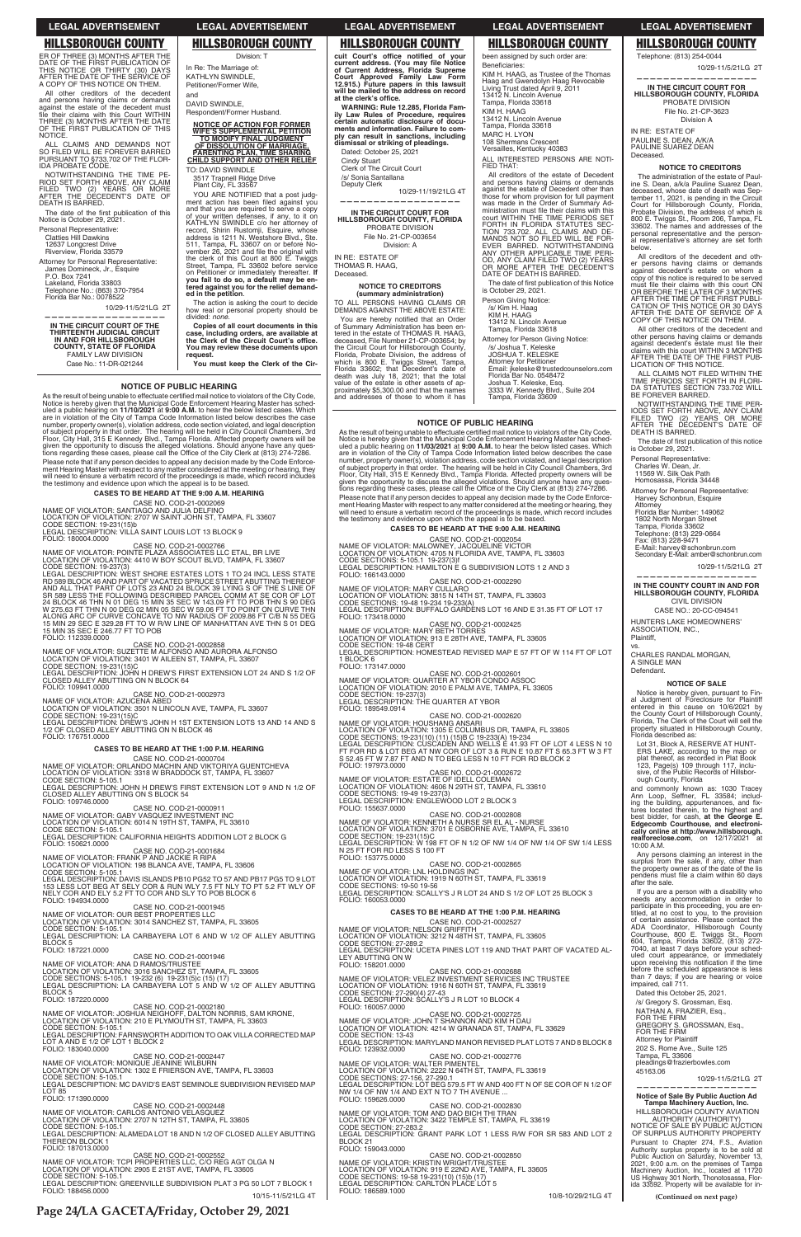### **NOTICE OF PUBLIC HEARING**

As the result of being unable to effectuate certified mail notice to violators of the City Code,<br>Notice is hereby given that the Municipal Code Enforcement Hearing Master has sched<br>and a public hearing on 11/10/2021 at 9:0 Please note that if any person decides to appeal any decision made by the Code Please note that if any person decides to appeal any decision made by the Code Enforce-<br>ment Hearing Master with respect to any matter considered at the meeting or hearing, they<br>will need to ensure a verbatim record of the

## **CASES TO BE HEARD AT THE 9:00 A.M. HEARING**

CASE NO. COD-21-0002069<br>NAME OF VIOLATOR: SANTIAGO AND JULIA DELFINO<br>LOCATION OF VIOLATION: 2707 W SAINT JOHN ST, TAMPA, FL 33607<br>CODE SECTION: 19-231(15)b<br>LEGAL DESCRIPTION: VILLA SAINT LOUIS LOT 13 BLOCK 9

FOLIO: 180004.0000

CASE NO. COD-21-0002766<br>NAME OF VIOLATOR: POINTE PLAZA ASSOCIATES LLC ETAL, BR LIVE<br>LOCATION OF VIOLATION: 4410 W BOY SCOUT BLVD, TAMPA, FL 33607

CODE SECTION: 19-237(3)<br>LEGAL DESCRIPTION: WEST SHORE ESTATES LOTS 1 TO 24 INCL LESS STATE<br>RD 589 BLOCK 46 AND PART OF VACATED SPRUCE STREET ABUTTING THEREOF<br>AND ALL THAT PART OF LOTS 23 AND 24 BLOCK 39 LYING S OF THE S LI

CASE NO. COD-21-0002858<br>LOCATION OF VIOLATION: 3401 W AIFONSO AND AURORA ALFONSO<br>LOCATION OF VIOLATION: 3401 W AILEEN ST, TAMPA, FL 33607<br>CODE SECTION: 19-231(15)C<br>CLOSED ALLEY ABUTTING ON N BLOCK 64<br>CLOSED ALLEY ABUTTING

## FOLIO: 109941.0000

المستحدث CASE NO. COD-21-0002973<br>NAME OF VIOLATOR: AZUCENA ABED

LOCATION OF VIOLATION: 3501 N LINCOLN AVE, TAMPA, FL 33607<br>CODE SECTION: 19-231(15)C<br>LEGAL DESCRIPTION: DREW'S JOHN H 1ST EXTENSION LOTS 13 AND 14 AND S 1/2 OF CLOSED ALLEY ABUTTING ON N BLOCK 46

### FOLIO: 176751.0000

## **CASES TO BE HEARD AT THE 1:00 P.M. HEARING**

CASE NO. COD-21-0000704<br>LOCATION OF VIOLATION: 3318 W BRADDOCK ST, TAMPA, FL 33607<br>CODE SECTION: 5-105.1

LEGAL DESCRIPTION: JOHN H DREW'S FIRST EXTENSION LOT 9 AND N 1/2 OF CLOSED ALLEY ABUTTING ON S BLOCK 54<br>FOLIO: 109746.0000

CASE NO. COD-21-0000911

FOLIO: 194934.0000

NAME OF VIOLATOR: GABY VASQUEZ INVESTMENT INC<br>LOCATION OF VIOLATION: 6014 N 19TH ST, TAMPA, FL 33610<br>CODE SECTION: 5-105.1 LEGAL DESCRIPTION: CALIFORNIA HEIGHTS ADDITION LOT 2 BLOCK G FOLIO: 150621.0000

CASE NO. COD-21-0001684<br>NAME OF VIOLATOR: FRANK P AND JACKIE R RIPA<br>LOCATION OF VIOLATION: 198 BLANCA AVE, TAMPA, FL 33606<br>CODE SECTION: 5-105.1

LEGAL DESCRIPTION: DAVIS ISLANDS PB10 PG52 TO 57 AND PB17 PG5 TO 9 LOT 153 LESS LOT BEG AT SELY COR & RUN WLY 7.5 FT NLY TO PT 5.2 FT WLY OF<br>NELY COR AND ELY 5.2 FT TO COR AND SLY TO POB BLOCK 6

CASE NO. COD-21-0001945

 $\mathbf{c}$  uit Court's office notified of your current address. (You may file Notice<br>of Current Address, Florida Supreme<br>Court Approved Family Law Form<br>12.915.) Future papers in this lawsuit<br>will be mailed to the address on record **at the clerk's office.** 

The date of the first publication of this Notice is October 29, 2021.

YOU ARE NOTIFIED that a post judgment action has been filed against you<br>and that you are required to serve a copy of your written defenses, if any, to it on KATHLYN SWINDLE c/o her attorney of record, Shirin Rustomji, Esquire, whose address is 1211 N. Westshore Blvd., Ste.

511, Tampa, FL 33607 on or before No-<br>vember 26, 2021 and file the original with<br>the clerk of this Court at 800 E. Twiggs Street, Tampa, FL 33602 before service on Petitioner or immediately thereafter. **If you fail to do so, a default may be en-tered against you for the relief demand-ed in the petition**.

Dated: October 25, 2021 Cindy Stuart Clerk of The Circuit Court /s/ Sonia Santallana Deputy Clerk

PERSONS HAVING CLAIMS OR DEMANDS AGAINST THE ABOVE ESTATE:

You are hereby notified that an Order of Summary Administration has been entered in the estate of THOMAS R. HAAG, deceased, File Number 21-CP-003654; by the Circuit Court for Hillsborough County, Florida, Probate Division, the address of which is 800 E. Twiggs Street, Tampa, Florida 33602; that Decedent's date of death was July 18, 2021; that the total value of the estate is other assets of approximately \$5,300.00 and that the names and addresses of those to whom it has been assigned by such order are: Beneficiaries:

**NOTICE TO CREDITORS** The administration of the estate of Pauline S. Dean, a/k/a Pauline Suarez Dean, de ceased, whose date of death was September 11, 2021, is pending in the Circuit<br>Court for Hillsborough County, Florida,<br>Probate Division, the address of which is

800 E. Twiggs St., Room 206, Tampa, FL<br>33602. The names and addresses of the<br>personal representative's and the person-<br>al representative's attorney are set forth al representative's attorney are set forth<br>helow

ER OF THREE (3) MONTHS AFTER THE DATE OF THE FIRST PUBLICATION OF THIS NOTICE OR THIRTY (30) DAYS AFTER THE DATE OF THE SERVICE OF A COPY OF THIS NOTICE ON THEM.

All other creditors of the decedent and persons having claims or demands against the estate of the decedent must file their claims with this Court WITHIN<br>THREE (3) MONTHS AFTER THE DATE<br>OF THE FIRST PUBLICATION OF THIS NOTICE.

ALL CLAIMS AND DEMANDS NOT SO FILED WILL BE FOREVER BARRED PURSUANT TO §733.702 OF THE FLOR-IDA PROBATE CODE.

NOTWITHSTANDING THE TIME PE-RIOD SET FORTH ABOVE, ANY CLAIM FILED TWO (2) YEARS OR MORE AFTER THE DECEDENT'S DATE OF DEATH IS BARRED.

Personal Representative: Clatties Hill Dawkins 12637 Longcrest Drive Riverview, Florida 33579

Attorney for Personal Representative: James Domineck, Jr., Esquire P.O. Box 7241 Lakeland, Florida 33803 Telephone No.: (863) 370-7954 Florida Bar No.: 0078522

10/29-11/5/21LG 2T

**——————————————————**

**IN THE CIRCUIT COURT OF THE THIRTEENTH JUDICIAL CIRCUIT IN AND FOR HILLSBOROUGH COUNTY, STATE OF FLORIDA** FAMILY LAW DIVISION Case No.: 11-DR-021244

Division: T

In Re: The Marriage of: KATHLYN SWINDLE, Petitioner/Former Wife,

> Notice is hereby given, pursuant to Fin-<br>al Judgment of Foreclosure for Plaintiff<br>entered in this cause on 10/6/2021 by<br>the County Court of Hillsborough County,<br>Florida, The Clerk of the Court will sell the<br>property situat Lot 31, Block A, RESERVE AT HUNT-ERS LAKE, according to the map or plat thereof, as recorded in Plat Book 123, Page(s) 109 through 117, inclu-sive, of the Public Records of Hillsbor-ough County, Florida

and

DAVID SWINDLE,

Respondent/Former Husband.

**NOTICE OF ACTION FOR FORMER WIFE'S SUPPLEMENTAL PETITION TO MODIFY FINAL JUDGMENT OF DISSOLUTION OF MARRIAGE, PARENTING PLAN, TIME SHARING CHILD SUPPORT AND OTHER RELIEF**

TO: DAVID SWINDLE 3517 Trapnell Ridge Drive Plant City, FL 33567

The action is asking the court to decide how real or personal property should be divided: *none*. **Copies of all court documents in this case, including orders, are available at the Clerk of the Circuit Court's office. You may review these documents upon request.**

**You must keep the Clerk of the Cir-**

**WARNING: Rule 12.285, Florida Family Law Rules of Procedure, requires certain automatic disclosure of documents and information. Failure to com-ply can result in sanctions, including dismissal or striking of pleadings.**

10/29-11/19/21LG 4T

**——————————————————**

**IN THE CIRCUIT COURT FOR HILLSBOROUGH COUNTY, FLORIDA** PROBATE DIVISION File No. 21-CP-003654 Division: A

IN RE: ESTATE OF THOMAS R. HAAG,

Deceased.

## **NOTICE TO CREDITORS (summary administration)**

KIM H. HAAG, as Trustee of the Thomas Haag and Gwendolyn Haag Revocable Living Trust dated April 9, 2011 13412 N. Lincoln Avenue Tampa, Florida 33618 KIM H. HAAG 13412 N. Lincoln Avenue Tampa, Florida 33618 MARC H. LYON 108 Shermans Crescent Versailles, Kentucky 40383

ALL INTERESTED PERSONS ARE NOTI-FIED THAT:

All creditors of the estate of Decedent

The date of first publication of this Notice

and persons having claims or demands against the estate of Decedent other than those for whom provision for full payment<br>was made in the Order of Summary Ad-<br>ministration must file their claims with this court WITHIN THE TIME PERIODS SET FORTH IN FLORIDA STATUTES SEC-TION 733.702. ALL CLAIMS AND DE-MANDS NOT SO FILED WILL BE FOR-EVER BARRED. NOTWITHSTANDING ANY OTHER APPLICABLE TIME PERI-OD, ANY CLAIM FILED TWO (2) YEARS OR MORE AFTER THE DECEDENT'S DATE OF DEATH IS BARRED.

is October 29, 2021.

Person Giving Notice: /s/ Kim H. Haag KIM H. HAAG 13412 N. Lincoln Avenue

Tampa, Florida 33618

Attorney for Person Giving Notice:

/s/ Joshua T. Keleske JOSHUA T. KELESKE Attorney for Petitioner Email: jkeleske@trustedcounselors.com Florida Bar No. 0548472 Joshua T. Keleske, Esq. 3333 W. Kennedy Blvd., Suite 204 Tampa, Florida 33609

Telephone: (813) 254-0044

10/29-11/5/21LG 2T

**—————————————————— IN THE CIRCUIT COURT FOR HILLSBOROUGH COUNTY, FLORIDA** PROBATE DIVISION File No. 21-CP-3623 Division A

IN RE: ESTATE OF PAULINE S. DEAN, A/K/A PAULINE SUAREZ DEAN

Deceased.

All creditors of the decedent and oth-er persons having claims or demands against decedent's estate on whom a

copy of this notice is required to be served<br>must file their claims with this court ON<br>OR BEFORE THE LATER OF 3 MONTHS<br>AFTER THE TIME OF THE FIRST PUBLI-<br>CATION OF THIS NOTICE OR 30 DAYS<br>AFTER THE DATE OF SERVICE OF A

COPY OF THIS NOTICE ON THEM. All other creditors of the decedent and other persons having claims or demands against decedent's estate must file their claims with this court WITHIN 3 MONTHS AFTER THE DATE OF THE FIRST PUB-LICATION OF THIS NOTICE.

ALL CLAIMS NOT FILED WITHIN THE TIME PERIODS SET FORTH IN FLORI-DA STATUTES SECTION 733.702 WILL BE FOREVER BARRED. NOTWITHSTANDING THE TIME PER-IODS SET FORTH ABOVE, ANY CLAIM FILED TWO (2) YEARS OR MORE AFTER THE DECEDENT'S DATE OF

The date of first publication of this notice<br>is October 29, 2021.

| NAME OF VIOLATOR: OUR BEST PROPERTIES LLC                                          | <b>CASES TO BE HEARD AT THE 1:00 P.M. HEARING</b>                                | titled, at no cost to you, to the provision                                            |
|------------------------------------------------------------------------------------|----------------------------------------------------------------------------------|----------------------------------------------------------------------------------------|
| LOCATION OF VIOLATION: 3014 SANCHEZ ST, TAMPA, FL 33605                            | CASE NO. COD-21-0002527                                                          | of certain assistance. Please contact the                                              |
| CODE SECTION: 5-105.1                                                              | NAME OF VIOLATOR: NELSON GRIFFITH                                                | ADA Coordinator, Hillsborough County                                                   |
| LEGAL DESCRIPTION: LA CARBAYERA LOT 6 AND W 1/2 OF ALLEY ABUTTING                  | LOCATION OF VIOLATION: 3212 N 48TH ST. TAMPA. FL 33605                           | Courthouse, 800 E. Twiggs St., Room                                                    |
| BLOCK 5                                                                            | CODE SECTION: 27-289.2                                                           | 604, Tampa, Florida 33602, (813) 272-                                                  |
| FOLIO: 187221.0000                                                                 | LEGAL DESCRIPTION: UCETA PINES LOT 119 AND THAT PART OF VACATED AL-              | 7040, at least 7 days before your sched-                                               |
| CASE NO. COD-21-0001946                                                            | LEY ABUTTING ON W                                                                | uled court appearance, or immediately                                                  |
| NAME OF VIOLATOR: ANA D RAMOS/TRUSTEE                                              | FOLIO: 158201.0000                                                               | upon receiving this notification if the time                                           |
| LOCATION OF VIOLATION: 3016 SANCHEZ ST, TAMPA, FL 33605                            | CASE NO. COD-21-0002688                                                          | before the scheduled appearance is less                                                |
| CODE SECTIONS: 5-105.1 19-232 (6) 19-231(5)c (15) (17)                             | NAME OF VIOLATOR: VELEZ INVESTMENT SERVICES INC TRUSTEE                          | than 7 days; if you are hearing or voice<br>impaired, call 711.                        |
| LEGAL DESCRIPTION: LA CARBAYERA LOT 5 AND W 1/2 OF ALLEY ABUTTING                  | LOCATION OF VIOLATION: 1916 N 60TH ST, TAMPA, FL 33619                           |                                                                                        |
| BLOCK 5                                                                            | CODE SECTION: 27-290(4) 27-43                                                    | Dated this October 25, 2021.                                                           |
| FOLIO: 187220.0000                                                                 | LEGAL DESCRIPTION: SCALLY'S J R LOT 10 BLOCK 4                                   | /s/ Gregory S. Grossman, Esq.                                                          |
| CASE NO. COD-21-0002180                                                            | FOLIO: 160057.0000                                                               | NATHAN A. FRAZIER, Esg.,                                                               |
| NAME OF VIOLATOR: JOSHUA NEIGHOFF, DALTON NORRIS, SAM KRONE.                       | CASE NO. COD-21-0002725                                                          | FOR THE FIRM                                                                           |
| LOCATION OF VIOLATION: 210 E PLYMOUTH ST, TAMPA, FL 33603<br>CODE SECTION: 5-105.1 | NAME OF VIOLATOR: JOHN T SHANNON AND KIM H DAU                                   | GREGORY S. GROSSMAN, Esq.,                                                             |
| LEGAL DESCRIPTION: FARNSWORTH ADDITION TO OAK VILLA CORRECTED MAP                  | LOCATION OF VIOLATION: 4214 W GRANADA ST, TAMPA, FL 33629<br>CODE SECTION: 13-43 | FOR THE FIRM                                                                           |
| LOT A AND E 1/2 OF LOT 1 BLOCK 2                                                   | LEGAL DESCRIPTION: MARYLAND MANOR REVISED PLAT LOTS 7 AND 8 BLOCK 8              | <b>Attorney for Plaintiff</b>                                                          |
| FOLIO: 183040.0000                                                                 | FOLIO: 123932.0000                                                               | 202 S. Rome Ave., Suite 125                                                            |
| CASE NO. COD-21-0002447                                                            | CASE NO. COD-21-0002776                                                          | Tampa, FL 33606                                                                        |
| NAME OF VIOLATOR: MONIQUE JEANINE WILBURN                                          | NAME OF VIOLATOR: WALTER PIMENTEL                                                | pleadings@frazierbowles.com                                                            |
| LOCATION OF VIOLATION: 1302 E FRIERSON AVE, TAMPA, FL 33603                        | LOCATION OF VIOLATION: 2222 N 64TH ST. TAMPA, FL 33619                           | 45163.06                                                                               |
| CODE SECTION: 5-105.1                                                              | CODE SECTIONS: 27-156, 27-290.1                                                  | 10/29-11/5/21LG 2T                                                                     |
| LEGAL DESCRIPTION: MC DAVID'S EAST SEMINOLE SUBDIVISION REVISED MAP                | LEGAL DESCRIPTION: LOT BEG 579.5 FT W AND 400 FT N OF SE COR OF N 1/2 OF         |                                                                                        |
| <b>LOT 85</b>                                                                      | NW 1/4 OF NW 1/4 AND EXT N TO 7 TH AVENUE                                        |                                                                                        |
| FOLIO: 171390.0000                                                                 | FOLIO: 159626.0000                                                               | Notice of Sale By Public Auction Ad<br><b>Tampa Machinery Auction, Inc.</b>            |
| CASE NO. COD-21-0002448                                                            | CASE NO. COD-21-0002830                                                          |                                                                                        |
| NAME OF VIOLATOR: CARLOS ANTONIO VELASQUEZ                                         | NAME OF VIOLATOR: TOM AND DAO BICH THI TRAN                                      | HILLSBOROUGH COUNTY AVIATION                                                           |
| LOCATION OF VIOLATION: 2707 N 12TH ST, TAMPA, FL 33605                             | LOCATION OF VIOLATION: 3422 TEMPLE ST, TAMPA, FL 33619                           | AUTHORITY (AUTHORITY)                                                                  |
| CODE SECTION: 5-105.1                                                              | CODE SECTION: 27-283.2                                                           | NOTICE OF SALE BY PUBLIC AUCTION<br>OF SURPLUS AUTHORITY PROPERTY                      |
| LEGAL DESCRIPTION: ALAMEDA LOT 18 AND N 1/2 OF CLOSED ALLEY ABUTTING               | LEGAL DESCRIPTION: GRANT PARK LOT 1 LESS R/W FOR SR 583 AND LOT 2                |                                                                                        |
| <b>THEREON BLOCK 1</b>                                                             | BLOCK <sub>21</sub>                                                              | Pursuant to Chapter 274, F.S., Aviation                                                |
| FOLIO: 187013.0000<br>CASE NO. COD-21-0002552                                      | FOLIO: 159043.0000                                                               | Authority surplus property is to be sold at                                            |
| NAME OF VIOLATOR: TCPI PROPERTIES LLC, C/O REG AGT OLGA N                          | CASE NO. COD-21-0002850<br>NAME OF VIOLATOR: KRISTIN WRIGHT/TRUSTEE              | Public Auction on Saturday, November 13,                                               |
| LOCATION OF VIOLATION: 2905 E 21ST AVE, TAMPA, FL 33605                            | LOCATION OF VIOLATION: 919 E 22ND AVE. TAMPA. FL 33605                           | 2021, 9:00 a.m. on the premises of Tampa                                               |
| CODE SECTION: 5-105.1                                                              | CODE SECTIONS: 19-58 19-231(10) (15)b (17)                                       | Machinery Auction, Inc., located at 11720<br>US Highway 301 North, Thonotosassa, Flor- |
| LEGAL DESCRIPTION: GREENVILLE SUBDIVISION PLAT 3 PG 50 LOT 7 BLOCK 1               | LEGAL DESCRIPTION: CARLTON PLACE LOT 5                                           | ida 33592. Property will be available for in-                                          |
| FOLIO: 188456.0000                                                                 | FOLIO: 186589.1000                                                               |                                                                                        |
| 10/15-11/5/21LG 4T                                                                 | 10/8-10/29/21LG 4T                                                               | (Continued on next page)                                                               |
|                                                                                    |                                                                                  |                                                                                        |

DEATH IS BARRED.

Personal Representative: Charles W. Dean, Jr. 11569 W. Silk Oak Path Homosassa, Florida 34448

Attorney for Personal Representative: Harvey Schonbrun, Esquire Attorney Florida Bar Number: 149062

1802 North Morgan Street Tampa, Florida 33602 Telephone: (813) 229-0664 Fax: (813) 228-9471

E-Mail: harvey@schonbrun.com Secondary E-Mail: amber@schonbrun.com

10/29-11/5/21LG 2T

**—————————————————— IN THE COUNTY COURT IN AND FOR HILLSBOROUGH COUNTY, FLORIDA** CIVIL DIVISION CASE NO.: 20-CC-094541 HUNTERS LAKE HOMEOWNERS'

ASSOCIATION, INC.,

Plaintiff, vs.

CHARLES RANDAL MORGAN,

A SINGLE MAN Defendant.

**NOTICE OF SALE**

and commonly known as: 1030 Tracey<br>Ann Loop, Seffner, FL 33584; includ-<br>ing the building, appurtenances, and fix-<br>tures located therein, to the highest and<br>best bidder, for cash, **at the George E.** 

10:00 A.M.

**Edge comb Courthouse, and electroni-cally online at http://www.hillsborough. realforeclos e.com**, on 12/17/2021 at Any persons claiming an interest in the surplus from the sale, if any, other than the property owner as of the date of the lis

after the sale. If you are a person with a disability who needs any accommodation in order to participate in this proceeding, you are en-titled, at no cost to you, to the provision

pendens must file a claim within 60 days

## **LEGAL ADVERTISEMENT LEGAL ADVERTISEMENT LEGAL ADVERTISEMENT LEGAL ADVERTISEMENT LEGAL ADVERTISEMENT**

## **HILLSBOROUGH COUNTY HILLSBOROUGH COUNTY HILLSBOROUGH COUNTY HILLSBOROUGH COUNTY HILLSBOROUGH COUNTY**

**Page 24/LA GACETA/Friday, October 29, 2021**

**NOTICE OF PUBLIC HEARING**

As the result of being unable to effectuate certified mail notice to violators of the City Code,<br>Notice is hereby given that the Municipal Code Enforcement Hearing Master has sched-<br>uled a public hearing on **11/03/2021** at are in violation of the City of Tampa Code Information listed below describes the case<br>number, property owner(s), violation address, code section violated, and legal description<br>of subject property in that order. The hear Floor, City Hall, 315 E Kennedy Blvd., Tampa Florida. Affected property owners will be<br>given the opportunity to discuss the alleged violations. Should anyone have any ques-<br>tions regarding these cases, please call the Offi Please note that if any person decides to appeal any decision made by the Code Enforcement Hearing Master with respect to any matter considered at the meeting or hearing, they<br>will need to ensure a verbatim record of the proceedings is made, which record includes<br>the testimony and evidence upon which the ap

FOLIO: 166143.0000

LOCATION OF VIOLATION: 3815 N 14TH ST, TAMPA, FL 33603<br>CODE SECTIONS: 19-48 19-234 19-233(A)<br>LEGAL DESCRIPTION: BUFFALO GARDENS LOT 16 AND E 31.35 FT OF LOT 17 FOLIO: 173418.0000

CASE NO. COD-21-0002425<br>NAME OF VIOLATOR: MARY BETH TORRES

CASE NO. COD-21-0002601 NAME OF VIOLATOR: QUARTER AT YBOR CONDO ASSOC<br>LOCATION OF VIOLATION: 2010 E PALM AVE, TAMPA, FL 33605<br>CODE SECTION: 19-237(3) LEGAL DESCRIPTION: THE QUARTER AT YBOR

CASE NO. COD-21-0002620 NAME OF VIOLATOR: HOUSHANG ANSARI<br>LOCATION OF VIOLATION: 1305 E COLUMBUS DR, TAMPA, FL 33605<br>CODE SECTIONS: 19-231(10) (11) (15)B C 19-233(A) 19-234<br>LEGAL DESCRIPTION: CUSCADEN AND WELLS E 41.93 FT OF LOT 4 LESS N 10<br>FT FO FOLIO: 197973.0000

CASE NO. COD-21-0002672<br>NAME OF VIOLATOR: ESTATE OF IDELL COLEMAN LOCATION OF VIOLATION: 4606 N 29TH ST, TAMPA, FL 33610<br>CODE SECTIONS: 19-49 19-237(3)<br>LEGAL DESCRIPTION: ENGLEWOOD LOT 2 BLOCK 3 FOLIO: 155637.0000

CASE NO. COD-21-0002808<br>NAME OF VIOLATOR: KENNETH A NURSE SR EL AL - NURSE LOCATION OF VIOLATION: 3701 E OSBORNE AVE, TAMPA, FL 33610<br>CODE SECTION: 19-231(15)C<br>LEGAL DESCRIPTION: W 198 FT OF N 1/2 OF NW 1/4 OF NW 1/4 OF SW 1/4 LESS N 25 FT FOR RD LESS S 100 FT

CASE NO. COD-21-0002865

NAME OF VIOLATOR: LNL HOLDINGS INC

LOCATION OF VIOLATION: 1919 N 60TH ST, TAMPA, FL 33619<br>CODE SECTIONS: 19-50 19-56

LEGAL DESCRIPTION: SCALLY'S J R LOT 24 AND S 1/2 OF LOT 25 BLOCK 3 FOLIO: 160053.0000

**CASES TO BE HEARD AT THE 9:00 A.M. HEARING**

CASE NO. COD-21-0002054<br>LOCATION OF VIOLATION: MALOWNEY, JACQUELINE VICTOR<br>LOCATION OF VIOLATION: 4705 N FLORIDA AVE, TAMPA, FL 33603<br>CODE SECTIONS: 5-105.1\_19-237(3)f<br>LEGAL DESCRIPTION: HAMILTON E G SUBDIVISION LOTS 1 2 A

CASE NO. COD-21-0002290<br>NAME OF VIOLATOR: MARY CULLARO

LOCATION OF VIOLATION: 913 E 28TH AVE, TAMPA, FL 33605<br>CODE SECTION: 19-48 CERT<br>LEGAL DESCRIPTION: HOMESTEAD REVISED MAP E 57 FT OF W 114 FT OF LOT 1 BLOCK 6 FOLIO: 173147.0000

FOLIO: 189549.0914

FOLIO: 153775.0000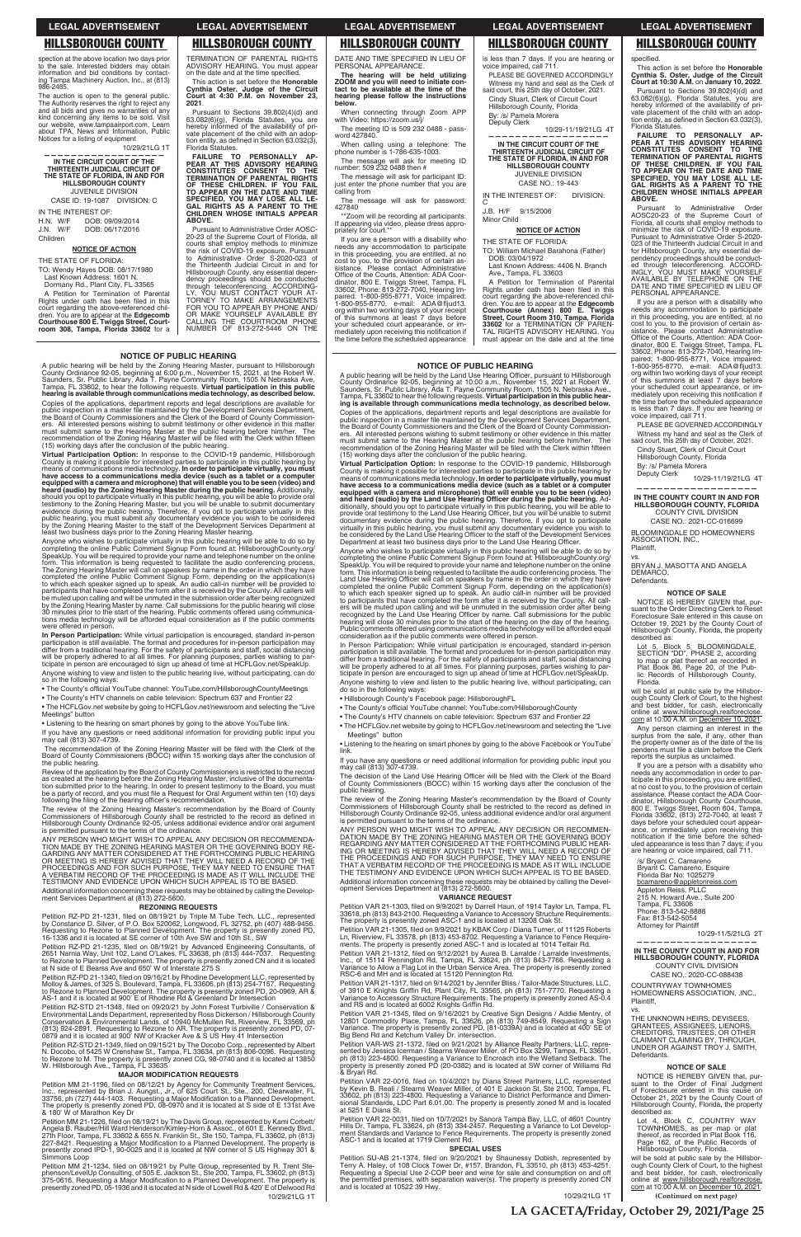## **NOTICE OF PUBLIC HEARING**

A public hearing will be held by the Land Use Hearing Officer, pursuant to Hillsborough<br>County Ordinance 92-05, beginning at 10:00 a.m., November 15, 2021 at Robert W.<br>Saunders, Sr. Public Library, Ada T. Payne Community R Copies of the applications, department reports and legal descriptions are available for public inspection in a master file maintained by the Development Services Department,<br>the Board of County Commissioners and the Clerk of the Board of County Commissioners. All interested persons wishing to submit testimony or other evidence in this matter<br>must submit same to the Hearing Master at the public hearing before him/her. The<br>recommendation of the Zoning Hearing Master will be (15) working days after the conclusion of the public hearing.

Virtual Participation Option: In response to the COVID-19 pandemic, Virtual Participation Option: In response to the COVID-19 pandemic, Hillsborough<br>County is making it possible for interested parties to participate in this public hearing by<br>means of communications media technology. In ord

Anyone who wishes to participate virtually in this public hearing will be able to do so by completing the online Public Comment Signup Form found at: Hillsbrorough.Courty.org/<br>SpeakUp. You will be required to provide your ers will be muted upon calling and will be unmuted in the submission order after being<br>recognized by the Land Use Hearing Officer by name. Call submissions for the public<br>hearing will close 30 minutes prior to the start of Public comments offered using communications media technology will be afforded equal

In Person Participation: While virtual participation is encouraged, standard in-person<br>participation is still available. The format and procedures for in-person participation may differ from a traditional hearing. For the safety of participants and staff, social distancing<br>will be properly adhered to at all times. For planning purposes, parties wishing to par-<br>ticipate in person are encouraged to s Anyone wishing to view and listen to the public hearing live, without participating, can

- Hillsborough County's Facebook page: HillsboroughFL
- The County's official YouTube channel: YouTube.com/HillsboroughCounty
- . The HCFLGov.net website by going to HCFLGov.net/newsroom and selecting the "Live"

• Listening to the hearing on smart phones by going to the above Facebook or YouTube link

The review of the Zoning Hearing Master's recommendation by the Board of County Commissioners of Hillsborough County shall be restricted to the record as defined in<br>Hillsborough County Ordinance 92-05, unless additional evidence and/or oral argument

Copies of the applications, department reports and legal descriptions are available for public inspection in a master file maintained by the Development Services Department,<br>the Board of County Commissioners and the Clerk of the Board of County Commission-<br>ers. All interested persons wishing to submit testim

must submit same to the Hearing Master at the public hearing before him/her. The<br>recommendation of the Zoning Hearing Master will be filed with the Clerk within fifteen<br>(15) working days after the conclusion of the public Virtual Participation Option: In response to the COVID-19 pandemic, Hillsborough County is making it possible for interested parties to participate in this public hearing by means of communications media technology. In order to participate virtually, you must have access to a communications media devic

equipped with a camera and microphone) that will enable you to be seen (video) and<br>heard (audio) by the Zoning Hearing Master during the public hearing. Additionally,<br>should you opt to participate virtually in this public

testimony to the Zoning Hearing Master, but you will be unable to submit documentary<br>evidence during the public hearing. Therefore, if you opt to participate virtually in this<br>public hearing, you must submit any documentar

Anyone who wishes to participate virtually in this public hearing will be able to do so by completing the online Public Comment Signup Form found at: HillsboroughCounty.org/ SpeakUp. You will be required to provide your name and telephone number on the online form. This information is being requested to facilitate the audio conferencing process. The Zoning Hearing Master will call on speakers by name in the order in which they have completed the online Public Comment Signup Form, depending on the application(s)<br>to which each speaker signed up to speak. An audio call-in number will be provided to<br>participants that have completed the form after it is r

## **VARIANCE REQUEST**

Petition VAR 21-1303, filed on 9/9/2021 by Darrell Haun, of 1914 Taylor Ln, Tampa, FL

be muted upon calling and will be unmuted in the submission order after being recognized<br>by the Zoning Hearing Master by name. Call submissions for the public hearing will close<br>30 minutes prior to the start of the hearing tions media technology will be afforded equal consideration as if the public comments were offered in person. **In Person Participation:** While virtual participation is encouraged, standard in-person participation is still available. The format and procedures for in-person participation may differ from a traditional hearing. For the safety of participants and staff, social distancing<br>will be properly adhered to at all times. For planning purposes, parties wishing to par-<br>ticipate in person are encouraged to s Anyone wishing to view and listen to the public hearing live, without participating, can do

Review of the application by the Board of County Commissioners is restricted to the record as created at the hearing before the Zoning Hearing Master, inclusive of the documentation submitted prior to the hearing. In order to present testimony to the Board, you must<br>be a party of record, and you must file a Request for Oral Argument within ten (10) days<br>following the filing of the hearing officer

The review of the Zoning Hearing Master's recommendation by the Board of County Commissioners of Hillsborough County shall be restricted to the record as defined in Hillsborough County Ordinance 92-05, unless additional evidence and/or oral argument is permitted pursuant to the terms of the ordinance.

ANY PERSON WHO MIGHT WISH TO APPEAL ANY DECISION OR RECOMMENDA-TION MADE BY THE ZONING HEARING MASTER OR THE GOVERNING BODY RE-<br>GARDING ANY MATTER CONSIDERED AT THE FORTHCOMING PUBLIC HEARING<br>OR MEETING IS HEREBY ADVISED T

Services Department at (813) 272-5600.

Petition RZ-PD 21-1231, filed on 08/19/21 by Triple M Tube Tech, LLC., represented<br>by Constance D. Silver, of P.O. Box 520062, Longwood, FL 32752, ph (407) 488-9456.<br>Requesting to Rezone to Planned Development. The propert 16-1336 and it is located at SE corner of 10th Ave SW and 10th St., SW

Petition RZ-PD 21-1235, filed on 08/19/21 by Advanced Engineering Consultants, of<br>2651 Narnia Way, Unit 102, Land O'Lakes, FL 33638, ph (813) 444-7037. Requesting<br>to Rezone to Planned Development. The property is presentl at N side of E Bearss Ave and 650' W of Interstate 275 S

Petition RZ-PD 21-1340, filed on 09/16/21 by Rhodine Development LLC, represented by Molloy & James, of 325 S. Boulevard, Tampa, FL 33606, ph (813) 254-7157. Requesting<br>to Rezone to Planned Development. The property is presently zoned PD, 20-0969, AR & AS-1 and it is located at 900' E of Rhodine Rd & Greenland Dr Intersection

Petition RZ-STD 21-1348, filed on 09/20/21 by John Forest Turbiville / Conservation &<br>Environmental Lands Department, represented by Ross Dickerson / Hillsborough County<br>Conservation & Environmental Lands, of 10940 McMulle (813) 924-2891. Requesting to Rezone to AR. The property is presently zoned PD, 07-<br>0879 and it is located at 900' NW of Kracker Ave & S US Hwy 41 Intersection

Petition RZ-STD 21-1349, filed on 09/15/21 by The Docobo Corp., represented by Albert<br>N. Docobo, of 5425 W Crenshaw St., Tampa, FL 33634, ph (813) 806-0096. Requesting to Rezone to M. The property is presently zoned CG, 98-0740 and it is located at 13850<br>W. Hillsborough Ave., Tampa, FL 33635

### **SPECIAL USES**

Petition SU-AB 21-1374, filed on 9/20/2021 by Shaunessy Dobish, represented by<br>Terry A. Haley, of 108 Clock Tower Dr, #157, Brandon, FL 33510, ph (813) 453-4251.<br>Requesting a Special Use 2-COP beer and wine for sale and co

**NOTICE OF PUBLIC HEARING**

A public hearing will be held by the Zoning Hearing Master, pursuant to Hillsborough<br>County Ordinance 92-05, beginning at 6:00 p.m., November 15, 2021, at the Robert W.<br>Saunders, Sr. Public Library, Ada T. Payne Community

 10/29/21LG 1T **(Continued on next page)** will be sold at public sale by the Hillsbor-ough County Clerk of Court, to the highest and best bidder, for cash, electronically<br>online at www.hillsborough.realforeclose.<br>com at 10:00 A.M. on December 10, 2021.

IN THE INTEREST OF:<br>H.N. W/F DOB: 09 DOB: 09/09/2014 J.N. W/F DOB: 06/17/2016 Children

A Petition for Termination of Parental<br>Rights under oath has been filed in this court regarding the above-referenced chil-dren. You are to appear at the **Edgecomb Courthouse 800 E. Twiggs Street, Courtroom 308, Tampa, Florida 33602** for a

ADVISORY HEARING. You must appear<br>on the date and at the time specified. This action is set before the **Honorable Cynthia Oster, Judge of the Circuit Court at 4:30 P.M. on November 23,** 

Pursuant to Sections 39.802(4)(d) and 63.082(6)(g), Florida Statutes, you are formed of the availability of pri-<br>hereby informed of the availability of pri-<br>vate placement of the child with an adop-

tion entity, as defined in Section 63.032(3),<br>Florida Statutes. **FAILURE TO PERSONALLY AP-**PEAR AT THIS ADVISORY HEARING<br>CONSTITUTES CONSENT TO THE<br>TERMINATION OF PARENTAL RIGHTS

> If you are a person with a disability who needs any accommodation to participate in this proceeding, you are entitled, at no cost to you, to the provision of certain as-sistance. Please contact Administrative Office of the Courts, Attention: ADA Coor-<br>dinator, 800 E. Twiggs Street, Tampa, FL<br>33602, Phone: 813-272-7040, Hearing Impaired: 1-800-955-8771, Voice impaired:<br>1-800-955-8770, e-mail: ADA@fljud13.<br>org within two working days of your receipt<br>of this summons at least 7 days before your scheduled court appearance, or immediately upon receiving this notification if<br>the time before the scheduled appearance

FAILURE TO PERSONALLY AP-<br>PEAR AT THIS ADVISORY HEARING<br>CONSTITUTES CONSENT TO THE<br>TERMINATION OF PARENTAL RIGHTS<br>OF THESE CHILDREN. IF YOU FAIL<br>TO APPEAR ON THE DATE AND TIME<br>SPECIFIED, YOU MAY LOSE ALL LE-<br>GHILDREN WHOSE **ABOVE.**

Pursuant to Administrative Order AOSC20-23 of the Supreme Court of Florida, all courts shall employ methods to minimize the risk of COVID-19 exposure. Pursuant to Administrative Order S-2020- 023 of the Thirteenth Judicial Circuit in and for Hillsborough County, any essential de-<br>pendency proceedings should be conduct-<br>ed through teleconferencing. ACCORD-<br>INGLY, YOU MUST MAKE YOURSELF<br>AVAILABLE BY TELEPHONE ON THE DOF<br>DATE AND TIME SPECIFIED IN LIEU OF PERSONAL APPEARANCE.

PLEASE BE GOVERNED ACCORDINGLY Witness my hand and seal as the Clerk of said court, this 25th day of October, 2021. Cindy Stuart, Clerk of Circuit Court Hillsborough County, Florida By: /s/ Pamela Morera<br>Deputy Clerk

BRYAN J. MASOTTA AND ANGELA DEMARCO, **Defendants** 

so in the following ways: • The County's official YouTube channel: YouTube.com/HillsboroughCountyMeetings • The County's HTV channels on cable television: Spectrum 637 and Frontier 22 • The HCFLGov.net website by going to HCFLGov.net/newsroom and selecting the "Live Meetings" button

• Listening to the hearing on smart phones by going to the above YouTube link.

If you have any questions or need additional information for providing public input you<br>may call (813) 307-4739. The recommendation of the Zoning Hearing Master will be filed with the Clerk of the will be sold at public sale by the Hillsborough County Clerk of Court, to the highest<br>and best bidder, for cash, electronically<br>online at <u>www.hillsborough.realforeclose.</u><br>c<u>om</u> at 10:00 A.M. on <u>December 10, 2021</u>.

Board of County Commissioners (BOCC) within 15 working days after the conclusion of the public hearing.

> Lot 4, Block C, COUNTRY WAY TOWNHOMES, as per map or plat thereof, as recorded in Plat Book 116, Page 162, of the Public Records of<br>Hillsborough County, Florida.

**REZONING REQUESTS**

# consideration as if the public comments were offered in person.

do so in the following ways:

• The County's HTV channels on cable television: Spectrum 637 and Frontier 22 Meetings" button

......<br>If you have any questions or need additional information for providing public input you<br>may call (813) 307-4739.

The decision of the Land Use Hearing Officer will be filed with the Clerk of the Board<br>of County Commissioners (BOCC) within 15 working days after the conclusion of the public hearing.

is permitted pursuant to the terms of the ordinance.

ANY PERSON WHO MIGHT WISH TO APPEAL ANY DECISION OR RECOMMENDATION MADE BY THE ZONING HEARING AT THE GOVERNING BODY<br>DATION MADE BY THE ZONING HEARING MASTER OR THE GOVERNING BODY<br>ING OR MEETING IS HEREBY ADVISED THAT THEY THE TESTIMONY AND EVIDENCE UPON WHICH SUCH APPEAL IS TO BE BASED.

Additional information concerning these requests may be obtained by calling the Devel-<br>opment Services Department at (813) 272-5600.

### **MAJOR MODIFICATION REQUESTS**

Petition MM 21-1196, filed on 08/12/21 by Agency for Community Treatment Services, Inc., represented by Brian J. Aungst., Jr., of 625 Court St., Ste., 200, Clearwater, FL<br>33756, ph (727) 444-1403. Requesting a Major Modifi

Petition MM 21-1226, filed on 08/19/21 by The Davis Group, represented by Kami Corbett/ Angela B. Rauber/Hill Ward Henderson/Kimley-Horn & Assoc., of 601 E. Kennedy Blvd.,<br>27th Floor, Tampa, FL 33602 & 655 N. Franklin St., Ste 150, Tampa, FL 33602, ph (813)<br>227-8421. Requesting a Major Modification to a Plann

Petition MM 21-1234, filed on 08/19/21 by Pulte Group, represented by R. Trent Ste-<br>phenson/LevelUp Consulting, of 505 E. Jackson St., Ste 200, Tampa, FL 33602, ph (813)<br>375-0616. Requesting a Major Modification to a Plann

33618, ph (813) 843-2100. Requesting a Variance to Accessory Structure Requirements.<br>The property is presently zoned ASC-1 and is located at 13208 Oak St.

Petition VAR 21-1305, filed on 9/9/2021 by KBAK Corp / Diana Turner, of 11125 Roberts<br>Ln, Riverview, FL 33578, ph (813) 453-8702. Requesting a Variance to Fence Require-<br>ments. The property is presently zoned ASC-1 and is

Petition VAR 21-1312, filed on 9/12/2021 by Aurea B. Larralde / Larralde Investments,<br>Inc., of 15114 Pennington Rd, Tampa, FL 33624, ph (813) 843-7766. Requesting a<br>Variance to Allow a Flag Lot in the Urban Service Area. T

Petition VAR 21-1317, filed on 9/14/2021 by Jennifer Bliss / Tailor-Made Structures, LLC,<br>of 3910 E Knights Griffin Rd, Plant City, FL 33565, ph (813) 751-7770. Requesting a<br>Variance to Accessory Structure Requirements. Th and RS and is located at 6002 Knights Griffin Rd.

Petition VAR 21-1345, filed on 9/16/2021 by Creative Sign Designs / Addie Mentry, of<br>12801 Commodity Place, Tampa, FL 33626, ph (813) 749-8549. Requesting a Sign<br>Variance. The property is presently zoned PD, (81-0339A) and

Petition VAR-WS 21-1372, filed on 9/21/2021 by Alliance Realty Partners, LLC, repre-<br>sented by Jessica Icerman / Stearns Weaver Miller, of PO Box 3299, Tampa, FL 33601,<br>ph (813) 223-4800. Requesting a Variance to Encroach & Bryan Rd.

Petition VAR 22-0016, filed on 10/4/2021 by Diana Street Partners, LLC, represented<br>by Kevin B. Reali / Stearns Weaver Miller, of 401 E Jackson St, Ste 2100, Tampa, FL<br>33602, ph (813) 223-4800. Requesting a Variance to Dis at 5251 E Diana St.

Petition VAR 22-0031, filed on 10/7/2021 by Sanora Tampa Bay, LLC, of 4601 Country<br>Hills Dr, Tampa, FL 33624, ph (813) 334-2457. Requesting a Variance to Lot Develop-<br>ment Standards and Variance to Fence Requirements. The ASC-1 and is located at 1719 Clement Rd.

spection at the above location two days prior to the sale. Interested bidders may obtain information and bid conditions by contacting Tampa Machinery Auction, Inc., at (813) 986-2485.

The auction is open to the general public. The Authority reserves the right to reject any and all bids and gives no warranties of any kind concerning any items to be sold. Visit our website, www.tampaairport.com, Learn about TPA, News and Information, Public Notices for a listing of equipment

10/29/21LG 1T **——————————————————**

**IN THE CIRCUIT COURT OF THE THIRTEENTH JUDICIAL CIRCUIT OF THE STATE OF FLORIDA, IN AND FOR HILLSBOROUGH COUNTY** JUVENILE DIVISION

CASE ID: 19-1087 DIVISION: C

## **NOTICE OF ACTION**

THE STATE OF FLORIDA: TO: Wendy Hayes DOB: 08/17/1980 Last Known Address: 1601 N. Dormany Rd., Plant City, FL 33565

## TERMINATION OF PARENTAL RIGHTS

**2021**.

**OF THESE CHILDREN. IF YOU FAIL TO APPEAR ON THE DATE AND TIME SPECIFIED, YOU MAY LOSE ALL LE-GAL RIGHTS AS A PARENT TO THE CHILDREN WHOSE INITIALS APPEAR** 

**ABOVE.**

Pursuant to Administrative Order AOSC-20-23 of the Supreme Court of Florida, all courts shall employ methods to minimize the risk of COVID-19 exposure. Pursuant to Administrative Order S-2020-023 of the Thirteenth Judicial Circuit in and for

Hillsborough County, any essential depen-<br>dency proceedings should be conducted<br>through teleconferencing. ACCORDING-<br>LY, YOU MUST CONTACT YOUR AT-<br>TOR YOU TO APPEAR BY PHONE AND/<br>FOR YOU TO APPEAR BY PHONE AND/

OR MAKE YOURSELF AVAILABLE BY CALLING THE COURTROOM PHONE NUMBER OF 813-272-5446 ON THE

DATE AND TIME SPECIFIED IN LIEU OF PERSONAL APPEARANCE.

**The hearing will be held utilizing ZOOM and you will need to initiate contact to be available at the time of the hearing please follow the instructions below.**

When connecting through Zoom APP with Video: https://zoom.us/i The meeting ID is 509 232 0488 - password 427840.

When calling using a telephone: The phone number is 1-786-635-1003.

The message will ask for meeting ID number: 509 232 0488 then # The message will ask for participant ID:

just enter the phone number that you are calling from

The message will ask for password: 427840

\*\*Zoom will be recording all participants. If appearing via video, please dress appro-priately for court.\*\* is less than 7 days. If you are hearing or voice impaired, call 711. PLEASE BE GOVERNED ACCORDINGLY

Witness my hand and seal as the Clerk of said court, this 25th day of October, 2021. Cindy Stuart, Clerk of Circuit Court Hillsborough County, Florida By: /s/ Pamela Morera

Deputy Clerk

10/29-11/19/21LG 4T **——————————————————**

**IN THE CIRCUIT COURT OF THE THIRTEENTH JUDICIAL CIRCUIT OF THE STATE OF FLORIDA, IN AND FOR HILLSBOROUGH COUNTY** JUVENILE DIVISION CASE NO.: 19-443

IN THE INTEREST OF: DIVISION: C

J.B. H/F 9/15/2006 Minor Child

## **NOTICE OF ACTION**

THE STATE OF FLORIDA: TO: William Michael Barahona (Father) DOB: 03/04/1972

Last Known Address: 4406 N. Branch Ave., Tampa, FL 33603

A Petition for Termination of Parental Rights under oath has been filed in this court regarding the above-referenced children. You are to appear at the **Edgecomb Courthouse (Annex) 800 E. Twiggs**<br>**Street, Court Room 310, Tampa, Florida<br>Street, Court Room 310, Tampa, Florida<br>33602 for a TERMINATION OF** must appear on the date and at the time

This action is set before the **Honorable Cynthia S. Oster, Judge of the Circuit Court at 10:30 A.M.** on **January 10, 2022**. Pursuant to Sections 39.802(4)(d) and 63.082(6)(g), Florida Statutes, you are hereby informed of the availability of pri-vate placement of the child with an adoption entity, as defined in Section  $63.032(3)$ , Florida Statutes.

If you are a person with a disability who needs any accommodation to participate in this proceeding, you are entitled, at no cost to you, to the provision of certain as-sistance. Please contact Administrative Office of the Courts, Attention: ADA Coordinator, 800 E. Twiggs Street, Tampa, FL<br>33602, Phone: 813-272-7040, Hearing Im-<br>paired: 1-800-955-8771, Voice impaired:<br>1-800-955-8770, e-mail: ADA@fljud13,<br>org within two working days of your receipt<br>of this summons at l your scheduled court appearance, or im-<br>mediately upon receiving this notification if the time before the scheduled appearance is less than 7 days. If you are hearing or voice impaired, call 711.

Deputy Clerk 10/29-11/19/21LG 4T

### **—————————————————— IN THE COUNTY COURT IN AND FOR HILLSBOROUGH COUNTY, FLORIDA** COUNTY CIVIL DIVISION

CASE NO.: 2021-CC-016699 BLOOMINGDALE DD HOMEOWNERS

ASSOCIATION, INC., Plaintiff,

vs.

## **NOTICE OF SALE**

NOTICE IS HEREBY GIVEN that, pursuant to the Order Directing Clerk to Reset Foreclosure Sale entered in this cause on October 19, 2021 by the County Court of Hillsborough County, Florida, the property described as:

Lot 5, Block 5, BLOOMINGDALE, SECTION "DD", PHASE 2, according to map or plat thereof as recorded in Plat Book 86, Page 20, of the Pub-<br>lic Records of Hillsborough County, Florida.

Any person claiming an interest in the surplus from the sale, if any, other than the property owner as of the date of the lis pendens must file a claim before the Clerk reports the surplus as unclaimed.

If you are a person with a disability who needs any accommodation in order to participate in this proceeding, you are entitled, at no cost to you, to the provision of certain assistance. Please contact the ADA Co or - dinator, Hillsborough County Courthouse, 800 E. Twiggs Street, Room 604, Tampa, Florida 33602, (813) 272-7040, at least 7 days before your scheduled court appear-<br>ance, or immediately upon receiving this<br>notification if the time before the sched-<br>uled appearance is less than 7 days; if you are hearing or voice impaired, call 711.

/s/ Bryant C. Camareno Bryant C. Camareno, Esquire Florida Bar No: 1025279 bcamareno@appletonreiss.com Appleton Reiss, PLLC 215 N. Howard Ave., Suite 200 Tampa, FL 33606

Additional information concerning these requests may be obtained by calling the Develop-<br>ment Services Department at (813) 272-5600.

Phone: 813-542-8888 Fax: 813-542-5054 Attorney for Plaintiff

10/29-11/5/21LG 2T **——————————————————**

### **IN THE COUNTY COURT IN AND FOR HILLSBOROUGH COUNTY, FLORIDA** COUNTY CIVIL DIVISION

CASE NO.: 2020-CC-088438

COUNTRYWAY TOWNHOMES HOMEOWNERS ASSOCIATION, ,INC., Plaintiff,

vs.

THE UNKNOWN HEIRS, DEVISEES, GRANTEES, ASSIGNEES, LIENORS, CREDITORS, TRUSTEES, OR OTHER CLAIMANT CLAIMING BY, THROUGH, UNDER OR AGAINST TROY J. SMITH, Defendants.

### **NOTICE OF SALE**

NOTICE IS HEREBY GIVEN that, pursuant to the Order of Final Judgment of Foreclosure entered in this cause on October 21, 2021 by the County Court of Hillsborough County, Florida, the property described as:

**LA GACETA/Friday, October 29, 2021/Page 25**

10/29/21LG 1T

## **LEGAL ADVERTISEMENT LEGAL ADVERTISEMENT LEGAL ADVERTISEMENT LEGAL ADVERTISEMENT LEGAL ADVERTISEMENT**

specified.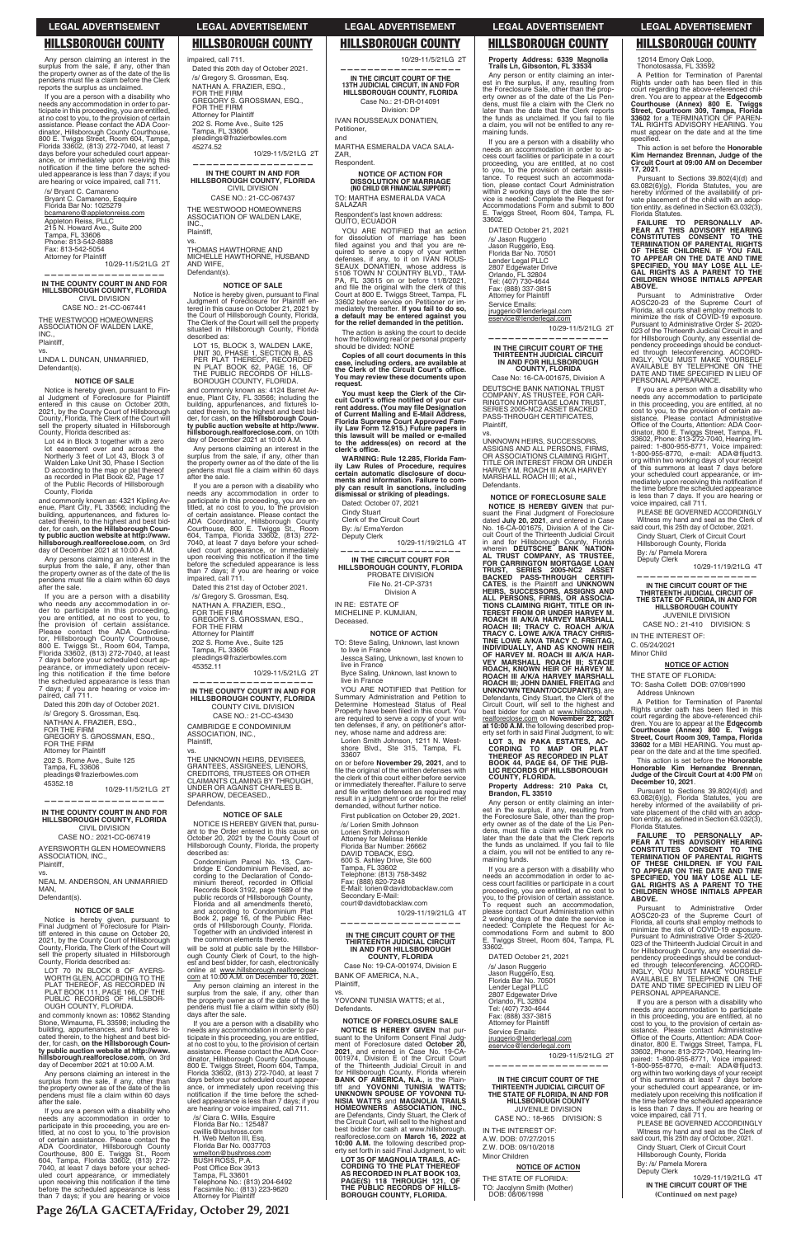**Page 26/LA GACETA/Friday, October 29, 2021**

12014 Emory Oak Loop, Thonotosassa, FL 33592

A Petition for Termination of Parental<br>Rights under oath has been filed in this court regarding the above-referenced chil-dren. You are to appear at the **Edgecomb Court house (Annex) 800 E. Twiggs Street, Courtroom 309, Tampa, Florida 33602** for a TERMINATION OF PAREN-TAL RIGHTS ADVISORY HEARING. You must appear on the date and at the time specified.

This action is set before the **Honorable Kim Hernandez Brennan, Judge of the Circuit Court at 09:00 AM on December 17, 2021**.

Pursuant to Sections 39.802(4)(d) and 63.082(6)(g), Florida Statutes, you are hereby informed of the availability of pri-<br>vate placement of the child with an adop-<br>tion entity, as defined in Section 63.032(3), Florida Statutes.

**FAILURE TO PERSONALLY AP-**PEAR AT THIS ADVISORY HEARING<br>CONSTITUTES CONSENT TO THE<br>TERMINATION OF PARENTAL RIGHTS<br>OF THESE CHILDREN. IF YOU FAIL<br>TO APPEAR ON THE DATE AND TIME **SPECIFIED, YOU MAY LOSE ALL LE-GAL RIGHTS AS A PARENT TO THE CHILDREN WHOSE INITIALS APPEAR ABOVE.**

Pursuant to Administrative Order AOSC20-23 of the Supreme Court of Florida, all courts shall employ methods to minimize the risk of COVID-19 exposure. Pursuant to Administrative Order S- 2020- 023 of the Thirteenth Judicial Circuit in and for Hillsborough County, any essential de-<br>pendency proceedings should be conduct-<br>ed through teleconferencing. ACCORD-<br>INGLY, YOU MUST MAKE YOURSELF<br>AVAILABLE BY TELEPHONE ON THE DOF<br>DATE AND TIME SPECIFIED IN LIEU OF PERSONAL APPEARANCE.

A Petition for Termination of Parental<br>Rights under oath has been filed in this<br>court regarding the above-referenced children. You are to appear at the **Edgecomb Courthouse (Annex) 800 E. Twiggs Street, Court Room 309, Tampa, Florida 33602** for a MBI HEARING. You must ap-<br>pear on the date and at the time specified. This action is set before the **Honorable Honorable Kim Hernandez Brennan, Judge of the Circuit Court at 4:00 PM** on **December 10, 2021**.

If you are a person with a disability who needs any accommodation to participate in this proceeding, you are entitled, at no cost to you, to the provision of certain as-<br>sistance. Please contact Administrative<br>Office of the Courts, Attention: ADA Coordinator, 800 E. Twiggs Street, Tampa, FL 33602, Phone: 813-272-7040, Hearing Im-paired: 1-800-955-8771, Voice impaired: 1-800-955-8770, e-mail: ADA@fljud13.<br>org within two working days of your receipt<br>of this summons at least 7 days before your scheduled court appearance, or im-<br>mediately upon receiving this notification if<br>the time before the scheduled appearance is less than 7 days. If you are hearing or voice impaired, call 711.

PLEASE BE GOVERNED ACCORDINGLY Witness my hand and seal as the Clerk of said court, this 25th day of October, 2021.

Cindy Stuart, Clerk of Circuit Court Hillsborough County, Florida By: /s/ Pamela Morera Deputy Clerk

10/29-11/19/21LG 4T

**——————————————————**

**IN THE CIRCUIT COURT OF THE THIRTEENTH JUDICIAL CIRCUIT OF THE STATE OF FLORIDA, IN AND FOR HILLSBOROUGH COUNTY** JUVENILE DIVISION CASE NO.: 21-410 DIVISION: S

Any person claiming an interest in the surplus from the sale, if any, other than the property owner as of the date of the lis pendens must file a claim before the Clerk<br>reports the surplus as unclaimed.

> **(Continued on next page)** 10/29-11/19/21LG 4T **IN THE CIRCUIT COURT OF THE**

IN THE INTEREST OF:

C. 05/24/2021 Minor Child

## **NOTICE OF ACTION**

THE STATE OF FLORIDA: TO: Sasha Collett DOB: 07/09/1990 Address Unknown

Pursuant to Sections 39.802(4)(d) and 63.082(6)(g), Florida Statutes, you are hereby informed of the availability of pri-<br>vate placement of the child with an adop-<br>tion entity, as defined in Section 63.032(3), Florida Statutes.

**FAILURE TO PERSONALLY AP-PEAR AT THIS ADVISORY HEARING CONSTI TUTES CONSENT TO THE TERMINATION OF PARENTAL RIGHTS OF THESE CHILDREN. IF YOU FAIL TO APPEAR ON THE DATE AND TIME SPECIFIED, YOU MAY LOSE ALL LE-GAL RIGHTS AS A PARENT TO THE CHILDREN WHOSE INITIALS APPEAR ABOVE.**

and commonly known as: 4321 Kipling Av-<br>enue, Plant City, FL 33566; including the<br>building, appurtenances, and fixtures lo-<br>cated therein, to the highest and best bid-<br>der, for cash, **on the Hillsborough County public auction website at http://www. hillsborough.realforeclose.com**, on 3rd day of December 2021 at 10:00 A.M.

> Pursuant to Administrative Order AOSC20-23 of the Supreme Court of Florida, all courts shall employ methods to minimize the risk of COVID-19 exposure. Pursuant to Administrative Order S-2020- 023 of the Thirteenth Judicial Circuit in and for Hillsborough County, any essential de-<br>pendency proceedings should be conduct-<br>ed through teleconferencing. ACCORD-<br>INGLY, YOU MUST MAKE YOURSELF<br>AVAILABLE BY TELEPHONE ON THE DOF<br>DATE AND TIME SPECIFIED IN LIEU OF PERSONAL APPEARANCE. If you are a person with a disability who needs any accommodation to participate in this proceeding, you are entitled, at no cost to you, to the provision of certain as-<br>sistance. Please contact Administrative<br>Office of the Courts, Attention: ADA Coordinator, 800 E. Twiggs Street, Tampa, FL 33602, Phone: 813-272-7040, Hearing Im-paired: 1-800-955-8771, Voice impaired: 1-800-955-8770, e-mail: ADA@fljud13.<br>org within two working days of your receipt<br>of this summons at least 7 days before your scheduled court appearance, or im-<br>mediately upon receiving this notification if<br>the time before the scheduled appearance is less than 7 days. If you are hearing or voice impaired, call 711. PLEASE BE GOVERNED ACCORDINGLY Witness my hand and seal as the Clerk of said court, this 25th day of October, 2021. Cindy Stuart, Clerk of Circuit Court Hillsborough County, Florida

By: /s/ Pamela Morera Deputy Clerk

BOROUGH COUNTY, FLORIDA. and commonly known as: 4124 Barret Av-enue, Plant City, FL 33566; including the building, appurtenances, and fixtures lo-<br>cated therein, to the highest and best bidder, for cash, **on the Hillsborough County public auction website at http://www. hillsborough.realforeclose.com**, on 10th day of December 2021 at 10:00 A.M.

If you are a person with a disability who needs any accommodation in order to participate in this proceeding, you are entitled,<br>at no cost to you, to the provision of certain<br>assistance. Please contact the ADA Coordinator, Hillsborough County Courthouse, 800 E. Twiggs Street, Room 604, Tampa, Florida 33602, (813) 272-7040, at least 7 days before your scheduled court appear-<br>ance, or immediately upon receiving this<br>notification if the time before the scheduled appearance is less than 7 days; if you are hearing or voice impaired, call 711.

> If you are a person with a disability who<br>needs any accommodation in order to<br>participate in this proceeding, you are en-<br>titled, at no cost to you, to the provision<br>of certain assistance. Please contact the<br>ADA Coordinato 7040, at least 7 days before your sched-uled court appearance, or immediately upon receiving this notification if the time before the scheduled appearance is less than 7 days; if you are hearing or voice impaired, call 711.

/s/ Bryant C. Camareno Bryant C. Camareno, Esquire Florida Bar No: 1025279 bcamareno@appletonreiss.com Appleton Reiss, PLLC 215 N. Howard Ave., Suite 200 Tampa, FL 33606 Phone: 813-542-8888 Fax: 813-542-5054 Attorney for Plaintiff

> pleadings@frazierbowles.com IN RE: ESTATE OF **Deceased**

10/29-11/5/21LG 2T **——————————————————**

### **IN THE COUNTY COURT IN AND FOR HILLSBOROUGH COUNTY, FLORIDA** CIVIL DIVISION

THE UNKNOWN HEIRS, DEVISEES, GRANTEES, ASSIGNEES, LIENORS, CREDITORS, TRUSTEES OR OTHER CLAIMANTS CLAMING BY THROUGH, UNDER OR AGAINST CHARLES B. SPARROW, DECEASED., **Defendants** 

CASE NO.: 21-CC-067441

THE WESTWOOD HOMEOWNERS ASSOCIATION OF WALDEN LAKE, INC.,

Plaintiff, vs.

LINDA L. DUNCAN, UNMARRIED, Defendant(s).

### **NOTICE OF SALE**

Notice is hereby given, pursuant to Fin-al Judgment of Foreclosure for Plaintiff entered in this cause on October 20th, 2021, by the County Court of Hillsborough County, Florida, The Clerk of the Court will sell the property situated in Hillsborough County, Florida described as:

> will be sold at public sale by the Hillsbor-ough County Clerk of Court, to the highest and best bidder, for cash, electronically<br>online at <u>www.hillsborough.realforeclose.</u><br><u>com</u> at 10:00 A.M. on December 10, 2021.

Lot 44 in Block 3 together with a zero lot easement over and across the Northerly 3 feet of Lot 43, Block 3 of Walden Lake Unit 30, Phase I Section D according to the map or plat thereof as recorded in Plat Book 62, Page 17 of the Public Records of Hillsborough County, Florida

Any persons claiming an interest in the surplus from the sale, if any, other than the property owner as of the date of the lis pendens must file a claim within 60 days after the sale.

YOU ARE NOTIFIED that an action for dissolution of marriage has been<br>filed against you and that you are re-<br>quired to serve a copy of your written<br>defenses, if any, to it on IVAN ROUS-SEAUX DONATIEN, whose address is 5106 TOWN N' COUNTRY BLVD., TAM-PA, FL 33615 on or before 11/8/2021, and file the original with the clerk of this<br>Court at 800 E. Twiggs Street, Tampa, FL 33602 before service on Petitioner or immediately thereafter. **If you fail to do so, a default may be entered against you for the relief demanded in the petition.**

If you are a person with a disability who needs any accommodation in order to participate in this proceeding, you are entitled, at no cost to you, to<br>the provision of certain assistance.<br>Please contact the ADA Coordina-<br>tor, Hillsborough County Courthouse,<br>800 E. Twiggs St., Room 604, Tampa,<br>Florida 33602, (813) 272-7040, at least 7 days before your scheduled court ap-pearance, or immediately upon receiving this notification if the time before<br>the scheduled appearance is less than 7 days; if you are hearing or voice im-paired, call 711.

**You must keep the Clerk of the Cir**cuit Court's office notified of your cur-<br>rent address. (You may file Designation<br>of Current Mailing and E-Mail Address,<br>Florida Supreme Court Approved Fam-<br>ily Law Form 12.915.) Future papers in **this lawsuit will be mailed or e-mailed to the address(es) on record at the**  clerk's office.

Dated this 20th day of October 2021. /s/ Gregory S. Grossman, Esq. NATHAN A. FRAZIER, ESQ., FOR THE FIRM GREGORY S. GROSSMAN, ESQ., FOR THE FIRM Attorney for Plaintiff 202 S. Rome Ave., Suite 125 Tampa, FL 33606 pleadings@frazierbowles.com 45352.18

10/29-11/5/21LG 2T **——————————————————**

### **IN THE COUNTY COURT IN AND FOR HILLSBOROUGH COUNTY, FLORIDA** CIVIL DIVISION

live in France YOU ARE NOTIFIED that Petition for

CASE NO.: 2021-CC-067419

AYERSWORTH GLEN HOMEOWNERS ASSOCIATION, INC., Plaintiff,

vs. NEAL M. ANDERSON, AN UNMARRIED MAN. Defendant(s).

Summary Administration and Petition to Determine Homestead Status of Real Property have been filed in this court. You<br>are required to serve a copy of your written defenses, if any, on petitioner's attorney, whose name and address are:

## **NOTICE OF SALE**

Notice is hereby given, pursuant to Final Judgment of Foreclosure for Plain-<br>tiff entered in this cause on October 20,<br>2021, by the County Court of Hillsborough County, Florida, The Clerk of the Court will sell the property situated in Hillsborough County, Florida described as: Secondary E-Mail: court@davidtobacklaw.com

LOT 70 IN BLOCK 8 OF AYERS-WORTH GLEN, ACCORDING TO THE PLAT THEREOF, AS RECORDED IN PLAT BOOK 111, PAGE 166, OF THE PUBLIC RECORDS OF HILLSBOR-OUGH COUNTY, FLORIDA.

YOVONNI TUNISIA WATTS; et al., **Defendants** 

and commonly known as: 10862 Standing Stone, Wimauma, FL 33598; including the building, appurtenances, and fixtures lo-<br>cated therein, to the highest and best bid-<br>der, for cash, **on the Hillsborough County public auction website at http://www. hillsborough.realforeclose.com**, on 3rd day of December 2021 at 10:00 A.M.

Any persons claiming an interest in the surplus from the sale, if any, other than<br>the property owner as of the date of the lis<br>pendens must file a claim within 60 days after the sale.

**Property Address: 6339 Magnolia Trails Ln, Gibsonton, FL 33534** Any person or entity claiming an inter-est in the surplus, if any, resulting from the Foreclosure Sale, other than the prop-<br>erty owner as of the date of the Lis Pen-<br>dens, must file a claim with the Clerk no

later than the date that the Clerk reports<br>the funds as unclaimed. If you fail to file<br>a claim, you will not be entitled to any re-

If you are a person with a disability who needs any accommodation in order to participate in this proceeding, you are entitled, at no cost to you, to the provision of certain assistance. Please contact the ADA Coordinator, Hillsborough County Courthouse, 800 E. Twiggs St., Room 604, Tampa, Florida 33602, (813) 272- 7040, at least 7 days before your scheduled court appearance, or immediately<br>upon receiving this notification if the time<br>before the scheduled appearance is less than 7 days; if you are hearing or voice Attorney for Plaintiff Service Emails: jruggerio@lenderlegal.com eservice@lenderlegal.com

**—————————————————— IN THE CIRCUIT COURT OF THE THIRTEENTH JUDICIAL CIRCUIT IN AND FOR HILLSBOROUGH COUNTY, FLORIDA** Case No: 16-CA-001675, Division A DEUTSCHE BANK NATIONAL TRUST COMPANY, AS TRUSTEE, FOR CAR-<br>RINGTON MORTGAGE LOAN TRUST,<br>SERIES 2005-NC2 ASSET BACKED<br>PASS-THROUGH CERTIFICATES,

impaired, call 711. Dated this 20th day of October 2021.

/s/ Gregory S. Grossman, Esq. NATHAN A. FRAZIER, ESQ.,<br>FOR THE FIRM<br>GREGORY S. GROSSMAN, ESQ., FOR THE FIRM Attorney for Plaintiff 202 S. Rome Ave., Suite 125 Tampa, FL 33606 pleadings@frazierbowles.com 45274.52

> **NOTICE OF FORECLOSURE SALE NOTICE IS HEREBY GIVEN** that pursuant the Final Judgment of Foreclosure<br>dated **July 20, 2021**, and entered in Case<br>No. 16-CA-001675, Division A of the Cir-<br>cuit Court of the Thirteenth Judicial Circuit

> in and for Hillsborough County, Florida<br>wherein DEUTSCHE BANK NATION-<br>AL TRUST COMPANY, AS TRUSTEE,<br>FOR CARRINGTON MORTGAGE LOAN<br>TRUST, SERIES 2005-NC2 ASSET<br>BACKED PASS-THROUGH CERTIFI-

10/29-11/5/21LG 2T **——————————————————**

**IN THE COURT IN AND FOR HILLSBOROUGH COUNTY, FLORIDA** CIVIL DIVISION

CASE NO.: 21-CC-067437 THE WESTWOOD HOMEOWNERS ASSOCIATION OF WALDEN LAKE, INC.,

Plaintiff, vs.

THOMAS HAWTHORNE AND MICHELLE HAWTHORNE, HUSBAND **AND WIFE** Defendant(s).

### **NOTICE OF SALE**

Notice is hereby given, pursuant to Final Judgment of Foreclosure for Plaintiff en-tered in this cause on October 21, 2021 by the Court of Hillsborough County, Florida, The Clerk of the Court will sell the property situated in Hillsborough County, Florida described as:

LOT 15, BLOCK 3, WALDEN LAKE,<br>UNIT 30, PHASE 1, SECTION B, AS<br>PER PLAT THEREOF, RECORDED<br>IN PLAT BOOK 62, PAGE 16, OF<br>IN PLAT BOOK 62, PAGE 16, OF<br>THE PUBLIC RECORDS OF HILLS-

**ROACH III A/K/A HARVEY MARSHALL<br><b>ROACH III; JOHN DANIEL FREITAG** and **UNKNOWN TENANT/OCCUPANT(S)**, are De fendants, Cindy Stuart, the Clerk of the Circuit Court, will sell to the highest and best bidder for cash at <u>www.hillsborough.</u><br><u>realforeclose.com</u> on **November 22, 2021**<br>**at 10:00 A.M.** the following described property set forth in said Final Judgment, to wit: **LOT 3, IN PAKA ESTATES, AC-CORDING TO MAP OR PLAT THEREOF AS RECORDED IN PLAT BOOK 44, PAGE 64, OF THE PUB-LIC RECORDS OF HILLSBOROUGH** 

**Property Address: 210 Paka Ct, Brandon, FL 33510** Any person or entity claiming an interest in the surplus, if any, resulting from the Foreclosure Sale, other than the property owner as of the date of the Lis Pen-<br>dens, must file a claim with the Clerk no later than the date that the Clerk reports the funds as unclaimed. If you fail to file<br>a claim, you will not be entitled to any re-

Any persons claiming an interest in the surplus from the sale, if any, other than the property owner as of the date of the lis pendens must file a claim within 60 days after the sale.

Dated this 21st day of October 2021. /s/ Gregory S. Grossman, Esq. NATHAN A. FRAZIER, ESQ., FOR THE FIRM GREGORY S. GROSSMAN, ESQ., FOR THE FIRM Attorney for Plaintiff 202 S. Rome Ave., Suite 125 Tampa, FL 33606

45352.11

10/29-11/5/21LG 2T **——————————————————**

**IN THE COUNTY COURT IN AND FOR HILLSBOROUGH COUNTY, FLORIDA** COUNTY CIVIL DIVISION

CASE NO.: 21-CC-43430 CAMBRIDGE E CONDOMINIUM ASSOCIATION, INC., **Plaintiff** vs.

### **NOTICE OF SALE**

NOTICE IS HEREBY GIVEN that, pursuant to the Order entered in this cause on October 20, 2021 by the County Court of Hillsborough County, Florida, the property described as:

Condominium Parcel No. 13, Cambridge E Condominium Revised, ac-<br>cording to the Declaration of Condo-<br>minium thereof, recorded in Official Records Book 3192, page 1689 of the public records of Hillsborough County, Florida and all amendments thereto,

and according to Condominium Plat Book 2, page 16, of the Public Rec-ords of Hillsborough County, Florida. Together with an undivided interest in the common elements thereto.

Any person claiming an interest in the surplus from the sale, if any, other than<br>the property owner as of the date of the lis<br>pendens must file a claim within sixty (60) days after the sale.

If you are a person with a disability who needs any accommodation in order to par-ticipate in this proceeding, you are entitled, at no cost to you, to the provision of certain<br>assistance. Please contact the ADA Coor-<br>dinator, Hillsborough County Courthouse, 800 E. Twiggs Street, Room 604, Tampa, Florida 33602, (813) 272-7040, at least 7 days before your scheduled court appearance, or immediately upon receiving this<br>notification if the time before the sched-<br>uled appearance is less than 7 days; if you are hearing or voice impaired, call 711.

/s/ Ciara C. Willis, Esquire Florida Bar No.: 125487 cwillis@bushross.com H. Web Melton III, Esq. Florida Bar No. 0037703 wmelton@bushross.com BUSH ROSS, P.A.<br>Post Office Box 3913 Tampa, FL 33601 Telephone No.: (813) 204-6492 Facsimile No.: (813) 223-9620 Attorney for Plaintiff

10/29-11/5/21LG 2T **——————————————————**

**IN THE CIRCUIT COURT OF THE 13TH JUDICIAL CIRCUIT, IN AND FOR HILLSBOROUGH COUNTY, FLORIDA** Case No.: 21-DR-014091 Division: DP

IVAN ROUSSEAUX DONATIEN, Petitioner, and

MARTHA ESMERALDA VACA SALA-ZAR,

**Respondent** 

**NOTICE OF ACTION FOR DISSOLUTION OF MARRIAGE (NO CHILD OR FINANCIAL SUPPORT)** TO: MARTHA ESMERALDA VACA

SALAZAR Respondent's last known address: QUITO, ECUADOR

The action is asking the court to decide how the following real or personal property should be divided: NONE

**Copies of all court documents in this the Clerk of the Circuit Court's office.**<br>**the Clerk of the Circuit Court's office. You may review these documents upon request.**

**WARNING: Rule 12.285, Florida Family Law Rules of Procedure, requires certain automatic disclosure of documents and information. Failure to comply can result in sanctions, including dismissal or striking of pleadings.**

Dated: October 07, 2021

Cindy Stuart Clerk of the Circuit Court By: /s/ ErmaYerdon

Deputy Clerk 10/29-11/19/21LG 4T **——————————————————**

**IN THE CIRCUIT COURT FOR HILLSBOROUGH COUNTY, FLORIDA** PROBATE DIVISION File No. 21-CP-3731 Division A

MICHELINE P. KUMJIAN,

## **NOTICE OF ACTION**

TO: Steve Saling, Unknown, last known to live in France Jessca Saling, Unknown, last known to

live in France Byce Saling, Unknown, last known to

Lorien Smith Johnson, 1211 N. West-shore Blvd., Ste 315, Tampa, FL 33607

on or before **November 29, 2021**, and to file the original of the written defenses with<br>the clerk of this court either before service or immediately thereafter. Failure to serve<br>and file written defenses as required may result in a judgment or order for the relief demanded, without further notice.

First publication on October 29, 2021. /s/ Lorien Smith Johnson

Lorien Smith Johnson Attorney for Melissa Henkle Florida Bar Number: 26662 DAVID TOBACK, ESQ. 600 S. Ashley Drive, Ste 600 Tampa, FL 33602 Telephone: (813) 758-3492 Fax: (888) 820-7248 E-Mail: lorien@davidtobacklaw.com

10/29-11/19/21LG 4T

**——————————————————**

## **IN THE CIRCUIT COURT OF THE THIRTEENTH JUDICIAL CIRCUIT IN AND FOR HILLSBOROUGH COUNTY, FLORIDA**

Case No: 19-CA-001974, Division E

BANK OF AMERICA, N.A., Plaintiff,

vs.

### **NOTICE OF FORECLOSURE SALE**

**NOTICE IS HEREBY GIVEN** that pursuant to the Uniform Consent Final Judg-ment of Foreclosure dated **October 20, 2021**, and entered in Case No. 19-CA-001974, Division E of the Circuit Court of the Thirteenth Judicial Circuit in and for Hillsborough County, Florida wherein<br>BANK OF AMERICA, N.A., is the Plain-<br>tiff and YOVONNI TUNISIA WATTS;<br>UNKNOWN SPOUSE OF YOVONNI TU-<br>NISIA WATTS aN MAGNOLIA TRAILS<br>HOMEOWNERS ASSOCIATION, INC., are Defendants, Cindy Stuart, the Clerk of<br>the Circuit Court, will sell to the highest and best bidder for cash at www.hillsborough. realforeclose.com on **March 16, 2022 at 10:00 A.M.** the following described prop-erty set forth in said Final Judgment, to wit:

**LOT 35 OF MAGNOLIA TRAILS, AC-CORDING TO THE PLAT THEREOF AS RECORDED IN PLAT BOOK 103, PAGE(S) 118 THROUGH 121, OF THE PUBLIC RECORDS OF HILLS-BOROUGH COUNTY, FLORIDA.**

maining funds.

If you are a person with a disability who needs an accommodation in order to access court facilities or participate in a court proceeding, you are entitled, at no cost to you, to the provision of certain assis-

tance. To request such an accommoda-tion, please contact Court Administration within 2 working days of the date the ser-

vice is needed: Complete the Request for Accommodations Form and submit to 800 E. Twiggs Street, Room 604, Tampa, FL

33602.

DATED October 21, 2021 /s/ Jason Ruggerio Jason Ruggerio, Esq.

Florida Bar No. 70501 Lender Legal PLLC 2807 Edgewater Drive Orlando, FL 32804 Tel: (407) 730-4644 Fax: (888) 337-3815

10/29-11/5/21LG 2T

Plaintiff, vs.

UNKNOWN HEIRS, SUCCESSORS, ASSIGNS AND ALL PERSONS, FIRMS,<br>OR ASSOCIATIONS CLAIMING RIGHT,<br>TITLE OR INTEREST FROM OR UNDER HARVEY M. ROACH III A/K/A HARVEY MARSHALL ROACH III; et al.,

Defendants.

**CATES**, is the Plaintiff and **UNKNOWN HEIRS, SUC CESSORS, ASSIGNS AND ALL PER SONS, FIRMS, OR ASSOCIA-TIONS CLAIMING RIGHT, TITLE OR IN-**

TEREST FROM OR UNDER HARVEY M.<br>ROACH III *A/K/*A HARVEY MARSHALL<br>FOACH III; TRACY C. ROACH *A/K/A*<br>TRACY C. LOWE A/K/A TRACY C/HRIS-<br>TINE LOWE A/K/A TRACY C. FREITAG,

**INDIVIDUALLY, AND AS KNOWN HEIR OF HARVEY M. ROACH III A/K/A HAR-VEY MARSHALL ROACH III; STACIE ROACH, KNOWN HEIR OF HARVEY M.** 

**COUNTY, FLORIDA.**

maining funds. If you are a person with a disability who needs an accommodation in order to access court facilities or participate in a court proceeding, you are entitled, at no cost to you, to the provision of certain assistance. To request such an accommodation, please contact Court Administration within 2 working days of the date the service is needed: Complete the Request for Accommodations Form and submit to 800 E. Twiggs Street, Room 604, Tampa, FL 33602. DATED October 21, 2021 /s/ Jason Ruggerio Jason Ruggerio, Esq. Florida Bar No. 70501 Lender Legal PLLC 2807 Edgewater Drive Orlando, FL 32804 Tel: (407) 730-4644 Fax: (888) 337-3815 Attorney for Plaintiff Service Emails: jruggerio@lenderlegal.com eservice@lenderlegal.com 10/29-11/5/21LG 2T

**——————————————————**

**IN THE CIRCUIT COURT OF THE THIRTEENTH JUDICIAL CIRCUIT OF THE STATE OF FLORIDA, IN AND FOR HILLSBOROUGH COUNTY** JUVENILE DIVISION CASE NO.: 18-965 DIVISION: S IN THE INTEREST OF:

A.W. DOB: 07/27/2015 Z.W. DOB: 09/10/2018 Minor Children

### **NOTICE OF ACTION**

THE STATE OF FLORIDA: TO: Jacqlynn Smith (Mother) DOB: 08/06/1998

## **LEGAL ADVERTISEMENT LEGAL ADVERTISEMENT LEGAL ADVERTISEMENT LEGAL ADVERTISEMENT LEGAL ADVERTISEMENT**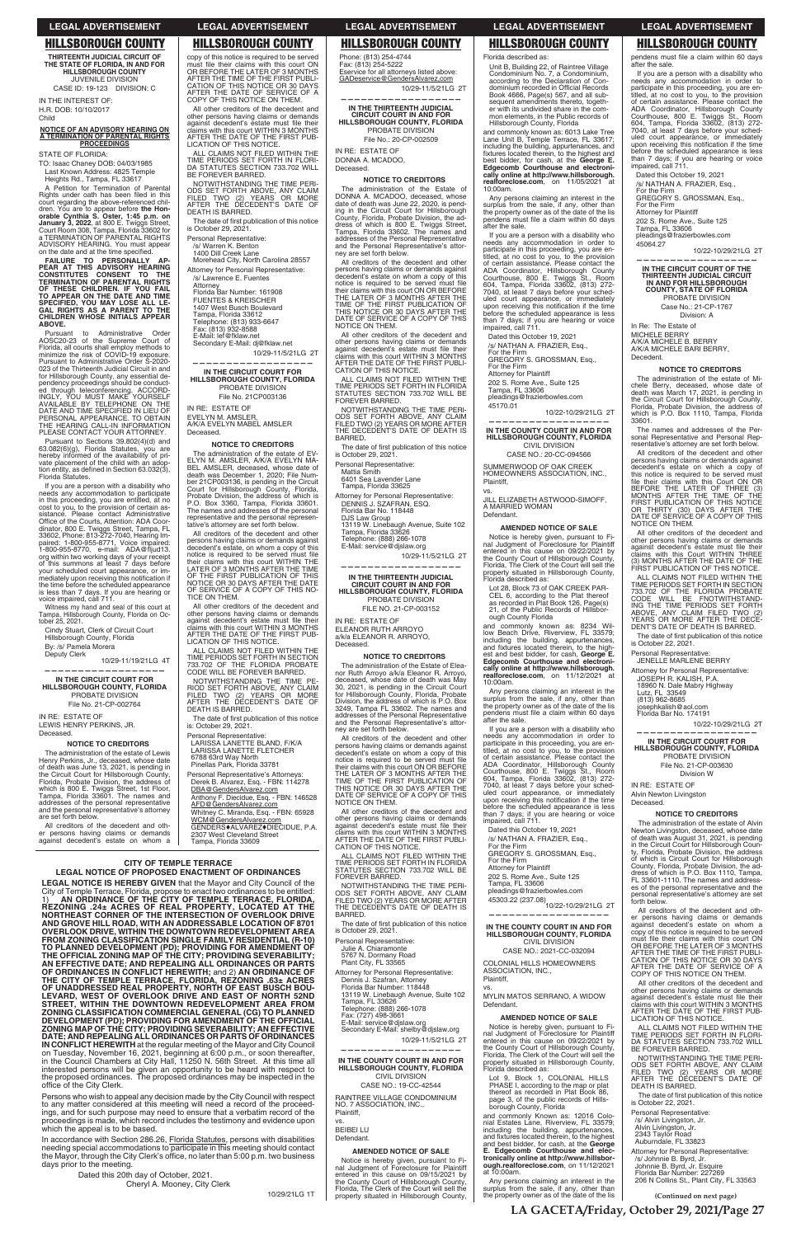**(Continued on next page)**

**THIRTEENTH JUDICIAL CIRCUIT OF THE STATE OF FLORIDA, IN AND FOR HILLSBOROUGH COUNTY** JUVENILE DIVISION CASE ID: 19-123 DIVISION: C IN THE INTEREST OF:

H.R. DOB: 10/10/2017 Child

A Petition for Termination of Parental Rights under oath has been filed in this court regarding the above-referenced chil-dren. You are to appear before **the Honorable Cynthia S. Oster, 1:45 p.m. on<br>January 3, 2022, at 800 E. Twiggs Street,<br>Court Room 308, Tampa, Florida 33602 for<br>a TERMINATION OF PARENTAL RIGHTS** ADVISORY HEARING. You must appear on the date and at the time specified.

## **NOTICE OF AN ADVISORY HEARING ON A TERMINATION OF PARENTAL RIGHTS PROCEEDINGS**

STATE OF FLORIDA:

TO: Isaac Chaney DOB: 04/03/1985 Last Known Address: 4825 Temple Heights Rd., Tampa, FL 33617

**FAILURE TO PERSONALLY AP-PEAR AT THIS ADVISORY HEARING CONSTI TUTES CONSENT TO THE TERMINATION OF PARENTAL RIGHTS OF THESE CHILDREN. IF YOU FAIL TO APPEAR ON THE DATE AND TIME SPECIFIED, YOU MAY LOSE ALL LE-GAL RIGHTS AS A PARENT TO THE CHILDREN WHOSE INITIALS APPEAR ABOVE.**

Pursuant to Administrative Order AOSC20-23 of the Supreme Court of Florida, all courts shall employ methods to minimize the risk of COVID-19 exposure. Pursuant to Administrative Order S-2020- 023 of the Thirteenth Judicial Circuit in and for Hillsborough County, any essential dependency proceedings should be conducted<br>ed through teleconferencing. ACCORD-<br>INGLY, YOU MUST MAKE YOURSELF<br>AVAILABLE BY TELEPHONE ON THE<br>DATE AND TIME SPECIFIED IN LIEU OF<br>PERSONAL APPEARANCE. TO OBTAIN<br>THE HEARING CALL-I PLEASE CONTACT YOUR ATTORNEY.

Pursuant to Sections 39.802(4)(d) and 63.082(6)(g), Florida Statutes, you are hereby informed of the availability of private placement of the child with an adop-<br>tion entity, as defined in Section 63.032(3), Florida Statutes.

The date of first publication of this notice is October 29, 2021. Personal Representative:

If you are a person with a disability who needs any accommodation to participate in this proceeding, you are entitled, at no cost to you, to the provision of certain assistance. Please contact Administrative<br>Sistance. Please contact Administrative<br>Office of the Courts, Attention: ADA Coordinator, 800 E. Twiggs Street, Tampa, FL<br>33602, Phone: 813-272-7040, Hearing Im-<br>paired: 1-800-955-8771, Voice impaired:<br>1-800-955-8770, e-mail: ADA@fljud13. org within two working days of your receipt of this summons at least 7 days before your scheduled court appearance, or immediately upon receiving this notification if<br>the time before the scheduled appearance is less than 7 days. If you are hearing or voice impaired, call 711.

Witness my hand and seal of this court at Tampa, Hillsborough County, Florida on Oc-tober 25, 2021.

Cindy Stuart, Clerk of Circuit Court Hillsborough County, Florida By: /s/ Pamela Morera

Deputy Clerk 10/29-11/19/21LG 4T **——————————————————**

### **IN THE CIRCUIT COURT FOR HILLSBOROUGH COUNTY, FLORIDA** PROBATE DIVISION

File No. 21-CP-002764

IN RE: ESTATE OF LEWIS HENRY PERKINS, JR. Deceased.

### **NOTICE TO CREDITORS**

NOTWITHSTANDING THE TIME PE-<br>RIOD SET FORTH ABOVE, ANY CLAIM<br>FILED TWO (2) YEARS OR MORE<br>AFTER THE DECEDENT'S DATE OF DEATH IS BARRED.

The date of first publication of this notice is: October 29, 2021.

The administration of the estate of Lewis Henry Perkins, Jr., deceased, whose date<br>of death was June 13, 2021, is pending in<br>the Circuit Court for Hillsborough County,<br>Florida, Probate Division, the address of<br>which is 800 E. Twiggs Street, 1st Floor,<br>Tampa, Flori addresses of the personal representative and the personal representative's attorney are set forth below.

All creditors of the decedent and other persons having claims or demands against decedent's estate on whom a copy of this notice is required to be served must file their claims with this court ON<br>OR BEFORE THE LATER OF 3 MONTHS<br>AFTER THE TIME OF THE FIRST PUBLI-<br>CATION OF THIS NOTICE OR 30 DAYS AFTER THE DATE OF SERVICE OF A COPY OF THIS NOTICE ON THEM.

All other creditors of the decedent and other persons having claims or demands<br>against decedent's estate must file their<br>claims with this court WITHIN 3 MONTHS AFTER THE DATE OF THE FIRST PUB-LICATION OF THIS NOTICE.

ALL CLAIMS NOT FILED WITHIN THE TIME PERIODS SET FORTH IN FLORI-DA STATUTES SECTION 733.702 WILL BE FOREVER BARRED.

> NOTWITHSTANDING THE TIME PERI-ODS SET FORTH ABOVE, ANY CLAIM FILED TWO (2) YEARS OR MORE AFTER THE DECEDENT'S DATE OF DEATH IS THE DECI<br>BARRED.

NOTWITHSTANDING THE TIME PERI-ODS SET FORTH ABOVE, ANY CLAIM FILED TWO (2) YEARS OR MORE AFTER THE DECEDENT'S DATE OF DEATH IS BARRED.

> The date of first publication of this notice is October 29, 2021.

/s/ Warren K. Benton 1400 Dill Creek Lane

IN RE: ESTATE OF ELEANOR RUTH ARROYO a/k/a ELEANOR R. ARROYO, **Deceased** 

Morehead City, North Carolina 28557 Attorney for Personal Representative: /s/ Lawrence E. Fuentes

Attorney Florida Bar Number: 161908

FUENTES & KREISCHER 1407 West Busch Boulevard

Tampa, Florida 33612

Telephone: (813) 933-6647 Fax: (813) 932-8588

E-Mail: lef@fklaw.net Secondary E-Mail: dj@fklaw.net

10/29-11/5/21LG 2T

**—————————————————— IN THE CIRCUIT COURT FOR HILLSBOROUGH COUNTY, FLORIDA** PROBATE DIVISION

File No. 21CP003136 IN RE: ESTATE OF EVELYN M. AMSLER,

A/K/A EVELYN MABEL AMSLER Deceased.

### **NOTICE TO CREDITORS**

The administration of the estate of EV-ELYN M. AMSLER, A/K/A EVELYN MA-BEL AMSLER, deceased, whose date of death was December 1, 2020; File Num-ber 21CP003136, is pending in the Circuit Court for Hillsborough County, Florida, Probate Division, the address of which is P.O. Box 3360, Tampa, Florida 33601. The names and addresses of the personal representative and the personal represen-tative's attorney are set forth below.

All creditors of the decedent and other persons having claims or demands against<br>decedent's estate, on whom a copy of this<br>notice is required to be served must file their claims with this court WITHIN THE LATER OF 3 MONTHS AFTER THE TIME OF THE FIRST PUBLICATION OF THIS NOTICE OR 30 DAYS AFTER THE DATE OF SERVICE OF A COPY OF THIS NO-TICE ON THEM.

All other creditors of the decedent and other persons having claims or demands<br>against decedent's estate must file their<br>claims with this court WITHIN 3 MONTHS AFTER THE DATE OF THE FIRST PUB-LICATION OF THIS NOTICE.

ALL CLAIMS NOT FILED WITHIN THE TIME PERIODS SET FORTH IN SECTION 733.702 OF THE FLORIDA PROBATE CODE WILL BE FOREVER BARRED.

Personal Representative: LARISSA LANETTE BLAND, F/K/A LARISSA LANETTE FLETCHER 6788 63rd Way North Pinellas Park, Florida 33781

Personal Representative's Attorneys: Derek B. Alvarez, Esq. - FBN: 114278 DBA@GendersAlvarez.com Anthony F. Diecidue, Esq. - FBN: 146528

AFD@GendersAlvarez.com Whitney C. Miranda, Esq. - FBN: 65928 <u>WCM@GendersAlvarez.com</u><br>GENDERS♦ALVAREZ♦DIECIDUE, P.A. 2307 West Cleveland Street

Tampa, Florida 33609

Phone: (813) 254-4744 Fax: (813) 254-5222 Eservice for all attorneys listed above: GADeservice@GendersAlvarez,com 10/29-11/5/21LG 2T

**—————————————————— IN THE THIRTEENTH JUDICIAL CIRCUIT COURT IN AND FOR HILLSBOROUGH COUNTY, FLORIDA**

PROBATE DIVISION File No.: 20-CP-002509

IN RE: ESTATE OF DONNA A. MCADOO,

Deceased.

## **NOTICE TO CREDITORS**

The administration of the Estate of DONNA A. MCADOO, deceased, whose date of death was June 22, 2020, is pending in the Circuit Court for Hillsborough County, Florida, Probate Division, the ad-dress of which is 800 E. Twiggs Street, Tampa, Florida 33602. The names and addresses of the Personal Representative and the Personal Representative's attorney are set forth below.

> upon receiving this notification if the time<br>before the scheduled appearance is less than 7 days; if you are hearing or voice impaired, call 711.

All creditors of the decedent and other persons having claims or demands against decedent's estate on whom a copy of this notice is required to be served must file<br>their claims with this court ON OR BEFORE<br>THE LATER OF 3 MONTHS AFTER THE<br>TIME OF THE FIRST PUBLICATION OF THIS NOTICE OR 30 DAYS AFTER THE DATE OF SERVICE OF A COPY OF THIS NOTICE ON THEM.

All other creditors of the decedent and other persons having claims or demands against decedent's estate must file their<br>claims with this court WITHIN 3 MONTHS AFTER THE DATE OF THE FIRST PUBLI-CATION OF THIS NOTICE.

ALL CLAIMS NOT FILED WITHIN THE TIME PERIODS SET FORTH IN FLORIDA STATUTES SECTION 733.702 WILL BE FOREVER BARRED. uled court appearance, or immediately upon receiving this notification if the time<br>before the scheduled appearance is less than 7 days; if you are hearing or voice impaired, call 711.

Personal Representative:

Mattia Smith

6401 Sea Lavender Lane Tampa, Florida 33625

Attorney for Personal Representative: DENNIS J. SZAFRAN, ESQ. Florida Bar No. 118448

DJS Law Group<br>13119 W. Linebaugh Avenue, Suite 102<br>Tampa, Florida 33626

Telephone: (888) 266-1078 E-Mail: service@djslaw.org

10/29-11/5/21LG 2T

**——————————————————**

## **IN THE THIRTEENTH JUDICIAL CIRCUIT COURT IN AND FOR HILLSBOROUGH COUNTY, FLORIDA** PROBATE DIVISION

FILE NO. 21-CP-003152

### **NOTICE TO CREDITORS**

ING THE TIME PERIODS SET FORTH ABOVE, ANY CLAIM FILED TWO (2) YEARS OR MORE AFTER THE DECE-DENT'S DATE OF DEATH IS BARRED. The date of first publication of this notice<br>is October 22, 2021.

The administration of the Estate of Elea-nor Ruth Arroyo a/k/a Eleanor R. Arroyo, deceased, whose date of death was May 30, 2021, is pending in the Circuit Court for Hillsborough County, Florida, Probate Division, the address of which is P.O. Box 3249, Tampa FL 33602. The names and addresses of the Personal Representative and the Personal Representative's attorney are set forth below.

All creditors of the decedent and other persons having claims or demands against decedent's estate on whom a copy of this notice is required to be served must file<br>their claims with this court ON OR BEFORE<br>TIME OF THE FIRST PUBLICATION OF<br>TIME OF THE FIRST PUBLICATION OF<br>THIS NOTICE OR 30 DAYS AFTER THE DATE OF SERVICE OF A COPY OF THIS NOTICE ON THEM.

All other creditors of the decedent and other persons having claims or demands against decedent's estate must file their<br>claims with this court WITHIN 3 MONTHS<br>AFTER THE DATE OF THE FIRST PUBLI-CATION OF THIS NOTICE.

> ALL CLAIMS NOT FILED WITHIN THE TIME PERIODS SET FORTH IN FLORI-DA STATUTES SECTION 733.702 WILL BE FOREVER BARRED.

ALL CLAIMS NOT FILED WITHIN THE TIME PERIODS SET FORTH IN FLORIDA STATUTES SECTION 733.702 WILL BE FOREVER BARRED.

NOTWITHSTANDING THE TIME PERI-ODS SET FORTH ABOVE, ANY CLAIM FILED TWO (2) YEARS OR MORE AFTER THE DECEDENT'S DATE OF DEATH IS BARRED.

> The date of first publication of this notice is October 22, 2021.

Personal Representative: Julie A. Chiaramonte 5767 N. Dormany Road Plant City, FL 33565

Attorney for Personal Representative: Dennis J. Szafran, Attorney Florida Bar Number: 118448 13119 W. Linebaugh Avenue, Suite 102 Tampa, FL 33626 Telephone: (888) 266-1078 Fax: (727) 498-3661 E-Mail: service@djslaw.org Secondary E-Mail: shelby@djslaw.org 10/29-11/5/21LG 2T

**REZONING .24± ACRES OF REAL PROPERTY, LOCATED AT THE NORTHEAST CORNER OF THE INTERSECTION OF OVERLOOK DRIVE AND GROVE HILL ROAD, WITH AN ADDRESSABLE LOCATION OF 8701 OVERLOOK DRIVE, WITHIN THE DOWNTOWN REDEVELOPMENT AREA FROM ZONING CLASSIFICATION SINGLE FAMILY RESIDENTIAL (R-10) TO PLANNED DEVELOPMENT (PD); PROVIDING FOR AMENDMENT OF THE OFFICIAL ZONING MAP OF THE CITY; PROVIDING SEVERABILITY; AN EFFECTIVE DATE; AND REPEALING ALL ORDINANCES OR PARTS OF ORDINANCES IN CONFLICT HEREWITH;** and 2) **AN ORDINANCE OF THE CITY OF TEMPLE TERRACE, FLORIDA, REZONING .63± ACRES OF UNADDRESSED REAL PROPERTY, NORTH OF EAST BUSCH BOU-LEVARD, WEST OF OVERLOOK DRIVE AND EAST OF NORTH 52ND STREET, WITHIN THE DOWNTOWN REDEVELOPMENT AREA FROM ZONING CLASSIFICATION COMMERCIAL GENERAL (CG) TO PLANNED DEVELOPMENT (PD); PROVIDING FOR AMENDMENT OF THE OFFICIAL ZONING MAP OF THE CITY; PROVIDING SEVERABILITY; AN EFFECTIVE DATE; AND REPEALING ALL ORDINANCES OR PARTS OF ORDINANCES IN CONFLICT HEREWITH** at the regular meeting of the Mayor and City Council on Tuesday, November 16, 2021, beginning at 6:00 p.m., or soon thereafter, in the Council Chambers at City Hall, 11250 N. 56th Street. At this time all interested persons will be given an opportunity to be heard with respect to the proposed ordinances. The proposed ordinances may be inspected in the office of the City Clerk.

**——————————————————**

**IN THE COUNTY COURT IN AND FOR HILLSBOROUGH COUNTY, FLORIDA** CIVIL DIVISION CASE NO.: 19-CC-42544

RAINTREE VILLAGE CONDOMINIUM NO. 7 ASSOCIATION, INC., Plaintiff,

vs.

BEIBEI LU Defendant.

### **AMENDED NOTICE OF SALE**

Notice is hereby given, pursuant to Fi-nal Judgment of Foreclosure for Plaintiff entered in this cause on 09/15/2021 by the County Court of Hillsborough County, Florida, The Clerk of the Court will sell the property situated in Hillsborough County,

Florida described as:

Unit B, Building 22, of Raintree Village Condominium No. 7, a Condominium,<br>according to the Declaration of Con-<br>dominium recorded in Official Records Book 4666, Page(s) 567, and all sub-sequent amendments thereto, togeth-er with its undivided share in the common elements, in the Public records of Hillsborough County, Florida

In accordance with Section 286.26, Florida Statutes, persons with disabilities<br>needing special accommodations to participate in this meeting should contact the Mayor, through the City Clerk's office, no later than 5:00 p.m. two business days prior to the meeting.

> Dated this 20th day of October, 2021. Cheryl A. Mooney, City Clerk

and commonly known as: 6013 Lake Tree Lane Unit B, Temple Terrace, FL 33617; including the building, appurtenances, and<br>fixtures located therein, to the highest and<br>best bidder, for cash, at the **George E. Edgecomb Courthouse and electronically online at http://www.hillsborough. realforeclose.com**, on 11/05/2021 at 10:00am.

Any persons claiming an interest in the surplus from the sale, if any, other than the property owner as of the date of the lis pendens must file a claim within 60 days after the sale.

If you are a person with a disability who needs any accommodation in order to participate in this proceeding, you are en-titled, at no cost to you, to the provision of certain assistance. Please contact the ADA Coordinator, Hillsborough County<br>Courthouse, 800 E. Twiggs St., Room<br>604, Tampa, Florida 33602, (813) 272-<br>7040, at least 7 days before your sched-<br>uled court appearance, or immediately<br>upon receiving this notification before the scheduled appearance is less than 7 days; if you are hearing or voice impaired, call 711.

Dated this October 19, 2021 /s/ NATHAN A. FRAZIER, Esq.,

For the Firm GREGORY S. GROSSMAN, Esq.,

For the Firm

Attorney for Plaintiff 202 S. Rome Ave., Suite 125

Tampa, FL 33606 pleadings@frazierbowles.com

45170.01

10/22-10/29/21LG 2T

**—————————————————— IN THE COUNTY COURT IN AND FOR HILLSBOROUGH COUNTY, FLORIDA** CIVIL DIVISION

CASE NO.: 20-CC-094566

SUMMERWOOD OF OAK CREEK HOMEOWNERS ASSOCIATION, INC., Plaintiff,

vs.

JILL ELIZABETH ASTWOOD-SIMOFF, A MARRIED WOMAN

Defendant.

**AMENDED NOTICE OF SALE** Notice is hereby given, pursuant to Fi-nal Judgment of Foreclosure for Plaintiff entered in this cause on 09/22/2021 by the County Court of Hillsborough County, Florida, The Clerk of the Court will sell the property situated in Hillsborough County, Florida described as: Lot 28, Block 73 of OAK CREEK PAR-CEL 6, according to the Plat thereof as recorded in Plat Book 126, Page(s) 21, of the Public Records of Hillsbor-

ough County Florida

and commonly known as: 8234 Willow Beach Drive, Riverview, FL 33579;<br>including the building, appurtenances,<br>and fixtures located therein, to the highest and best bidder, for cash, **George E. Edgecomb Courthouse and electronically online at http://www.hillsborough. realforeclose.com**, on 11/12/2021 at

Any persons claiming an interest in the surplus from the sale, if any, other than the property owner as of the dispendens must file a claim within 60 days

If you are a person with a disability who<br>needs any accommodation in order to<br>participate in this proceeding, you are en-<br>titled, at no cost to you, to the provision<br>of certain assistance. Please contact the<br>ADA Coordinato

10:00am.

after the sale.

Dated this October 19, 2021 /s/ NATHAN A. FRAZIER, Esq., For the Firm GREGORY S. GROSSMAN, Esq.,

For the Firm Attorney for Plaintiff

202 S. Rome Ave., Suite 125 Tampa, FL 33606 pleadings@frazierbowles.com 45303.22 (237.08)10/22-10/29/21LG 2T

**—————————————————— IN THE COUNTY COURT IN AND FOR HILLSBOROUGH COUNTY, FLORIDA** CIVIL DIVISION CASE NO.: 2021-CC-032094 COLONIAL HILLS HOMEOWNERS ASSOCIATION, INC., Plaintiff, vs.

MYLIN MATOS SERRANO, A WIDOW Defendant.

### **AMENDED NOTICE OF SALE**

Notice is hereby given, pursuant to Fi-nal Judgment of Foreclosure for Plaintiff entered in this cause on 09/22/2021 by the County Court of Hillsborough County, Florida, The Clerk of the Court will sell the property situated in Hillsborough County, Florida described as:

Lot 9, Block 1, COLONIAL HILLS PHASE I, according to the map or plat thereof as recorded in Plat Book 86, page 3, of the public records of Hills-borough County, Florida

and commonly Known as: 12016 Colonial Estates Lane, Riverview, FL 33579; including the building, appurtenances,<br>and fixtures located therein, to the highest and best bidder, for cash, at the **George E. Edgecomb Courthouse and elec-tronically online at http://www.hillsborough.realforeclose.com**, on 11/12/2021 at 10:00am.

Any persons claiming an interest in the surplus from the sale, if any, other than the property owner as of the date of the lis

after the sale.

If you are a person with a disability who needs any accommodation in order to participate in this proceeding, you are entitled, at no cost to you, to the provision

of certain assistance. Please contact the ADA Coordinator, Hillsborough County Courthouse, 800 E. Twiggs St., Room 604, Tampa, Florida 33602, (813) 272- 7040, at least 7 days before your sched-

Dated this October 19, 2021 /s/ NATHAN A. FRAZIER, Esq., For the Firm GREGORY S. GROSSMAN, Esq.,

For the Firm Attorney for Plaintiff 202 S. Rome Ave., Suite 125 Tampa, FL 33606

pleadings@frazierbowles.com

45064.27

10/22-10/29/21LG 2T

**—————————————————— IN THE CIRCUIT COURT OF THE THIRTEENTH JUDICIAL CIRCUIT IN AND FOR HILLSBOROUGH COUNTY, STATE OF FLORIDA** PROBATE DIVISION Case No.: 21-CP-1767 Division: A

In Re: The Estate of MICHELE BERRY

A/K/A MICHELE B. BERRY A/K/A MICHELE BARI BERRY,

Decedent.

**NOTICE TO CREDITORS** The administration of the estate of Michele Berry, deceased, whose date of death was March 17, 2021, is pending in the Circuit Court for Hillsborough County, Florida, Probate Division, the address of which is P.O. Box 1110, Tampa, Florida

33601.

The names and addresses of the Per-sonal Representative and Personal Representative's attorney are set forth below. All creditors of the decedent and other persons having claims or demands against decedent's estate on which a copy of this notice is required to be served must

file their claims with this Court ON OR<br>BEFORE THE LATER OF THREE (3)<br>MONTHS AFTER THE TIME OF THE

FIRST PUBLICATION OF THIS NOTICE OR THIRTY (30) DAYS AFTER THE DATE OF SERVICE OF A COPY OF THIS

NOTICE ON THEM.

All other creditors of the decedent and other persons having claims or demands<br>against decedent's estate must file their claims with this Court WITHIN THREE (3) MONTHS AFTER THE DATE OF THE FIRST PUBLICATION OF THIS NOTICE. ALL CLAIMS NOT FILED WITHIN THE TIME PERIODS SET FORTH IN SECTION 733.702 OF THE FLORIDA PROBATE CODE WILL BE FNOTWITHSTAND-

Personal Representative: JENELLE MARLENE BERRY Attorney for Personal Representative: JOSEPH R. KALISH, P.A. 18960 N. Dale Mabry Highway

Lutz, FL 33549 (813) 962-8685 josephkalish@aol.com Florida Bar No. 174191

10/22-10/29/21LG 2T

**—————————————————— IN THE CIRCUIT COURT FOR HILLSBOROUGH COUNTY, FLORIDA** PROBATE DIVISION File No. 21-CP-003630 Division W

IN RE: ESTATE OF Alvin Newton Livingston

Deceased.

**NOTICE TO CREDITORS** The administration of the estate of Alvin Newton Livingston, deceased, whose date of death was August 31, 2021, is pending in the Circuit Court for Hillsborough Coun-ty, Florida, Probate Division, the address of which is Circuit Court for Hillsborough County, Florida, Probate Division, the ad-dress of which is P.O. Box 1110, Tampa, FL 33601-1110. The names and addresses of the personal representative and the personal representative's attorney are set

forth below.

All creditors of the decedent and other persons having claims or demands against decedent's estate on whom a copy of this notice is required to be served<br>must file their claims with this court ON<br>OR BEFORE THE LATER OF 3 MONTHS<br>AFTER THE TIME OF THE FIRST PUBLI-CATION OF THIS NOTICE OR 30 DAYS AFTER THE DATE OF SERVICE OF A COPY OF THIS NOTICE ON THEM.

All other creditors of the decedent and other persons having claims or demands<br>against decedent's estate must file their claims with this court WITHIN 3 MONTHS AFTER THE DATE OF THE FIRST PUB-LICATION OF THIS NOTICE.

NOTWITHSTANDING THE TIME PERI-ODS SET FORTH ABOVE, ANY CLAIM FILED TWO (2) YEARS OR MORE AFTER THE DECEDENT'S DATE OF DEATH IS BARRED.

Personal Representative: /s/ Alvin Livingston, Jr. Alvin Livingston, Jr. 2343 Taylor Road Auburndale, FL 33823

Attorney for Personal Representative: /s/ Johnnie B. Byrd, Jr. Johnnie B. Byrd, Jr. Esquire Florida Bar Number: 227269 206 N Collins St., Plant City, FL 33563

## **LEGAL ADVERTISEMENT LEGAL ADVERTISEMENT LEGAL ADVERTISEMENT LEGAL ADVERTISEMENT LEGAL ADVERTISEMENT**

pendens must file a claim within 60 days

## **HILLSBOROUGH COUNTY HILLSBOROUGH COUNTY HILLSBOROUGH COUNTY HILLSBOROUGH COUNTY HILLSBOROUGH COUNTY**

**LA GACETA/Friday, October 29, 2021/Page 27**

**CITY OF TEMPLE TERRACE LEGAL NOTICE OF PROPOSED ENACTMENT OF ORDINANCES**

**LEGAL NOTICE IS HEREBY GIVEN** that the Mayor and City Council of the City of Temple Terrace, Florida, propose to enact two ordinances to be entitled: 1) **AN ORDINANCE OF THE CITY OF TEMPLE TERRACE, FLORIDA,** 

Persons who wish to appeal any decision made by the City Council with respect to any matter considered at this meeting will need a record of the proceedings, and for such purpose may need to ensure that a verbatim record of the proceedings is made, which record includes the testimony and evidence upon which the appeal is to be based.

10/29/21LG 1T

The date of first publication of this notice<br>is October 29, 2021.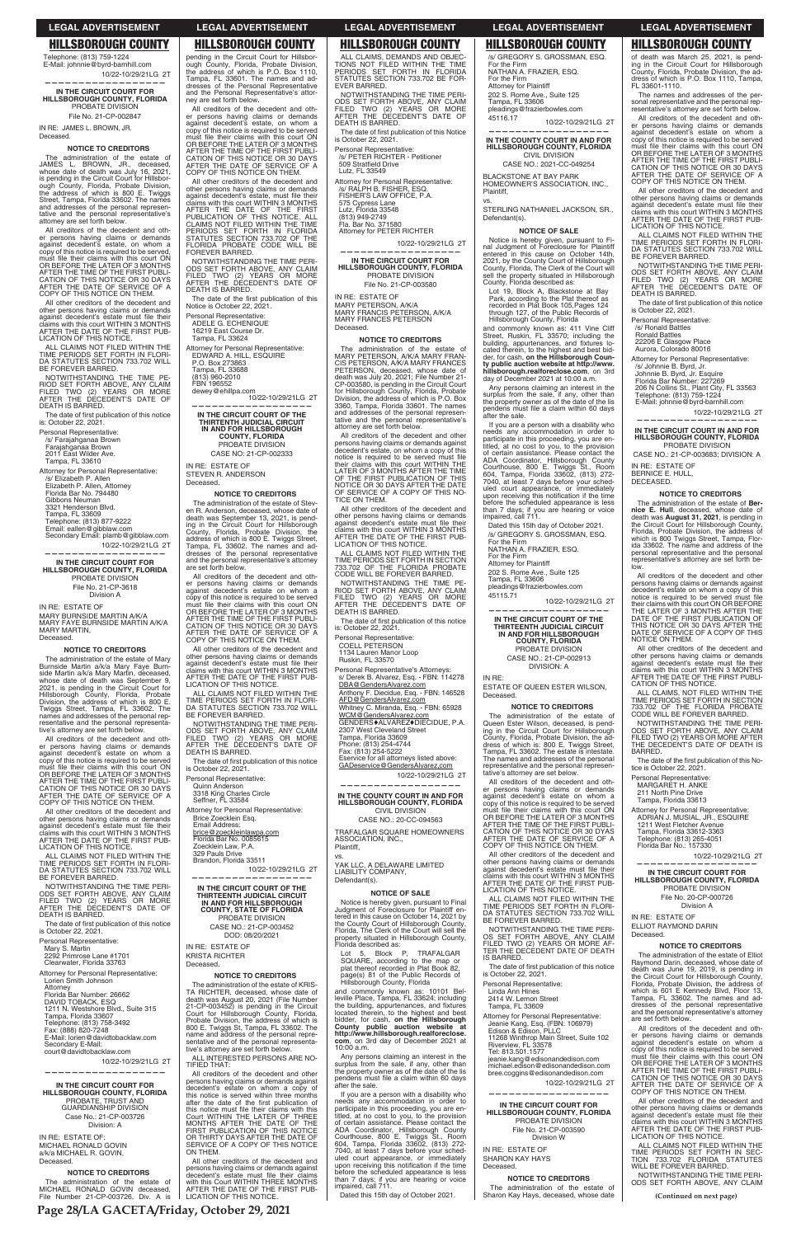Telephone: (813) 759-1224 E-Mail: johnnie@byrd-barnhill.com 10/22-10/29/21LG 2T **——————————————————**

Deceased **NOTICE TO CREDITORS**

**IN THE CIRCUIT COURT FOR HILLSBOROUGH COUNTY, FLORIDA** PROBATE DIVISION

File No. 21-CP-002847 IN RE: JAMES L. BROWN, JR.

The administration of the estate of<br>AMES L. BROWN, JR., deceased, JAMES L. BROWN, JR., whose date of death was July 16, 2021, is pending in the Circuit Court for Hillsborough County, Florida, Probate Division, the address of which is 800 E. Twiggs Street, Tampa, Florida 33602. The names and addresses of the personal represen-tative and the personal representative's attomey are set forth below.

All creditors of the decedent and other persons having claims or demands against decedent's estate, on whom a copy of this notice is required to be served, must file their claims with this court ON<br>OR BEFORE THE LATER OF 3 MONTHS AFTER THE TIME OF THE FIRST PUBLI-<br>CATION OF THIS NOTICE OR 30 DAYS<br>AFTER THE DATE OF SERVICE OF A<br>COPY OF THIS NOTICE ON THEM.

The date of first publication of this notice is: October 22, 2021.

Secondary Email: plamb@gibblaw.com 10/22-10/29/21LG 2T **——————————————————**

All other creditors of the decedent and other persons having claims or demands<br>against decedent's estate must file their<br>claims with this court WITHIN 3 MONTHS<br>AFTER THE DATE OF THE FIRST PUB-LICATION OF THIS NOTICE.

ALL CLAIMS NOT FILED WITHIN THE TIME PERIODS SET FORTH IN FLORI-DA STATUTES SECTION 733.702 WILL BE FOREVER BARRED.

NOTWITHSTANDING THE TIME PE-RIOD SET FORTH ABOVE, ANY CLAIM FILED TWO (2) YEARS OR MORE AFTER THE DECEDENT'S DATE OF DEATH IS BARRED.

Personal Representative: /s/ Farajahganaa Brown Farajahganaa Brown 2011 East Wilder Ave. Tampa, FL 33610

Attorney for Personal Representative: /s/ Elizabeth P. Allen Elizabeth P. Allen, Attorney Florida Bar No. 794480 Gibbons Neuman 3321 Henderson Blvd. Tampa, FL 33609 Telephone: (813) 877-9222 Email: eallen@gibblaw.com

**IN THE CIRCUIT COURT FOR HILLSBOROUGH COUNTY, FLORIDA** PROBATE DIVISION File No. 21-CP-3618 Division A

IN RE: ESTATE OF MARY BURNSIDE MARTIN A/K/A MARY FAYE BURNSIDE MARTIN A/K/A MARY MARTIN, Deceased.

### **NOTICE TO CREDITORS**

dresses of the Personal Representative and the Personal Representative's attor-ney are set forth below. All creditors of the decedent and other persons having claims or demands against decedent's estate, on whom a copy of this notice is required to be served must file their claims with this court ON<br>OR BEFORE THE LATER OF 3 MONTHS

The administration of the estate of Mary Burnside Martin a/k/a Mary Faye Burn-side Martin a/k/a Mary Martin, deceased, whose date of death was September 9. 2021, is pending in the Circuit Court for Hillsborough County, Florida, Probate Division, the address of which is 800 E. Twiggs Street, Tampa, FL 33602. The names and addresses of the personal representative and the personal representa-tive's attorney are set forth below.

AFTER THE TIME OF THE FIRST PUBLI-<br>CATION OF THIS NOTICE OR 30 DAYS<br>AFTER THE DATE OF SERVICE OF A<br>COPY OF THIS NOTICE ON THEM. All other creditors of the decedent and

other persons having claims or demands<br>against decedent's estate, must file their<br>claims with this court WITHIN 3 MONTHS<br>AFTER THE DATE OF THE FIRST<br>PUBLICATION OF THIS NOTICE. ALL

All creditors of the decedent and other persons having claims or demands against decedent's estate on whom a copy of this notice is required to be served<br>must file their claims with this court ON<br>OR BEFORE THE LATER OF 3 MONTHS AFTER THE TIME OF THE FIRST PUBLI-CATION OF THIS NOTICE OR 30 DAYS AFTER THE DATE OF SERVICE OF A COPY OF THIS NOTICE ON THEM.

**NOTICE TO CREDITORS** The administration of the estate of Stev-<br>en R. Anderson, deceased, whose date of

en R. Anderson, deceased, whose date of<br>death was September 13, 2021, is pend-<br>ing in the Circuit Court for Hillsborough<br>County, Florida, Probate Division, the<br>address of which is 800 E. Twiggs Street,<br>Tampa, FL 33602. The

All other creditors of the decedent and other persons having claims or demands against decedent's estate must file their claims with this court WITHIN 3 MONTHS AFTER THE DATE OF THE FIRST PUB-LICATION OF THIS NOTICE. and the personal representative's attorney are set forth below. All creditors of the decedent and other persons having claims or demands against decedent's estate on whom a copy of this notice is required to be served must file their claims with this court ON OR BEFORE THE LATER OF 3 MONTHS AFTER THE TIME OF THE FIRST PUBLI-CATION OF THIS NOTICE OR 30 DAYS AFTER THE DATE OF SERVICE OF A COPY OF THIS NOTICE ON THEM. All other creditors of the decedent and other persons having claims or demands<br>against decedent's estate must file their<br>claims with this court WITHIN 3 MONTHS<br>AFTER THE DATE OF THE FIRST PUB-

ALL CLAIMS NOT FILED WITHIN THE TIME PERIODS SET FORTH IN FLORI-DA STATUTES SECTION 733.702 WILL BE FOREVER BARRED.

NOTWITHSTANDING THE TIME PERI-ODS SET FORTH ABOVE, ANY CLAIM FILED TWO (2) YEARS OR MORE AFTER THE DECEDENT'S DATE OF DEATH IS BARRED.

Personal Representative: Mary S. Martin 2292 Primrose Lane #1701 Clearwater, Florida 33763

Attorney for Personal Representative: Lorien Smith Johnson Attorney Florida Bar Number: 26662 DAVID TOBACK, ESQ 1211 N. Westshore Blvd., Suite 315 Tampa, Florida 33607 Telephone: (813) 758-3492 Fax: (888) 820-7248 E-Mail: lorien@davidtobacklaw.com Secondary E-Mail: court@davidtobacklaw.com

10/22-10/29/21LG 2T

**——————————————————**

**IN THE CIRCUIT COURT FOR HILLSBOROUGH COUNTY, FLORIDA** PROBATE, TRUST AND GUARDIANSHIP DIVISION Case No.: 21-CP-003726 Division: A

All creditors of the decedent and other persons having claims or demands against decedent's estate on whom a copy of this notice is served within three months after the date of the first publication of<br>this notice must file their claims with this<br>Court WITHIN THE LATER OF THREE MONTHS AFTER THE DATE OF THE FIRST PUBLICATION OF THIS NOTICE OR THIRTY DAYS AFTER THE DATE OF SERVICE OF A COPY OF THIS NOTICE ON THEM

IN RE: ESTATE OF: MICHAEL RONALD GOVIN a/k/a MICHAEL R. GOVIN, Deceased.

### **NOTICE TO CREDITORS**

The administration of the estate of<br>MICHAEL RONALD GOVIN deceased,<br>File Number 21-CP-003726, Div. A is

ough County, Florida, Probate Division, the address of which is P.O. Box 1110, Tampa, FL 33601. The names and ad-

The date of first publication of this Notice is October 22, 2021.

CLAIMS NOT FILED WITHIN THE TIME PERIODS SET FORTH IN FLORIDA STATUTES SECTION 733.702 OF THE FLORIDA PROBATE CODE WILL BE

FOREVER BARRED.

NOTWITHSTANDING THE TIME PERI-ODS SET FORTH ABOVE, ANY CLAIM FILED TWO (2) YEARS OR MORE AFTER THE DECEDENT'S DATE OF

The date of the first publication of this<br>Notice is October 22, 2021.

DEATH IS BARRED.

Personal Representative: ADELE G. ECHENIQUE 16219 East Course Dr. Tampa, FL 33624

Attorney for Personal Representative: EDWARD A. HILL, ESQUIRE

P.O. Box 273863 Tampa, FL 33688 (813) 960-2010 FBN 196552 dewey@ehillpa.com

10/22-10/29/21LG 2T

<u>WCM@GendersAlvarez.com</u><br>GENDERS♦ALVAREZ♦DIECIDUE, P.A. 2307 West Cleveland Street Tampa, Florida 33609

**—————————————————— IN THE CIRCUIT COURT OF THE THIRTENTH JUDICIAL CIRCUIT IN AND FOR HILLSBOROUGH COUNTY, FLORIDA** PROBATE DIVISION CASE NO: 21-CP-002333

IN RE: ESTATE OF STEVEN R. ANDERSON

Deceased.

Notice is hereby given, pursuant to Final udgment of Foreclosure for tered in this cause on October 14, 2021 by the County Court of Hillsborough County, Florida, The Clerk of the Court will sell the property situated in Hillsborough County, Florida described as: Lot 5, Block P, TRAFALGAR SQUARE, according to the map or plat thereof recorded in Plat Book 82, page(s) 81 of the Public Records of Hillsborough County, Florida and commonly known as: 10101 Bel-leville Place, Tampa, FL 33624; including the building, appurtenances, and fixtures<br>located therein, to the highest and best<br>bidder, for cash, on the Hill**sborough**<br>**County public auction website at**<br>**http://www.hillsborough.realforeclose. com**, on 3rd day of December 2021 at 10:00 a.m.

If you are a person with a disability who needs any accommodation in order to participate in this proceeding, you are en-titled, at no cost to you, to the provision of certain assistance. Please contact the<br>ADA Coordinator, Hillsborough Counthouse, 800 E. Twiggs St., Room<br>604, Tampa, Florida 33602, (813) 272-<br>7040, at least 7 days before your sched-<br>uled court appearance. or immediate

### pending in the Circuit Court for Hillsbor-ALL CLAIMS, DEMANDS AND OBJEC-

LICATION OF THIS NOTICE.

ALL CLAIMS NOT FILED WITHIN THE TIME PERIODS SET FORTH IN FLORI-DA STATUTES SECTION 733.702 WILL

BE FOREVER BARRED.

NOTWITHSTANDING THE TIME PERI-ODS SET FORTH ABOVE, ANY CLAIM FILED TWO (2) YEARS OR MORE AFTER THE DECEDENT'S DATE OF DEATH IS BARRED.

The date of first publication of this notice

is October 22, 2021. Personal Representative: Quinn Anderson 3318 King Charles Circle Seffner, FL 33584 Attorney for Personal Representative:

Brice Zoecklein Esq. Email Address:

329 Pauls Drive Brandon, Florida 33511

<u>brice@zoeckleinlawpa.com</u><br>Florida Bar No. 0085615<br>Zoecklein Law, P.A.

10/22-10/29/21LG 2T

**—————————————————— IN THE CIRCUIT COURT OF THE THIRTEENTH JUDICIAL CIRCUIT IN AND FOR HILLSBOROUGH** 

**COUNTY, STATE OF FLORIDA** PROBATE DIVISION CASE NO.: 21-CP-003452 DOD: 08/20/2021

IN RE: ESTATE OF KRISTA RICHTER Deceased.

### **NOTICE TO CREDITORS**

The administration of the estate of KRIS-TA RICHTER, deceased, whose date of death was August 20, 2021 (File Number 21-CP-003452) is pending in the Circuit Court for Hillsborough County, Florida, Probate Division, the address of which is 800 E. Twiggs St, Tampa, FL 33602. The name and address of the personal representative and of the personal representa-tive's attorney are set forth below.

ALL INTERESTED PERSONS ARE NO-TIFIED THAT:

The date of first publication of this notice is October 22, 2021.

All other creditors of the decedent and persons having claims or demands against<br>decedent's estate must file their claims<br>with this Court WITHIN THREE MONTHS AFTER THE DATE OF THE FIRST PUB-LICATION OF THIS NOTICE.

TIONS NOT FILED WITHIN THE TIME PERIODS SET FORTH IN FLORIDA STATUTES SECTION 733.702 BE FOR-EVER BARRED.

NOTWITHSTANDING THE TIME PERI-ODS SET FORTH ABOVE, ANY CLAIM FILED TWO (2) YEARS OR MORE AFTER THE DECEDENT'S DATE OF DEATH IS BARRED.

Personal Representative: /s/ PETER RICHTER - Petitioner<br>509 Stratfield Drive Lutz, FL 33549

ALL CLAIMS NOT FILED WITHIN THE TIME PERIODS SET FORTH IN FLORI-DA STATUTES SECTION 733.702 WILL BE FOREVER BARRED.

Attorney for Personal Representative: /s/ RALPH B. FISHER, ESQ. FISHER'S LAW OFFICE, P.A. 575 Cypress Lane Lutz, Florida 33548 (813) 949-2749

a. Bar No. 371580 Attorney for PETER RICHTER

> The date of first publication of this notice is October 22, 2021.

10/22-10/29/21LG 2T

**——————————————————**

**IN THE CIRCUIT COURT FOR HILLSBOROUGH COUNTY, FLORIDA** PROBATE DIVISION

File No. 21-CP-003580

IN RE: ESTATE OF MARY PETERSON, A/K/A MARY FRANCIS PETERSON, A/K/A MARY FRANCES PETERSON Deceased.

### **NOTICE TO CREDITORS**

The administration of the estate of MARY PETERSON, A/K/A MARY FRAN-CIS PETERSON, A/K/A MARY FRANCES PETERSON, deceased, whose date of death was July 20, 2021; File Number 21- CP-003580, is pending in the Circuit Court for Hillsborough County, Florida, Probate Division, the address of which is P.O. Box 3360, Tampa, Florida 33601. The names and addresses of the personal representative and the personal representative's attorney are set forth below.

All creditors of the decedent and other persons having claims or demands against decedent's estate, on whom a copy of this notice is required to be served must file<br>their claims with this court WITHIN THE<br>LATER OF 3 MONTHS AFTER THE TIME OF THE FIRST PUBLICATION OF THIS NOTICE OR 30 DAYS AFTER THE DATE OF SERVICE OF A COPY OF THIS NO-TICE ON THEM.

All other creditors of the decedent and other persons having claims or demands<br>against decedent's estate must file their claims with this court WITHIN 3 MONTHS AFTER THE DATE OF THE FIRST PUB-LICATION OF THIS NOTICE.

ALL CLAIMS NOT FILED WITHIN THE TIME PERIODS SET FORTH IN SECTION 733.702 OF THE FLORIDA PROBATE CODE WILL BE FOREVER BARRED.

NOTWITHSTANDING THE TIME PE-RIOD SET FORTH ABOVE, ANY CLAIM FILED TWO (2) YEARS OR MORE AFTER THE DECEDENT'S DATE OF DEATH IS BARRED.

The date of first publication of this notice<br>is: October 22, 2021.

Personal Representative: COELL PETERSON

> ALL CLAIMS NOT FILED WITHIN THE TIME PERIODS SET FORTH IN SEC-TION 733.702 FLORIDA STATUTES WILL BE FOREVER BARRED.

1134 Lauren Manor Loop

Ruskin, FL 33570 Personal Representative's Attorneys:

s/ Derek B. Alvarez, Esq. - FBN: 114278 DBA@GendersAlvarez.com

Anthony F. Diecidue, Esq. - FBN: 146528

AFD@GendersAlvarez.com Whitney C. Miranda, Esq. - FBN: 65928

Phone: (813) 254-4744

Fax: (813) 254-5222 Eservice for all attorneys listed above: GADeservice@GendersAlvarez,com

 10/22-10/29/21LG 2T **——————————————————**

**IN THE COUNTY COURT IN AND FOR HILLSBOROUGH COUNTY, FLORIDA** CIVIL DIVISION CASE NO.: 20-CC-094563

TRAFALGAR SQUARE HOMEOWNERS ASSOCIATION, INC., Plaintiff,

vs.

YAK LLC, A DELAWARE LIMITED LIABILITY COMPANY, Defendant(s).

**NOTICE OF SALE**

Any persons claiming an interest in the surplus from the sale, if any, other than the property owner as of the date of the lis pendens must file a claim within 60 days after the sale.

Dated this 15th day of October 2021.

/s/ GREGORY S. GROSSMAN, ESQ. For the Firm NATHAN A. FRAZIER, ESQ. For the Firm Attorney for Plaintiff 202 S. Rome Ave., Suite 125 Tampa, FL 33606 pleadings@frazierbowles.com

45116.17 10/22-10/29/21LG 2T **——————————————————**

**IN THE COUNTY COURT IN AND FOR HILLSBOROUGH COUNTY, FLORIDA** CIVIL DIVISION CASE NO.: 2021-CC-049254

BLACKSTONE AT BAY PARK HOMEOWNER'S ASSOCIATION, INC., Plaintiff,

vs.

STERLING NATHANIEL JACKSON, SR., Defendant(s).

## **NOTICE OF SALE**

Notice is hereby given, pursuant to Fi-nal Judgment of Foreclosure for Plaintiff entered in this cause on October 14th, 2021, by the County Court of Hillsborough County, Florida, The Clerk of the Court will sell the property situated in Hillsborough County, Florida described as:

Lot 19, Block A, Blackstone at Bay Park, according to the Plat thereof as recorded in Plat Book 105,Pages 124 through 127, of the Public Records of Hillsborough County, Florida

and commonly known as: 411 Vine Cliff Street, Ruskin, FL 33570; including the<br>building, appurtenances, and fixtures lo-<br>cated therein, to the highest and best bidder, for cash, **on the Hillsborough Coun-ty public auction website at http://www. hillsborough.realforeclose.com**, on 3rd day of December 2021 at 10:00 a.m.

Any persons claiming an interest in the surplus from the sale, if any, other than the property owner as of the date of the lis pendens must file a claim within 60 days after the sale.

If you are a person with a disability who needs any accommodation in order to participate in this proceeding, you are en-titled, at no cost to you, to the provision of certain assistance. Please contact the ADA Coordinator, Hillsborough County Courthouse, 800 E. Twiggs St., Room 604, Tampa, Florida 33602, (813) 272- 7040, at least 7 days before your sched-<br>uled court appearance, or immediately<br>upon receiving this notification if the time<br>before the scheduled appearance is less than 7 days; if you are hearing or voice impaired, call 711.

Dated this 15th day of October 2021. /s/ GREGORY S. GROSSMAN, ESQ.

For the Firm NATHAN A. FRAZIER, ESQ.

For the Firm

Attorney for Plaintiff

202 S. Rome Ave., Suite 125 Tampa, FL 33606

pleadings@frazierbowles.com 45115.71

10/22-10/29/21LG 2T

**—————————————————— IN THE CIRCUIT COURT OF THE THIRTEENTH JUDICIAL CIRCUIT IN AND FOR HILLSBOROUGH COUNTY, FLORIDA** PROBATE DIVISION CASE NO.: 21-CP-002913 DIVISION: A

IN RE: ESTATE OF QUEEN ESTER WILSON, Deceased.

## **NOTICE TO CREDITORS**

The administration of the estate of Queen Ester Wilson, deceased, is pend-ing in the Circuit Court for Hillsborough County, Florida, Probate Division, the address of which is: 800 E. Twiggs Street, Tampa, FL 33602. The estate is intestate. The names and addresses of the personal representative and the personal represen-tative's attorney are set below.

All creditors of the decedent and other persons having claims or demands against decedent's estate on whom a copy of this notice is required to be served must file their claims with this court ON<br>OR BEFORE THE LATER OF 3 MONTHS<br>AFTER THE TIME OF THE FIRST PUBLI-<br>CATION OF THIS NOTICE OR 30 DYAS AFTER THE DATE OF SERVICE OF A COPY OF THIS NOTICE ON THEM.

All other creditors of the decedent and other persons having claims or demands<br>against decedent's estate must file their<br>claims with this court WITHIN 3 MONTHS<br>AFTER THE DATE OF THE FIRST PUB-LICATION OF THIS NOTICE.

ALL CLAIMS NOT FILED WITHIN THE TIME PERIODS SET FORTH IN FLORI-DA STATUTES SECTION 733.702 WILL

BE FOREVER BARRED.

NOTWITHSTANDING THE TIME PERI-OS SET FORTH ABOVE, ANY CLAIM FILED TWO (2) YEARS OR MORE AF-TER THE DECEDENT DATE OF DEATH IS BARRED.

Personal Representative: Linda Ann Hines 2414 W. Lemon Street Tampa, FL 33609

Attorney for Personal Representative: Jeanie Kang, Esq. (FBN: 106979) Edison & Edison, PLLC 11268 Winthrop Main Street, Suite 102 Riverview, FL 33578 Tel: 813.501.1577 jeanie.kang@edisonandedison.com michael.edison@edisonandedison.com bree.coggins@edisonandedison.com

10/22-10/29/21LG 2T

**——————————————————**

**IN THE CIRCUIT COURT FOR HILLSBOROUGH COUNTY, FLORIDA** PROBATE DIVISION File No. 21-CP-003590 Division W

IN RE: ESTATE OF SHARON KAY HAYS Deceased.

### **NOTICE TO CREDITORS**

The administration of the estate of Sharon Kay Hays, deceased, whose date

of death was March 25, 2021, is pending in the Circuit Court for Hillsborough<br>County, Florida, Probate Division, the ad-<br>dress of which is P.O. Box 1110, Tampa, FL 33601-1110.

The names and addresses of the personal representative and the personal rep-resentative's attorney are set forth below.

All creditors of the decedent and other persons having claims or demands against decedent's estate on whom a copy of this notice is required to be served must file their claims with this court ON<br>OR BEFORE THE LATER OF 3 MONTHS<br>AFTER THE TIME OF THE FIRST PUBLI-<br>CATION OF THIS NOTICE OR 30 DAYS<br>AFTER THE DATE OF SERVICE OF A COPY OF THIS NOTICE ON THEM.

All other creditors of the decedent and other persons having claims or demands<br>against decedent's estate must file their<br>claims with this court WITHIN 3 MONTHS AFTER THE DATE OF THE FIRST PUB-LICATION OF THIS NOTICE.

NOTWITHSTANDING THE TIME PERI-ODS SET FORTH ABOVE, ANY CLAIM FILED TWO (2) YEARS OR MORE AFTER THE DECEDENT'S DATE OF DEATH IS BARRED.

Personal Representative: /s/ Ronald Battles

Ronald Battles

22206 E Glasgow Place Aurora, Colorado 80016

The date of first publication of this notice<br>is October 22, 2021.

Attorney for Personal Representative:

/s/ Johnnie B. Byrd, Jr. Johnnie B. Byrd, Jr. Esquire Florida Bar Number: 227269 206 N Collins St., Plant City, FL 33563 Telephone: (813) 759-1224

E-Mail: johnnie@byrd-barnhill.com

10/22-10/29/21LG 2T

**—————————————————— IN THE CIRCUIT COURT IN AND FOR HILLSBOROUGH COUNTY, FLORIDA** PROBATE DIVISION CASE NO.: 21-CP-003683; DIVISION: A

IN RE: ESTATE OF BERNICE E. HULL, DECEASED.

**NOTICE TO CREDITORS** The administration of the estate of **Bernice E. Hull**, deceased, whose date of death was **August 31, 2021**, is pending in the Circuit Court for Hillsborough County,

Florida, Probate Division, the address of which is 800 Twiggs Street, Tampa, Flor-ida 33602. The name and address of the

personal representative and the personal representative's attorney are set forth be-low. All creditors of the decedent and other persons having claims or demands against<br>decedent's estate on whom a copy of this<br>notice is required to be served must file their claims with this court ON OR BEFORE THE LATER OF 3 MONTHS AFTER THE DATE OF THE FIRST PUBLICATION OF THIS NOTICE OR 30 DAYS AFTER THE DATE OF SERVICE OF A COPY OF THIS

NOTICE ON THEM.

All other creditors of the decedent and

other persons having claims or demands<br>against decedent's estate must file their<br>claims with this court WITHIN 3 MONTHS<br>AFTER THE DATE OF THE FIRST PUBLI-<br>CATION OF THIS NOTICE.

ALL CLAIMS, NOT FILED WITHIN THE TIME PERIODS SET FORTH IN SECTION 733.702 OF THE FLORIDA PROBATE CODE WILL BE FOREVER BARRED.

NOTWITHSTANDING THE TIME PERI-ODS SET FORTH ABOVE, ANY CLAIM FILED TWO (2) YEARS OR MORE AFTER THE DECEDENT'S DATE OF DEATH IS

The date of the first publication of this No-

BARRED.

tice is October 22, 2021. Personal Representative: MARGARET H. ANKE 211 North Pine Drive Tampa, Florida 33613

Attorney for Personal Representative: ADRIAN J. MUSIAL, JR., ESQUIRE 1211 West Fletcher Avenue Tampa, Florida 33612-3363

Telephone: (813) 265-4051 Florida Bar No.: 157330

10/22-10/29/21LG 2T

**—————————————————— IN THE CIRCUIT COURT FOR HILLSBOROUGH COUNTY, FLORIDA** PROBATE DIVISION File No. 20-CP-000726 Division A

### IN RE: ESTATE OF ELLIOT RAYMOND DARIN Deceased.

### **NOTICE TO CREDITORS**

The administration of the estate of Elliot Raymond Darin, deceased, whose date of death was June 19, 2019, is pending in the Circuit Court for Hillsborough County, Florida, Probate Division, the address of which is 601 E Kennedy Blvd, Floor 13, Tampa, FL 33602. The names and ad-dresses of the personal representative and the personal representative's attorney are set forth below.

All creditors of the decedent and other persons having claims or demands against decedent's estate on whom a copy of this notice is required to be served must file their claims with this court ON OR BEFORE THE LATER OF 3 MONTHS AFTER THE TIME OF THE FIRST PUBLI-CATION OF THIS NOTICE OR 30 DAYS AFTER THE DATE OF SERVICE OF A COPY OF THIS NOTICE ON THEM.

All other creditors of the decedent and other persons having claims or demands<br>against decedent's estate must file their<br>claims with this court WITHIN 3 MONTHS<br>AFTER THE DATE OF THE FIRST PUB-LICATION OF THIS NOTICE.

NOTWITHSTANDING THE TIME PERI-ODS SET FORTH ABOVE, ANY CLAIM

**(Continued on next page)**

**Page 28/LA GACETA/Friday, October 29, 2021**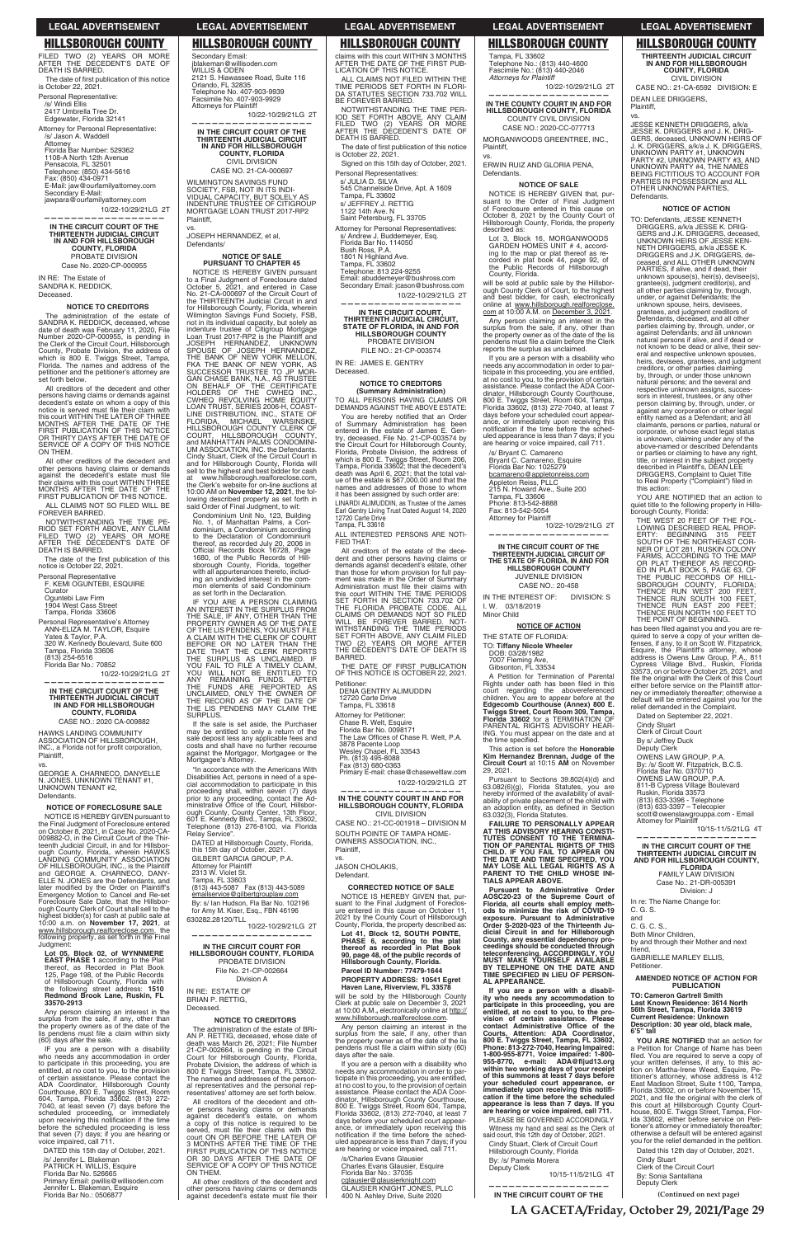FILED TWO (2) YEARS OR MORE AFTER THE DECEDENT'S DATE OF DEATH IS BARRED. The date of first publication of this notice is October 22, 2021. Personal Representative:

/s/ Windi Ellis 2417 Umbrella Tree Dr. Edgewater, Florida 32141

Attorney for Personal Representative: /s/ Jason A. Waddell Attorney Florida Bar Number: 529362 1108-A North 12th Avenue Pensacola, FL 32501

Telephone: (850) 434-5616 Fax: (850) 434-0971 E-Mail: jaw@ourfamilyattorney.com Secondary E-Mail: jawpara@ourfamilyattorney.com

10/22-10/29/21LG 2T

**——————————————————**

**IN THE CIRCUIT COURT OF THE THIRTEENTH JUDICIAL CIRCUIT IN AND FOR HILLSBOROUGH COUNTY, FLORIDA** PROBATE DIVISION Case No. 2020-CP-000955

IN RE: The Estate of SANDRA K. REDDICK Deceased.

### **NOTICE TO CREDITORS**

The administration of the estate of SANDRA K. REDDICK, deceased, whose date of death was February 11, 2020, File Number 2020-CP-000955, is pending in the Clerk of the Circuit Court, Hillsborough County, Probate Division, the address of which is 800 E. Twiggs Street, Tampa, Florida. The names and address of the petitioner and the petitioner's attorney are set forth below.

The date of the first publication of this notice is October 22, 2021.

All creditors of the decedent and other persons having claims or demands against<br>decedent's estate on whom a copy of this<br>notice is served must file their claim with<br>this court WITHIN THE LATER OF THREE MONTHS AFTER THE DATE OF THE FIRST PUBLICATION OF THIS NOTICE OR THIRTY DAYS AFTER THE DATE OF SERVICE OF A COPY OF THIS NOTICE ON THEM.

NOTICE IS HEREBY GIVEN pursuant to the Final Judgment of Foreclosure entered on October 8, 2021, in Case No. 2020-CA-009882-O, in the Circuit Court of the Thirteenth Judicial Circuit, in and for Hillsbor-ough County, Florida, wherein HAWKS LANDING COMMUNITY ASSOCIATION OF HILLSBOROUGH, INC., is the Plaintiff and GEORGE A. CHARNECO, DANY-ELLE N. JONES are the Defendants, and later modified by the Order on Plaintiff's<br>Emergency Motion to Cancel and Re-set Foreclosure Sale Date, that the Hillsbor-<br>ough County Clerk of Court shall sell to the

All other creditors of the decedent and other persons having claims or demands<br>against the decedent's estate must file<br>their claims with this court WITHIN THREE<br>MONTHS AFTER THE DATE OF THE FIRST PUBLICATION OF THIS NOTICE.

ALL CLAIMS NOT SO FILED WILL BE FOREVER BARRED.

Any person claiming an interest in the surplus from the sale, if any, other than the property owners as of the date of the lis pendens must file a claim within sixty<br>(60) days after the sale.

NOTWITHSTANDING THE TIME PE-RIOD SET FORTH ABOVE, ANY CLAIM FILED TWO (2) YEARS OR MORE AFTER THE DECEDENT'S DATE OF DEATH IS BARRED.

IF you are a person with a disability who needs any accommodation in order to participate in this proceeding, you are entitled, at no cost to you, to the provision of certain assistance. Please contact the ADA Coordinator, Hillsborough County Courthouse, 800 E. Twiggs Street, Room 604, Tampa, Florida 33602. (813) 272- 7040, at least seven (7) days before the scheduled proceeding, or immediately upon receiving this notification if the time before the scheduled proceeding is less that seven (7) days; if you are hearing or voice impaired, call 711.

Personal Representative F. KEMI OGUNTEBI, ESQUIRE

Curator Oguntebi Law Firm 1904 West Cass Street

Tampa, Florida 33606

Personal Representative's Attorney ANN-ELIZA M. TAYLOR, Esquire Yates & Taylor, P.A. 320 W. Kennedy Boulevard, Suite 600 Tampa, Florida 33606 (813) 254-6516 Florida Bar No.: 70852

10/22-10/29/21LG 2T **——————————————————**

## **IN THE CIRCUIT COURT OF THE THIRTEENTH JUDICIAL CIRCUIT IN AND FOR HILLSBOROUGH COUNTY, FLORIDA**

CASE NO.: 2020 CA-009882

HAWKS LANDING COMMUNITY ASSOCIATION OF HILLSBOROUGH, INC., a Florida not for profit corporation, Plaintiff, vs.

**NOTICE OF SALE PURSUANT TO CHAPTER 45** NOTICE IS HEREBY GIVEN pursuant to a Final Judgment of Foreclosure dated October 5, 2021, and entered in Case No. 21-CA-000697 of the Circuit Court of the THIRTEENTH Judicial Circuit in and for Hillsborough County, Florida, wherein<br>Wilmington Savings Fund Society, FSB,

Wilmington Savings Fund Society, FSB,<br>not in its individual capacity, but solely as<br>indenture trustee of Citigroup Mortgage<br>Loan Trust 2017-RP2 is the Plaintiff and<br>JOSEPH HERNANDEZ, UNKNOWN<br>SPOUSE HERNANDEZ, UNKNOWN<br>THE B

GEORGE A. CHARNECO, DANYELLE N. JONES, UNKNOWN TENANT #1, UNKNOWN TENANT #2, Defendants.

LINE DISTRIBUTION, INC., STATE OF<br>FLORIDA, MICHAEL WARSINSKE,<br>HILLSBOROUGH COUNTY CLERK OF<br>COURT, HILLSBOROUGH COUNTY,

### **NOTICE OF FORECLOSURE SALE**

lowing described property as set forth in said Order of Final Judgment, to wit: Condominium Unit No. 123, Building No. 1, of Manhattan Palms, a Condominium, a Condominium according to the Declaration of Condominium thereof, as recorded July 20, 2006 in<br>Official Records Book 16728, Page<br>1680, of the Public Records of Hill-

ough County Clerk of Court shall sell to the highest bidder(s) for cash at public sale at 10:00 a.m. on **November 17, 2021**, at www.hillsborough.realforeclose.com, the<br>following property, as set forth in the Final Judgment:

**Lot 05, Block 02, of WYNNMERE EAST PHASE 1** according to the Plat thereof, as Recorded in Plat Book 125, Page 198, of the Public Records of Hillsborough County, Florida with the following street address: **1510 Redmond Brook Lane, Ruskin, FL 33570-2913**

601 E. Kennedy Blvd., Tampa, FL 33602,<br>Telephone (813) 276-8100, via Florida<br>Relay Service". DATED at Hillsborough County, Florida, this 15th day of October, 2021. GILBERT GARCIA GROUP, P.A.

SURPLUS.

Tampa, FL 33603<br>(813) 443-5087 Fax (813) 443-5089 emailservice@gilbertgrouplaw.com

DATED this 15th day of October, 2021.

/s/ Jennifer L. Blakeman PATRICK H. WILLIS, Esquire Florida Bar No. 526665 Primary Email: pwillis@willisoden.com Jennifer L. Blakeman, Esquire Florida Bar No.: 0506877

All other creditors of the decedent and other persons having claims or demands<br>against decedent's estate must file their

Secondary Email: jblakeman@willisoden.com WILLIS & ODEN

2121 S. Hiawassee Road, Suite 116

Orlando, FL 32835 Telephone No. 407-903-9939 Facsimile No. 407-903-9929 Attorneys for Plaintiff

10/22-10/29/21LG 2T

The date of first publication of this notice<br>is October 22, 2021. Signed on this 15th day of October, 2021.

**—————————————————— IN THE CIRCUIT COURT OF THE THIRTEENTH JUDICIAL CIRCUIT IN AND FOR HILLSBOROUGH COUNTY, FLORIDA** CIVIL DIVISION CASE NO. 21-CA-000697 WILMINGTON SAVINGS FUND SOCIETY, FSB, NOT IN ITS INDI-<br>VIDUAL CAPACITY, BUT SOLELY AS INDENTURE TRUSTEE OF CITIGROUP MORTGAGE LOAN TRUST 2017-RP2

Plaintiff, vs.

JOSEPH HERNANDEZ, et al,

Defendants/

ALL PERSONS HAVING CLAIMS OR DEMANDS AGAINST THE ABOVE ESTATE:

You are hereby notified that an Order of Summary Administration has been entered in the estate of James E. Gen-try, deceased, File No. 21-CP-003574 by the Circuit Court for Hillsborough County,<br>Florida, Probate Division, the address of<br>which is 800 E. Twiggs Street, Room 206,<br>Tampa, Florida 33602; that the decedent's<br>death was April 6, 2021; that the total val-<br>ue of the names and addresses of those to whom it has been assigned by such order are: LINARDI ALIMUDDIN, as Trustee of the James Earl Gentry Living Trust Dated August 14, 2020 12720 Carte Drive Tampa, FL 33618

and MANHATTAN PALMS CONDOMINI-UM ASSOCIATION, INC. the Defendants. Cindy Stuart, Clerk of the Circuit Court in and for Hillsborough County, Florida will

sell to the highest and best bidder for cash<br>at www.hillsborough.realforeclose.com,<br>the Clerk's website for on-line auctions at<br>10:00 AM on **November 12, 2021**, the fol-

sborough County, Florida, together with all appurtenances thereto, includ-ing an undivided interest in the common elements of said Condominium as set forth in the Declaration.

IF YOU ARE A PERSON CLAIMING<br>AN INTEREST IN THE SURPLUS FROM<br>THE SALE, IF ANY, OTHER THAN THE<br>PROPERTY OWNER AS OF THE DATE<br>OF THE LIS PENDENS, YOU MUST FILE<br>A CLAIM WITH THE CLERK OF COURT

BEFORE OR NO LATER THAN THE<br>DATE THAT THE CLERK REPORTS<br>THE SURPLUS AS UNCLAIMED. IF<br>YOU FAIL TO FILE A TIMELY CLAIM,<br>YOU WILL NOT BE ENTITLED TO<br>ANY REMAINING FUNDS. AFTER<br>THE FUNDS ARE REPORTED AS<br>THE RECORD AS OF THE DA

THE LIS PENDENS MAY CLAIM THE

If the sale is set aside, the Purchaser may be entitled to only a return of the sale deposit less any applicable fees and costs and shall have no further recourse against the Mortgagor, Mortgagee or the Mortgagee's Attorney. "In accordance with the Americans With Disabilities Act, persons in need of a spe-<br>cial accommodation to participate in this<br>proceeding shall, within seven (7) days

prior to any proceeding, contact the Ad-<br>ministrative Office of the Court, Hillsbor-<br>ough County, County Center, 13th Floor,

Attorney for Plaintiff 2313 W. Violet St.

A Petition for Termination of Parental Rights under oath has been filed in this court regarding the abovereferenced children. You are to appear before at the **Edgecomb Courthouse (Annex) 800 E. Twiggs Street, Court Room 309, Tampa, Florida 33602** for a TERMINATION OF PARENTAL RIGHTS ADVISORY HEAR-ING. You must appear on the date and at the time specified.

By: s/ Ian Hudson, Fla Bar No. 102196 for Amy M. Kiser, Esq., FBN 46196 630282.28120/TLL 10/22-10/29/21LG 2T **——————————————————**

Pursuant to Sections 39.802(4)(d) and 63.082(6)(g), Florida Statutes, you are hereby informed of the availability of availability of private placement of the child with<br>an adoption entity, as defined in Section<br>63.032(3), Florida Statutes.

**IN THE CIRCUIT COURT FOR HILLSBOROUGH COUNTY, FLORIDA** PROBATE DIVISION File No. 21-CP-002664 Division A

IN RE: ESTATE OF BRIAN P. RETTIG, Deceased.

### **NOTICE TO CREDITORS**

The administration of the estate of BRI-AN P. RETTIG, deceased, whose date of death was March 26, 2021; File Number 21-CP-002664, is pending in the Circuit Court for Hillsborough County, Florida, Probate Division, the address of which is 800 E Twiggs Street, Tampa, FL 33602. The names and addresses of the person-al representatives and the personal representatives' attorney are set forth below.

All creditors of the decedent and other persons having claims or demands against decedent's estate, on whom a copy of this notice is required to be served, must file their claims with this<br>court ON OR BEFORE THE LATER OF<br>3 MONTHS AFTER THE TIME OF THE FIRST PUBLICATION OF THIS NOTICE OR 30 DAYS AFTER THE DATE OF SERVICE OF A COPY OF THIS NOTICE ON THEM.

JESSE KENNETH DRIGGERS, a/k/a JESSE K. DRIGGERS and J. K. DRIG-GERS, deceased, UNKNOWN HEIRS OF J. K. DRIGGERS, a/k/a J. K. DRIGGERS, UNKNOWN PARTY #1, UNKNOWN PARTY #2, UNKNOWN PARTY #3, AND UNKNOWN PARTY #4, THE NAMES BEING FICTITIOUS TO ACCOUNT FOR PARTIES IN POSSESSION and ALL OTHER UNKNOWN PARTIES, **Defendants** 

claims with this court WITHIN 3 MONTHS AFTER THE DATE OF THE FIRST PUB-LICATION OF THIS NOTICE.

ALL CLAIMS NOT FILED WITHIN THE TIME PERIODS SET FORTH IN FLORI-DA STATUTES SECTION 733.702 WILL BE FOREVER BARRED.

NOTWITHSTANDING THE TIME PER-IOD SET FORTH ABOVE, ANY CLAIM FILED TWO (2) YEARS OR MORE AFTER THE DECEDENT'S DATE OF DEATH IS BARRED.

Personal Representatives: s/ JULIA D. SILVA 545 Channelside Drive, Apt. A 1609

Tampa, FL 33602 s/ JEFFREY J. RETTIG

1122 14th Ave. N Saint Petersburg, FL 33705 Attorney for Personal Representatives:

s/ Andrew J. Buddemeyer, Esq. Florida Bar No. 114050 Bush Ross, P.A.

1801 N Highland Ave. Tampa, FL 33602 Telephone: 813 224-9255

Email: abuddemeyer@bushross.com

Secondary Email: jcason@bushross.com 10/22-10/29/21LG 2T

**—————————————————— IN THE CIRCUIT COURT, THIRTEENTH JUDICIAL CIRCUIT, STATE OF FLORIDA, IN AND FOR HILLSBOROUGH COUNTY** PROBATE DIVISION

> YOU ARE NOTIFIED that an action to quiet title to the following property in Hills-borough County, Florida:

FILE NO.: 21-CP-003574

IN RE: JAMES E. GENTRY Deceased.

### **NOTICE TO CREDITORS (Summary Administration)**

THE WEST 20 FEET OF THE FOL-<br>LOWING DESCRIBED REAL PROP-<br>ERTY: BEGINNING 315 FEET<br>SOUTH OF THE NORTHEAST COR-<br>NER OF LOT 281, RUSKIN COLONY<br>FARMS, ACCORDING TO THE MAP OR PLAT THEREOF AS RECORD-ED IN PLAT BOOK 5, PAGE 63, OF THE PUBLIC RECORDS OF HILL-SBOROUGH COUNTY, FLORIDA;<br>THENCE RUN WEST 200 FEET,<br>THENCE RUN SOUTH 100 FEET, THENCE RUN EAST 200 FEET; THENCE RUN NORTH 100 FEET TO THE POINT OF BEGINNING.

has been filed against you and you are re-

quired to serve a copy of your written de-<br>fenses, if any, to it on Scott W. Fitzpatrick,<br>Esquire, the Plaintiff's attorney, whose<br>address is Owens Law Group, P.A., 811<br>Cypress Village Blvd., Ruskin, Florida<br>33573, on or b

file the original with the Clerk of this Court<br>either before service on the Plaintiff attorney or immediately thereafter; otherwise a default will be entered against you for the relief demanded in the Complaint. Dated on September 22, 2021. Cindy Stuart Clerk of Circuit Court By s/ Jeffrey Duck Deputy Clerk

C. G. S. and C. G. C. S., Both Minor Children, by and through their Mother and next friend, GABRIELLE MARLEY ELLIS, **Petitioner.** 

ALL INTERESTED PERSONS ARE NOTI-FIED THAT:

All creditors of the estate of the decedent and other persons having claims or demands against decedent's estate, other than those for whom provision for full pay-ment was made in the Order of Summary Administration must file their claims with this court WITHIN THE TIME PERIODS SET FORTH IN SECTION 733.702 OF THE FLORIDA PROBATE CODE. ALL CLAIMS OR DEMANDS NOT SO FILED<br>WILL BE FOREVER BARRED. NOT-<br>WITHSTANDING THE TIME PERIODS SET FORTH ABOVE, ANY CLAIM FILED TWO (2) YEARS OR MORE AFTER THE DECEDENT'S DATE OF DEATH IS BARRED.

THE DATE OF FIRST PUBLICATION OF THIS NOTICE IS OCTOBER 22, 2021.

Petitioner: DENA GENTRY ALIMUDDIN

12720 Carte Drive Tampa, FL 33618

Attorney for Petitioner:

Chase R. Welt, Esquire

Florida Bar No. 0098171<br>The Law Offices of Chase R. Welt, P.A.

3878 Pacente Loop

Wesley Chapel, FL 33543 Ph. (813) 495-8088 Fax (813) 680-0363

Primary E-mail: chase@chaseweltlaw.com 10/22-10/29/21LG 2T

**—————————————————— IN THE COUNTY COURT IN AND FOR HILLSBOROUGH COUNTY, FLORIDA** CIVIL DIVISION

CASE NO.: 21-CC-001918 – DIVISION M SOUTH POINTE OF TAMPA HOME-OWNERS ASSOCIATION, INC., Plaintiff,

vs. JASON CHOLAKIS,

Defendant.

**CORRECTED NOTICE OF SALE** NOTICE IS HEREBY GIVEN that, pursuant to the Final Judgment of Foreclos-

ure entered in this cause on October 11, 2021 by the County Court of Hillsborough County, Florida, the property described as:

**Lot 41, Block 12, SOUTH POINTE, PHASE 6, according to the plat thereof as recorded in Plat Book 90, page 48, of the public records of Hillsborough County, Florida. Parcel ID Number: 77479-1644 PROPERTY ADDRESS: 10541 Egret Haven Lane, Riverview, FL 33578**

will be sold by the Hillsborough County Clerk at public sale on December 3, 2021 at 10:00 A.M.**,** electronically online at http:// www.hillsborough.realforeclose.com.

Any person claiming an interest in the surplus from the sale, if any, other than the property owner as of the date of the lis pendens must file a claim within sixty (60) days after the sale.

If you are a person with a disability who needs any accommodation in order to participate in this proceeding, you are entitled, at no cost to you, to the provision of certain assistance. Please contact the ADA Coor-<br>dinator, Hillsborough County Courthouse,<br>800 E. Twiggs Street, Room 604, Tampa,<br>Florida 33602, (813) 272-7040, at least 7 days before your scheduled court appear-ance, or immediately upon receiving this notification if the time before the scheduled appearance is less than 7 days; if you are hearing or voice impaired, call 711.

/s/Charles Evans Glausier Charles Evans Glausier, Esquire Florida Bar No.: 37035 cglausier@glausierknight.com GLAUSIER KNIGHT JONES, PLLC 400 N. Ashley Drive, Suite 2020 Tampa, FL 33602 Telephone No.: (813) 440-4600 Fascimile No.: (813) 440-2046 *Attorneys for Plaintiff*

10/22-10/29/21LG 2T **—————————————————— IN THE COUNTY COURT IN AND FOR** 

### **HILLSBOROUGH COUNTY, FLORIDA** COUNTY CIVIL DIVISION

CASE NO.: 2020-CC-077713 MORGANWOODS GREENTREE, INC., Plaintiff,

vs.

ERWIN RUIZ AND GLORIA PENA, Defendants.

## **NOTICE OF SALE**

NOTICE IS HEREBY GIVEN that, pursuant to the Order of Final Judgment of Foreclosure entered in this cause on October 8, 2021 by the County Court of Hillsborough County, Florida, the property described as:

Lot 3, Block 16, MORGANWOODS GARDEN HOMES UNIT # 4, according to the map or plat thereof as re-corded in plat book 44, page 92, of the Public Rec ords of Hillsborough County, Florida.

will be sold at public sale by the Hillsbor-<br>ough County Clerk of Court, to the highest<br>and best bidder, for cash, electronically<br>online at <u>www.hillsborough.realforeclose.</u><br><u>com</u> at 10:00 A.M. on <u>December 3, 2021</u>.

Any person claiming an interest in the surplus from the sale, if any, other than the property owner as of the date of the lis pendens must file a claim before the Clerk reports the surplus as unclaimed.

If you are a person with a disability who needs any accommodation in order to participate in this proceeding, you are entitled,<br>at no cost to you, to the provision of certain<br>assistance. Please contact the ADA Coordinator, Hillsborough County Courthouse, 800 E. Twiggs Street, Room 604, Tampa, Florida 33602, (813) 272-7040, at least 7 days before your scheduled court appear-ance, or immediately upon receiving this notification if the time before the scheduled appearance is less than 7 days; if you are hearing or voice impaired, call 711.

/s/ Bryant C. Camareno Bryant C. Camareno, Esquire Florida Bar No: 1025279 bcamareno@appletonreiss.com Appleton Reiss, PLLC 215 N. Howard Ave., Suite 200 Tampa, FL 33606 Phone: 813-542-8888 Fax: 813-542-5054 Attorney for Plaintiff

10/22-10/29/21LG 2T **——————————————————**

**IN THE CIRCUIT COURT OF THE THIRTEENTH JUDICIAL CIRCUIT OF THE STATE OF FLORIDA, IN AND FOR HILLSBOROUGH COUNTY** JUVENILE DIVISION CASE NO.: 20-458

IN THE INTEREST OF: DIVISION: S I. W. 03/18/2019 Minor Child

### **NOTICE OF ACTION**

THE STATE OF FLORIDA:

TO: **Tiffany Nicole Wheeler** DOB: 03/28/1982

7007 Fleming Ave, Gibsonton, FL 33534

This action is set before the **Honorable Kim Hernandez Brennan, Judge of the Circuit Court** at 10:15 **AM** on November 29, 2021.

**FAILURE TO PERSONALLY APPEAR AT THIS ADVISORY HEARING CONSTI-TUTES CONSENT TO THE TERMINA-TION OF PARENTAL RIGHTS OF THIS CHILD. IF YOU FAIL TO APPEAR ON THE DATE AND TIME SPECIFIED, YOU MAY LOSE ALL LEGAL RIGHTS AS A PARENT TO THE CHILD WHOSE INI-TIALS APPEAR ABOVE.**

**Pursuant to Administrative Order AOSC20-23 of the Supreme Court of Florida, all courts shall employ meth-ods to minimize the risk of COVID-19 exposure. Pursuant to Administrative Order S-2020-023 of the Thirteenth Ju**dicial Circuit in and for Hillsborough<br>County, any essential dependency pro-<br>ceedings should be conducted through<br>teleconferencing. ACCORDINGLY, YOU<br>MUST MAKE YOURSELF AVAILABLE<br>BY TELEPHONE ON THE DATE AND<br>TIME SPECIFIED **AL APPEARANCE.** If you are a person with a disabil-<br>ity who needs any accommodation to<br>participate in this proceeding, you are<br>entitled, at no cost to you, to the pro-<br>vision of certain assistance. Please<br>contact Administrative Office of 1-800-955-8771, Voice impaired: 1-800-<br>955-8770, e-mail: ADA@fljud13.org<br>within two working days of your receipt<br>of this summons at least 7 days before<br>your scheduled court appearance, or<br>immediately upon receiving this no **cation if the time before the scheduled appearance is less than 7 days. If you are hearing or voice impaired, call 711.** PLEASE BE GOVERNED ACCORDINGLY Witness my hand and seal as the Clerk of said court, this 12th day of October, 2021. Cindy Stuart, Clerk of Circuit Court Hillsborough County, Florida By: /s/ Pamela Morera Deputy Clerk 10/15-11/5/21LG 4T

**——————————————————**

**IN THE CIRCUIT COURT OF THE** 

**THIRTEENTH JUDICIAL CIRCUIT IN AND FOR HILLSBOROUGH COUNTY, FLORIDA** CIVIL DIVISION

CASE NO.: 21-CA-6592 DIVISION: E DEAN LEE DRIGGERS, Plaintiff,

### vs.

### **NOTICE OF ACTION**

TO: Defendants, JESSE KENNETH DRIGGERS, a/k/a JESSE K. DRIG-GERS and J.K. DRIGGERS, deceased, UNKNOWN HEIRS OF JESSE KEN-NETH DRIGGERS, a/k/a JESSE K. DRIGGERS and J.K. DRIGGERS, de-ceased, and ALL OTHER UNKNOWN PARTIES, if alive, and if dead, their unknown spouse(s), heir(s), devisee(s), grantee(s), judgment creditor(s), and all other parties claiming by, through, under, or against Defendants; the unknown spouse, heirs, devisees, grantees, and judgment creditors of Defendants, deceased, and all other parties claiming by, through, under, or against Defendants; and all unknown natural persons if alive, and if dead or not known to be dead or alive, their several and respective unknown spouses, heirs, devisees, grantees, and judgment creditors, or other parties claiming by, through, or under those unknown natural persons; and the several and respective unknown assigns, successors in interest, trustees, or any other person claiming by, through, under, or against any corporation or other legal entity named as a Defendant; and all claimants, persons or parties, natural or corporate, or whose exact legal status is unknown, claiming under any of the above-named or described Defendants or parties or claiming to have any right, title, or interest in the subject property described in Plaintiff's, DEAN LEE DRIGGERS, Complaint to Quiet Title to Real Property ("Complaint") filed in this action:

OWENS LAW GROUP, P.A. By: /s/ Scott W. Fitzpatrick, B.C.S. Florida Bar No. 0370710 OWENS LAW GROUP, P.A. 811-B Cypress Village Boulevard Ruskin, Florida 33573 (813) 633-3396 - Telephone (813) 633-3397 – Telecopier scott@owenslawgrouppa.com - Email

Attorney for Plaintiff

10/15-11/5/21LG 4T

**—————————————————— IN THE CIRCUIT COURT OF THE THIRTEENTH JUDICIAL CIRCUIT IN AND FOR HILLSBOROUGH COUNTY, FLORIDA** FAMILY LAW DIVISION Case No.: 21-DR-005391 Division: J

In re: The Name Change for:

## **AMENDED NOTICE OF ACTION FOR PUBLICATION**

**TO: Cameron Gartrell Smith Last Known Residence: 3614 North 56th Street, Tampa, Florida 33619 Current Residence: Unknown Description: 30 year old, black male, 6'5" tall**

**YOU ARE NOTIFIED** that an action for a Petition for Change of Name has been<br>filed. You are required to serve a copy of<br>your written defenses, if any, to this ac-<br>tion on Martha-Irene Weed, Esquire, Petitioner's attorney, whose address is 412 East Madison Street, Suite 1100, Tampa, Florida 33602, on or before November 15, 2021, and file the original with the clerk of this court at Hillsborough County Courthouse, 800 E. Twiggs Street, Tampa, Flor-ida 33602, either before service on Petitioner's attorney or immediately thereafter; otherwise a default will be entered against you for the relief demanded in the petition.

Dated this 12th day of October, 2021.

Cindy Stuart Clerk of the Circuit Court By: Sonia Santallana Deputy Clerk

**LA GACETA/Friday, October 29, 2021/Page 29**

**(Continued on next page)**

**LEGAL ADVERTISEMENT LEGAL ADVERTISEMENT LEGAL ADVERTISEMENT LEGAL ADVERTISEMENT LEGAL ADVERTISEMENT**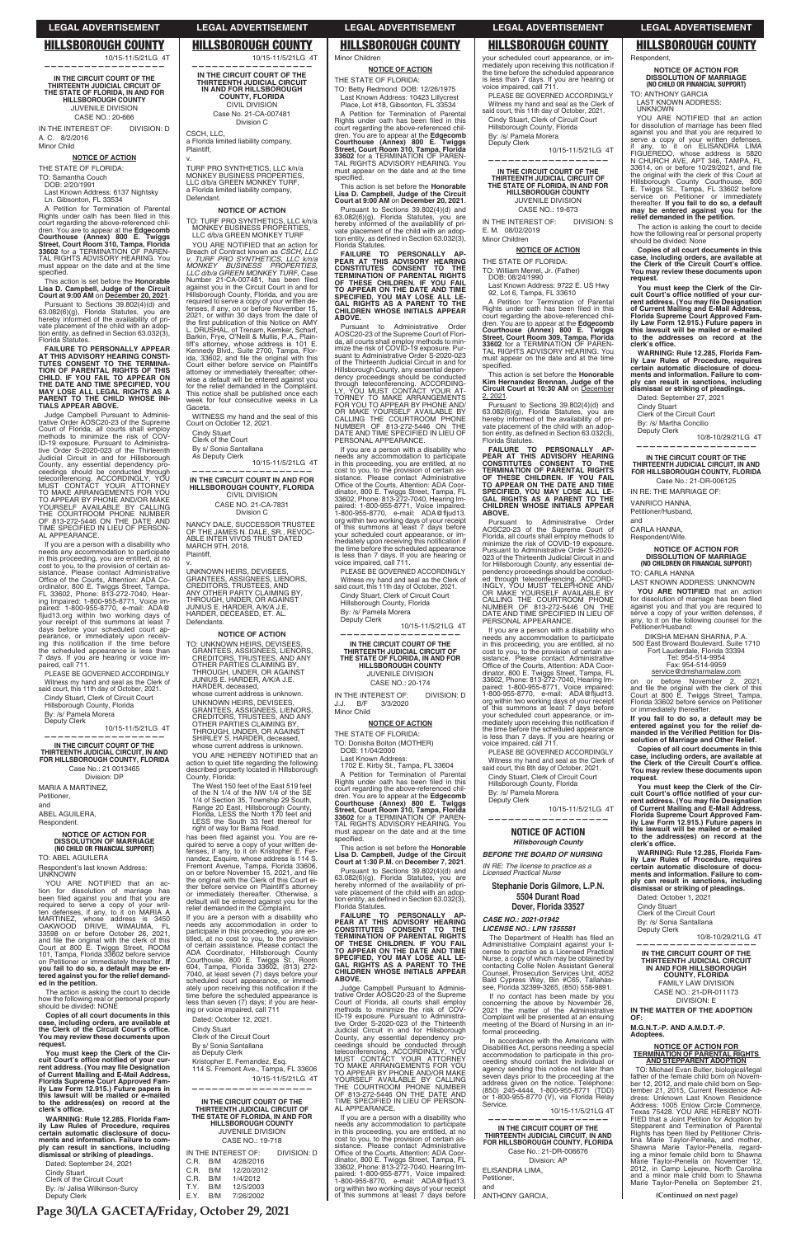10/15-11/5/21LG 4T **——————————————————**

IN THE INTEREST OF: DIVISION: D A. C. 8/2/2016 Minor Child

**IN THE CIRCUIT COURT OF THE THIRTEENTH JUDICIAL CIRCUIT OF THE STATE OF FLORIDA, IN AND FOR HILLSBOROUGH COUNTY** JUVENILE DIVISION CASE NO.: 20-666

### **NOTICE OF ACTION**

THE STATE OF FLORIDA:

TO: Samantha Couch DOB: 2/20/1991

Last Known Address: 6137 Nightsky Ln. Gibsonton, FL 33534

A Petition for Termination of Parental<br>Rights under oath has been filed in this court regarding the above-referenced chil-dren. You are to appear at the **Edgecomb Courthouse (Annex) 800 E. Twiggs Street, Court Room 310, Tampa, Florida<br><b>33602** for a TERMINATION OF PAREN-<br>TAL RIGHTS ADVISORY HEARING. You must appear on the date and at the time specified

Pursuant to Sections 39.802(4)(d) and 63.082(6)(g), Florida Statutes, you are hereby informed of the availability of private placement of the child with an adop-<br>tion entity, as defined in Section 63.032(3),<br>Florida Statutes.

Judge Campbell Pursuant to Adminis-trative Order AOSC20-23 of the Supreme Court of Florida, all courts shall employ methods to minimize the risk of COV-ID-19 exposure. Pursuant to Administrative Order S-2020-023 of the Thirteenth Judicial Circuit in and for Hillsborough County, any essential dependency proceedings should be conducted through<br>teleconferencing. ACCORDINGLY, YOU<br>MUST CONTACT YOUR ATTORNEY<br>TO MAKE ARRANGEMENTS FOR YOU<br>TO APPEAR BY PHONE AND/OR MAKE<br>YOURSELF AVAILABLE BY CALLING<br>THE COURTROOM PHONE NUMBER<br>OF 813

This action is set before the **Honorable Lisa D. Campbell, Judge of the Circuit Court at 9:00 AM** on **December 20, 2021**.

**FAILURE TO PERSONALLY APPEAR AT THIS ADVISORY HEARING CONSTI-TUTES CONSENT TO THE TERMINA-TION OF PARENTAL RIGHTS OF THIS CHILD. IF YOU FAIL TO APPEAR ON THE DATE AND TIME SPECIFIED, YOU MAY LOSE ALL LEGAL RIGHTS AS A PARENT TO THE CHILD WHOSE INI-TIALS APPEAR ABOVE.**

required to serve a copy of your written defenses, if any, to it on MARIA A<br>MARTINEZ, whose address is 3450<br>OAKWOOD DRIVE, WIMAUMA, FL<br>33598 on or before October 26, 2021,<br>and file the original with the clerk of this Court at 800 E. Twiggs Street, ROOM 101, Tampa, Florida 33602 before service on Petitioner or immediately thereafter. **If you fail to do so, a default may be en-tered against you for the relief demand-ed in the petition.**

**You must keep the Clerk of the Cir**cuit Court's office notified of your cur-<br>rent address. (You may file Designation<br>of Current Mailing and E-Mail Address,<br>Florida Supreme Court Approved Fam-<br>ily Law Form 12.915.) Future papers in **this lawsuit will be mailed or e-mailed to the address(es) on record at the**  clerk's office.

If you are a person with a disability who needs any accommodation to participate in this proceeding, you are entitled, at no cost to you, to the provision of certain as-<br>sistance. Please contact Administrative<br>Office of the Courts, Attention: ADA Coordinator, 800 E. Twiggs Street, Tampa, FL 33602, Phone: 813-272-7040, Hear-ing Impaired: 1-800-955-8771, Voice impaired: 1-800-955-8770, e-mail: ADA@<br>fljud13.org within two working days of<br>your receipt of this summons at least 7 days before your scheduled court ap-<br>pearance, or immediately upon receiv-<br>ing this notification if the time before the scheduled appearance is less than 7 days. If you are hearing or voice im-paired, call 711.

**NOTICE OF ACTION** TO: TURF PRO SYNTHETICS, LLC k/n/a MONKEY BUSINESS PROPERTIES, LLC d/b/a GREEN MONKEY TURF YOU ARE NOTIFIED that an action for Breach of Contract known as *CSCH, LLC<br>v. TURF PRO SYNTHETICS, LLC kn/a<br>MONKEY BUSINESS PROPERTIES,<br>LLC d/b/a GREEN MONKEY TURF, Case* 

Number 21-CA-007481, has been filed<br>against you in the Circuit Court in and for<br>Hillsborough County, Florida, and you are

PLEASE BE GOVERNED ACCORDINGLY Witness my hand and seal as the Clerk of said court, this 11th day of October, 2021.

Cindy Stuart, Clerk of Circuit Court Hillsborough County, Florida

By: /s/ Pamela Morera Deputy Clerk

10/15-11/5/21LG 4T

## **—————————————————— IN THE CIRCUIT COURT OF THE THIRTEENTH JUDICIAL CIRCUIT, IN AND**

**FOR HILLSBOROUGH COUNTY, FLORIDA** Case No.: 21 0013465 Division: DP

MARIA A MARTINEZ, Petitioner, and

ABEL AGUILERA, Respondent.

## **NOTICE OF ACTION FOR DISSOLUTION OF MARRIAGE (NO CHILD OR FINANCIAL SUPPORT)**

TO: ABEL AGUILERA Respondent's last known Address: UNKNOWN

YOU ARE NOTIFIED that an action for dissolution of marriage has<br>been-filed-against-you-and-that-you-are

Florida, LESS the North 170 feet and LESS the South 33 feet thereof for right of way for Bama Road. has been filed against you. You are has been filed against you. You are re-<br>quired to serve a copy of your written de-<br>fenses, if any, to it on Kristopher E. Fer-<br>nandez, Esquire, whose address is 114 S.

The action is asking the court to decide how the following real or personal property should be divided: NONE

**Copies of all court documents in this**  case, including orders, are available at<br>the Clerk of the Circuit Court's office.<br>You may review these documents upon **request.**

Fremont Avenue, Tampa, Florida 33606,<br>on or before November 15, 2021, and file<br>the original with the Clerk of this Court either before service on Plaintiff's attorney or immediately thereafter. Otherwise, a

default will be entered against you for the<br>relief demanded in the Complaint relief demanded in the Complaint.

**WARNING: Rule 12.285, Florida Family Law Rules of Procedure, requires certain automatic disclosure of documents and information. Failure to comply can result in sanctions, including dismissal or striking of pleadings.**

| Dated: September 24, 2021                      |  |
|------------------------------------------------|--|
| Cindy Stuart                                   |  |
| Clerk of the Circuit Court                     |  |
| By: /s/ Jalisa Wilkinson-Surcy<br>Deputy Clerk |  |

**—————————————————— IN THE CIRCUIT COURT OF THE THIRTEENTH JUDICIAL CIRCUIT IN AND FOR HILLSBOROUGH COUNTY, FLORIDA** CIVIL DIVISION Case No. 21-CA-007481 Division C

> Pursuant to Sections 39.802(4)(d) and 63.082(6)(g), Florida Statutes, you are hereby informed of the availability of pri-vate placement of the child with an adoption entity, as defined in Section 63.032(3),<br>Florida Statutes.

CSCH, LLC,

a Florida limited liability company,

Plaintiff, v.

TURF PRO SYNTHETICS, LLC k/n/a MONKEY BUSINESS PROPERTIES, LLC d/b/a GREEN MONKEY TURF, a Florida limited liability company,

Defendant.

**FAILURE TO PERSONALLY AP-<br>PEAR AT THIS ADVISORY HEARING<br>CONSTITUTES CONSENT TO THE<br>TERMINATION OF PARENTAL RIGHTS<br>OF THESE CHILDREN. IF YOU FAIL<br>SOPCIFIED, YOU MAY LOSE ALL LE-<br>SAL RIGHTS AS A PARENT TO THE CHILDREN WHOSE INITIALS APPEAR ABOVE.**

Pursuant to Administrative Order AOSC20-23 of the Supreme Court of Florida, all courts shall employ methods to min-imize the risk of COVID-19 exposure. Pur-suant to Administrative Order S-2020-023 of the Thirteenth Judicial Circuit in and for Hillsborough County, any essential depen-dency proceedings should be conducted through teleconferencing. ACCORDING-LY, YOU MUST CONTACT YOUR AT-TORNEY TO MAKE ARRANGEMENTS FOR YOU TO APPEAR BY PHONE AND/<br>OR MAKE YOURSELF AVAILABLE BY<br>CALLING THE COURTROOM PHONE<br>NUMBER OF 813-272-5446 ON THE<br>DATE AND TIME SPECIFIED IN LIEU OF<br>PERSONAL APPEARANCE.

PLEASE BE GOVERNED ACCORDINGLY Witness my hand and seal as the Clerk of said court, this 11th day of October, 2021.

required to serve a copy of your written de-fenses, if any, on or before November 15, 2021, or within 30 days from the date of the first publication of this Notice on AMY L. DRUSHAL, of Trenam, Kemker, Scharf, Barkin, Frye, O'Neill & Mullis, P.A., Plaintiff's attorney, whose address is 101 E. Kennedy Blvd., Suite 2700, Tampa, Florida, 33602, and file the original with this Court either before service on Plaintiff's attorney or immediately thereafter; other-wise a default will be entered against you for the relief demanded in the Complaint. This notice shall be published once each week for four consecutive weeks in La

> IN THE INTEREST OF: DIVISION: D<br>J.J. B/F 3/3/2020 J.J. B/F 3/3/2020 Minor Child

1702 E. Kirby St., Tampa, FL 33604 A Petition for Termination of Parental<br>Rights under oath has been filed in this<br>court regarding the above-referenced children. You are to appear at the **Edgecomb Courthouse (Annex) 800 E. Twiggs Street, Court Room 310, Tampa, Florida 33602** for a TERMINATION OF PAREN-TAL RIGHTS ADVISORY HEARING. You must appear on the date and at the time specified.

Gaceta.

WITNESS my hand and the seal of this

Court on October 12, 2021. Cindy Stuart Clerk of the Court By s/ Sonia Santallana As Deputy Clerk

10/15-11/5/21LG 4T

Pursuant to Sections 39.802(4)(d) and 63.082(6)(g), Florida Statutes, you are hereby informed of the availability of pri-vate placement of the child with an adoption entity, as defined in Section 63.032(3),<br>Florida Statutes.

**—————————————————— IN THE CIRCUIT COURT IN AND FOR HILLSBOROUGH COUNTY, FLORIDA** CIVIL DIVISION CASE NO. 21-CA-7831 Division C NANCY DALE, SUCCESSOR TRUSTEE OF THE JAMES N. DALE, SR., REVOC-ABLE INTER VIVOS TRUST DATED

MARCH 9TH, 2018,

Plaintiff, v.

UNKNOWN HEIRS, DEVISEES, GRANTEES, ASSIGNEES, LIENORS, CREDITORS, TRUSTEES, AND ANY OTHER PARTY CLAIMING BY, THROUGH, UNDER, OR AGAINST JUNIUS E. HARDER, A/K/A J.E. HARDER, DECEASED, ET. AL.

Defendants.

If you are a person with a disability who needs any accommodation to participate in this proceeding, you are entitled, at no cost to you, to the provision of certain assistance. Please contact Administrative<br>Sistance. Please contact Administrative<br>Office of the Courts, Attention: ADA Coordinator, 800 E. Twiggs Street, Tampa, FL<br>33602, Phone: 813-272-7040, Hearing Im-<br>paired: 1-800-955-8771, Voice impaired:<br>1-800-955-8770, e-mail: ADA@fljud13,<br>org within two working days of your receipt<br>of this summons at l

### CASE NO.: 2021-01942 *LICENSE NO.: LPN 1355581*

**NOTICE OF ACTION** TO: UNKNOWN HEIRS, DEVISEES, GRANTEES, ASSIGNEES, LIENORS,<br>CREDITORS, TRUSTEES, AND ANY<br>OTHER PARTIES CLAIMING BY, THROUGH, UNDER, OR AGAINST JUNIUS E. HARDER, A/K/A J.E. HARDER, deceased, whose current address is unknown.

UNKNOWN HEIRS, DEVISEES,<br>GRANTEES, ASSIGNEES, LIENORS,<br>CREDITORS, TRUSTEES, AND ANY<br>OTHER PARTIES CLAIMING BY,<br>OTHER PARTIES CLAIMING BY,<br>THROUGH, UNDER, OR AGAINST

10/15-11/5/21LG 4T Minor Children your scheduled court appearance, or immediately upon receiving this notification if<br>the time before the scheduled appearance<br>is less than 7 days. If you are hearing or

SHIRLEY S. HARDER, deceased, whose current address is unknown. YOU ARE HEREBY NOTIFIED that an action to quiet title regarding the following described property located in Hillsborough

County, Florida:

The West 150 feet of the East 519 feet of the N 1/4 of the NW 1/4 of the SE 1/4 of Section 35, Township 29 South, Range 20 East, Hillsborough County, Pursuant to Sections 39.802(4)(d) and 63.082(6)(g), Florida Statutes, you are hereby informed of the availability of private placement of the child with an adop-<br>tion entity, as defined in Section 63.032(3),<br>Florida Statutes.

**FAILURE TO PERSONALLY** PEAR AT THIS ADVISORY HEARING<br>CONSTITUTES CONSENT TO THE<br>TERMINATION OF PARENTAL RIGHTS **OF THESE CHILDREN. IF YOU FAIL TO APPEAR ON THE DATE AND TIME SPECIFIED, YOU MAY LOSE ALL LE-GAL RIGHTS AS A PARENT TO THE CHILDREN WHOSE INITIALS APPEAR ABOVE.**

If you are a person with a disability who needs any accommodation in order to participate in this proceeding, you are entitled, at no cost to you, to the provision of certain assistance. Please contact the ADA Coordinator, Hillsborough County<br>Courthouse, 800 E. Twiggs St., Room<br>604, Tampa, Florida 33602, (813) 272-<br>7040, at least seven (7) days before your scheduled court appearance, or immedi-<br>ately upon receiving this notification if the<br>time before the scheduled appearance is less than seven (7) days; if you are hear-ing or voice impaired, call 711

Dated: October 12, 2021.

Cindy Stuart Clerk of the Circuit Court By s/ Sonia Santallana as Deputy Clerk Kristopher E. Fernandez, Esq. 114 S. Fremont Ave., Tampa, FL 33606 10/15-11/5/21LG 4T

## **NOTICE OF ACTION Hillsborough County**

*BEFORE THE BOARD OF NURSING IN RE: The license to practice as a* 

**——————————————————**

| IN THE CIRCUIT COURT OF THE<br>THIRTEENTH JUDICIAL CIRCUIT OF<br>THE STATE OF FLORIDA, IN AND FOR<br><b>HILLSBOROUGH COUNTY</b><br><b>JUVENILE DIVISION</b><br>CASE NO.: 19-718 |     |                     |             |  |
|---------------------------------------------------------------------------------------------------------------------------------------------------------------------------------|-----|---------------------|-------------|--|
|                                                                                                                                                                                 |     | IN THE INTEREST OF: | DIVISION: D |  |
| C.R.                                                                                                                                                                            | B/M | 4/28/2016           |             |  |
| C.B.                                                                                                                                                                            | B/M | 12/20/2012          |             |  |
| C.B.                                                                                                                                                                            | B/M | 1/4/2012            |             |  |
| T.Y.                                                                                                                                                                            | B/M | 12/5/2003           |             |  |
| F Y.                                                                                                                                                                            | B/M | 7/26/2002           |             |  |

The Department of Health has filed an Administrative Complaint against your li-cense to practice as a Licensed Practical Nurse, a copy of which may be obtained by contacting Collie Nolen Assistant General Counsel, Prosecution Services Unit, 4052 Bald Cypress Way, Bin #C65, Tallahassee, Florida 32399-3265, (850) 558-9891.

**NOTICE OF ACTION** THE STATE OF FLORIDA:

TO: Betty Redmond DOB: 12/26/1975 Last Known Address: 10423 Lillycrest Place, Lot #18, Gibsonton, FL 33534

A Petition for Termination of Parental<br>Rights under oath has been filed in this court regarding the above-referenced children. You are to appear at the **Edgecomb**<br>Courthouse (Annex) 800 E. Twigs<br>Street, Court Room 310, Tampa, Florida<br>33602 for a TERMINATION OF PAREN-<br>TAL RIGHTS ADVISORY HEARING. You<br>must appear on the date and at the time specified.

This action is set before the **Honorable Lisa D. Campbell, Judge of the Circuit Court at 9:00 AM** on **December 20, 2021**.

YOU ARE NOTIFIED that an action for dissolution of marriage has been for dissolution of marriage has been filed<br>against you and that you are required to<br>serve a copy of your written defenses,<br>if any, to it on ELISANDRA LIMA<br>FIGUEREDO, whose address is 5820<br>N CHURCH AVE, APT 346, TAMPA, FL<br>3 the original with the clerk of this Court at Hillsborough County Courthouse, 800 E. Twiggs St., Tampa, FL 33602 before service on Petitioner or im mediately thereafter. **If you fail to do so, a default may be entered against you for the relief demanded in the petition.**

By: /s/ Martha Concilio Deputy Clerk

Fax: 954-514-9959 service@dmsharmalaw.com on or before November 2, 2021,<br>and file the original with the clerk of this<br>Court at 800 E. Twiggs Street, Tampa,<br>Florida 33602 before service on Petitioner

**If you fail to do so, a default may be entered against you for the relief de-<br>manded in the Verified Petition for Dissolution of Marriage and Other Relief. Copies of all court documents in this**  case, including orders, are available at<br>the Clerk of the Circuit Court's office.<br>You may review these documents upon

You must keep the Clerk of the Cir-<br>-cuit Court's office notified of your cur-<br>rent address. (You may file Designation

this lawsuit will be mailed or e-mailed<br>to the address(es) on record at the<br>clerk's office. **WARNING: Rule 12.285, Florida Family Law Rules of Procedure, requires certain automatic disclosure of documents and information. Failure to comply can result in sanctions, including dismissal or striking of pleadings.**

Dated: October 1, 2021 Cindy Stuart

If you are a person with a disability who needs any accommodation to participate in this proceeding, you are entitled, at no cost to you, to the provision of certain assistance. Please contact Administrative<br>Office of the Courts, Attention: ADA Coor-<br>dinator, 800 E. Twiggs Street, Tampa, FL 33602, Phone: 813-272-7040, Hearing Im-<br>paired: 1-800-955-8771, Voice impaired:<br>1-800-955-8770, e-mail: ADA@fljud13. org within two working days of your receipt of this summons at least 7 days before your scheduled court appearance, or immediately upon receiving this notification if<br>the time before the scheduled appearance<br>is less than 7 days. If you are hearing or voice impaired, call 711.

Cindy Stuart, Clerk of Circuit Court Hillsborough County, Florida

By: /s/ Pamela Morera Deputy Clerk

 10/15-11/5/21LG 4T **——————————————————**

**IN THE CIRCUIT COURT OF THE THIRTEENTH JUDICIAL CIRCUIT OF THE STATE OF FLORIDA, IN AND FOR HILLSBOROUGH COUNTY** JUVENILE DIVISION CASE NO.: 20-174

### **NOTICE OF ACTION**

THE STATE OF FLORIDA: TO: Donisha Bolton (MOTHER) DOB: 11/04/2000

Last Known Address:

This action is set before the **Honorable Lisa D. Campbell, Judge of the Circuit Court at 1:30 P.M.** on **December 7, 2021**.

**FAILURE TO PERSONALLY AP-PEAR AT THIS ADVISORY HEARING CONSTITUTES CONSENT TO THE<br>TERMINATION OF PARENTAL RIGHTS<br>OF THESE CHILDREN. IF YOU FAIL<br>SPECIFIED, YOU MAY LOSE ALL LE-<br>SAL RIGHTS AS A PARENT TO THE CHILDREN WHOSE INITIALS APPEAR ABOVE.**

Judge Campbell Pursuant to Adminis-trative Order AOSC20-23 of the Supreme Court of Florida, all courts shall employ methods to minimize the risk of COV-ID-19 exposure. Pursuant to Administrative Order S-2020-023 of the Thirteenth Judicial Circuit in and for Hillsborough County, any essential dependency proceedings should be conducted through teleconferencing. ACCORDINGLY, YOU MUST CONTACT YOUR ATTORNEY TO MAKE ARRANGEMENTS FOR YOU TO APPEAR BY PHONE AND/OR MAKE YOURSELF AVAILABLE BY CALLING THE COURTROOM PHONE NUMBER OF 813-272-5446 ON THE DATE AND TIME SPECIFIED IN LIEU OF PERSON-AL APPEARANCE.

voice impaired, call 711. PLEASE BE GOVERNED ACCORDINGLY Witness my hand and seal as the Clerk of said court, this 11th day of October, 2021.

Cindy Stuart, Clerk of Circuit Court

Hillsborough County, Florida By: /s/ Pamela Morera

Deputy Clerk 10/15-11/5/21LG 4T

**—————————————————— IN THE CIRCUIT COURT OF THE THIRTEENTH JUDICIAL CIRCUIT OF THE STATE OF FLORIDA, IN AND FOR HILLSBOROUGH COUNTY** JUVENILE DIVISION CASE NO.: 19-673

IN THE INTEREST OF: DIVISION: S E. M. 08/02/2019 Minor Children

### **NOTICE OF ACTION**

THE STATE OF FLORIDA: TO: William Merrel, Jr. (Father) DOB: 08/24/1990

Last Known Address: 9722 E. US Hwy 92, Lot 6, Tampa, FL 33610

A Petition for Termination of Parental<br>Rights under oath has been filed in this<br>court regarding the above-referenced children. You are to appear at the **Edgecomb Courthouse (Annex) 800 E. Twiggs Street, Court Room 309, Tampa, Florida 33602** for a TERMINATION OF PAREN-TAL RIGHTS ADVISORY HEARING. You must appear on the date and at the time specified.

This action is set before the **Honorable Kim Hernandez Brennan, Judge of the Circuit Court at 10:30 AM** on December 2, 2021.

Pursuant to Administrative Order AOSC20-23 of the Supreme Court of Florida, all courts shall employ methods to minimize the risk of COVID-19 exposure. Pursuant to Administrative Order S-2020- 023 of the Thirteenth Judicial Circuit in and for Hillsborough County, any essential dependency proceedings should be conduct-ed through teleconferencing. ACCORD-INGLY, YOU MUST TELEPHONE AND/ OR MAKE YOURSELF AVAILABLE BY CALLING THE COURTROOM PHONE NUMBER OF 813-272-5446 ON THE DATE AND TIME SPECIFIED IN LIEU OF PERSONAL APPEARANCE.

If you are a person with a disability who needs any accommodation to participate in this proceeding, you are entitled, at no cost to you, to the provision of certain as-sistance. Please contact Administrative Office of the Courts, Attention: ADA Coor-<br>dinator, 800 E. Twiggs Street, Tampa, FL<br>33602, Phone: 813-272-7040, Hearing Impaired: 1-800-955-8771, Voice impaired:<br>1-800-955-8770, e-mail: ADA@fljud13.<br>org within two working days of your receipt of this summons at least 7 days before<br>your scheduled court appearance, or im-<br>mediately upon receiving this notification if the time before the scheduled appearance is less than 7 days. If you are hearing or voice impaired, call 711.

PLEASE BE GOVERNED ACCORDINGLY Witness my hand and seal as the Clerk of said court, this 8th day of October, 2021.

Cindy Stuart, Clerk of Circuit Court Hillsborough County, Florida By: /s/ Pamela Morera Deputy Clerk

10/15-11/5/21LG 4T

**——————————————————**

*Licensed Practical Nurse* **Stephanie Doris Gilmore, L.P.N.** 

**5504 Durant Road Dover, Florida 33527**

If no contact has been made by you concerning the above by November 26, 2021 the matter of the Administrative Complaint will be presented at an ensuing meeting of the Board of Nursing in an informal proceeding.

In accordance with the Americans with Disabilities Act, persons needing a special accommodation to participate in this pro-ceeding should contact the individual or agency sending this notice not later than seven days prior to the proceeding at the address given on the notice. Telephone: (850) 245-4444, 1-800-955-8771 (TDD) or 1-800-955-8770 (V), via Florida Relay Service.

10/15-11/5/21LG 4T

**—————————————————— IN THE CIRCUIT COURT OF THE THIRTEENTH JUDICIAL CIRCUIT, IN AND FOR HILLSBOROUGH COUNTY, FLORIDA** Case No.: 21-DR-006676 Division: AP ELISANDRA LIMA, Petitioner, and

ANTHONY GARCIA,

Respondent,

**NOTICE OF ACTION FOR DISSOLUTION OF MARRIAGE (NO CHILD OR FINANCIAL SUPPORT)**

TO: ANTHONY GARCIA LAST KNOWN ADDRESS: UNKNOWN

The action is asking the court to decide how the following real or personal property should be divided: None

**Copies of all court documents in this**   $\overline{\phantom{a}}$  case, including orders, are available at<br>the Clerk of the Circuit Court's office. **You may review these documents upon request.**

You must keep the Clerk of the Cir-<br>cuit Court's office notified of your current address. (You may file Designation<br>of Current Mailing and E-Mail Address,<br>Florida Supreme Court Approved Fam**ily Law Form 12.915.) Future papers in this lawsuit will be mailed or e-mailed to the addresses on record at the**  clerk's office.

**WARNING: Rule 12.285, Florida Family Law Rules of Procedure, requires certain automatic disclosure of documents and information. Failure to com-ply can result in sanctions, including dismissal or striking of pleadings.**

Dated: September 27, 2021

Cindy Stuart Clerk of the Circuit Court

10/8-10/29/21LG 4T

**—————————————————— IN THE CIRCUIT COURT OF THE THIRTEENTH JUDICIAL CIRCUIT, IN AND FOR HILLSBOROUGH COUNTY, FLORIDA**

Case No.: 21-DR-006125

IN RE: THE MARRIAGE OF: VANRICO HANNA,

Petitioner/Husband,

and

CARLA HANNA, Respondent/Wife.

> **NOTICE OF ACTION FOR DISSOLUTION OF MARRIAGE (NO CHILDREN OR FINANCIAL SUPPORT)**

TO: CARLA HANNA

LAST KNOWN ADDRESS: UNKNOWN **YOU ARE NOTIFIED** that an action for dissolution of marriage has been filed<br>against you and that you are required to<br>serve a copy of your written defenses, if any, to it on the following counsel for the Petitioner/Husband:

DIKSHA MEHAN SHARNA, P.A. 500 East Broward Boulevard, Suite 1710 Fort Lauderdale, Florida 33394 Tel: 954-514-9954

or immediately thereafter.

**request.**

**of Current Mailing and E-Mail Address, Florida Supreme Court Approved Fam-ily Law Form 12.915.) Future papers in** 

Clerk of the Circuit Court By: /s/ Sonia Santallana Deputy Clerk 10/8-10/29/21LG 4T **——————————————————**

**IN THE CIRCUIT COURT OF THE THIRTEENTH JUDICIAL CIRCUIT IN AND FOR HILLSBOROUGH COUNTY, FLORIDA** FAMILY LAW DIVISION CASE NO.: 21-DR-011173 DIVISION: E **IN THE MATTER OF THE ADOPTION OF: M.G.N.T.-P. AND A.M.D.T.-P. Adoptees.**

## **NOTICE OF ACTION FOR TERMINATION OF PARENTAL RIGHTS AND STEPPARENT ADOPTION**

TO: Michael Evan Butler, biological/legal father of the female child born on November 12, 2012, and male child born on September 21, 2015, Current Residence Ad-dress: Unknown Last Known Residence Address: 1005 Enlow Circle Commerce, Texas 75428. YOU ARE HEREBY NOTI-FIED that a Joint Petition for Adoption by Stepparent and Termination of Parental Rights has been filed by Petitioner Chris-<br>tina Marie Taylor-Penella, and mother, tina Marie Taylor-Penella, and mother,<br>Shawna Marie Taylor-Penella, regarding a minor female child born to Shawna Marie Taylor-Penella on November 12, 2012, in Camp Lejeune, North Carolina and a minor male child born to Shawna Marie Taylor-Penella on September 21,

**Page 30/LA GACETA/Friday, October 29, 2021**

**(Continued on next page)**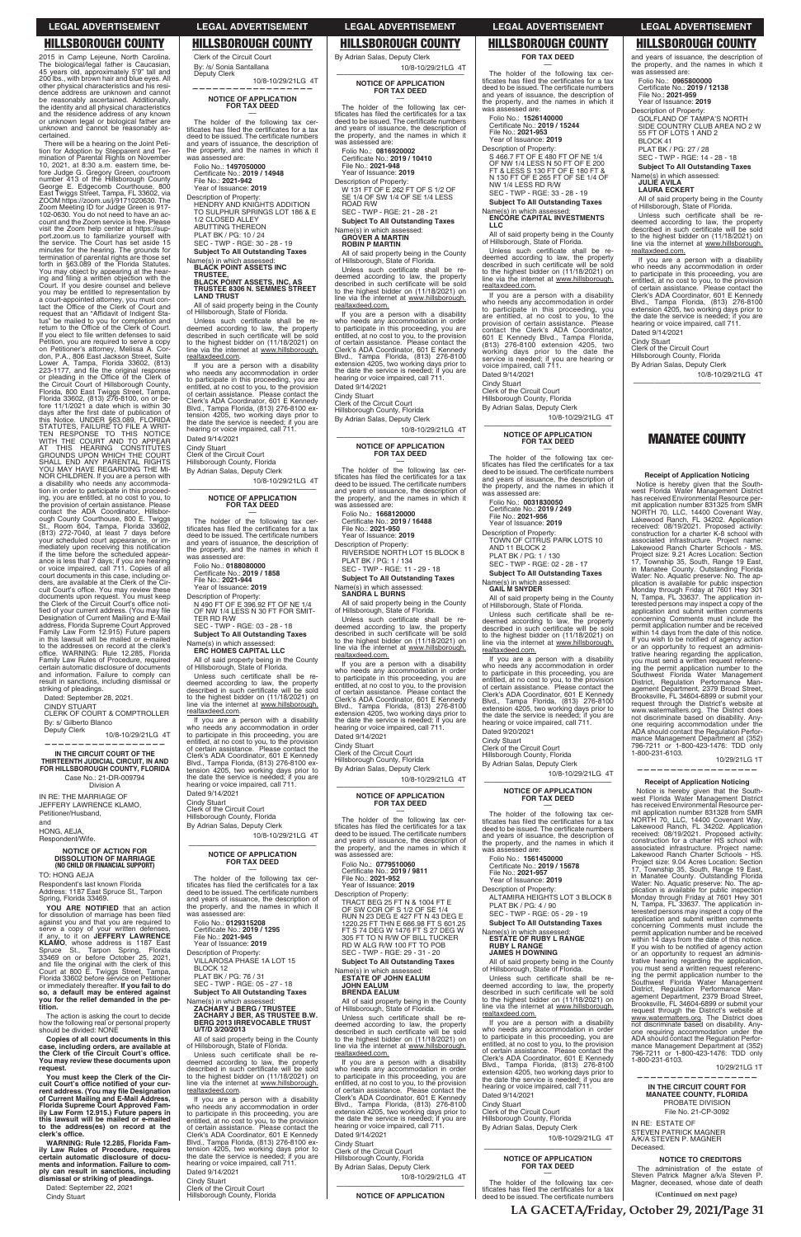2015 in Camp Lejeune, North Carolina. The biological/legal father is Caucasian, 45 years old, approximately 5'9" tall and 200 lbs., with brown hair and blue eyes. All other physical characteristics and his residence address are unknown and cannot be reasonably ascertained. Additionally, the identity and all physical characteristics and the residence address of any known or unknown legal or biological father are unknown and cannot be reasonably ascertained.

CINDY STUART CLERK OF COURT & COMPTROLLER By: s/ Gilberto Blanco<br>Deputy Clerk

10/8-10/29/21LG 4T **——————————————————**

There will be a hearing on the Joint Petition for Adoption by Stepparent and Ter-mination of Parental Rights on November 10, 2021, at 8:30 a.m. eastern time, be-fore Judge G. Gregory Green, courtroom number 413 of the Hillsborough County George E. Edgecomb Courthouse, 800 East Twiggs Street, Tampa, FL 33602, via ZOOM https://zoom.us/j/9171020630. The Zoom Meeting ID for Judge Green is 917- 102-0630. You do not need to have an ac-count and the Zoom service is free. Please visit the Zoom help center at https://support.zoom.us to familiarize yourself with the service. The Court has set aside 15 minutes for the hearing. The grounds for termination of parental rights are those set forth in §63.089 of the Florida Statutes. You may object by appearing at the hear-<br>ing and filing a written objection with the<br>Court. If you desire counsel and believe<br>you may be entitled to representation by a court-appointed attorney, you must con-<br>tact the Office of the Clerk of Court and<br>request that an "Affidavit of Indigent Status" be mailed to you for completion and<br>return to the Office of the Clerk of Court. If you elect to file written defenses to said Petition, you are required to serve a copy on Petitioner's attorney, Melissa A. Cor-don, P.A., 806 East Jackson Street, Suite Lower A, Tampa, Florida 33602, (813)<br>223-1177, and file the original response<br>or pleading in the Office of the Clerk of<br>the Circuit Court of Hillsborough County,<br>Florida, 800 East Twiggs Street, Tampa,<br>Florida 33602, (813) fore 11/1/2021 a date which is within 30<br>days after the first date of publication of<br>this Notice. UNDER §63.089, FLORIDA<br>STATUTES, FAILURE TO THE A WRIT-<br>TEN RESPONSE TO THIS NOTICE<br>WITH THE COURT AND TO APPEAR AT THIS HEARING CONSTITUTES<br>GROUNDS UPON WHICH THE COURT<br>SHALL END ANY PARENTAL RIGHTS YOU MAY HAVE REGARDING THE MI-NOR CHILDREN. If you are a person with a disability who needs any accommodation in order to participate in this proceed-ing, you are entitled, at no cost to you, to the provision of certain assistance. Please contact the ADA Coordinator, Hillsbor-ough County Courthouse, 800 E. Twiggs St., Room 604, Tampa, Florida 33602, (813) 272-7040, at least 7 days before your scheduled court appearance, or immediately upon receiving this notification<br>if the time before the scheduled appear-<br>ance is less that 7 days; if you are hearing<br>or voice impaired, call 711. Copies of all court documents in this case, including or-ders, are available at the Clerk of the Circuit Court's office. You may review these<br>documents upon request. You must keep<br>the Clerk of the Circuit Court's office notified of your current address. (You may file Designation of Current Mailing and E-Mail address, Florida Supreme Court Approved Family Law Form 12.915) Future papers in this lawsuit will be mailed or e-mailed<br>to the addresses on record at the clerk's<br>office. WARNING: Rule 12.285, Florida Family Law Rules of Procedure, required certain automatic disclosure of documents and information. Failure to comply can result in sanctions, including dismissal or striking of pleadings.

for dissolution of marriage has been filed against you and that you are required to serve a copy of your written defenses, if any, to it on **JEFFERY LAWRENCE KLAMO**, whose address is 1187 East<br>Spruce St., Tarpon Spring, Florida<br>33469 on or before October 25, 2021,<br>and file the original with the clerk of this<br>Court at 800 E. Twiggs Street, Tampa,<br>Florida 33602 before service on or immediately thereafter. **If you fail to do so, a default may be entered against you for the relief demanded in the petition.**

**You must keep the Clerk of the Cir**cuit Court's office notified of your cur-<br>rent address. (You may file Designation<br>of Current Mailing and E-Mail Address,<br>Florida Supreme Court Approved Fam-<br>ily Law Form 12.915.) Future papers in **this lawsuit will be mailed or e-mailed to the address(es) on record at the**  clerk's office.

The holder of the following tax cer-<br>tificates has filed the certificates for a tax<br>deed to be issued. The certificate numbers and years of issuance, the description of the property, and the names in which it was assessed are:

Folio No.: **1497050000** Certificate No.: 2019 / 14948

Unless such certificate shall be redeemed according to law, the property<br>described in such certificate will be sold<br>to the highest bidder on (11/18/2021) on line via the internet at www.hillsborough. realtaxdeed.com.

Dated: September 28, 2021.

The holder of the following tax certificates has filed the certificates for a tax<br>deed to be issued. The certificate numbers<br>and years of issuance, the description of the property, and the names in which it assessed are:

Folio No.: **0188080000** Certificate No.: **2019 / 1858**<br>File No.: **2021-944** 

**IN THE CIRCUIT COURT OF THE THIRTEENTH JUDICIAL CIRCUIT, IN AND FOR HILLSBOROUGH COUNTY, FLORIDA**

SEC - TWP - RGE: 03 - 28 - 18 **Subject To All Outstanding Taxes** 

Case No.: 21-DR-009794 Division A

IN RE: THE MARRIAGE OF JEFFERY LAWRENCE KLAMO, Petitioner/Husband, and

HONG, AEJA, Respondent/Wife.

## **NOTICE OF ACTION FOR DISSOLUTION OF MARRIAGE (NO CHILD OR FINANCIAL SUPPORT)**

Unless such certificate shall be redeemed according to law, the property<br>described in such certificate will be sold<br>to the highest bidder on (11/18/2021) on line via the internet at www.hillsborough. realtaxdeed.com.

TO: HONG AEJA Respondent's last known Florida Address: 1187 East Spruce St., Tarpon Spring, Florida 33469.

**YOU ARE NOTIFIED** that an

The action is asking the court to decide how the following real or personal property should be divided: NONE

**Copies of all court documents in this case, including orders, are available at the Clerk of the Circuit Court's office. You may review these documents upon request.**

Folio No.: **0816920002**  Certificate No.: **2019 / 10410**<br>File No.: **2021-948**<br>Year of Issuance: **2019** 

W 131 FT OF E 262 FT OF S 1/2 OF SE 1/4 OF SW 1/4 OF SE 1/4 LESS ROAD R/W SEC - TWP - RGE: 21 - 28 - 21 **Subject To All Outstanding Taxes** 

**WARNING: Rule 12.285, Florida Family Law Rules of Procedure, requires certain automatic disclosure of documents and information. Failure to comply can result in sanctions, including dismissal or striking of pleadings.**

Dated: September 22, 2021 Cindy Stuart

Clerk of the Circuit Court By: /s/ Sonia Santallana Deputy Clerk

### 10/8-10/29/21LG 4T **—————————————————— NOTICE OF APPLICATION**

**FOR TAX DEED** ––

> Folio No.: 1**668120000**<br>Certificate No.: **2019 / 16488**<br>File No.: **2021-950** Year of Issuance: **2019** Description of Property:

File No.: **2021-942** Year of Issuance: **2019**

> PLAT BK / PG: 1 / 134 SEC - TWP - RGE: 11 - 29 - 18 **Subject To All Outstanding Taxes**

- Description of Property:
- HENDRY AND KNIGHTS ADDITION TO SULPHUR SPRINGS LOT 186 & E 1/2 CLOSED ALLEY
- ABUTTING THEREON
- PLAT BK / PG: 10 / 24
- SEC TWP RGE: 30 28 19

**Subject To All Outstanding Taxes** 

## Name(s) in which assessed: **BLACK POINT ASSETS INC TRUSTEE, BLACK POINT ASSETS, INC, AS TRUSTEE 8306 N. SEMMES STREET LAND TRUST**

All of said property being in the County of Hillsborough, State of Florida.

If you are a person with a disability who needs any accommodation in order to participate in this proceeding, you are entitled, at no cost to you, to the provision of certain assistance. Please contact the Clerk's ADA Coordinator, 601 E Kennedy Blvd., Tampa Florida, (813) 276-8100 ex-tension 4205, two working days prior to the date the service is needed; if you are hearing or voice impaired, call 711 Dated 9/14/2021

Unless such certificate shall be redeemed according to law, the property<br>described in such certificate will be sold to the highest bidder on (11/18/2021) on line via the internet at www.hillsborough. realtaxdeed.com.

Cindy Stuart Clerk of the Circuit Court

Hillsborough County, Florida

By Adrian Salas, Deputy Clerk 10/8-10/29/21LG 4T

## —————————————————— **NOTICE OF APPLICATION FOR TAX DEED** ––

The holder of the following tax cer-<br>tificates has filed the certificates for a tax<br>deed to be issued. The certificate numbers and years of issuance, the description of the property, and the names in which it was assessed are:

Year of Issuance: **2019**

S 466.7 FT OF E 480 FT OF NE 1/4<br>OF NW 1/4 LESS N 50 FT OF E 200<br>FT & LESS S 130 FT OF E 180 FT &<br>N 130 FT OF E 265 FT OF SE 1/4 OF<br>NW 1/4 LESS RD R/W SEC - TWP - RGE: 33 - 28 - 19

**Subject To All Outstanding Taxes** Name(s) in which assessed: **ENCORE CAPITAL INVESTMENTS** 

Description of Property: N 490 FT OF E 396.92 FT OF NE 1/4 OF NW 1/4 LESS N 30 FT FOR SMIT-TER RD R/W

Name(s) in which assessed: **ERC HOMES CAPITAL LLC**

Unless such certificate shall be re-<br>deemed according to law, the property described in such certificate will be sold to the highest bidder on (11/18/2021) on line via the internet at www.hillsborough. realtaxdeed.com.

All of said property being in the County of Hillsborough, State of Florida.

Folio No.: **0031830050**  Certificate No.: **2019 / 249**<br>File No.: **2021-956** 

If you are a person with a disability who needs any accommodation in order to participate in this proceeding, you are entitled, at no cost to you, to the provision of certain assistance. Please contact the Clerk's ADA Coordinator, 601 E Kennedy Blvd., Tampa Florida, (813) 276-8100 ex-tension 4205, two working days prior to the date the service is needed; if you are hearing or voice impaired, call 711. Dated 9/14/2021

**Subject To All Outstanding Taxes** Name(s) in which assessed: **GAIL M SNYDER**

Unless such certificate shall be re-<br>deemed according to law, the property described in such certificate will be sold to the highest bidder on (11/18/2021) on line via the internet at www.hillsborough. realtaxdeed.com.

Cindy Stuart Clerk of the Circuit Court Hillsborough County, Florida

By Adrian Salas, Deputy Clerk 10/8-10/29/21LG 4T

### —————————————————— **NOTICE OF APPLICATION FOR TAX DEED** ––

The holder of the following tax cer-<br>tificates has filed the certificates for a tax deed to be issued. The certificate numbers and years of issuance, the description of the property, and the names in which it was assessed are: Folio No.: **0129315208** Certificate No.: **2019 / 1295**<br>File No.: **2021-945**<br>Year of Issuance: **2019** Description of Property: VILLAROSA PHASE 1A LOT 15 BLOCK 12 PLAT BK / PG: 76 / 31 SEC - TWP - RGE: 05 - 27 - 18 **Subject To All Outstanding Taxes** 

If you are a person with a disability who needs any accommodation in order to participate in this proceeding, you are entitled, at no cost to you, to the provision of certain assistance. Please contact the Clerk's ADA Coordinator, 601 E Kennedy Blvd., Tampa Florida, (813) 276-8100 extension 4205, two working days prior to the date the service is needed; if you are hearing or voice impaired, call 711. Dated 9/20/2021

The holder of the following tax cer-<br>tificates has filed the certificates for a tax deed to be issued. The certificate numbers and years of issuance, the description of the property, and the names in which it was assessed are:

Folio No.: **1561450000**  Certificate No.: **2019 / 15678**<br>File No.: **2021-957** 

SEC - TWP - RGE: 05 - 29 - 19 **Subject To All Outstanding Taxes** 

Unless such certificate shall be re-<br>deemed according to law, the property described in such certificate will be sold to the highest bidder on (11/18/2021) on line via the internet at www.hillsborough. realtaxdeed.com.

Name(s) in which assessed: **ZACHARY J BERG / TRUSTEE ZACHARY J BER, AS TRUSTEE B.W. BERG 2013 IRREVOCABLE TRUST U/T/D 3/20/2013**

All of said property being in the County of Hillsborough, State of Florida.

Unless such certificate shall be redeemed according to law, the property<br>described in such certificate will be sold<br>to the highest bidder on (11/18/2021) on line via the internet at www.hillsborough. realtaxdeed.com.

> The holder of the following tax certificates has filed the certificates for a tax deed to be issued. The certificate numbers

If you are a person with a disability who needs any accommodation in order to participate in this proceeding, you are entitled, at no cost to you, to the provision<br>of certain assistance. Please contact the<br>Clerk's ADA Coordinator, 601 E Kennedy<br>Blvd., Tampa Florida, (813) 276-8100 ex-<br>tension 4205, two working days prior to the date the service is needed; if you are hearing or voice impaired, call 711.

Unless such certificate shall be redeemed according to law, the property<br>described in such certificate will be sold<br>to the highest bidder on (11/18/2021) on line via the internet at www.hillsborough. realtaxdeed.com.

Dated 9/14/2021

Cindy Stuart Clerk of the Circuit Court Hillsborough County, Florida By Adrian Salas, Deputy Clerk 10/8-10/29/21LG 4T

—————————————————— **NOTICE OF APPLICATION FOR TAX DEED** ––

The holder of the following tax certificates has filed the certificates for a tax<br>deed to be issued. The certificate numbers and years of issuance, the description of the property, and the names in which it was assessed are:

Description of Property:

Name(s) in which assessed: **GROVER A MARTIN ROBIN P MARTIN**

Notice is hereby given that the South-<br>west Florida Water Management District<br>has received Environmental Resource per-<br>mit application number 831325 from SMR<br>NORTH 70, LLC, 14400 Covenant Way,<br>Lakewood Ranch, FL 34202. App associated infrastructure. Project name: Lakewood Ranch Charter Schools - MS. Project size: 9.21 Acres Location: Section 17, Township 35, South, Range 19 East,<br>in Manatee County. Outstanding Florida<br>Water: No. Aquatic preserve: No. The application is available for public inspection Monday through Friday at 7601 Hwy 301 N, Tampa, FL 33637. The application interested persons may inspect a copy of the application and submit written comments concerning Comments must include the permit application number and be received within 14 days from the date of this notice.<br>If you wish to be notified of agency action or an opportunity to request an administrative hearing regarding the application, you must send a written request referenc-

All of said property being in the County of Hillsborough, State of Florida. Unless such certificate shall be redeemed according to law, the property<br>described in such certificate will be sold<br>to the highest bidder on (11/18/2021) on line via the internet at www.hillsborough.

> ing the permit application number to the<br>Southwest Florida Water Management<br>District, Regulation Performance Man-<br>agement Department, 2379 Broad Street,<br>Brooksville, FL 34604-6899 or submit your<br>request through the Distric ADA should contact the Regulation Performance Management Department at (352) 796-7211 or 1-800-423-1476: TDD only 1-800-231-6103.

realtaxdeed.com.

If you are a person with a disability who needs any accommodation in order to participate in this proceeding, you are entitled, at no cost to you, to the provision of certain assistance. Please contact the

Clerk's ADA Coordinator, 601 E Kennedy Blvd., Tampa Florida, (813) 276-8100 extension 4205, two working days prior to the date the service is needed; if you are hearing or voice impaired, call 711.

Dated 9/14/2021 Cindy Stuart Clerk of the Circuit Court Hillsborough County, Florida By Adrian Salas, Deputy Clerk

10/8-10/29/21LG 4T

—————————————————— **NOTICE OF APPLICATION FOR TAX DEED** –– The holder of the following tax certificates has filed the certificates for a tax<br>deed to be issued. The certificate numbers<br>and years of issuance, the description of the property, and the names in which it was assessed are:

> The administration of the estate of Steven Patrick Magner a/k/a Steven P.<br>Magner, deceased, whose date of death

RIVERSIDE NORTH LOT 15 BLOCK 8

Name(s) in which assessed: **SANDRA L BURNS**

All of said property being in the County

Unless such certificate shall be redeemed according to law, the property<br>described in such certificate will be sold<br>to the highest bidder on (11/18/2021) on<br>line via the internet at www.hillsborough.

of Hillsborough, State of Florida.

realtaxdeed.com.

If you are a person with a disability who needs any accommodation in order to participate in this proceeding, you are entitled, at no cost to you, to the provision of certain assistance. Please contact the Clerk's ADA Coordinator, 601 E Kennedy Blvd., Tampa Florida, (813) 276-8100 extension 4205, two working days prior to the date the service is needed; if you are hearing or voice impaired, call 711.

Dated 9/14/2021 Cindy Stuart Clerk of the Circuit Court Hillsborough County, Florida By Adrian Salas, Deputy Clerk

10/8-10/29/21LG 4T

—————————————————— **NOTICE OF APPLICATION FOR TAX DEED** –– The holder of the following tax cer-<br>tificates has filed the certificates for a tax<br>deed to be issued. The certificate numbers and years of issuance, the description of the property, and the names in which it

was assessed are: Folio No.: **0779510060**  Certificate No.: 2019 / 9811 File No.: **2021-952** Year of Issuance: **2019** Description of Property:

TRACT BEG 25 FT N & 1004 FT E OF SW COR OF S 1/2 OF SE 1/4 RUN N 23 DEG E 427 FT N 43 DEG E 1220.25 FT THN E 666.98 FT S 601.25 FT S 74 DEG W 1476 FT S 27 DEG W 305 FT TO N R/W OF BILL TUCKER RD W ALG R/W 100 FT TO POB SEC - TWP - RGE: 29 - 31 - 20

**Subject To All Outstanding Taxes** 

Name(s) in which assessed: **ESTATE OF JOHN EALUM JOHN EALUM BRENDA EALUM**

All of said property being in the County of Hillsborough, State of Florida.

If you are a person with a disability who needs any accommodation in order to participate in this proceeding, you are entitled, at no cost to you, to the provision<br>of certain assistance. Please contact the<br>Clerk's ADA Coordinator, 601 E Kennedy<br>Blvd., Tampa Florida, (813) 276-8100<br>extension 4205, two working days prior to<br>the date the ser Dated 9/14/2021

Cindy Stuart Clerk of the Circuit Court

Hillsborough County, Florida

By Adrian Salas, Deputy Clerk

10/8-10/29/21LG 4T

### —————————————————— **NOTICE OF APPLICATION**

**FOR TAX DEED** ––

Folio No.: **1526140000**  Certificate No.: 2019 / 15244 File No.: **2021-953**

Year of Issuance: **2019** Description of Property:

**LLC**

All of said property being in the County of Hillsborough, State of Florida.

If you are a person with a disability who needs any accommodation in order to participate in this proceeding, you are entitled, at no cost to you, to the provision of certain assistance. Please contact the Clerk's ADA Coordinator, 601 E Kennedy Blvd., Tampa Florida, (813) 276-8100 extension 4205, two working days prior to the date the service is needed; if you are hearing or voice impaired, call 711. Dated 9/14/2021

Cindy Stuart Clerk of the Circuit Court Hillsborough County, Florida

By Adrian Salas, Deputy Clerk

10/8-10/29/21LG 4T

—————————————————— **NOTICE OF APPLICATION FOR TAX DEED** ––

The holder of the following tax certificates has filed the certificates for a tax deed to be issued. The certificate numbers<br>and years of issuance, the description of the property, and the names in which it was assessed are:

Year of Issuance: **2019** Description of Property: TOWN OF CITRUS PARK LOTS 10 AND 11 BLOCK 2

PLAT BK / PG: 1 / 130

SEC - TWP - RGE: 02 - 28 - 17

All of said property being in the County of Hillsborough, State of Florida.

Cindy Stuart

Clerk of the Circuit Court Hillsborough County, Florida By Adrian Salas, Deputy Clerk 10/8-10/29/21LG 4T

—————————————————— **NOTICE OF APPLICATION FOR TAX DEED** ––

Year of Issuance: **2019**

Description of Property:

ALTAMIRA HEIGHTS LOT 3 BLOCK 8 PLAT BK / PG: 4 / 90

Name(s) in which assessed: **ESTATE OF RUBY L RANGE RUBY L RANGE JAMES H DOWNING**

All of said property being in the County of Hillsborough, State of Florida.

If you are a person with a disability who needs any accommodation in order to participate in this proceeding, you are entitled, at no cost to you, to the provision of certain assistance. Please contact the Clerk's ADA Coordinator, 601 E Kennedy Blvd., Tampa Florida, (813) 276-8100 extension 4205, two working days prior to the date the service is needed; if you are hearing or voice impaired, call 711.

Dated 9/14/2021

Cindy Stuart Clerk of the Circuit Court Hillsborough County, Florida By Adrian Salas, Deputy Clerk

10/8-10/29/21LG 4T

## —————————————————— **NOTICE OF APPLICATION FOR TAX DEED** ––

and years of issuance, the description of the property, and the names in which it was assessed are: Folio No.: **0965800000**  Certificate No.: 2019 / 12138 File No.: **2021-959** Year of Issuance: **2019** Description of Property: GOLFLAND OF TAMPA'S NORTH SIDE COUNTRY CLUB AREA NO 2 W 55 FT OF LOTS 1 AND 2 BLOCK 41 PLAT BK / PG: 27 / 28 SEC - TWP - RGE: 14 - 28 - 18

**Subject To All Outstanding Taxes** 

Name(s) in which assessed: **JULIE AVILA**

**LAURA ECKERT**

All of said property being in the County of Hillsborough, State of Florida.

If you are a person with a disability who needs any accommodation in order to participate in this proceeding, you are entitled, at no cost to you, to the provision of certain assistance. Please contact the Clerk's ADA Coordinator, 601 E Kennedy Blvd., Tampa Florida, (813) 276-8100 extension 4205, two working days prior to the date the service is needed; if you are hearing or voice impaired, call 711. Dated 9/14/2021

Cindy Stuart Clerk of the Circuit Court

Hillsborough County, Florida By Adrian Salas, Deputy Clerk

10/8-10/29/21LG 4T

——————————————————

## **MANATEE COUNTY**

## **Receipt of Application Noticing**

10/29/21LG 1T

**—————————————————— Receipt of Application Noticing**  Notice is hereby given that the Southwest Florida Water Management District has received Environmental Resource per-mit application number 831328 from SMR

NORTH 70, LLC, 14400 Covenant Way, Lakewood Ranch, FL 34202. Application received: 08/19/2021. Proposed activity: construction for a charter HS school with

associated infrastructure. Project name: Lakewood Ranch Charter Schools - HS. Project size: 9.04 Acres Location: Section 17, Township 35, South, Range 19 East, in Manatee County. Outstanding Florida Water: No. Aquatic preserve: No. The ap-plication is available for public inspection Monday through Friday at 7601 Hwy 301

N, Tampa, FL 33637. The application in-terested persons may inspect a copy of the application and submit written comments concerning Comments must include the permit application number and be received within 14 days from the date of this notice. If you wish to be notified of agency action or an opportunity to request an adminis-trative hearing regarding the application, you must send a written request referencing the permit application number to the Southwest Florida Water Management District, Regulation Performance Management Department, 2379 Broad Street, Brooksville, FL 34604-6899 or submit your request through the District's website at www.watermatters.org. The District does not discriminate based on disability. Anyone requiring accommodation under the ADA should contact the Regulation Perfor-mance Management Department at (352) 796-7211 or 1-800-423-1476: TDD only 1-800-231-6103.

10/29/21LG 1T

**——————————————————**

### **IN THE CIRCUIT COURT FOR MANATEE COUNTY, FLORIDA** PROBATE DIVISION File No. 21-CP-3092

IN RE: ESTATE OF STEVEN PATRICK MAGNER A/K/A STEVEN P. MAGNER Deceased.

### **NOTICE TO CREDITORS**

**LA GACETA/Friday, October 29, 2021/Page 31**

## **LEGAL ADVERTISEMENT LEGAL ADVERTISEMENT LEGAL ADVERTISEMENT LEGAL ADVERTISEMENT LEGAL ADVERTISEMENT**

## **HILLSBOROUGH COUNTY HILLSBOROUGH COUNTY HILLSBOROUGH COUNTY HILLSBOROUGH COUNTY HILLSBOROUGH COUNTY**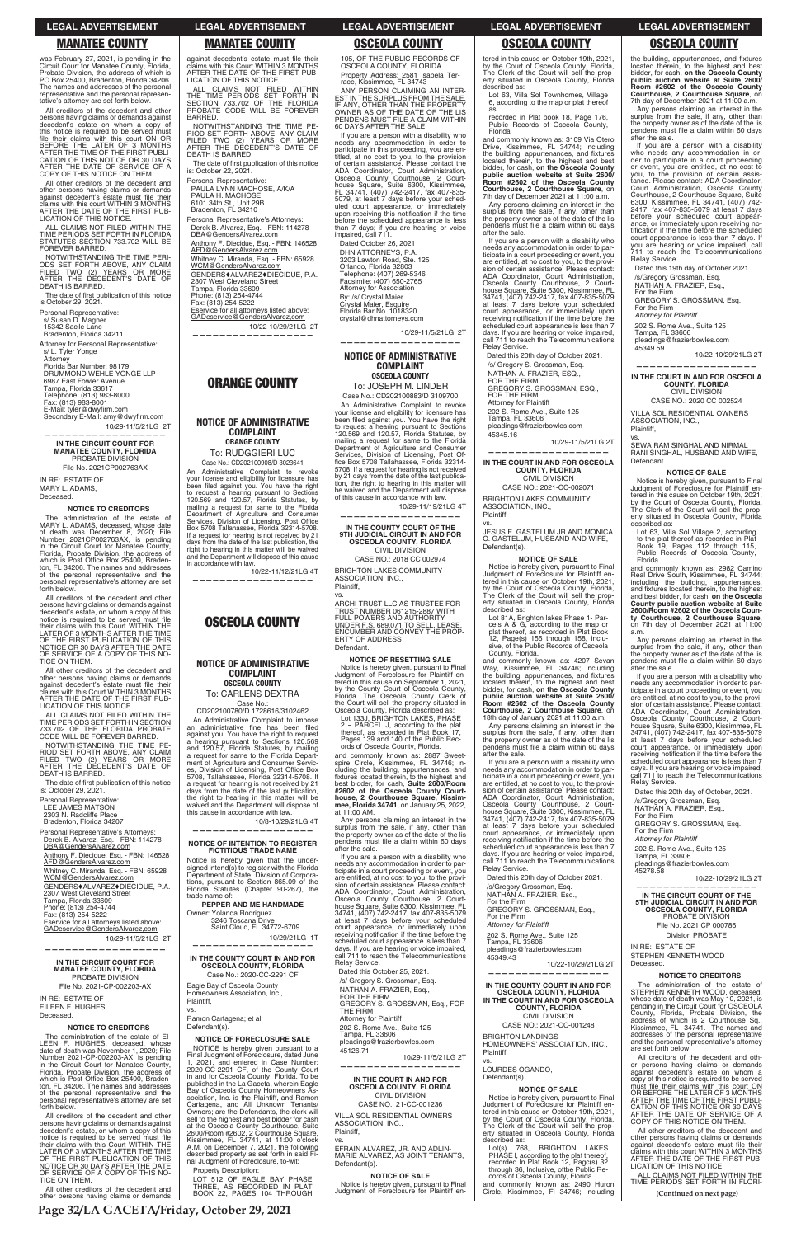**Page 32/LA GACETA/Friday, October 29, 2021**

All creditors of the decedent and other persons having claims or demands against decedent's estate on whom a copy of this notice is required to be served must file their claims with this court ON OR<br>BEFORE THE LATER OF 3 MONTHS<br>AFTER THE TIME OF THE FIRST PUBLI-<br>CATION OF THIS NOTICE OR 30 DAYS<br>AFTER THE DATE OF SERVICE OF A<br>COPY OF THIS NOTICE ON THEM.

was February 27, 2021, is pending in the Circuit Court for Manatee County, Florida, Probate Division, the address of which is PO Box 25400, Bradenton, Florida 34206. The names and addresses of the personal representative and the personal representative's attorney are set forth below.

The date of first publication of this notice is October 29, 2021.

All other creditors of the decedent and other persons having claims or demands<br>against decedent's estate must file their<br>claims with this court WITHIN 3 MONTHS<br>AFTER THE DATE OF THE FIRST PUB-LICATION OF THIS NOTICE.

ALL CLAIMS NOT FILED WITHIN THE TIME PERIODS SET FORTH IN FLORIDA STATUTES SECTION 733.702 WILL BE FOREVER BARRED.

NOTWITHSTANDING THE TIME PERI-ODS SET FORTH ABOVE, ANY CLAIM FILED TWO (2) YEARS OR MORE AFTER THE DECEDENT'S DATE OF DEATH IS BARRED.

Personal Representative: s/ Susan D. Magner 15342 Sacile Lane Bradenton, Florida 34211

Attorney for Personal Representative: s/ L. Tyler Yonge

Attorney Florida Bar Number: 98179 DRUMMOND WEHLE YONGE LLP 6987 East Fowler Avenue Tampa, Florida 33617 Telephone: (813) 983-8000 Fax: (813) 983-8001 E-Mail: tyler@dwyfirm.com Secondary E-Mail: amy@dwyfirm.com 10/29-11/5/21LG 2T

The date of first publication of this notice is: October 29, 2021.

Personal Representative's Attorneys: Derek B. Alvarez, Esq. - FBN: 114278 DBA@GendersAlvarez.com Anthony F. Diecidue, Esq. - FBN: 146528 AFD@GendersAlvarez.com Whitney C. Miranda, Esq. - FBN: 65928 WCM@GendersAlvarez.com GENDERS**+ALVAREZ+DIECIDUE**, P.A.

**——————————————————**

### **IN THE CIRCUIT COURT FOR MANATEE COUNTY, FLORIDA** PROBATE DIVISION File No. 2021CP002763AX

IN RE: ESTATE OF MARY L. ADAMS, Deceased.

### **NOTICE TO CREDITORS**

The administration of the estate of MARY L. ADAMS, deceased, whose date of death was December 8, 2020; File Number 2021CP002763AX, is pending in the Circuit Court for Manatee County, Florida, Probate Division, the address of<br>which is Post Office Box 25400, Braden-<br>ton, FL 34206. The names and addresses of the personal representative and the personal representative's attorney are set forth below.

All creditors of the decedent and other persons having claims or demands against<br>decedent's estate, on whom a copy of this<br>notice is required to be served must file their claims with this Court WITHIN THE LATER OF 3 MONTHS AFTER THE TIME OF THE FIRST PUBLICATION OF THIS NOTICE OR 30 DAYS AFTER THE DATE OF SERVICE OF A COPY OF THIS NO-TICE ON THEM. against decedent's estate must file their claims with this Court WITHIN 3 MONTHS AFTER THE DATE OF THE FIRST PUB-LICATION OF THIS NOTICE.

ALL CLAIMS NOT FILED WITHIN<br>THE TIME PERIODS SET FORTH IN<br>SECTION 733.702 OF THE FLORIDA<br>PROBATE CODE WILL BE FOREVER

All other creditors of the decedent and other persons having claims or demands<br>against decedent's estate must file their<br>claims with this Court WITHIN 3 MONTHS AFTER THE DATE OF THE FIRST PUB-LICATION OF THIS NOTICE.

ALL CLAIMS NOT FILED WITHIN THE TIME PERIODS SET FORTH IN SECTION 733.702 OF THE FLORIDA PROBATE CODE WILL BE FOREVER BARRED.

**NOTICE OF ADMINISTRATIVE COMPLAINT ORANGE COUNTY** To: RUDGGIERI LUC Case No.: CD202100908/D 3023641 An Administrative Complaint to revoke<br>your license and eligibility for licensure has<br>been filed against you. You have the right

NOTWITHSTANDING THE TIME PE-RIOD SET FORTH ABOVE, ANY CLAIM FILED TWO (2) YEARS OR MORE AFTER THE DECEDENT'S DATE OF DEATH IS BARRED.

Personal Representative: LEE JAMES MATSON

2303 N. Radcliffe Place

Bradenton, Florida 34207

**NOTICE OF ADMINISTRATIVE COMPLAINT OSCEOLA COUNTY** To: CARLENS DEXTRA Case No.: CD202100780/D 1728616/3102462 An Administrative Complaint to impose<br>an administrative fine has been filed<br>against you. You have the right to request

2307 West Cleveland Street Tampa, Florida 33609 Phone: (813) 254-4744

NOTWITHSTANDING THE TIME PE-RIOD SET FORTH ABOVE, ANY CLAIM FILED TWO (2) YEARS OR MORE AFTER THE DECEDENT'S DATE OF

The date of first publication of this notice<br>is: October 22, 2021.

DEATH IS BARRED.

Personal Representative: PAULA LYNN MACHOSE, A/K/A PAULA H. MACHOSE 6101 34th St., Unit 29B Bradenton, FL 34210 Personal Representative's Attorneys: Derek B. Alvarez, Esq. - FBN: 114278 DBA@GendersAlvarez.com

Anthony F. Diecidue, Esq. - FBN: 146528

AFD@GendersAlvarez.com

**BARRED** 

Whitney C. Miranda, Esq. - FBN: 65928 WCM@GendersAlvarez.com

GENDERS♦ALVAREZ♦DIECIDUE, P.A.<br>2307 West Cleveland Street<br>Tampa, Florida 33609

Phone: (813) 254-4744 Fax: (813) 254-5222 Eservice for all attorneys listed above: GADeservice@GendersAlvarez,com

10/22-10/29/21LG 2T

**——————————————————**

**ORANGE COUNTY**

to request a hearing pursuant to Sections 120.569 and 120.57, Florida Statutes, by mailing a request for same to the Florida

Department of Agriculture and Consumer<br>Services, Division of Licensing, Post Office<br>Box 5708 Tallahassee, Florida 32314-5708.

 If a request for hearing is not received by 21 days from the date of the last publication, the right to hearing in this matter will be waived and the Department will dispose of this cause

in accordance with law.

10/22-11/12/21LG 4T

**——————————————————**

**OSCEOLA COUNTY**

a hearing pursuant to Sections 120.569 and 120.57, Florida Statutes, by mailing a request for same to the Florida Depart-

ment of Agriculture and Consumer Servic-<br>es, Division of Licensing, Post Office Box<br>5708, Tallahassee, Florida 32314-5708. If

a request for hearing is not received by 21 days from the date of the last publication, the right to hearing in this matter will be waived and the Department will dispose of this cause in accordance with law.

10/8-10/29/21LG 4T

**—————————————————— NOTICE OF INTENTION TO REGISTER FICTITIOUS TRADE NAME** Notice is hereby given that the under-signed intend(s) to register with the Florida Department of State, Division of Corpora-tions, pursuant to Section 865.09 of the Florida Statutes (Chapter 90-267), the

trade name of:

Notice is hereby given, pursuant to Final<br>Judgment of Foreclosure for Plaintiff en-<br>tered in this cause on October 19th, 2021,<br>by the Court of Osceola County, Florida, The Clerk of the Court will sell the property situated in Osceola County, Florida described as:

and commonly known as: 4207 Sevan<br>Way, Kissimmee, FL 34746; including<br>the building, appurtenances, and fixtures<br>located therein, to the highest and best bidder, for cash, **on the Osceola County public auction website at Suite 2600/ Room #2602 of the Osceola County Courthouse, 2 Courthouse Square**, on 18th day of January 2021 at 11:00 a.m.

105, OF THE PUBLIC RECORDS OF OSCEOLA COUNTY, FLORIDA. Property Address: 2581 Isabela Ter-race, Kissimmee, FL 34743

ANY PERSON CLAIMING AN INTER-EST IN THE SURPLUS FROM THE SALE,<br>IF ANY, OTHER THAN THE PROPERTY<br>OWNER AS OF THE DATE OF THE LIS<br>PENDENS MUST FILE A CLAIM WITHIN 60 DAYS AFTER THE SALE.

the building, appurtenances, and fixtures<br>located therein, to the highest and best<br>bidder, for cash, **on the Osceola County**<br>**Proom #2602 of the Osceola County Courthouse, 2 Courthouse Square**, on

If you are a person with a disability who needs any accommodation in order to participate in this proceeding, you are en-<br>titled, at no cost to you, to the provision<br>of certain assistance. Please contact the<br>ADA Coordinator, Court Administration,<br>Osceola County Courthouse, 2 Court-<br>house Square, Sui uled court appearance, or immediately upon receiving this notification if the time<br>before the scheduled appearance is less than 7 days; if you are hearing or voice impaired, call 711.

Dated October 26, 2021 DHN ATTORNEYS, P.A. 3203 Lawton Road, Ste. 125 Orlando, Florida 32803 Telephone: (407) 269-5346 Facsimile: (407) 650-2765 Attorney for Association By: /s/ Crystal Maier Crystal Maier, Esquire Florida Bar No. 1018320 crystal@dhnattorneys.com

10/29-11/5/21LG 2T

**——————————————————**

## **NOTICE OF ADMINISTRATIVE COMPLAINT OSCEOLA COUNTY**

To: JOSEPH M. LINDER Case No.: CD202100883/D 3109700

An Administrative Complaint to revoke your license and eligibility for licensure has<br>been filed against you. You have the right<br>to request a hearing pursuant to Sections<br>120.569 and 120.57, Florida Statutes, by mailing a request for same to the Florida Department of Agriculture and Consumer Services, Division of Licensing, Post Office Box 5708 Tallahassee, Florida 32314-5708. If a request for hearing is not received by 21 days from the date of the last publication, the right to hearing in this matter will be waived and the Department will dispose of this cause in accordance with law.

10/29-11/19/21LG 4T

**——————————————————**

## **IN THE COUNTY COURT OF THE 9TH JUDICIAL CIRCUIT IN AND FOR OSCEOLA COUNTY, FLORIDA** CIVIL DIVISION

CASE NO.: 2018 CC 002974

BRIGHTON LAKES COMMUNITY ASSOCIATION, INC., Plaintiff,

### vs.

ARCHI TRUST LLC AS TRUSTEE FOR TRUST NUMBER 061215-2887 WITH FULL POWERS AND AUTHORITY UNDER F.S. 689.071 TO SELL, LEASE, ENCUMBER AND CONVEY THE PROP-ERTY OF ADDRESS Defendant.

### **NOTICE OF RESETTING SALE**

Notice is hereby given, pursuant to Final Judgment of Foreclosure for Plaintiff en-tered in this cause on September 1, 2021, by the County Court of Osceola County, Florida. The Osceola County Clerk of the Court will sell the property situated in Osceola County, Florida described as:

Lot 133J, BRIGHTON LAKES, PHASE 2 - PARCEL J, according to the plat there of, as recorded in Plat Book 17, Pages 139 and 140 of the Public Rec-ords of Osceola County, Florida.

and commonly known as: 2887 Sweetspire Circle, Kissimmee, FL 34746; in-<br>cluding the building, appurtenances, and<br>fixtures located therein, to the highest and best bidder, for cash, **Suite 2600/Room #2602 of the Osceola County Court-house, 2 Courthouse Square, Kissimmee, Florida 34741**, on January 25, 2022, at 11:00 AM.

Any persons claiming an interest in the surplus from the sale, if any, other than the property owner as of the date of the lis pendens must file a claim within 60 days after the sale.

If you are a person with a disability who needs any accommodation in order to participate in a court proceeding or event, you are entitled, at no cost to you, to the provi-sion of certain assistance. Please contact: ADA Coordinator, Court Administration, Osceola County Courthouse, 2 Court-

tered in this cause on October 19th, 2021, by the Court of Osceola County, Florida, The Clerk of the Court will sell the property situated in Osceola County, Florida described as:

Lot 63, Villa Sol Townhomes, Village 6, according to the map or plat thereof as

recorded in Plat book 18, Page 176, Public Records of Osceola County, Florida

and commonly known as: 3109 Via Otero Drive, Kissimmee, FL 34744; including the building, appurtenances, and fixtures located therein, to the highest and best bidder, for cash, **on the Osceola County public auction website at Suite 2600/ Room #2602 of the Osceola County Courthouse, 2 Courthouse Square**, on 7th day of December 2021 at 11:00 a.m.

Any persons claiming an interest in the surplus from the sale, if any, other than the property owner as of the date of the lis pendens must file a claim within 60 days after the sale.

If you are a person with a disability who needs any accommodation in order to par-ticipate in a court proceeding or event, you are entitled, at no cost to you, to the provi-sion of certain assistance. Please contact: ADA Coordinator, Court Administration, Osceola County Courthouse, 2 Court-house Square, Suite 6300, Kissimmee, FL 34741, (407) 742-2417, fax 407-835-5079 at least 7 days before your scheduled<br>court appearance, or immediately upon<br>receiving notification if the time before the scheduled court appearance is less than 7 days. If you are hearing or voice impaired, call 711 to reach the Telecommunications Relay Service.

Dated this 20th day of October 2021. /s/ Gregory S. Grossman, Esq. NATHAN A. FRAZIER, ESQ., FOR THE FIRM GREGORY S. GROSSMAN, ESQ., FOR THE FIRM Attorney for Plaintiff 202 S. Rome Ave., Suite 125 Tampa, FL 33606 pleadings@frazierbowles.com

45345.16 10/29-11/5/21LG 2T

**—————————————————— IN THE COURT IN AND FOR OSCEOLA** 

**COUNTY, FLORIDA** CIVIL DIVISION CASE NO.: 2021-CC-002071

BRIGHTON LAKES COMMUNITY ASSOCIATION, INC., Plaintiff,

vs. JESUS E. GASTELUM JR AND MONICA O. GASTELUM, HUSBAND AND WIFE, Defendant(s).

### **NOTICE OF SALE**

Lot 81A, Brighton lakes Phase 1- Parcels A & G, according to the map or plat thereof, as recorded in Plat Book 12, Page(s) 156 through 158, inclu-sive, of the Public Records of Osceola County, Florida.

Any persons claiming an interest in the surplus from the sale, if any, other than the property owner as of the date of the lis pendens must file a claim within 60 days after the sale.

If you are a person with a disability who needs any accommodation in order to par-ticipate in a court proceeding or event, you are entitled, at no cost to you, to the provi-sion of certain assistance. Please contact: ADA Coordinator, Court Administration, Osceola County Courthouse, 2 Court-house Square, Suite 6300, Kissimmee, FL 34741, (407) 742-2417, fax 407-835-5079 at least 7 days before your scheduled<br>court appearance, or immediately upon<br>receiving notification if the time before the scheduled court appearance is less than 7 days. If you are hearing or voice impaired, call 711 to reach the Telecommunications Relay Service.

Dated this 20th day of October 2021. /s/Gregory Grossman, Esq.

NATHAN A. FRAZIER, Esq., For the Firm

## **LEGAL ADVERTISEMENT LEGAL ADVERTISEMENT LEGAL ADVERTISEMENT LEGAL ADVERTISEMENT LEGAL ADVERTISEMENT**

## **MANATEE COUNTY MANATEE COUNTY OSCEOLA COUNTY OSCEOLA COUNTY OSCEOLA COUNTY**

7th day of December 2021 at 11:00 a.m. Any persons claiming an interest in the surplus from the sale, if any, other than the property owner as of the date of the lis pendens must file a claim within 60 days after the sale.

If you are a person with a disability who needs any accommodation in or-der to participate in a court proceeding or event, you are entitled, at no cost to you, to the provision of certain assis-tance. Please contact: ADA Coordinator, Court Administration, Osceola County Courthouse, 2 Courthouse Square, Suite 6300, Kissimmee, FL 34741, (407) 742- 2417, fax 407-835-5079 at least 7 days before your scheduled court appearance, or immediately upon receiving no-<br>tification if the time before the scheduled court appearance is less than 7 days. If you are hearing or voice impaired, call 711 to reach the Telecommunications Relay Service.

Dated this 19th day of October 2021. /s/Gregory Grossman, Esq.

NATHAN A. FRAZIER, Esq., For the Firm

GREGORY S. GROSSMAN, Esq.,

For the Firm

*Attorney for Plaintiff* 202 S. Rome Ave., Suite 125

Tampa, FL 33606 pleadings@frazierbowles.com

45349.59 10/22-10/29/21LG 2T

**—————————————————— IN THE COURT IN AND FOR OSCEOLA** 

**COUNTY, FLORIDA** CIVIL DIVISION

CASE NO.: 2020 CC 002524

VILLA SOL RESIDENTIAL OWNERS ASSOCIATION, INC., Plaintiff,

vs.

SEWA RAM SINGHAL AND NIRMAL RANI SINGHAL, HUSBAND AND WIFE. Defendant.

### **NOTICE OF SALE**

Notice is hereby given, pursuant to Final Judgment of Foreclosure for Plaintiff entered in this cause on October 19th, 2021, by the Court of Osceola County, Florida, The Clerk of the Court will sell the property situated in Osceola County, Florida described as:

Lot 63, Villa Sol Village 2, according to the plat thereof as recorded in Plat Book 19, Pages 112 through 115, Public Records of Osceola County, Florida

and commonly known as: 2982 Camino Real Drive South, Kissimmee, FL 34744;<br>including the building, appurtenances,<br>and fixtures located therein, to the highest and best bidder, for cash, **on the Osceola County public auction website at Suite 2600/Room #2602 of the Osceola County Courthouse, 2 Courthouse Square**, on 7th day of December 2021 at 11:00 a.m.

Any persons claiming an interest in the surplus from the sale, if any, other than the property owner as of the date of the lis pendens must file a claim within 60 days after the sale.

If you are a person with a disability who needs any accommodation in order to par-ticipate in a court proceeding or event, you are entitled, at no cost to you, to the provi-sion of certain assistance. Please contact: ADA Coordinator, Court Administration,<br>Osceola County Courthouse, 2 Court-<br>house Square, Suite 6300, Kissimmee, FL<br>34741, (407) 742-2417, fax 407-835-5079<br>at least 7 days before your scheduled<br>court appearance, or immediat scheduled court appearance is less than 7 days. If you are hearing or voice impaired, call 711 to reach the Telecommunications Relay Service.

Dated this 20th day of October, 2021. /s/Gregory Grossman, Esq. NATHAN A. FRAZIER, Esq.,

For the Firm GREGORY S. GROSSMAN, Esq.,

For the Firm

*Attorney for Plaintiff*

202 S. Rome Ave., Suite 125 Tampa, FL 33606 pleadings@frazierbowles.com

| i ampa, monaa ooooo<br>Phone: (813) 254-4744                                         | PEPPER AND ME HANDMADE                                                                     | house Square, Suite 6300, Kissimmee, FL                                        | <u>I VI LIIG I IIIII</u><br>GREGORY S. GROSSMAN, Esq.,                                 |
|--------------------------------------------------------------------------------------|--------------------------------------------------------------------------------------------|--------------------------------------------------------------------------------|----------------------------------------------------------------------------------------|
| Fax: (813) 254-5222                                                                  | Owner: Yolanda Rodriguez                                                                   | 34741, (407) 742-2417, fax 407-835-5079                                        | For the Firm                                                                           |
| Eservice for all attorneys listed above:                                             | 3246 Toscana Drive<br>Saint Cloud, FL 34772-6709                                           | at least 7 days before your scheduled<br>court appearance, or immediately upon | <b>Attorney for Plaintiff</b>                                                          |
| GADeservice@GendersAlvarez.com                                                       |                                                                                            | receiving notification if the time before the                                  | 202 S. Rome Ave., Suite 125                                                            |
| 10/29-11/5/21LG 2T                                                                   | 10/29/21LG 1T                                                                              | scheduled court appearance is less than 7                                      | Tampa, FL 33606                                                                        |
|                                                                                      |                                                                                            | days. If you are hearing or voice impaired,                                    | pleadings@frazierbowles.com                                                            |
| IN THE CIRCUIT COURT FOR                                                             | IN THE COUNTY COURT IN AND FOR                                                             | call 711 to reach the Telecommunications                                       | 45349.43                                                                               |
| <b>MANATEE COUNTY, FLORIDA</b>                                                       | <b>OSCEOLA COUNTY, FLORIDA</b>                                                             | Relay Service.                                                                 | 10/22-10/29/21LG 2T                                                                    |
| PROBATE DIVISION                                                                     | Case No.: 2020-CC-2291 CF                                                                  | Dated this October 25, 2021.                                                   |                                                                                        |
| File No. 2021-CP-002203-AX                                                           | Eagle Bay of Osceola County                                                                | /s/ Gregory S. Grossman, Esg.                                                  | IN THE COUNTY COURT IN AND FOR                                                         |
|                                                                                      | Homeowners Association, Inc.,                                                              | NATHAN A. FRAZIER, Esq.,<br><b>FOR THE FIRM</b>                                | <b>OSCEOLA COUNTY, FLORIDA</b>                                                         |
| IN RE: ESTATE OF                                                                     | Plaintiff.                                                                                 | GREGORY S. GROSSMAN, Esq., FOR                                                 | IN THE COURT IN AND FOR OSCEOLA                                                        |
| EILEEN F. HUGHES                                                                     | VS.                                                                                        | THE FIRM                                                                       | <b>COUNTY, FLORIDA</b>                                                                 |
| Deceased.                                                                            | Ramon Cartagena; et al.                                                                    | <b>Attorney for Plaintiff</b>                                                  | <b>CIVIL DIVISION</b>                                                                  |
| <b>NOTICE TO CREDITORS</b>                                                           | Defendant(s).                                                                              | 202 S. Rome Ave., Suite 125                                                    | CASE NO.: 2021-CC-001248                                                               |
| The administration of the estate of EI-                                              | <b>NOTICE OF FORECLOSURE SALE</b>                                                          | Tampa, FL 33606                                                                | <b>BRIGHTON LANDINGS</b>                                                               |
| LEEN F. HUGHES, deceased, whose                                                      | NOTICE is hereby given pursuant to a                                                       | pleadings@frazierbowles.com                                                    | HOMEOWNERS' ASSOCIATION, INC.,                                                         |
| date of death was November 1, 2020; File<br>Number 2021-CP-002203-AX, is pending     | Final Judgment of Foreclosure, dated June                                                  | 45126.71<br>10/29-11/5/21LG 2T                                                 | Plaintiff,                                                                             |
| in the Circuit Court for Manatee County,                                             | 1, 2021, and entered in Case Number:                                                       |                                                                                | VS.                                                                                    |
| Florida, Probate Division, the address of                                            | 2020-CC-2291 CF, of the County Court                                                       |                                                                                | LOURDES OGANDO.                                                                        |
| which is Post Office Box 25400, Braden-                                              | in and for Osceola County, Florida. To be<br>published in the La Gaceta, wherein Eagle     | IN THE COURT IN AND FOR                                                        | Defendant(s).                                                                          |
| ton, FL 34206. The names and addresses                                               | Bay of Osceola County Homeowners As-                                                       | <b>OSCEOLA COUNTY, FLORIDA</b>                                                 | <b>NOTICE OF SALE</b>                                                                  |
| of the personal representative and the<br>personal representative's attorney are set | sociation, Inc. is the Plaintiff, and Ramon                                                | <b>CIVIL DIVISION</b>                                                          | Notice is hereby given, pursuant to Final                                              |
| forth below.                                                                         | Cartagena, and All Unknown Tenants/                                                        | CASE NO.: 21-CC-001236                                                         | Judgment of Foreclosure for Plaintiff en-                                              |
| All creditors of the decedent and other                                              | Owners; are the Defendants, the clerk will<br>sell to the highest and best bidder for cash | <b>VILLA SOL RESIDENTIAL OWNERS</b>                                            | tered in this cause on October 19th, 2021,<br>by the Court of Osceola County, Florida, |
| persons having claims or demands against                                             | at the Osceola County Courthouse, Suite                                                    | ASSOCIATION, INC.,                                                             | The Clerk of the Court will sell the prop-                                             |
| decedent's estate, on whom a copy of this                                            | 2600/Room #2602, 2 Courthouse Square,                                                      | Plaintiff.                                                                     | erty situated in Osceola County, Florida                                               |
| notice is required to be served must file<br>their claims with this Court WITHIN THE | Kissimmee, FL 34741, at 11:00 o'clock                                                      | VS.                                                                            | described as:                                                                          |
| LATER OF 3 MONTHS AFTER THE TIME                                                     | A.M. on December 7, 2021, the following                                                    | EFRAIN ALVAREZ. JR. AND ADLIN-                                                 | Lot(s) 768, BRIGHTON LAKES                                                             |
| OF THE FIRST PUBLICATION OF THIS                                                     | described property as set forth in said Fi-<br>nal Judgment of Foreclosure, to-wit:        | MARIE ALVAREZ, AS JOINT TENANTS,                                               | PHASE I, according to the plat thereof,<br>recorded In Plat Book 12, Pagc(s) 32        |
| NOTICE OR 30 DAYS AFTER THE DATE                                                     | <b>Property Description:</b>                                                               | Defendant(s).                                                                  | through 36, Inclusive, oftbe Public Re-                                                |
| OF SERVICE OF A COPY OF THIS NO-<br>TICE ON THEM.                                    | LOT 512 OF EAGLE BAY PHASE                                                                 | <b>NOTICE OF SALE</b>                                                          | cords of Osceola County, Florida.                                                      |
| All other creditors of the decedent and                                              | THREE, AS RECORDED IN PLAT                                                                 | Notice is hereby given, pursuant to Final                                      | and commonly known as: 2490 Huron                                                      |
| other persons having claims or demands                                               | BOOK 22, PAGES 104 THROUGH                                                                 | Judament of Foreclosure for Plaintiff en-                                      | Circle, Kissimmee, FI 34746; including                                                 |
|                                                                                      |                                                                                            |                                                                                |                                                                                        |

45278.58

10/22-10/29/21LG 2T

**—————————————————— IN THE CIRCUIT COURT OF THE 5TH JUDICIAL CIRCUIT IN AND FOR** 

**OSCEOLA COUNTY, FLORIDA** PROBATE DIVISION File No. 2021 CP 000786 Division PROBATE

IN RE: ESTATE OF STEPHEN KENNETH WOOD Deceased.

### **NOTICE TO CREDITORS**

The administration of the estate of STEPHEN KENNETH WOOD, deceased, whose date of death was May 10, 2021, is pending in the Circuit Court for OSCEOLA County, Florida, Probate Division, the address of which is 2 Courthouse Sq., Kissimmee, FL 34741. The names and addresses of the personal representative and the personal representative's attorney are set forth below.

All creditors of the decedent and oth-er persons having claims or demands against decedent's estate on whom a<br>copy of this notice is required to be served<br>must file their claims with this court ON OR BEFORE THE LATER OF 3 MONTHS AFTER THE TIME OF THE FIRST PUBLI-CATION OF THIS NOTICE OR 30 DAYS AFTER THE DATE OF SERVICE OF A COPY OF THIS NOTICE ON THEM.

All other creditors of the decedent and other persons having claims or demands against decedent's estate must file their<br>claims with this court WITHIN 3 MONTHS<br>AFTER THE DATE OF THE FIRST PUB-LICATION OF THIS NOTICE.

ALL CLAIMS NOT FILED WITHIN THE TIME PERIODS SET FORTH IN FLORI-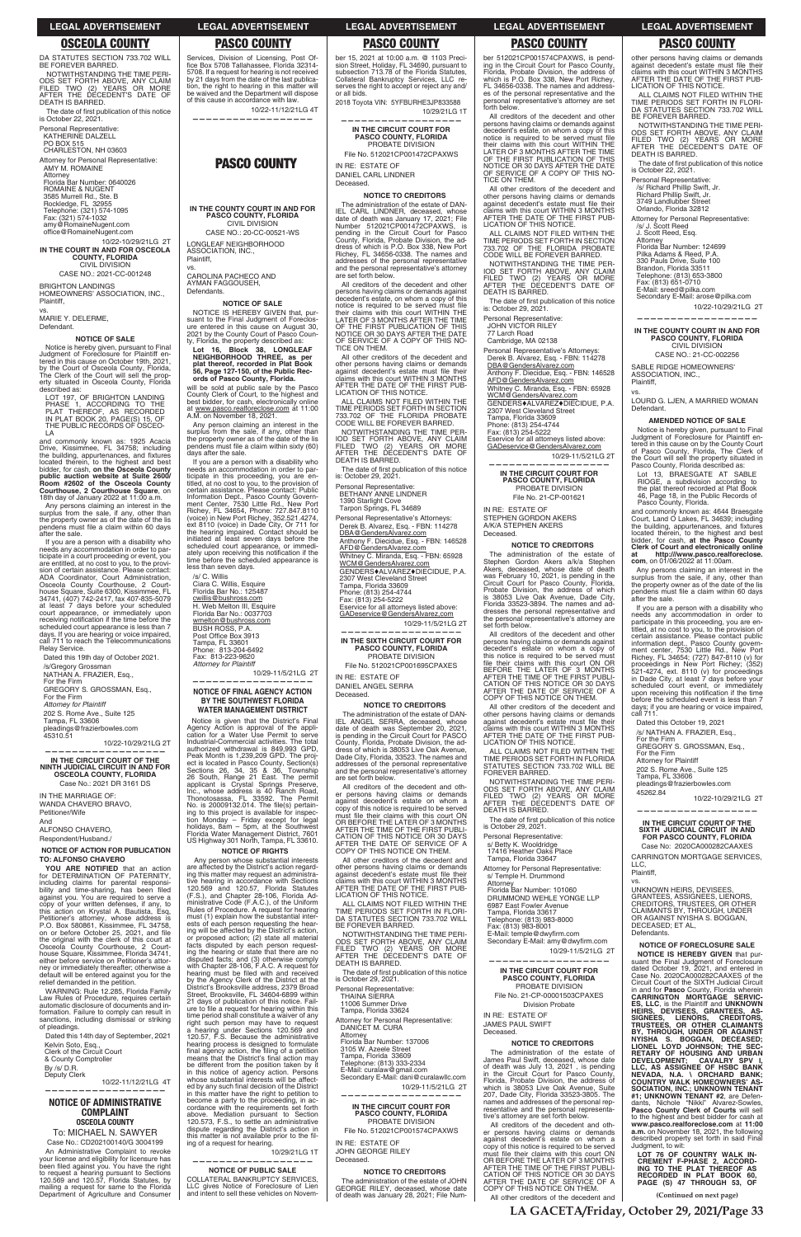**(Continued on next page)**

DA STATUTES SECTION 733.702 WILL BE FOREVER BARRED. NOTWITHSTANDING THE TIME PERI-

ODS SET FORTH ABOVE, ANY CLAIM FILED TWO (2) YEARS OR MORE AFTER THE DECEDENT'S DATE OF DEATH IS BARRED.

The date of first publication of this notice<br>is October 22, 2021.

office@RomaineNugent.com 10/22-10/29/21LG 2T

Personal Representative: KATHERINE DALZELL

PO BOX 515 CHARLESTON, NH 03603

Attorney for Personal Representative: AMY M. ROMAINE Attorney Florida Bar Number: 0640026 ROMAINE & NUGENT 3585 Murrell Rd., Ste. B Rockledge, FL 32955 Telephone: (321) 574-1095 Fax: (321) 574-1032 amy@RomaineNugent.com

**IN THE COURT IN AND FOR OSCEOLA COUNTY, FLORIDA** CIVIL DIVISION CASE NO.: 2021-CC-001248

BRIGHTON LANDINGS HOMEOWNERS' ASSOCIATION, INC., Plaintiff,

vs. MARIE Y. DELERME,

Defendant.

### **NOTICE OF SALE**

Notice is hereby given, pursuant to Final Judgment of Foreclosure for Plaintiff en-tered in this cause on October 19th, 2021, by the Court of Osceola County, Florida, The Clerk of the Court will sell the prop-erty situated in Osceola County, Florida described as:

LOT 197, OF BRIGHTON LANDING<br>PHASE 1, ACCORDING TO THE<br>PLAT THEREOF, AS RECORDED<br>IN PLAT BOOK 20, PAGE(S) 15, OF<br>THE PUBLIC RECORDS OF OSCEO-<br>LA

and commonly known as: 1925 Acacia Drive, Kissimmee, FL 34758; including<br>the building, appurtenances, and fixtures located therein, to the highest and best bidder, for cash, **on the Osceola County public auction website at Suite 2600/ Room #2602 of the Osceola County Courthouse, 2 Courthouse Square**, on 18th day of January 2022 at 11:00 a.m.

**YOU ARE NOTIFIED** that an action for DETERMINATION OF PATERNITY, including claims for parental responsibility and time-sharing, has been filed<br>against you. You are required to serve a

Any persons claiming an interest in the surplus from the sale, if any, other than the property owner as of the date of the lis pendens must file a claim within 60 days after the sale.

## **NOTICE OF ADMINISTRATIVE COMPLAINT OSCEOLA COUNTY** To: MICHAEL N. SAWYER Case No.: CD202100140/G 3004199 An Administrative Complaint to revoke your license and eligibility for licensure has<br>been filed against you. You have the right<br>to request a hearing pursuant to Sections<br>120.569 and 120.57, Florida Statutes, by

If you are a person with a disability who needs any accommodation in order to participate in a court proceeding or event, you are entitled, at no cost to you, to the provision of certain assistance. Please contact: ADA Coordinator, Court Administration, Osceola County Courthouse, 2 Court-house Square, Suite 6300, Kissimmee, FL 34741, (407) 742-2417, fax 407-835-5079 at least 7 days before your scheduled<br>court appearance, or immediately upon<br>receiving notification if the time before the<br>scheduled court appearance is less than 7<br>days. If you are hearing or voice impaired,<br>call 711 to re Relay Service.

Dated this 19th day of October 2021.

/s/Gregory Grossman NATHAN A. FRAZIER, Esq.,

For the Firm

GREGORY S. GROSSMAN, Esq.,

For the Firm

*Attorney for Plaintiff* 202 S. Rome Ave., Suite 125

Tampa, FL 33606 pleadings@frazierbowles.com 45310.51

will be sold at public sale by the Pasco County Clerk of Court, to the highest and best bidder, for cash, electronically online at <u>www.pasco.realforeclose.com</u> at 11:00<br>A.M. on November 18, 2021.

10/22-10/29/21LG 2T **——————————————————**

**IN THE CIRCUIT COURT OF THE NINTH JUDICIAL CIRCUIT IN AND FOR OSCEOLA COUNTY, FLORIDA**

Case No.: 2021 DR 3161 DS

IN THE MARRIAGE OF: WANDA CHAVERO BRAVO, Petitioner/Wife And

ALFONSO CHAVERO,

Respondent/Husband./

## **NOTICE OF ACTION FOR PUBLICATION TO: ALFONSO CHAVERO**

Notice is given that the District's Final Agency Action is approval of the appli-cation for a Water Use Permit to serve Industrial-Commercial activities. The total authorized withdrawal is 849,993 GPD, Peak Month is 1,239,209 GPD. The project is located in Pasco County, Section(s)<br>Sections 26, 34, 35 & 36, Township<br>26 South, Range 21 East. The permit<br>applicant is Crystal Springs Preserve,<br>Inc., whose address is 40 Ranch Road,<br>Thonotosassa, FL 33592. The Per No. is 20009132.014. The file(s) ing to this project is available for inspection Monday – Friday except for legal<br>holidays, 8am – 5pm, at the Southwest<br>Florida Water Management District, 7601<br>US Highway 301 North, Tampa, FL 33610.

copy of your written defenses, if any, to this action on Krystal A. Bautista, Esq, Petitioner's attorney, whose address is P.O. Box 580861, Kissimmee, FL 34758, on or before October 25, 2021, and file<br>the original with the clerk of this court at Osceola County Courthouse, 2 Court-house Square, Kissimmee, Florida 34741, either before service on Petitioner's attorney or immediately thereafter; otherwise a default will be entered against you for the relief demanded in the petition.

WARNING: Rule 12.285, Florida Family Law Rules of Procedure, requires certain automatic disclosure of documents and in-formation. Failure to comply can result in sanctions, including dismissal or striking of pleadings.

Dated this 14th day of September, 2021 Kelvin Soto, Esq., Clerk of the Circuit Court & County Comptroller By /s/ D.R. Deputy Clerk

 10/22-11/12/21LG 4T **——————————————————**

mailing a request for same to the Florida Department of Agriculture and Consumer

Services, Division of Licensing, Post Office Box 5708 Tallahassee, Florida 32314-5708. If a request for hearing is not received by 21 days from the date of the last publication, the right to hearing in this matter will be waived and the Department will dispose of this cause in accordance with law.

 10/22-11/12/21LG 4T **——————————————————**

## **PASCO COUNTY**

**IN THE COUNTY COURT IN AND FOR PASCO COUNTY, FLORIDA** CIVIL DIVISION

CASE NO.: 20-CC-00521-WS LONGLEAF NEIGHBORHOOD ASSOCIATION, INC., Plaintiff,

vs. CAROLINA PACHECO AND AYMAN FAGGOUSEH, Defendants.

### **NOTICE OF SALE**

NOTICE IS HEREBY GIVEN that, pursuant to the Final Judgment of Foreclosure entered in this cause on August 30, 2021 by the County Court of Pasco County, Florida, the property described as:

**Lot 16, Block 38, LONGLEAF NEIGHBORHOOD THREE, as per plat thereof, recorded in Plat Book 56, Page 127-150, of the Public Records of Pasco County, Florida.**

Any person claiming an interest in the surplus from the sale, if any, other than<br>the property owner as of the date of the lis<br>pendens must file a claim within sixty (60) days after the sale.

> DBA@GendersAlvarez.com **Anthony F. Diecidue, Esq. - FBN: 146528**

<u>WCM@GendersAlvarez.com</u><br>GENDERS♦ALVAREZ♦DIECIDUE, P.A. 2307 West Cleveland Street Tampa, Florida 33609

IN RE: ESTATE OF DANIEL ANGEL SERRA **Deceased** 

If you are a person with a disability who needs an accommodation in order to participate in this proceeding, you are entitled, at no cost to you, to the provision of<br>certain assistance. Please contact: Public<br>lortain assistance. Please contact: Public<br>Information Richey, FL 34654, Phone: 727.847.8110 (voice) in New Port Richey, 352.521.4274, ext 8110 (voice) in Dade City, Or 711 for the hearing impaired. Contact should be initiated at least seven days before the scheduled court appearance, or immedi-<br>ately upon receiving this notification if the<br>time before the scheduled appearance is less than seven days.

> All creditors of the decedent and other persons having claims or demands against decedent's estate on whom a copy of this notice is required to be served<br>must\_file\_their\_claims\_with\_this\_court\_ON<br>OR BEFORE THE LATER OF 3 MONTHS AFTER THE TIME OF THE FIRST PUBLI-<br>CATION OF THIS NOTICE OR 30 DAYS<br>AFTER THE DATE OF SERVICE OF A<br>COPY OF THIS NOTICE ON THEM.

/s/ C. Willis Ciara C. Willis, Esquire Florida Bar No.: 125487 cwillis@bushross.com H. Web Melton III, Esquire Florida Bar No.: 0037703 wmelton@bushross.com BUSH ROSS, P.A. Post Office Box 3913 Tampa, FL 33601 Phone: 813-204-6492 Fax: 813-223-9620 *Attorney for Plaintiff*

10/29-11/5/21LG 2T **——————————————————**

### **NOTICE OF FINAL AGENCY ACTION BY THE SOUTHWEST FLORIDA WATER MANAGEMENT DISTRICT**

The date of first publication of this notice is: October 29, 2021.

## **NOTICE OF RIGHTS**

IN RE: ESTATE OF STEPHEN GORDON AKERS A/K/A STEPHEN AKERS **Deceased** 

### **NOTICE TO CREDITORS** The administration of the estate of Stephen Gordon Akers a/k/a Stephen

Any person whose substantial interests are affected by the District's action regarding this matter may request an administrative hearing in accordance with Sections 120.569 and 120.57, Florida Statutes (F.S.), and Chapter 28-106, Florida Administrative Code (F.A.C.), of the Uniform Rules of Procedure. A request for hearing must (1) explain how the substantial inter-ests of each person requesting the hearing will be affected by the District's action, or proposed action; (2) state all material facts disputed by each person requesting the hearing or state that there are no disputed facts; and (3) otherwise comply with Chapter 28-106, F.A.C. A request for hearing must be filed with and received by the Agency Clerk of the District at the District's Brooksville address, 2379 Broad Street, Brooksville, FL 34604-6899 within 21 days of publication of this notice. Fail-<br>ure to file a request for hearing within this<br>time period shall constitute a waiver of any right such person may have to request a hearing under Sections 120.569 and 120.57, F.S. Because the administrative hearing process is designed to formulate<br>final agency action, the filing of a petition<br>means that the District's final action may be different from the position taken by it in this notice of agency action. Persons whose substantial interests will be affected by any such final decision of the District<br>in this matter have the right to petition to become a party to the proceeding, in ac-cordance with the requirements set forth above. Mediation pursuant to Section 120.573, F.S., to settle an administrative dispute regarding the District's action in<br>this matter is not available prior to the filing of a request for hearing. 10/29/21LG 1T

is October 29, 2021. Personal Representative: s/ Betty K. Wooldridge 17416 Heather Oaks Place Tampa, Florida 33647 Attorney for Personal Representative: s/ Temple H. Drummond

**—————————————————— NOTICE OF PUBLIC SALE**  COLLATERAL BANKRUPTCY SERVICES, LLC gives Notice of Foreclosure of Lien and intent to sell these vehicles on Novem-

ber 15, 2021 at 10:00 a.m. @ 1103 Preci-sion Street, Holiday, FL 34690, pursuant to subsection 713.78 of the Florida Statutes, Collateral Bankruptcy Services, LLC reserves the right to accept or reject any and/ or all bids.

> J. Scott Reed, Esq. Attorney Florida Bar Number: 124699 Pilka Adams & Reed, P.A. 330 Pauls Drive, Suite 100 Brandon, Florida 33511 Telephone: (813) 653-3800 Fax: (813) 651-0710 E-Mail: sreed@pilka.com Secondary E-Mail: arose@pilka.com

2018 Toyota VIN: 5YFBURHE3JP833588 10/29/21LG 1T **——————————————————**

## **IN THE CIRCUIT COURT FOR PASCO COUNTY, FLORIDA** PROBATE DIVISION File No. 512021CP001472CPAXWS

IN RE: ESTATE OF DANIEL CARL LINDNER Deceased.

### **NOTICE TO CREDITORS**

The administration of the estate of DAN-IEL CARL LINDNER, deceased, whose date of death was January 17, 2021; File date of death was January 17, 2021; File<br>Number 512021CP001472CPAXWS, is pending in the Circuit Court for Pasco<br>County, Florida, Probate Division, the ad-<br>dress of which is P.O. Box 338, New Port Richey, FL 34656-0338. The names and addresses of the personal representative and the personal representative's attorney are set forth below.

> **at http:///www.pasco.realforeclose. com**, on 01/06/2022 at 11:00am. Any persons claiming an interest in the surplus from the sale, if any, other than the property owner as of the date of the lis pendens must file a claim within 60 days

> If you are a person with a disability who<br>needs any accommodation in order to<br>participate in this proceeding, you are en-<br>titled, at no cost to you, to the provision of<br>certain assistance. Please contact public<br>information

days; if you are hearing or voice impaired,<br>call 711

All creditors of the decedent and other persons having claims or demands against decedent's estate, on whom a copy of this<br>notice is required to be served must file<br>their claims with this court WITHIN THE<br>LATER OF 3 MONTHS AFTER THE TIME OF THE FIRST PUBLICATION OF THIS NOTICE OR 30 DAYS AFTER THE DATE OF SERVICE OF A COPY OF THIS NO-TICE ON THEM.

All other creditors of the decedent and other persons having claims or demands<br>against decedent's estate must file their claims with this court WITHIN 3 MONTHS AFTER THE DATE OF THE FIRST PUB-LICATION OF THIS NOTICE.

> LLC, Plaintiff, vs.

ALL CLAIMS NOT FILED WITHIN THE TIME PERIODS SET FORTH IN SECTION 733.702 OF THE FLORIDA PROBATE CODE WILL BE FOREVER BARRED.

NOTWITHSTANDING THE TIME PER-IOD SET FORTH ABOVE, ANY CLAIM FILED TWO (2) YEARS OR MORE AFTER THE DECEDENT'S DATE OF DEATH IS BARRED.

The date of first publication of this notice<br>is: October 29, 2021.

Personal Representative: BETHANY ANNE LINDNER

1390 Starlight Cove Tarpon Springs, FL 34689

Personal Representative's Attorneys: Derek B. Alvarez, Esq. - FBN: 114278

AFD@GendersAlvarez.com Whitney C. Miranda, Esq. - FBN: 65928

Phone: (813) 254-4744

Fax: (813) 254-5222 Eservice for all attorneys listed above:

GADeservice@GendersAlvarez,com 10/29-11/5/21LG 2T **——————————————————**

**IN THE SIXTH CIRCUIT COURT FOR PASCO COUNTY, FLORIDA**

PROBATE DIVISION File No. 512021CP001695CPAXES

## **NOTICE TO CREDITORS**

The administration of the estate of DAN-IEL ANGEL SERRA, deceased, whose date of death was September 20, 2021, is pending in the Circuit Court for PASCO County, Florida, Probate Division, the address of which is 38053 Live Oak Avenue, Dade City, Florida, 33523. The names and addresses of the personal representative and the personal representative's attorney are set forth below.

All other creditors of the decedent and other persons having claims or demands against decedent's estate must file their claims with this court WITHIN 3 MONTHS AFTER THE DATE OF THE FIRST PUB-LICATION OF THIS NOTICE.

TIME PERIODS SET FORTH IN FLORI-DA STATUTES SECTION 733.702 WILL BE FOREVER BARRED.

NOTWITHSTANDING THE TIME PERI-ODS SET FORTH ABOVE, ANY CLAIM FILED TWO (2) YEARS OR MORE AFTER THE DECEDENT'S DATE OF DEATH IS BARRED.

The date of first publication of this notice<br>is October 29, 2021.

Personal Representative: THAINA SIERRA 11006 Summer Drive Tampa, Florida 33624 Attorney for Personal Representative: DANICET M. CURA

Attorney Florida Bar Number: 137006 3105 W. Azeele Street Tampa, Florida 33609 Telephone: (813) 333-2334 E-Mail: curalaw@gmail.com Secondary E-Mail: dani@curalawllc.com 10/29-11/5/21LG 2T

**——————————————————**

**IN THE CIRCUIT COURT FOR PASCO COUNTY, FLORIDA** PROBATE DIVISION File No. 512021CP001574CPAXWS

IN RE: ESTATE OF JOHN GEORGE RILEY Deceased.

### **NOTICE TO CREDITORS**

The administration of the estate of JOHN GEORGE RILEY, deceased, whose date of death was January 28, 2021; File Num-

ber 512021CP001574CPAXWS, is pending in the Circuit Court for Pasco County, Florida, Probate Division, the address of which is P.O. Box 338, New Port Richey, FL 34656-0338. The names and addresses of the personal representative and the personal representative's attorney are set forth below.

All creditors of the decedent and other persons having claims or demands against decedent's estate, on whom a copy of this notice is required to be served must file<br>their claims with this court WITHIN THE<br>LATER OF 3 MONTHS AFTER THE TIME<br>OF THE FIRST PUBLICATION OF THIS NOTICE OR 30 DAYS AFTER THE DATE OF SERVICE OF A COPY OF THIS NO-TICE ON THEM.

All other creditors of the decedent and other persons having claims or demands against decedent's estate must file their<br>claims with this court WITHIN 3 MONTHS AFTER THE DATE OF THE FIRST PUB-LICATION OF THIS NOTICE.

ALL CLAIMS NOT FILED WITHIN THE TIME PERIODS SET FORTH IN SECTION 733.702 OF THE FLORIDA PROBATE CODE WILL BE FOREVER BARRED.

NOTWITHSTANDING THE TIME PER-IOD SET FORTH ABOVE, ANY CLAIM FILED TWO (2) YEARS OR MORE AFTER THE DECEDENT'S DATE OF DEATH IS BARRED.

Personal Representative: JOHN VICTOR RILEY

77 Larch Road Cambridge, MA 02138

ALL CLAIMS NOT FILED WITHIN THE DRUMMOND WEHLE YONGE LLP 6987 East Fowler Avenue Tampa, Florida 33617

Personal Representative's Attorneys: Derek B. Alvarez, Esq. - FBN: 114278 DBA@GendersAlvarez.com Anthony F. Diecidue, Esq. - FBN: 146528 AFD@GendersAlvarez.com Whitney C. Miranda, Esq. - FBN: 65928<br><u>WCM@GendersAlvarez.com</u> GENDERS $*$ ALVAREZ $*$ DIECIDUE, P.A. 2307 West Cleveland Street Tampa, Florida 33609 Phone: (813) 254-4744 Fax: (813) 254-5222 Eservice for all attorneys listed above: GADeservice@GendersAlvarez,com

10/29-11/5/21LG 2T

**—————————————————— IN THE CIRCUIT COURT FOR PASCO COUNTY, FLORIDA** PROBATE DIVISION File No. 21-CP-001621

Akers, deceased, whose date of death was February 10, 2021, is pending in the Circuit Court for Pasco County, Florida, Probate Division, the address of which is 38053 Live Oak Avenue, Dade City, Florida 33523-3894. The names and addresses the personal representative and the personal representative's attorney are

set forth below.

All creditors of the decedent and other persons having claims or demands against decedent's estate on whom a copy of this notice is required to be served must file their claims with this court ON OR BEFORE THE LATER OF 3 MONTHS<br>AFTER THE TIME OF THE FIRST PUBLI-<br>CATION OF THIS NOTICE OR 30 DAYS<br>AFTER THE DATE OF SERVICE OF A COPY OF THIS NOTICE ON THEM. All other creditors of the decedent and other persons having claims or demands<br>against decedent's estate must file their claims with this court WITHIN 3 MONTHS AFTER THE DATE OF THE FIRST PUB-LICATION OF THIS NOTICE. ALL CLAIMS NOT FILED WITHIN THE TIME PERIODS SET FORTH IN FLORIDA STATUTES SECTION 733.702 WILL BE

FOREVER BARRED.

NOTWITHSTANDING THE TIME PERI-ODS SET FORTH ABOVE, ANY CLAIM FILED TWO (2) YEARS OR MORE AFTER THE DECEDENT'S DATE OF

The date of first publication of this notice

DEATH IS BARRED.

Florida Bar Number: 101060

**Attorney** 

Telephone: (813) 983-8000 Fax: (813) 983-8001 E-Mail: temple@dwyfirm.com<br>Secondary E-Mail: amy@dwyfirm.com very coordinate.<br>temple@dwyfirm.com 10/29-11/5/21LG 2T

**——————————————————**

**IN THE CIRCUIT COURT FOR PASCO COUNTY, FLORIDA** PROBATE DIVISION File No. 21-CP-00001503CPAXES Division Probate

IN RE: ESTATE OF JAMES PAUL SWIFT Deceased.

## **NOTICE TO CREDITORS**

The administration of the estate of James Paul Swift, deceased, whose date of death was July 13, 2021 , is pending in the Circuit Court for Pasco County, Florida, Probate Division, the address of which is 38053 Live Oak Avenue, Suite 207, Dade City, Florida 33523-3805. The names and addresses of the personal representative and the personal representa-tive's attorney are set forth below.

All creditors of the decedent and other persons having claims or demands against decedent's estate on whom a copy of this notice is required to be served must file their claims with this court ON OR BEFORE THE LATER OF 3 MONTHS AFTER THE TIME OF THE FIRST PUBLI-CATION OF THIS NOTICE OR 30 DAYS AFTER THE DATE OF SERVICE OF A COPY OF THIS NOTICE ON THEM.

All other creditors of the decedent and

other persons having claims or demands against decedent's estate must file their claims with this court WITHIN 3 MONTHS AFTER THE DATE OF THE FIRST PUB-LICATION OF THIS NOTICE. ALL CLAIMS NOT FILED WITHIN THE TIME PERIODS SET FORTH IN FLORI-DA STATUTES SECTION 733.702 WILL BE FOREVER BARRED. NOTWITHSTANDING THE TIME PERI-ODS SET FORTH ABOVE, ANY CLAIM FILED TWO (2) YEARS OR MORE AFTER THE DECEDENT'S DATE OF

The date of first publication of this notice<br>is October 22, 2021.

DEATH IS BARRED.

Personal Representative: /s/ Richard Phillip Swift, Jr. Richard Phillip Swift, Jr. 3749 Landlubber Street Orlando, Florida 32812

Attorney for Personal Representative: /s/ J. Scott Reed

10/22-10/29/21LG 2T

**—————————————————— IN THE COUNTY COURT IN AND FOR PASCO COUNTY, FLORIDA** CIVIL DIVISION CASE NO.: 21-CC-002256

SABLE RIDGE HOMEOWNERS' ASSOCIATION, INC.,

Plaintiff, vs.

LOURD G. LJEN, A MARRIED WOMAN

Defendant.

**AMENDED NOTICE OF SALE** Notice is hereby given, pursuant to Final Judgment of Foreclosure for Plaintiff entered in this cause on by the County Court of Pasco County, Florida, The Clerk of the Court will sell the property situated in Pasco County, Florida described as: Lot 13, BRAESGATE AT SABLE RIOGE, a subdivision according to the plat thereof recorded at Plat Book 46, Page 18, in the Public Records of

Pasco County, Florida.

and commonly known as: 4644 Braesgate Court, Land O Lakes, FL 34639; including

the building, appurtenances, and fixtures<br>located therein, to the highest and best<br>bidder, for cash, **at the Pasco County**<br>**Clerk of Court and electronically online** 

after the sale.

Dated this October 19, 2021 /s/ NATHAN A. FRAZIER, Esq., For the Firm GREGORY S. GROSSMAN, Esq.,

For the Firm Attorney for Plaintiff 202 S. Rome Ave., Suite 125 Tampa, FL 33606 pleadings@frazierbowles.com

45262.84

10/22-10/29/21LG 2T

**—————————————————— IN THE CIRCUIT COURT OF THE SIXTH JUDICIAL CIRCUIT IN AND FOR PASCO COUNTY, FLORIDA** Case No: 2020CA000282CAAXES CARRINGTON MORTGAGE SERVICES,

UNKNOWN HEIRS, DEVISEES, GRANTEES, ASSIGNEES, LIENORS, CREDITORS, TRUSTEES, OR OTHER

CLAIMANTS BY, THROUGH, UNDER OR AGAINST NYISHA S. BOGGAN, DECEASED; ET AL, Defendants.

**NOTICE OF FORECLOSURE SALE**

**NOTICE IS HEREBY GIVEN** that pursuant the Final Judgment of Foreclosure dated October 19, 2021, and entered in Case No. 2020CA000282CAAXES of the Circuit Court of the SIXTH Judicial Circuit in and for **Pasco** County, Florida wherein **CARRINGTON MORTGAGE SERVIC-ES, LLC**, is the Plaintiff and **UNKNOWN HEIRS, DEVISEES, GRANTEES, AS-SIGNEES, LIENORS, CREDITORS, TRUSTEES, OR OTHER CLAIMANTS BY, THROUGH, UNDER OR AGAINST NYISHA S. BOGGAN, DECEASED; LIONEL LOYD JOHNSON; THE SEC-RETARY OF HOUSING AND URBAN**  DEVELOPMENT; CAVALRY SPV I,<br>LLC, AS ASSIGNEE OF HSBC BANK;<br>NEVADA, N.A. \ ORCHARD BANK;<br>SOCIATION, INC.; UNKNOWNTENS`AS-<br>SOCIATION, INC.; UNKNOWNTENANT<br>#1; UNKNOWN TENANT #2, are Defendants, Nichole "Nikki" Alvarez-Sowles, **Pasco County Clerk of Courts** will sell to the highest and best bidder for cash at **www.pasco.realforeclose.com** at **11:00 a.m.** on November 18, 2021, the following described property set forth in said Final Judgment, to wit:

**LOT 76 OF COUNTRY WALK IN-CREMENT F-PHASE 2, ACCORD-ING TO THE PLAT THEREOF AS RECORDED IN PLAT BOOK 60, PAGE (S) 47 THROUGH 53, OF** 

## **LEGAL ADVERTISEMENT LEGAL ADVERTISEMENT LEGAL ADVERTISEMENT LEGAL ADVERTISEMENT LEGAL ADVERTISEMENT**

## **OSCEOLA COUNTY PASCO COUNTY PASCO COUNTY PASCO COUNTY PASCO COUNTY**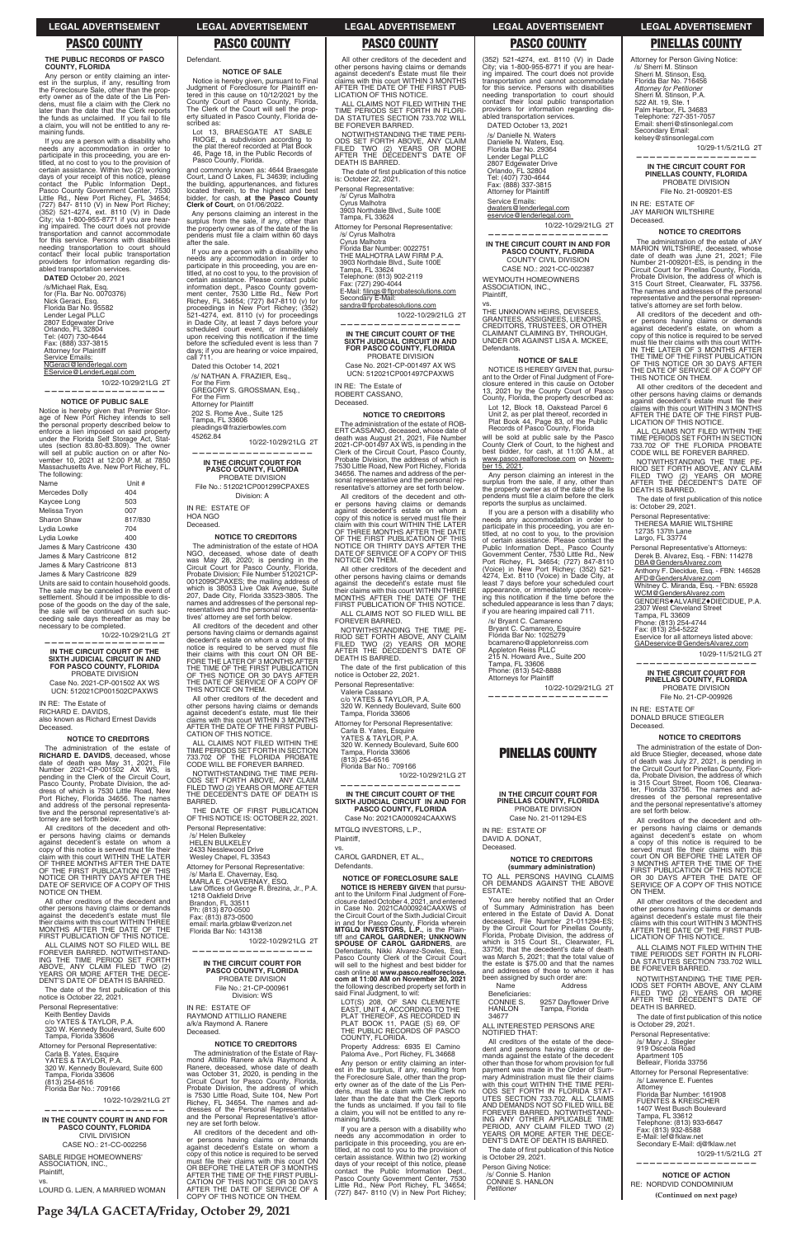**Page 34/LA GACETA/Friday, October 29, 2021**

### **THE PUBLIC RECORDS OF PASCO COUNTY, FLORIDA**

Any person or entity claiming an interest in the surplus, if any, resulting from the Foreclosure Sale, other than the prop-erty owner as of the date of the Lis Pendens, must file a claim with the Clerk no later than the date that the Clerk reports<br>the funds as unclaimed. If you fail to file a claim, you will not be entitled to any remaining funds.

**DATED** October 20, 2021 /s/Michael Rak, Esq. for (Fla. Bar No. 0070376) Nick Geraci, Esq. Florida Bar No. 95582 Lender Legal PLLC 2807 Edgewater Drive Orlando, FL 32804 Tel: (407) 730-4644 Fax: (888) 337-3815 Attorney for Plaintiff<br><u>Service Emails:</u>

If you are a person with a disability who needs any accommodation in order to participate in this proceeding, you are en-titled, at no cost to you to the provision of certain assistance. Within two (2) working days of your receipt of this notice, please<br>contact the Public Information Dept.,<br>Pasco County Government Center, 7530<br>Little Rd., New Port Richey, FL 34654;<br>(727) 847- 8110 (V) in New Port Richey;<br>(352) 521-4274, ext. 811 ing impaired. The court does not provide transportation and cannot accommodate for this service. Persons with disabilities needing transportation to court should contact their local public transportation providers for information regarding disabled transportation services.

NGeraci@lenderlegal.com EService@LenderLegal.com

10/22-10/29/21LG 2T **——————————————————**

### **NOTICE OF PUBLIC SALE**

Notice is hereby given that Premier Stor-age of New Port Richey intends to sell the personal property described below to enforce a lien imposed on said property under the Florida Self Storage Act, Stat-utes (section 83.80-83.809). The owner will sell at public auction on or after No-vember 10, 2021 at 12:00 P.M. at 7850 Massachusetts Ave. New Port Richey, FL. The following:

| Name                        | Unit #  |
|-----------------------------|---------|
| <b>Mercedes Dolly</b>       | 404     |
| Kaycee Long                 | 503     |
| Melissa Tryon               | 007     |
| Sharon Shaw                 | 817/830 |
| Lydia Lowke                 | 704     |
| Lydia Lowke                 | 400     |
| James & Mary Castricone 430 |         |
| James & Mary Castricone 812 |         |
| James & Mary Castricone 813 |         |
| James & Mary Castricone 829 |         |

Units are said to contain household goods. The sale may be canceled in the event of settlement. Should it be impossible to dis-pose of the goods on the day of the sale, the sale will be continued on such succeeding sale days thereafter as may be necessary to be completed.

10/22-10/29/21LG 2T **——————————————————**

## **IN THE CIRCUIT COURT OF THE SIXTH JUDICIAL CIRCUIT IN AND FOR PASCO COUNTY, FLORIDA** PROBATE DIVISION

Lot 13, BRAESGATE AT SABLE<br>RIOGE, a subdivision according to a subdivision according to the plat thereof recorded at Plat Book 46, Page 18, in the Public Records of Pasco County, Florida. and commonly known as: 4644 Braesgate Court, Land O Lakes, FL 34639; including the building, appurtenances, and fixtures<br>located therein, to the highest and best bidder, for cash, **at the Pasco County Clerk of Court**, on 01/06/2022.

Any persons claiming an interest in the surplus from the sale, if any, other than the property owner as of the date of the lis pendens must file a claim within 60 days

Case No. 2021-CP-001502 AX WS UCN: 512021CP001502CPAXWS

IN RE: The Estate of RICHARD E. DAVIDS, also known as Richard Ernest Davids

Deceased.

## **NOTICE TO CREDITORS**

The administration of the estate of **RICHARD E. DAVIDS**, deceased, whose date of death was May 31, 2021, File Number 2021-CP-001502 AX WS, is pending in the Clerk of the Circuit Court, Pasco County, Probate Division, the ad-dress of which is 7530 Little Road, New Port Richey, Florida 34656. The names and address of the personal representa-tive and the personal representative's at-torney are set forth below.

IN RE: ESTATE OF HOA NGO **Deceased** 

All creditors of the decedent and other persons having claims or demands<br>against decedent's estate on whom a<br>copy of this notice is served must file their claim with this court WITHIN THE LATER OF THREE MONTHS AFTER THE DATE OF THE FIRST PUBLICATION OF THIS NOTICE OR THIRTY DAYS AFTER THE DATE OF SERVICE OF A COPY OF THIS NOTICE ON THEM.

All other creditors of the decedent and other persons having claims or demands<br>against the decedent's estate must file<br>their claims with this court WITHIN THREE MONTHS AFTER THE DATE OF THE FIRST PUBLICATION OF THIS NOTICE. ALL CLAIMS NOT SO FILED WILL BE FOREVER BARRED. NOTWITHSTAND-ING THE TIME PERIOD SET FORTH ABOVE, ANY CLAIM FILED TWO (2) YEARS OR MORE AFTER THE DECE-DENT'S DATE OF DEATH IS BARRED.

THE DATE OF FIRST PUBLICATION OF THIS NOTICE IS: OCTOBER 22, 2021.

Personal Representative:

1218 Oakfield Drive Brandon, FL 33511

Keith Bentley Davids c/o YATES & TAYLOR, P.A. 320 W. Kennedy Boulevard, Suite 600 Tampa, Florida 33606

Attorney for Personal Representative: Carla B. Yates, Esquire YATES & TAYLOR, P.A. 320 W. Kennedy Boulevard, Suite 600 Tampa, Florida 33606 (813) 254-6516 Florida Bar No.: 709166

10/22-10/29/21LG 2T

**——————————————————**

**IN THE COUNTY COURT IN AND FOR PASCO COUNTY, FLORIDA** CIVIL DIVISION CASE NO.: 21-CC-002256

SABLE RIDGE HOMEOWNERS' ASSOCIATION, INC., Plaintiff,

vs.

LOURD G. LJEN, A MARRIED WOMAN

Defendant.

**NOTICE OF SALE** Notice is hereby given, pursuant to Final Judgment of Foreclosure for Plaintiff entered in this cause on 10/12/2021 by the County Court of Pasco County, Florida, The Clerk of the Court will sell the property situated in Pasco County, Florida de-

All other creditors of the decedent and<br>other persons having claims or demands<br>against decedent's Estate must file their claims with this court WITHIN 3 MONTHS AFTER THE DATE OF THE FIRST PUB-LICATION OF THIS NOTICE.

scribed as:

- The date of first publication of this notice<br>is: October 22, 2021.
- Personal Representative:
- /s/ Cyrus Malhotra Cyrus Malhotra
- 3903 Northdale Blvd., Suite 100E Tampa, FL 33624

Telephone: (813) 902-2119 Fax: (727) 290-4044<br>E-Mail: <u>filings@flprobatesolutions.com</u>

sandra@fiprobatesolutions.com 10/22-10/29/21LG 2T **——————————————————**

after the sale.

The administration of the estate of ROB-<br>ERT CASSANO, deceased, whose date of<br>death was August 21, 2021, File Number<br>2021-CP-001497 AX WS, is pending in the<br>Clerk of the Circuit Court, Pasco County,<br>Probate Division, the a 7530 Little Road, New Port Richey, Florida 34656. The names and address of the personal representative and the personal representative's attorney are set forth below.

If you are a person with a disability who needs any accommodation in order to participate in this proceeding, you are en-titled, at no cost to you, to the provision of

certain assistance. Please contact public<br>information dept., Pasco County govern-<br>ment center, 7530 Little Rd., New Port<br>Richey, FL 34654; (727) 847-8110 (v) for<br>proceedings in New Port Richey; (352)<br>521-4274, ext. 8110 (v

before the scheduled event is less than 7 days; if you are hearing or voice impaired, call 711.

Dated this October 14, 2021 /s/ NATHAN A. FRAZIER, Esq., For the Firm GREGORY S. GROSSMAN, Esq.,

For the Firm Attorney for Plaintiff

202 S. Rome Ave., Suite 125 Tampa, FL 33606 pleadings@frazierbowles.com

45262.84

10/22-10/29/21LG 2T

**—————————————————— IN THE CIRCUIT COURT FOR PASCO COUNTY, FLORIDA** PROBATE DIVISION File No.: 512021CP001299CPAXES Division: A

> LOT(S) 208, OF SAN CLEMENTE<br>EAST,UUNIT 4,ACCORDINGTOTHE PLAT THEREOF, AS RECORDED IN PLAT BOOK 11, PAGE (S) 69, OF THE PUBLIC RECORDS OF PASCO COUNTY, FLORIDA.

**NOTICE TO CREDITORS** The administration of the estate of HOA NGO, deceased, whose date of death was May 28, 2020; is pending in the Circuit Court for Pasco County, Florida, Probate Division; File Number 512021CP-

0012099CPAXES; the mailing address of which is 38053 Live Oak Avenue, Suite 207, Dade City, Florida 33523-3805. The

names and addresses of the personal rep-resentatives and the personal representa-tives' attorney are set forth below. All creditors of the decedent and other persons having claims or demands against decedent's estate on whom a copy of this

notice is required to be served must file<br>their claims with this court ON OR BE-<br>FORE THE LATER OF 3 MONTHS AFTER<br>THE TIME OF THE FIRST PUBLICATION

OF THIS NOTICE OR 30 DAYS AFTER THE DATE OF SERVICE OF A COPY OF THIS NOTICE ON THEM. All other creditors of the decedent and other persons having claims or demands against decedent's estate, must file their<br>claims with this court WITHIN 3 MONTHS AFTER THE DATE OF THE FIRST PUBLI-CATION OF THIS NOTICE. ALL CLAIMS NOT FILED WITHIN THE TIME PERIODS SET FORTH IN SECTION 733.702 OF THE FLORIDA PROBATE CODE WILL BE FOREVER BARRED. NOTWITHSTANDING THE TIME PERI-ODS SET FORTH ABOVE, ANY CLAIM FILED TWO (2) YEARS OR MORE AFTER THE DECEDENT'S DATE OF DEATH IS

Any person claiming an interest in the surplus from the sale, if any, other than the property owner as of the date of the lis pendens must file a claim before the clerk<br>reports the surplus as unclaimed.

Personal Representative: /s/ Helen Bulkeley<br>HELEN BULKELEY 2433 Nesslewood Drive Wesley Chapel, FL 33543 Attorney for Personal Representative: /s/ Bryant C. Camareno Bryant C. Camareno, Esquire Florida Bar No: 1025279 bcamareno@appletonreiss.com Appleton Reiss PLLC 215 N. Howard Ave., Suite 200 Tampa, FL 33606 Phone: (813) 542-8888 Attorneys for Plaintiff

Ph: (813) 870-0500 Fax: (813) 873-0500 email: marla.grblaw@verizon.net Florida Bar No: 143138

/s/ Marla E. Chavernay, Esq.<br>MARLA E. CHAVERNAY, ESQ.<br>Law Offices of George R. Brezina, Jr., P.A.<br>1218 Oakfield Drive

THE DEC<br>BARRED.

10/22-10/29/21LG 2T

**——————————————————**

**IN THE CIRCUIT COURT FOR PASCO COUNTY, FLORIDA** PROBATE DIVISION File No.: 21-CP-000961 Division: WS

TO ALL PERSONS HAVING CLAIMS OR DEMANDS AGAINST THE ABOVE **ESTATE:** 

You are hereby notified that an Order Summary Administration has

IN RE: ESTATE OF RAYMOND ATTILLIO RANERE a/k/a Raymond A. Ranere Deceased.

### **NOTICE TO CREDITORS**

The administration of the Estate of Raymond Attillio Ranere a/k/a Raymond A. Ranere, deceased, whose date of death Mariere, deceased, misse and in the<br>was October 31, 2020, is pending in the<br>Circuit Court for Pasco County, Florida, Circuit Court for Pasco County, Florida, Probate Division, the address of which is 7530 Little Road, Suite 104, New Port Richey, FL 34654. The names and ad-dresses of the Personal Representative and the Personal Representative's attorney are set forth below.

Beneficiaries: CONNIE S. 9257 Dayflower Drive HANLON Tampa, Florida 34677

All creditors of the estate of the decedent and persons having claims or demands against the estate of the decedent other than those for whom provision for full payment was made in the Order of Summary Administration must file their claims WIth this court WITHIN THE TIME PERI-<br>ODS SET FORTH IN FLORIDA STAT-<br>UTES SECTION 733.702. ALL CLAIMS<br>AND DEMANDS NOT SO FILED WILL BE<br>FOREVER BARRED. NOTWITHSTAND-<br>ING ANY OTHER APPLICABLE TIME PERIOD, ANY CLAIM FILED TWO (2) YEARS OR MORE AFTER THE DECE-DENT'S DATE OF DEATH IS BARRED.

The date of first publication of this Notice is October 29, 2021.

All creditors of the decedent and oth-er persons having claims or demands against decedent's Estate on whom a copy of this notice is required to be served<br>must file their claims with this court ON OR BEFORE THE LATER OF 3 MONTHS AFTER THE TIME OF THE FIRST PUBLI-CATION OF THIS NOTICE OR 30 DAY AFTER THE DATE OF SERVICE OF A COPY OF THIS NOTICE ON THEM.

The administration of the estate of JAY<br>MARION WILTSHIRE, deceased, whose<br>date of death was June 21, 2021; File<br>Number 21-009201-ES, is pending in the<br>Circuit Court for Pinellas County, Florida, Probate Division, the address of which is 315 Court Street, Clearwater, FL 33756. The names and addresses of the personal representative and the personal represen-tative's attorney are set forth below.

ALL CLAIMS NOT FILED WITHIN THE TIME PERIODS SET FORTH IN FLORI-DA STATUTES SECTION 733.702 WILL BE FOREVER BARRED.

NOTWITHSTANDING THE TIME PERI-ODS SET FORTH ABOVE, ANY CLAIM FILED TWO (2) YEARS OR MORE AFTER THE DECEDENT'S DATE OF DEATH IS BARRED.

> All other creditors of the decedent and other persons having claims or demands against decedent's estate must file their<br>claims with this court WITHIN 3 MONTHS<br>AFTER THE DATE OF THE FIRST PUB-<br>LICATION OF THIS NOTICE.

Attorney for Personal Representative: /s/ Cyrus Malhotra Cyrus Malhotra Florida Bar Number: 0022751 THE MALHOTRA LAW FIRM P.A. 3903 Northdale Blvd., Suite 100E Tampa, FL 33624

Secondary E-Mail:

**IN THE CIRCUIT COURT OF THE SIXTH JUDICIAL CIRCUIT IN AND FOR PASCO COUNTY, FLORIDA** PROBATE DIVISION

Case No. 2021-CP-001497 AX WS UCN: 512021CP001497CPAXWS

IN RE: The Estate of ROBERT CASSANO, Deceased.

## **NOTICE TO CREDITORS**

other persons having claims or demands<br>against decedent's estate must file their<br>claims with this court WITHIN 3 MONTHS AFTER THE DATE OF THE FIRST PUB-LICATION OF THIS NOTICE.

The date of first publication of this notice is October 29, 2021.

All creditors of the decedent and other persons having claims or demands against decedent's estate on whom a copy of this notice is served must file their<br>claim with this court WITHIN THE LATER<br>OF THREE MONTHS AFTER THE DATE OF THE FIRST PUBLICATION OF THIS NOTICE OR THIRTY DAYS AFTER THE DATE OF SERVICE OF A COPY OF THIS NOTICE ON THEM.

> **(Continued on next page) NOTICE OF ACTION** RE: NORDVID CONDOMINIUM

All other creditors of the decedent and other persons having claims or demands<br>against the decedent's estate must file their claims with this court WITHIN THREE MONTHS AFTER THE DATE OF THE FIRST PUBLICATION OF THIS NOTICE. ALL CLAIMS NOT SO FILED WILL BE FOREVER BARRED.

NOTWITHSTANDING THE TIME PE-RIOD SET FORTH ABOVE, ANY CLAIM FILED TWO (2) YEARS OR MORE AFTER THE DECEDENT'S DATE OF DEATH IS BARRED.

The date of the first publication of this notice is October 22, 2021.

Personal Representative:

Valerie Cassano c/o YATES & TAYLOR, P.A. 320 W. Kennedy Boulevard, Suite 600

Tampa, Florida 33606 Attorney for Personal Representative:

Carla B. Yates, Esquire YATES & TAYLOR, P.A.

320 W. Kennedy Boulevard, Suite 600 Tampa, Florida 33606 (813) 254-6516 Florida Bar No.: 709166

10/22-10/29/21LG 2T

### **—————————————————— IN THE CIRCUIT COURT OF THE SIXTH JUDICIAL CIRCUIT IN AND FOR PASCO COUNTY, FLORIDA**

Case No: 2021CA000924CAAXWS MTGLQ INVESTORS, L.P., Plaintiff,

vs.

CAROL GARDNER, ET AL., Defendants.

**NOTICE OF FORECLOSURE SALE NOTICE IS HEREBY GIVEN** that pursu-<br>ant to the Uniform Final Judgment of Foreclosure dated October 4, 2021, and entered

in Case No. 2021 CA000924 CAAXWS of the Circuit Court of the Sixth Judicial Circuit in and for Pasco County, Florida wherein<br>**MTGLQ INVESTORS, L.P.**, is the Plain-<br>tiff and **CAROL GARDNER; UNKNOWN SPOUSE OF CAROL GARDNERS**, are Defendants, Nikki Alvarez-Sowles, Esq., Pasco County Clerk of the Circuit Court will sell to the highest and best bidder for cash online at **www.pasco.realforeclose. com at 11:00 AM on November 30, 2021** the following described property set forth in said Final Judgment, to wit:

Property Address: 6935 El Camino Paloma Ave., Port Richey, FL 34668

Any person or entity claiming an inter-est in the surplus, if any, resulting from the Foreclosure Sale, other than the property owner as of the date of the Lis Pen-<br>dens, must file a claim with the Clerk no later than the date that the Clerk reports the funds as unclaimed. If you fail to file<br>a claim, you will not be entitled to any remaining funds.

If you are a person with a disability who needs any accommodation in order to participate in this proceeding, you are entitled, at no cost to you to the provision of certain assistance. Within two (2) working days of your receipt of this notice, please contact the Public Information Dept.,<br>Pasco County Government Center 7530 Pasco County Government Center, 7530 Little Rd., New Port Richey, FL 34654; (727) 847- 8110 (V) in New Port Richey;

(352) 521-4274, ext. 8110 (V) in Dade City; via 1-800-955-8771 if you are hearing impaired. The court does not provide transportation and cannot accommodate for this service. Persons with disabilities needing transportation to court should contact their local public transportation providers for information regarding disabled transportation services. DATED October 13, 2021

/s/ Danielle N. Waters Danielle N. Waters, Esq. Florida Bar No. 29364 Lender Legal PLLC 2807 Edgewater Drive Orlando, FL 32804 Tel: (407) 730-4644 Fax: (888) 337-3815 Attorney for Plaintiff Service Emails: dwaters@lenderlegal.com eservice@lenderlegal.com

10/22-10/29/21LG 2T **——————————————————**

**IN THE CIRCUIT COURT IN AND FOR PASCO COUNTY, FLORIDA** COUNTY CIVIL DIVISION CASE NO.: 2021-CC-002387

WEYMOUTH HOMEOWNERS ASSOCIATION, INC., Plaintiff,

vs.

THE UNKNOWN HEIRS, DEVISEES, GRANTEES, ASSIGNEES, LIENORS, CREDITORS, TRUSTEES, OR OTHER CLAIMANT CLAIMING BY, THROUGH, UNDER OR AGAINST LISA A. MCKEE, Defendants.

### **NOTICE OF SALE**

NOTICE IS HEREBY GIVEN that, pursuant to the Order of Final Judgment of Fore-closure entered in this cause on October 13, 2021 by the County Court of Pasco County, Florida, the property described as: Lot 12, Block 18, Oakstead Parcel 6

Unit 2, as per plat thereof, recorded in Plat Book 44, Page 83, of the Public Records of Pasco County, Florida

will be sold at public sale by the Pasco County Clerk of Court, to the highest and best bidder, for cash, at 11:00 A.M., at www.pasco.realforeclose.com on November 15, 2021.

If you are a person with a disability who needs any accommodation in order to participate in this proceeding, you are en-titled, at no cost to you, to the provision of certain assistance. Please contact the Public Information Dept., Pasco County Government Center, 7530 Little Rd., New Port Richey, FL 34654; (727) 847-8110 (Voice) in New Port Richey; (352) 521- 4274, Ext. 8110 (Voice) in Dade City, at least 7 days before your scheduled court appearance, or immediately upon receiv-<br>ing this notification if the time before the scheduled appearance is less than 7 days; if you are hearing impaired call 711.

10/22-10/29/21LG 2T **——————————————————**

## **PINELLAS COUNTY**

**IN THE CIRCUIT COURT FOR PINELLAS COUNTY, FLORIDA** PROBATE DIVISION Case No. 21-011294-ES

IN RE: ESTATE OF DAVID A. DONAT, Deceased.

> **NOTICE TO CREDITORS (summary administration)**

entered in the Estate of David A. Donat deceased, File Number 21-011294-ES; by the Circuit Court for Pinellas County, Florida, Probate Division, the address of which is 315 Court St., Clearwater, FL 33756; that the decedent's date of death was March 5, 2021; that the total value of the estate is \$75.00 and that the names and addresses of those to whom it has been assigned by such order are:

Name Address

ALL INTERESTED PERSONS ARE NOTIFIED THAT:

Person Giving Notice: /s/ Connie S. Hanlon CONNIE S. HANLON *Petitioner*

Attorney for Person Giving Notice: /s/ Sherri M. Stinson Sherri M. Stinson, Esq. Florida Bar No. 716456 *Attorney for Petitioner* Sherri M. Stinson, P.A. 522 Alt. 19, Ste. 1 Palm Harbor, FL 34683 Telephone: 727-351-7057 Email: sherri@stinsonlegal.com Secondary Email: kelsey@stinsonlegal.com 10/29-11/5/21LG 2T

**——————————————————**

**IN THE CIRCUIT COURT FOR PINELLAS COUNTY, FLORIDA** PROBATE DIVISION File No. 21-009201-ES

IN RE: ESTATE OF JAY MARION WILTSHIRE

Deceased.

**NOTICE TO CREDITORS**

All creditors of the decedent and oth-er persons having claims or demands against decedent's estate, on whom a copy of this notice is required to be served<br>must file their claims with this court WITH<br>IN THE LATER OF 3 MONTHS AFTER<br>THE TIME OF THE FIRST PUBLICATION<br>OF THIS NOTICE OR 30 DAYS AFTER<br>THE DATE OF SERVICE OF A COPY OF THIS NOTICE ON THEM.

ALL CLAIMS NOT FILED WITHIN THE TIME PERIODS SET FORTH IN SECTION 733.702 OF THE FLORIDA PROBATE CODE WILL BE FOREVER BARRED.

NOTWITHSTANDING THE TIME PE-RIOD SET FORTH ABOVE, ANY CLAIM FILED TWO (2) YEARS OR MORE AFTER THE DECEDENT'S DATE OF DEATH IS BARRED.

The date of first publication of this notice<br>is: October 29, 2021.

Personal Representative: THERESA MARIE WILTSHIRE 12735 137th Lane Largo, FL 33774

Personal Representative's Attorneys: Derek B. Alvarez, Esq. - FBN: 114278 DBA@GendersAlvarez.com Anthony F. Diecidue, Esq. - FBN: 146528 AFD@GendersAlvarez.com Whitney C. Miranda, Esq. - FBN: 65928 WCM@GendersAlvarez.com GENDERS $*$ ALVAREZ $*$ DIECIDUE, P.A. 2307 West Cleveland Street Tampa, FL 33609 Phone: (813) 254-4744 Fax: (813) 254-5222 ervice for all attorneys listed above: GADeservice@GendersAlvarez,com

10/29-11/5/21LG 2T

**—————————————————— IN THE CIRCUIT COURT FOR PINELLAS COUNTY, FLORIDA** PROBATE DIVISION

File No. 21-CP-009926 IN RE: ESTATE OF

DONALD BRUCE STIEGLER Deceased.

## **NOTICE TO CREDITORS**

The administration of the estate of Donald Bruce Stiegler, deceased, whose date of death was July 27, 2021, is pending in the Circuit Court for Pinellas County, Florida, Probate Division, the address of which is 315 Court Street, Room 106, Clearwa-ter, Florida 33756. The names and addresses of the personal representative and the personal representative's attorney are set forth below.

All creditors of the decedent and other persons having claims or demands against decedent's estate on whom a copy of this notice is required to be<br>served must file their claims with this<br>court ON OR BEFORE THE LATER OF 3 MONTHS AFTER THE TIME OF THE FIRST PUBLICATION OF THIS NOTICE OR 30 DAYS AFTER THE DATE OF SERVICE OF A COPY OF THIS NOTICE ON THEM.

All other creditors of the decedent and

The date of the first publication of this notice is October 22, 2021.

ALL CLAIMS NOT FILED WITHIN THE TIME PERIODS SET FORTH IN FLORI-DA STATUTES SECTION 733.702 WILL BE FOREVER BARRED.

NOTWITHSTANDING THE TIME PER-IODS SET FORTH ABOVE, ANY CLAIM FILED TWO (2) YEARS OR MORE AFTER THE DECEDENT'S DATE OF DEATH IS BARRED.

Personal Representative: /s/ Mary J. Stiegler 919 Osceola Road Apartment 105 Belleair, Florida 33756

Attorney for Personal Representative: /s/ Lawrence E. Fuentes Attorney Florida Bar Number: 161908 FUENTES & KREISCHER 1407 West Busch Boulevard Tampa, FL 33612 Telephone: (813) 933-6647 Fax: (813) 932-8588 E-Mail: lef@fklaw.net Secondary E-Mail: dj@fklaw.net

10/29-11/5/21LG 2T

**——————————————————**

## **LEGAL ADVERTISEMENT LEGAL ADVERTISEMENT LEGAL ADVERTISEMENT LEGAL ADVERTISEMENT LEGAL ADVERTISEMENT**

## **PASCO COUNTY PASCO COUNTY PASCO COUNTY PASCO COUNTY PINELLAS COUNTY**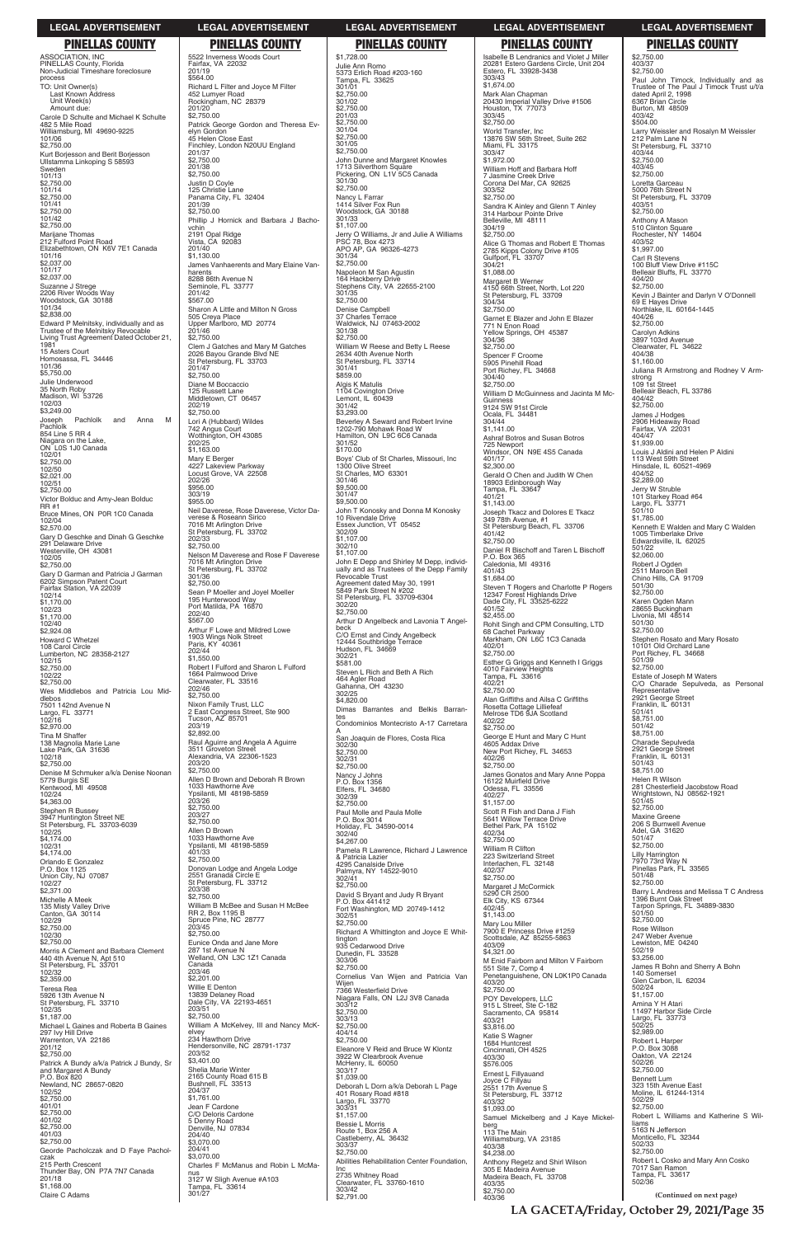ASSOCIATION, INC PINELLAS County, Florida Non-Judicial Timeshare foreclosure process TO: Unit Owner(s) Last Known Address Unit Week(s) Amount due: Carole D Schulte and Michael K Schulte 482 5 Mile Road Williamsburg, MI 49690-9225 101/06  $$2,750.00$ Kurt Borjesson and Berit Borjesson Ullstamma Linkoping S 58593 Sweden 101/13 \$2,750.00 101/14 \$2,750.00 101/41  $$2,750.00$ 101/42 \$2,750.00 Marijane Thomas 212 Fulford Point Road Elizabethtown, ON K6V 7E1 Canada 101/16 \$2,037.00 101/17 \$2,037.00 Suzanne J Strege 2206 River Woods Way Woodstock, GA 30188 101/34 \$2,838.00 Edward P Melnitsky, individually and as Trustee of the Melnitsky Revocable Living Trust Agreement Dated October 21, 1981 15 Asters Court Homosassa, FL 34446 101/36 \$5,750.00 Julie Underwood 35 North Roby Madison, WI 53726 102/03 \$3,249.00 Pachlolk and Anna M Joseph<br>Pachlolk 854 Line 5 RR 4 Niagara on the Lake, ON L0S 1J0 Canada 102/01 \$2,750.00 102/50 \$2,021.00 102/51 \$2,750.00 Victor Bolduc and Amy-Jean Bolduc RR #1 Bruce Mines, ON P0R 1C0 Canada 102/04 \$2,570.00 Gary D Geschke and Dinah G Geschke 291 Delaware Drive Westerville, OH 43081 102/05 \$2,750.00 Gary D Garman and Patricia J Garman 6202 Simpson Patent Court Fairfax Station, VA 22039 102/14  $$1,170.00$ 102/23 \$1,170.00 102/40 \$2,924.08 Howard C Whetzel 108 Carol Circle Lumberton, NC 28358-2127 102/15  $$2,750.00$ 102/22  $$2,750.00$ Wes Middlebos and Patricia Lou Middlebos 7501 142nd Avenue N Largo, FL 33771 102/16 \$2,970.00 Tina M Shaffer 138 Magnolia Marie Lane Lake Park, GA 31636 102/18  $$2,750.00$ Denise M Schmuker a/k/a Denise Noonan 5779 Burgis SE Kentwood, MI 49508 102/24  $$4,363.00$ Stephen R Bussey 3947 Huntington Street NE St Petersburg, FL 33703-6039 102/25 \$4,174.00 102/31 \$4,174.00 Orlando E Gonzalez P.O. Box 1125 Union City, NJ 07087 102/27  $$2,371.00$ Michelle A Meek 135 Misty Valley Drive Canton, GA 30114 102/29 \$2,750.00 102/30  $$2,750.00$ Morris A Clement and Barbara Clement 440 4th Avenue N, Apt 510 St Petersburg, FL 33701 102/32 \$2,359.00 Teresa Rea 5926 13th Avenue N St Petersburg, FL 33710 102/35 \$1,187.00 Michael L Gaines and Roberta B Gaines 297 Ivy Hill Drive Warrenton, VA 22186 201/12 \$2,750.00 Patrick A Bundy a/k/a Patrick J Bundy, Sr and Margaret A Bundy P.O. Box 820 Newland, NC 28657-0820 102/52 \$2,750.00 401/01 \$2,750.00 401/02  $$2,750.00$ 401/03 \$2,750.00 Georde Pacholczak and D Faye Pacholczak 215 Perth Crescent Thunder Bay, ON P7A 7N7 Canada 201/18  $\overline{$}1,168.00$ Claire C Adams

302/51 \$2,750.00 Richard A Whittington and Joyce E Whittington 935 Cedarwood Drive Dunedin, FL 33528 303/06 \$2,750.00 Cornelius Van Wijen and Patricia Van Wijen<br>7366 Westerfield Drive 7366 Westerfield Drive<br>Niagara Falls, ON L2J 3V8 Canada 303/12  $$2,750.00$ 303/13 \$2,750.00  $404/14$ \$2,750.00 Eleanore V Reid and Bruce W Klontz 3922 W Clearbrook Avenue McHenry, IL 60050 303/17 \$1,039.00 Deborah L Dorn a/k/a Deborah L Page 401 Rosary Road #818 Largo, FL 33770 303/31  $$1,157.00$ Bessie L Morris Route 1, Box 256 A Castleberry, AL 36432 303/37 \$2,750.00 Abilities Rehabilitation Center Foundation, Inc 2735 Whitney Road Clearwater, FL 33760-1610 303/42  $52,791.00$ 

5522 Inverness Woods Court Fairfax, VA 22032 201/19 \$564.00 Richard L Filter and Joyce M Filter 452 Lumyer Road Rockingham, NC 28379 201/20  $$2,750.00$ Patrick George Gordon and Theresa Evelyn Gordon 45 Helen Close East Finchley, London N20UU England 201/37  $$2.750.00$ 201/38 \$2,750.00 Justin D Coyle 125 Christie Lane Panama City, FL 32404 201/39  $$2,750.00$ Phillip J Hornick and Barbara J Bachovchin 2191 Opal Ridge Vista, CA 92083 201/40 \$1,130.00 James Vanhaerents and Mary Elaine Vanharents 8288 86th Avenue N Seminole, FL 33777 201/42  $$567.00$ Sharon A Little and Milton N Gross 505 Creya Place Upper Marlboro, MD 20774 201/46 \$2,750.00 Clem J Gatches and Mary M Gatches 2026 Bayou Grande Blvd NE St Petersburg, FL 33703 201/47 \$2,750.00 Diane M Boccaccio 125 Russett Lane Middletown, CT 06457 202/19  $$2,750.00$ Lori A (Hubbard) Wildes 742 Angus Court Wotthington, OH 43085 202/25 \$1,163.00 Mary E Berger 4227 Lakeview Parkway Locust Grove, VA 22508 202/26 \$956.00 303/19 \$955.00 Neil Daverese, Rose Daverese, Victor Daverese & Roseann Sirico 7016 Mt Arlington Drive St Petersburg, FL 33702 202/33 \$2,750.00 Nelson M Daverese and Rose F Daverese 7016 Mt Arlington Drive St Petersburg, FL 33702 301/36 \$2,750.00 Sean P Moeller and Joyel Moeller 195 Hunterwood Way Port Matilda, PA 16870 202/40 \$567.00 Arthur F Lowe and Mildred Lowe 1903 Wings Nolk Street Paris, KY 40361 202/44 \$1,550.00 Robert I Fulford and Sharon L Fulford 1664 Palmwood Drive Clearwater, FL 33516 202/46 \$2,750.00 Nixon Family Trust, LLC 2 East Congress Street, Ste 900 Tucson, AZ 85701 203/19 \$2,892.00 Raul Aguirre and Angela A Aguirre 3511 Groveton Street Alexandria, VA 22306-1523 203/20 \$2,750.00 Allen D Brown and Deborah R Brown 1033 Hawthorne Ave Ypsilanti, MI 48198-5859 203/26 \$2,750.00 203/27 \$2,750.00 Allen D Brown 1033 Hawthorne Ave Ypsilanti, MI 48198-5859 401/33 \$2,750.00 Donovan Lodge and Angela Lodge 2551 Granada Circle E St Petersburg, FL 33712 203/38 \$2,750.00 William B McBee and Susan H McBee RR 2, Box 1195 B Spruce Pine, NC 28777 203/45 \$2,750.00 Eunice Onda and Jane More 287 1st Avenue N Welland, ON L3C 1Z1 Canada Canada 203/46 \$2,201.00 Willie E Denton<br>13839 Delaney Road<br>Dale City, VA 22193-4651 203/51 \$2,750.00 William A McKelvey, III and Nancy McKelvey 234 Hawthorn Drive Hendersonville, NC 28791-1737 203/52 \$3,401.00 Shelia Marie Winter 2165 County Road 615 B Bushnell, FL 33513 204/37 \$1,761.00 Jean F Cardone C/O Deloris Cardone 5 Denny Road Denville, NJ 07834 204/40 \$3,070.00 204/41 \$3,070.00 Charles F McManus and Robin L McManus 3127 W Sligh Avenue #A103 Tampa, FL 33614 301/27

Isabelle B Lendranics and Violet J Miller 20281 Estero Gardens Circle, Unit 204 Estero, FL 33928-3438 303/43 \$1,674.00 Mark Alan Chapman 20430 Imperial Valley Drive #1506 Houston, TX 77073 303/45 \$2,750.00 World Transfer, Inc 13876 SW 56th Street, Suite 262 Miami, FL 33175 303/47  $$1,972.00$ William Hoff and Barbara Hoff 7 Jasmine Creek Drive Corona Del Mar, CA 92625 303/52 \$2,750.00 Sandra K Ainley and Glenn T Ainley 314 Harbour Pointe Drive Belleville, MI 48111 304/19 \$2,750.00 Alice G Thomas and Robert E Thomas 2785 Kipps Colony Drive #105 Gulfport, FL 33707 304/21  $$1,088.00$ Margaret B Werner 4150 66th Street, North, Lot 220 St Petersburg, FL 33709 304/34  $$2,750.00$ Garnet E Blazer and John E Blazer 771 N Enon Road Yellow Springs, OH 45387 304/36 \$2,750.00 Spencer F Croome 5905 Pinehill Road Port Richey, FL 34668 304/40 \$2,750.00 William D McGuinness and Jacinta M Mc-Guinness 9124 SW 91st Circle Ocala, FL 34481 304/44 \$1,141.00 Ashraf Botros and Susan Botros 725 Newport Windsor, ON N9E 4S5 Canada 401/17  $$2,300.00$ Gerald O Chen and Judith W Chen 18903 Edinborough Way Tampa, FL 33647 401/21  $$1,143.00$ Joseph Tkacz and Dolores E Tkacz 349 78th Avenue, #1 St Petersburg Beach, FL 33706 401/42 \$2,750.00 Daniel R Bischoff and Taren L Bischoff P.O. Box 365 Caledonia, MI 49316 401/43 \$1,684.00 Steven T Rogers and Charlotte P Rogers 12347 Forest Highlands Drive Dade City, FL 33525-6222 401/52 \$2,455.00 Rohit Singh and CPM Consulting, LTD 68 Cachet Parkway Markham, ON L6C 1C3 Canada 402/01 \$2,750.00 Esther G Griggs and Kenneth I Griggs 4010 Fairview Heights Tampa, FL 33616 402/21  $702/21$ <br>\$2,750.00 Alan Griffiths and Ailsa C Griffiths Rosetta Cottage Lilliefeaf Melrose TD6 9JA Scotland 402/22  $$2,750.00$ George E Hunt and Mary C Hunt 4605 Addax Drive New Port Richey, FL 34653 402/26 \$2,750.00 James Gonatos and Mary Anne Poppa 16122 Muirfield Drive<br>Odessa, FL 33556 402/27  $$1,157.00$ Scott R Fish and Dana J Fish 5641 Willow Terrace Drive Bethel Park, PA 15102 402/34 \$2,750.00 William R Clifton 223 Switzerland Street Interlachen, FL 32148 402/37 \$2,750.00 Margaret J McCormick 5290 CR 2500 Elk City, KS 67344 402/45 \$1,143.00 Mary Lou Miller 7900 E Princess Drive #1259 Scottsdale, AZ 85255-5863 403/09 \$4,321.00 M Enid Fairborn and Milton V Fairborn 551 Site 7, Comp 4 Penetanguishene, ON L0K1P0 Canada 403/20 \$2,750.00 POY Developers, LLC 915 L Street, Ste C-182 Sacramento, CA 95814 403/21 \$3,816.00 Katie S Wagner 1684 Huntcrest Cincinnati, OH 4525 403/30 \$576.005 Ernest L Fillyauand Joyce C Fillyau 2551 17th Avenue S St Petersburg, FL 33712 403/32 \$1,093.00 Samuel Mickelberg and J Kaye Mickelberg 113 The Main Williamsburg, VA 23185 403/38 \$4,238.00 Anthony Regetz and Shirl Wilson 305 E Madeira Avenue Madeira Beach, FL 33708 403/35 \$2,750.00 403/36

## \$1,728.00 Julie Ann Romo 5373 Erlich Road #203-160 Tampa, FL 33625 301/01 \$2,750.00 301/02 \$2,750.00 201/03 \$2,750.00 301/04 \$2,750.00 301/05 \$2,750.00 John Dunne and Margaret Knowles 1713 Silverthorn Square Pickering, ON L1V 5C5 Canada 301/30 \$2,750.00 Nancy L Farrar 1414 Silver Fox Run Woodstock, GA 30188 301/33 \$1,107.00 Jerry O Williams, Jr and Julie A Williams PSC 78, Box 4273 APO AP, GA 96326-4273 301/34 \$2,750.00 Napoleon M San Agustin 164 Hackberry Drive Stephens City, VA 22655-2100 301/35 \$2,750.00 Denise Campbell 37 Charles Terrace Waldwick, NJ 07463-2002 301/38 \$2,750.00 William W Reese and Betty L Reese 2634 40th Avenue North St Petersburg, FL 33714 301/41 \$859.00 Algis K Matulis 1104 Covington Drive Lemont, IL 60439 301/42 \$3,293.00 Beverley A Seward and Robert Irvine 1202-790 Mohawk Road W Hamilton, ON L9C 6C6 Canada 301/52 \$170.00 Boys' Club of St Charles, Missouri, Inc 1300 Olive Street St Charles, MO 63301 301/46 \$9,500.00 301/47 \$9,500.00 John T Konosky and Donna M Konosky 10 Rivendale Drive Essex Junction, VT 05452 302/09 \$1,107.00 302/10 \$1,107.00 John E Depp and Shirley M Depp, individ-ually and as Trustees of the Depp Family Revocable Trust Agreement dated May 30, 1991 5849 Park Street N #202 St Petersburg, FL 33709-6304 302/20 \$2,750.00 Arthur D Angelbeck and Lavonia T Angelbeck C/O Ernst and Cindy Angelbeck 12444 Southbridge Terrace Hudson, FL 34669 302/21 \$581.00 Steven L Rich and Beth A Rich 464 Agler Road Gahanna, OH 43230 302/25 \$4,820.00 Dimas Barrantes and Belkis Barrantes Condominios Montecristo A-17 Carretara A San Joaquin de Flores, Costa Rica 302/30 \$2,750.00 302/31  $$2,750.00$ Nancy J Johns P.O. Box 1356 Elfers, FL 34680 302/39 \$2,750.00 Paul Molle and Paula Molle P.O. Box 3014 Holiday, FL 34590-0014 302/40 \$4,267.00 Pamela R Lawrence, Richard J Lawrence & Patricia Lazier 4295 Canalside Drive Palmyra, NY 14522-9010 302/41  $$2,750.00$ David S Bryant and Judy R Bryant P.O. Box 441412 Fort Washington, MD 20749-1412 **PINELLAS COUNTY PINELLAS COUNTY PINELLAS COUNTY PINELLAS COUNTY PINELLAS COUNTY**

\$2,750.00 403/37 \$2,750.00 Paul John Timock, Individually and as Trustee of The Paul J Timock Trust u/t/a dated April 2, 1998 6367 Brian Circle Burton, MI 48509 403/42 \$504.00 Larry Weissler and Rosalyn M Weissler 212 Palm Lane N St Petersburg, FL 33710 403/44 \$2,750.00 403/45 \$2,750.00 Loretta Garceau 5000 76th Street N St Petersburg, FL 33709 403/51 \$2,750.00 Anthony A Mason 510 Clinton Square Rochester, NY 14604 403/52 \$1,997.00 Carl R Stevens 100 Bluff View Drive #115C Belleair Bluffs, FL 33770 404/20 \$2,750.00 Kevin J Bainter and Darlyn V O'Donnell 69 E Hayes Drive Northlake, IL 60164-1445 404/26 \$2,750.00 Carolyn Adkins 3897 103rd Avenue Clearwater, FL 34622 404/38 \$1,160.00 Juliana R Armstrong and Rodney V Armstrong 109 1st Street Belleair Beach, FL 33786 404/42 \$2,750.00 James J Hodges 2906 Hideaway Road Fairfax, VA 22031 404/47 \$1,939.00 Louis J Aldini and Helen P Aldini 113 West 59th Street Hinsdale, IL 60521-4969 404/52 \$2,289.00 Jerry W Struble 101 Starkey Road #64 Largo, FL 33771 501/10 \$1,785.00 Kenneth E Walden and Mary C Walden 1005 Timberlake Drive Edwardsville, IL 62025 501/22 \$2,060.00 Robert J Ogden 2511 Maroon Bell Chino Hills, CA 91709 501/30 \$2,750.00 Karen Ogden Mann 28655 Buckingham Livonia, MI 48514 501/30 \$2,750.00 Stephen Rosato and Mary Rosato 10101 Old Orchard Lane Port Richey, FL 34668 501/39 \$2,750.00 Estate of Joseph M Waters C/O Charade Sepulveda, as Personal Representative 2921 George Street Franklin, IL 60131 501/41 \$8,751.00 501/42 \$8,751.00 Charade Sepulveda 2921 George Street Franklin, IL 60131 501/43 \$8,751.00 Helen R Wilson<br>281 Chesterfield Jacobstow Road Wrightstown, NJ 08562-1921 501/45 \$2,750.00 Maxine Greene 206 S Burnwell Avenue Adel, GA 31620 501/47 \$2,750.00 Lilly Harrington 7970 73rd Way N Pinellas Park, FL 33565 501/48 \$2,750.00 Barry L Andress and Melissa T C Andress 1396 Burnt Oak Street Tarpon Springs, FL 34889-3830 501/50 \$2,750.00 Rose Willson 247 Weber Avenue Lewiston, ME 04240 502/19 \$3,256.00 James R Bohn and Sherry A Bohn 140 Somerset Glen Carbon, IL 62034 502/24 \$1,157.00 Amina Y H Atari 11497 Harbor Side Circle Largo, FL 33773 502/25 \$2,989.00 Robert L Harper P.O. Box 3088 Oakton, VA 22124 502/26 \$2,750.00 Bennett Lum 323 15th Avenue East Moline, IL 61244-1314 502/29 \$2,750.00 Robert L Williams and Katherine S Williams 5163 N Jefferson Monticello, FL 32344 502/33 \$2,750.00 Robert L Cosko and Mary Ann Cosko 7017 San Ramon Tampa, FL 33617 502/36

## **LEGAL ADVERTISEMENT LEGAL ADVERTISEMENT LEGAL ADVERTISEMENT LEGAL ADVERTISEMENT LEGAL ADVERTISEMENT**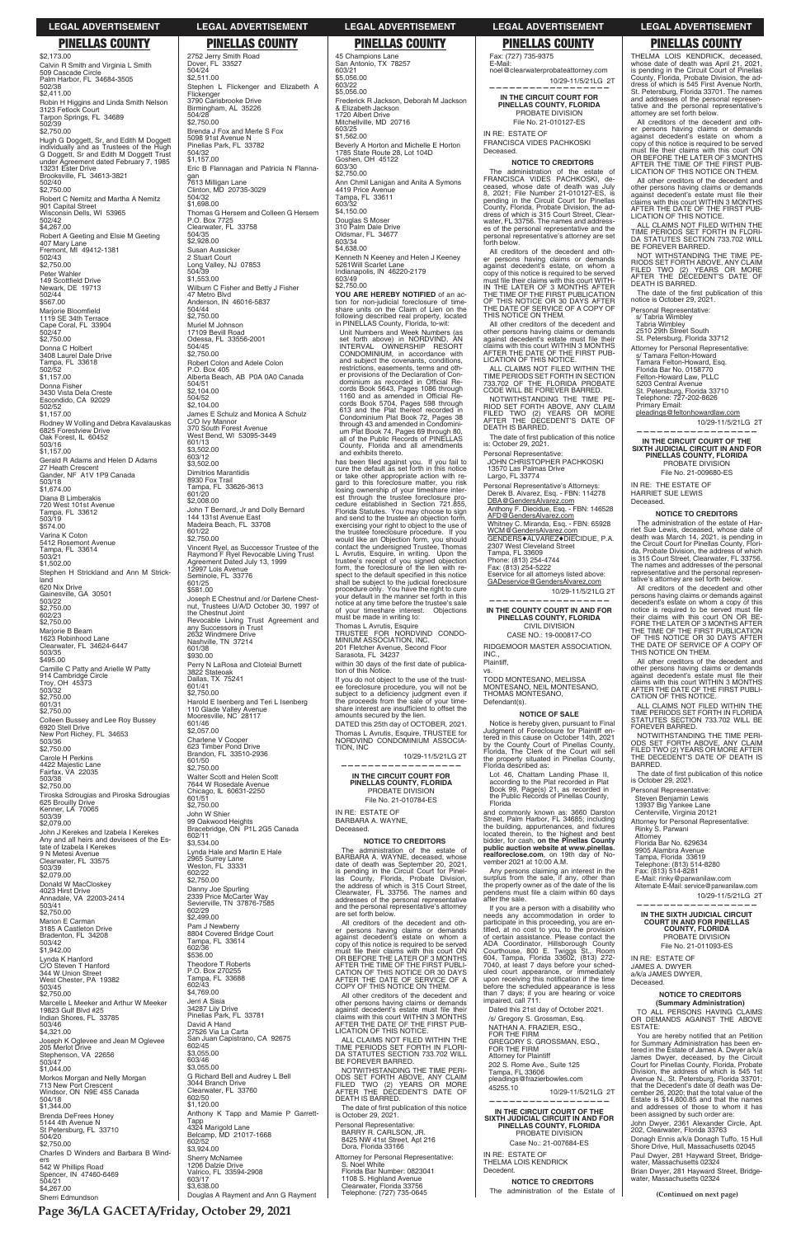**Page 36/LA GACETA/Friday, October 29, 2021**

\$2,173.00 Calvin R Smith and Virginia L Smith 509 Cascade Circle Palm Harbor, FL 34684-3505 502/38  $$2,411.00$ Robin H Higgins and Linda Smith Nelson 3123 Fetlock Court Tarpon Springs, FL 34689 502/39 \$2,750.00 Hugh G Doggett, Sr, and Edith M Doggett individually and as Trustees of the Hugh G Doggett, Sr and Edith M Doggett Trust under Agreement dated February 7, 1985 13231 Ester Drive Brooksville, FL 34613-3821 502/40  $$2,750.00$ Robert C Nemitz and Martha A Nemitz 901 Capital Street Wisconsin Dells, WI 53965 502/42  $$4,267.00$ Robert A Geeting and Elsie M Geeting 407 Mary Lane Fremont, MI 49412-1381 502/43 \$2,750.00 Peter Wahler 149 Scottfield Drive<br>Newark, DE 19713 502/44 \$567.00 Marjorie Bloomfield<br>1119 SE 34th Terrace Cape Coral, FL 33904 502/47  $$2,750.00$ Donna C Holbert 3408 Laurel Dale Drive Tampa, FL 33618 502/52  $$1,157.00$ Donna Fisher 3430 Vista Dela Creste Escondido, CA 92029 502/52 \$1,157.00 Rodney W Volling and Debra Kavalauskas 6825 Forestview Drive Oak Forest, IL 60452 503/16  $$1,157.00$ Gerald R Adams and Helen D Adams 27 Heath Crescent Gander, NF A1V 1P9 Canada 503/18 \$1,674.00 Diana B Limberakis 720 West 101st Avenue Tampa, FL 33612 503/19 \$574.00 Varina K Coton 5412 Rosemont Avenue Tampa, FL 33614 503/21  $$1,502.00$ Stephen H Strickland and Ann M Strickland 620 Nix Drive Gainesville, GA 30501 503/22 \$2,750.00 602/23 \$2,750.00 Marjorie B Beam 1623 Robinhood Lane Clearwater, FL 34624-6447 503/35 \$495.00 Camille C Patty and Arielle W Patty 914 Cambridge Circle Troy, OH 45373 503/32  $$2,750.00$ 601/31 \$2,750.00 Colleen Bussey and Lee Roy Bussey 6920 Stell Drive New Port Richey, FL 34653 503/36 \$2,750.00 Carole H Perkins 4422 Majestic Lane Fairfax, VA 22035 503/38 \$2,750.00 Tiroska Sdrougias and Piroska Sdrougias 625 Brouilly Drive Kenner, LA 70065 503/39 \$2,079.00 John J Kerekes and Izabela I Kerekes Any and all heirs and devisees of the Estate of Izabela I Kerekes 9 N Metesi Avenue Clearwater, FL 33575 503/39 \$2,079.00 Donald W MacCloskey 4023 Hirst Drive Annadale, VA 22003-2414 503/41

2752 Jerry Smith Road Dover, FL 33527 504/24  $$2,511.00$ Stephen L Flickenger and Elizabeth A Flickenger 3790 Carisbrooke Drive Birmingham, AL 35226 504/28 \$2,750.00 Brenda J Fox and Merle S Fox 5098 91st Avenue N Pinellas Park, FL 33782 504/32  $$1,157.00$ Eric B Flannagan and Patricia N Flannagan 7613 Milligan Lane Clinton, MD 20735-3029 504/32 \$1,698.00 Thomas G Hersem and Colleen G Hersem P.O. Box 7725 Clearwater, FL 33758 504/35 \$2,928.00 Susan Aussicker 2 Stuart Court Long Valley, NJ 07853 504/39 \$1,553.00 Wilburn C Fisher and Betty J Fisher 47 Metro Blvd Anderson, IN 46016-5837 504/44  $$2,750.00$ Muriel M Johnson 17109 Bevill Road Odessa, FL 33556-2001 504/45 \$2,750.00 Robert Colon and Adele Colon P.O. Box 405 Alberta Beach, AB P0A 0A0 Canada 504/51  $$2,104.00$ 504/52 \$2,104.00 James E Schulz and Monica A Schulz C/O Ivy Mannor 370 South Forest Avenue West Bend, WI 53095-3449 601/13  $$3,502.00$ 603/12  $$3,502.00$ Dimitrios Marantidis 8930 Fox Trail Tampa, FL 33626-3613 601/20  $$2,008.00$ John T Bernard, Jr and Dolly Bernard 144 131st Avenue East Madeira Beach, FL 33708 601/22  $$2,750.00$ Vincent Ryel, as Successor Trustee of the Raymond F Ryel Revocable Living Trust Agreement Dated July 13, 1999 12997 Lois Avenue Seminole, FL 33776 601/25 \$581.00 Joseph E Chestnut and /or Darlene Chest-nut, Trustees U/A/D October 30, 1997 of the Chestnut Joint Revocable Living Trust Agreement and any Successors in Trust 2632 Windmere Drive Nashville, TN 37214 601/38 \$930.00 Perry N LaRosa and Cloteial Burnett 3822 Stateoak Dallas, TX 75241 601/41 \$2,750.00 Harold E Isenberg and Teri L Isenberg 110 Glade Valley Avenue Mooresville, NC 28117 601/46  $$2,057.00$ Charlene V Cooper 623 Timber Pond Drive Brandon, FL 33510-2936 601/50  $$2,750.00$ Walter Scott and Helen Scott 7644 W Rosedale Avenue Chicago, IL 60631-2250 601/51 \$2,750.00 John W Shier 99 Oakwood Heights Bracebridge, ON P1L 2G5 Canada 602/11  $$3,534.00$ Lynda Hale and Martin E Hale 2965 Surrey Lane Weston, FL 33331 602/22  $$2,750.00$ 

**NOTICE TO CREDITORS** The administration of the estate of BARBARA A. WAYNE, deceased, whose date of death was September 20, 2021, is pending in the Circuit Court for Pinellas County, Florida, Probate Division, the address of which is 315 Court Street, Clearwater, FL 33756. The names and

**NOTICE TO CREDITORS** The administration of the estate of FRANCISCA VIDES PACHKOSKI, deceased, whose date of death was July 8, 2021; File Number 21-010127-ES, is pending in the Circuit Court for Pinellas County, Florida, Probate Division, the address of which is 315 Court Street, Clear-water, FL 33756. The names and addresses of the personal representative and the personal representative's attorney are set forth below. All creditors of the decedent and other persons having claims or demands against decedent's estate, on whom a copy of this notice is required to be served must file their claims with this court WITH-IN THE LATER OF 3 MONTHS AFTER THE TIME OF THE FIRST PUBLICATION OF THIS NOTICE OR 30 DAYS AFTER THE DATE OF SERVICE OF A COPY OF THIS NOTICE ON THEM. All other creditors of the decedent and other persons having claims or demands<br>against decedent's estate must file their<br>claims with this court WITHIN 3 MONTHS<br>AFTER THE DATE OF THE FIRST PUB-

The date of first publication of this notice<br>is: October 29, 2021. Personal Representative: JOHN CHRISTOPHER PACHKOSKI

Anthony F. Diecidue, Esq. - FBN: 146528 AFD@GendersAlvarez.com Whitney C. Miranda, Esq. - FBN: 65928<br><u>WCM@GendersAlvarez.com</u> GENDERS♦ALVAREZ♦DIECIDUE, P.A.<br>2307 West Cleveland Street<br>Tampa, FL 33609

Any persons claiming an interest in the surplus from the sale, if any, other than the property owner as of the date of the lis pendens must file a claim within 60 days<br>after the sale.

THELMA LOIS KENDRICK, deceased,<br>whose date of death was April 21, 2021,<br>is pending in the Circuit Court of Pinellas<br>County, Florida, Probate Division, the ad-<br>dress of which is 545 First Avenue North,<br>St. Petersburg, Flori and addresses of the personal represen-tative and the personal representative's attorney are set forth below.

All creditors of the decedent and other persons having claims or demands against decedent's estate on whom a copy of this notice is required to be served must file their claims with this court ON<br>OR BEFORE THE LATER OF 3 MONTHS<br>AFTER THE TIME OF THE FIRST PUB-<br>LICATION OF THIS NOTICE ON THEM.

All other creditors of the decedent and other persons having claims or demands against decedent's estate must file their<br>claims with this court WITHIN 3 MONTHS<br>AFTER THE DATE OF THE FIRST PUB-<br>LICATION OF THIS NOTICE.

Deceased.

| 4023 Hirst Drive<br>Annadale, VA 22003-2414<br>503/41<br>\$2,750.00<br>Marion E Carman<br>3185 A Castleton Drive<br>Bradenton, FL 34208<br>503/42<br>\$1,942.00<br>Lynda K Hanford<br>C/O Steven T Hanford | Danny Joe Spurling<br>2339 Price McCarter Way<br>Sevierville, TN 37876-7585<br>602/29<br>\$2,499.00<br>Pam J Newberry<br>8804 Covered Bridge Court<br>Tampa, FL 33614<br>602/36<br>\$536.00<br>Theodore T Roberts | the addition which is 313 Court Street,<br>Clearwater, FL 33756. The names and<br>addresses of the personal representative<br>and the personal representative's attorney<br>are set forth below.<br>All creditors of the decedent and oth-<br>er persons having claims or demands<br>against decedent's estate on whom a<br>copy of this notice is required to be served<br>must file their claims with this court ON<br>OR BEFORE THE LATER OF 3 MONTHS<br>AFTER THE TIME OF THE FIRST PUBLI- | the property owner as or the date of the ns.<br>pendens must file a claim within 60 days<br>after the sale.<br>If you are a person with a disability who<br>needs any accommodation in order to<br>participate in this proceeding, you are en-<br>titled, at no cost to you, to the provision<br>of certain assistance. Please contact the<br>ADA Coordinator, Hillsborough County<br>Courthouse, 800 E. Twiggs St., Room<br>604, Tampa, Florida 33602, (813) 272-<br>7040, at least 7 days before your sched- | 10/29-11/5/21LG 2T<br>IN THE SIXTH JUDICIAL CIRCUIT<br><b>COURT IN AND FOR PINELLAS</b><br><b>COUNTY, FLORIDA</b><br>PROBATE DIVISION<br>File No. 21-011093-ES<br>IN RE: ESTATE OF<br><b>JAMES A. DWYER</b>                                                             |
|------------------------------------------------------------------------------------------------------------------------------------------------------------------------------------------------------------|-------------------------------------------------------------------------------------------------------------------------------------------------------------------------------------------------------------------|------------------------------------------------------------------------------------------------------------------------------------------------------------------------------------------------------------------------------------------------------------------------------------------------------------------------------------------------------------------------------------------------------------------------------------------------------------------------------------------------|----------------------------------------------------------------------------------------------------------------------------------------------------------------------------------------------------------------------------------------------------------------------------------------------------------------------------------------------------------------------------------------------------------------------------------------------------------------------------------------------------------------|-------------------------------------------------------------------------------------------------------------------------------------------------------------------------------------------------------------------------------------------------------------------------|
| 344 W Union Street<br>West Chester, PA 19382<br>503/45<br>\$2,750.00                                                                                                                                       | P.O. Box 270255<br>Tampa, FL 33688<br>602/43<br>\$4,769.00                                                                                                                                                        | CATION OF THIS NOTICE OR 30 DAYS<br>AFTER THE DATE OF SERVICE OF A<br>COPY OF THIS NOTICE ON THEM.<br>All other creditors of the decedent and                                                                                                                                                                                                                                                                                                                                                  | uled court appearance, or immediately<br>upon receiving this notification if the time<br>before the scheduled appearance is less<br>than 7 days; if you are hearing or voice                                                                                                                                                                                                                                                                                                                                   | a/k/a JAMES DWYER.<br>Deceased.<br><b>NOTICE TO CREDITORS</b>                                                                                                                                                                                                           |
| Marcelle L Meeker and Arthur W Meeker<br>19823 Gulf Blvd #25<br>Indian Shores, FL 33785<br>503/46<br>\$4,321.00                                                                                            | Jerri A Sisia<br>34287 Lily Drive<br>Pinellas Park, FL 33781<br>David A Hand<br>27526 Via La Carta                                                                                                                | other persons having claims or demands<br>against decedent's estate must file their<br>claims with this court WITHIN 3 MONTHS<br>AFTER THE DATE OF THE FIRST PUB-<br>LICATION OF THIS NOTICE.                                                                                                                                                                                                                                                                                                  | impaired, call 711.<br>Dated this 21st day of October 2021.<br>/s/ Gregory S. Grossman, Esq.<br>NATHAN A. FRAZIER, ESQ.,                                                                                                                                                                                                                                                                                                                                                                                       | (Summary Administration)<br>TO ALL PERSONS HAVING CLAIMS<br>OR DEMANDS AGAINST THE ABOVE<br>ESTATE:                                                                                                                                                                     |
| Joseph K Oglevee and Jean M Oglevee<br>205 Merlot Drive<br>Stephenson, VA 22656<br>503/47<br>\$1,044.00                                                                                                    | San Juan Capistrano, CA 92675<br>602/45<br>\$3.055.00<br>603/46<br>\$3.055.00                                                                                                                                     | ALL CLAIMS NOT FILED WITHIN THE<br>TIME PERIODS SET FORTH IN FLORI-<br>DA STATUTES SECTION 733.702 WILL<br>BE FOREVER BARRED.<br>NOTWITHSTANDING THE TIME PERI-                                                                                                                                                                                                                                                                                                                                | <b>FOR THE FIRM</b><br>GREGORY S. GROSSMAN, ESQ.,<br>FOR THE FIRM<br><b>Attorney for Plaintiff</b><br>202 S. Rome Ave., Suite 125<br>Tampa, FL 33606                                                                                                                                                                                                                                                                                                                                                           | You are hereby notified that an Petition<br>for Summary Administration has been en-<br>tered in the Estate of James A. Dwyer a/k/a<br>James Dwyer, deceased, by the Circuit<br>Court for Pinellas County, Florida, Probate<br>Division, the address of which is 545 1st |
| Morkos Morgan and Nelly Morgan<br>713 New Port Crescent<br>Windsor, ON N9E 4S5 Canada<br>504/18<br>\$1,344.00                                                                                              | G Richard Bell and Audrey L Bell<br>3044 Branch Drive<br>Clearwater, FL 33760<br>602/50<br>\$1.120.00                                                                                                             | ODS SET FORTH ABOVE. ANY CLAIM<br>FILED TWO (2) YEARS OR MORE<br>AFTER THE DECEDENT'S DATE OF<br><b>DEATH IS BARRED.</b><br>The date of first publication of this notice                                                                                                                                                                                                                                                                                                                       | pleadings@frazierbowles.com<br>45255.10<br>10/29-11/5/21LG 2T                                                                                                                                                                                                                                                                                                                                                                                                                                                  | Avenue N., St. Petersburg, Florida 33701;<br>that the Decedent's date of death was De-<br>cember 26, 2020: that the total value of the<br>Estate is \$14,800.85 and that the names<br>and addresses of those to whom it has                                             |
| <b>Brenda DeFrees Honey</b><br>5144 4th Avenue N<br>St Petersburg, FL 33710<br>504/20<br>\$2,750.00                                                                                                        | Anthony K Tapp and Mamie P Garrett-<br>Tapp<br>4324 Marigold Lane<br>Belcamp, MD 21017-1668<br>602/52<br>\$3.924.00                                                                                               | is October 29, 2021.<br>Personal Representative:<br>BARRY R. CARLSON, JR.<br>8425 NW 41st Street, Apt 216<br>Dora, Florida 33166                                                                                                                                                                                                                                                                                                                                                               | IN THE CIRCUIT COURT OF THE<br>SIXTH JUDICIAL CIRCUIT IN AND FOR<br>PINELLAS COUNTY, FLORIDA<br>PROBATE DIVISION<br>Case No.: 21-007684-ES                                                                                                                                                                                                                                                                                                                                                                     | been assigned by such order are:<br>John Dwyer, 2361 Alexander Circle, Apt.<br>202, Clearwater, Florida 33763<br>Donagh Ennis a/k/a Donagh Tuffo, 15 Hull<br>Shore Drive, Hull, Massachusetts 02045                                                                     |
| Charles D Winders and Barbara B Wind-<br>ers<br>542 W Phillips Road<br>Spencer, IN 47460-6469<br>504/21                                                                                                    | <b>Sherry McNamee</b><br>1206 Dalzie Drive<br>Valrico, FL 33594-2908<br>603/17                                                                                                                                    | Attorney for Personal Representative:<br>S. Noel White<br>Florida Bar Number: 0823041<br>1108 S. Highland Avenue                                                                                                                                                                                                                                                                                                                                                                               | IN RE: ESTATE OF<br>THELMA LOIS KENDRICK<br>Decedent.<br><b>NOTICE TO CREDITORS</b>                                                                                                                                                                                                                                                                                                                                                                                                                            | Paul Dwyer, 281 Hayward Street, Bridge-<br>water. Massachusetts 02324<br>Brian Dwyer, 281 Hayward Street, Bridge-<br>water, Massachusetts 02324                                                                                                                         |
| \$4,267.00<br>Sherri Edmundson                                                                                                                                                                             | \$3.638.00<br>Douglas A Rayment and Ann G Rayment                                                                                                                                                                 | Clearwater, Florida 33756<br>Telephone: (727) 735-0645                                                                                                                                                                                                                                                                                                                                                                                                                                         | The administration of the Estate of                                                                                                                                                                                                                                                                                                                                                                                                                                                                            | (Continued on next page)                                                                                                                                                                                                                                                |

Fax: (727) 735-9375 E-Mail:

noel@clearwaterprobateattorney.com

10/29-11/5/21LG 2T

**—————————————————— IN THE CIRCUIT COURT FOR PINELLAS COUNTY, FLORIDA** PROBATE DIVISION File No. 21-010127-ES

IN RE: ESTATE OF

FRANCISCA VIDES PACHKOSKI

Deceased.

LICATION OF THIS NOTICE.

ALL CLAIMS NOT FILED WITHIN THE TIME PERIODS SET FORTH IN SECTION 733.702 OF THE FLORIDA PROBATE CODE WILL BE FOREVER BARRED.

NOTWITHSTANDING THE TIME PE-RIOD SET FORTH ABOVE, ANY CLAIM FILED TWO (2) YEARS OR MORE AFTER THE DECEDENT'S DATE OF DEATH IS BARRED.

13570 Las Palmas Drive Largo, FL 33774 Personal Representative's Attorneys: Derek B. Alvarez, Esq. - FBN: 114278 DBA@GendersAlvarez.com

Phone: (813) 254-4744 Fax: (813) 254-5222

Eservice for all attorneys listed above: GADeservice@GendersAlvarez,com

10/29-11/5/21LG 2T

**—————————————————— IN THE COUNTY COURT IN AND FOR PINELLAS COUNTY, FLORIDA** CIVIL DIVISION CASE NO.: 19-000817-CO RIDGEMOOR MASTER ASSOCIATION,

## 45 Champions Lane San Antonio, TX 78257 603/21 \$5,056.00  $603/22$  $$5,056.00$ Frederick R Jackson, Deborah M Jackson & Elizabeth Jackson 1720 Albert Drive Mitchellville, MD 20716 603/25  $$1,562.00$ Beverly A Horton and Michelle E Horton 1785 State Route 28, Lot 104D Goshen, OH 45122 603/30 \$2,750.00 Ann Chmil Lanigan and Anita A Symons 4419 Price Avenue Tampa, FL 33611 603/32 \$4,150.00 Douglas S Moser 310 Palm Dale Drive Oldsmar, FL 34677 603/34 \$4,638.00 Kenneth N Keeney and Helen J Keeney 5261Will Scarlet Lane Indianapolis, IN 46220-2179 603/49 \$2,750.00 **YOU ARE HEREBY NOTIFIED** of an action for non-judicial foreclosure of time-share units on the Claim of Lien on the following described real property, located in PINELLAS County, Florida, to-wit: Unit Numbers and Week Numbers (as<br>set forth above) in NORDVIND, AN<br>INTERVAL OWNERSHIP RESORT<br>CONDOMINIUM, in accordance with<br>and subject the covenants, conditions, restrictions, easements, terms and other provisions of the Declaration of Con-<br>dominium as recorded in Official Re-<br>cords Book 5643, Pages 1086 through<br>1160 and as amended in Official Re-<br>cords Book 5704, Pages 598 through 613 and the Plat thereof recorded in Condominium Plat Book 72, Pages 38 through 43 and amended in Condominium Plat Book 74, Pages 69 through 80,<br>all of the Public Records of PINELLAS<br>County, Florida and all amendments and exhibits thereto. has been filed against you. If you fail to<br>cure the default as set forth in this notice<br>or take other appropriate action with regard to this foreclosure matter, you risk<br>losing ownership of your timeshare inter-<br>est through the trustee foreclosure pro-<br>cedure established in Section 721.855,<br>Florida Statutes. You may choose to sign<br>and send to the t exercising your right to object to the use of the trustee foreclosure procedure. If you would like an Objection form, you should contact the undersigned Trustee, Thomas L Avrutis, Esquire, in writing. Upon the trustee's receipt of you signed objection form, the foreclosure of the lien with respect to the default specified in this notice<br>shall be subject to the judicial foreclosure procedure only. You have the right to cure your default in the manner set forth in this notice at any time before the trustee's sale of your timeshare interest. Objections must be made in writing to: Thomas L Avrutis, Esquire TRUSTEE FOR NORDVIND CONDO-MINIUM ASSOCIATION, INC. 201 Fletcher Avenue, Second Floor Sarasota, FL 34237 within 30 days of the first date of publication of this Notice. If you do not object to the use of the trustee foreclosure procedure, you will not be<br>subject to a deficiency judgment even if the proceeds from the sale of your timeshare interest are insufficient to offset the amounts secured by the lien. DATED this 25th day of OCTOBER, 2021. Thomas L Avrutis, Esquire, TRUSTEE for NORDVIND CONDOMINIUM ASSOCIA-TION, INC 10/29-11/5/21LG 2T **—————————————————— IN THE CIRCUIT COURT FOR PINELLAS COUNTY, FLORIDA** PROBATE DIVISION File No. 21-010784-ES IN RE: ESTATE OF BARBARA A. WAYNE, **PINELLAS COUNTY PINELLAS COUNTY PINELLAS COUNTY PINELLAS COUNTY PINELLAS COUNTY**

INC., Plaintiff, vs.

TODD MONTESANO, MELISSA MONTESANO, NEIL MONTESANO, THOMAS MONTESANO,

Defendant(s).

**NOTICE OF SALE** Notice is hereby given, pursuant to Final Judgment of Foreclosure for Plaintiff entered in this cause on October 14th, 2021 by the County Court of Pinellas County, Florida, The Clerk of the Court will sell the property situated in Pinellas County, Florida described as:

Lot 46, Chattam Landing Phase II, according to the Plat recorded in Plat Book 99, Page(s) 21, as recorded in the Public Records of Pinellas County,

and commonly known as: 3660 Darston<br>Street, Palm Harbor, FL 34685; including<br>the building, appurtenances, and fixtures<br>located therein, to the Pinellas County<br>bidder, for cash, **on the Pinellas County** 

Florida

**public auction website at www.pinellas. realforeclose.com**, on 19th day of No-vember 2021 at 10:00 A.M.

ALL CLAIMS NOT FILED WITHIN THE TIME PERIODS SET FORTH IN FLORI-DA STATUTES SECTION 733.702 WILL BE FOREVER BARRED.

NOT WITHSTANDING THE TIME PE-RIODS SET FORTH ABOVE, ANY CLAIM FILED TWO (2) YEARS OR MORE AFTER THE DECEDENT'S DATE OF DEATH IS BARRED.

The date of the first publication of this notice is October 29, 2021.

Personal Representative: s/ Tabria Wimbley Tabria Wimbley 2510 29th Street South

St. Petersburg, Florida 33712 Attorney for Personal Representative: s/ Tamara Felton-Howard

Tamara Felton-Howard, Esq. Florida Bar No. 0158770 Felton-Howard Law, PLLC 5203 Central Avenue St. Petersburg, Florida 33710 Telephone: 727-202-8626 Primary Email: pleadings@feltonhowardlaw.com

10/29-11/5/21LG 2T

## **—————————————————— IN THE CIRCUIT COURT OF THE SIXTH JUDICIAL CIRCUIT IN AND FOR PINELLAS COUNTY, FLORIDA**

PROBATE DIVISION File No. 21-009680-ES

IN RE: THE ESTATE OF HARRIET SUE LEWIS Deceased.

### **NOTICE TO CREDITORS**

The administration of the estate of Harriet Sue Lewis, deceased, whose date of death was March 14, 2021, is pending in the Circuit Court for Pinellas County, Florida, Probate Division, the address of which is 315 Court Street, Clearwater, FL 33756. The names and addresses of the personal representative and the personal represen-tative's attorney are set forth below.

All creditors of the decedent and other persons having claims or demands against<br>decedent's estate on whom a copy of this<br>notice is required to be served must file<br>their claims with this court ON OR BE-FORE THE LATER OF 3 MONTHS AFTER THE TIME OF THE FIRST PUBLICATION OF THIS NOTICE OR 30 DAYS AFTER THE DATE OF SERVICE OF A COPY OF THIS NOTICE ON THEM.

All other creditors of the decedent and other persons having claims or demands<br>against decedent's estate must file their<br>claims with this court WITHIN 3 MONTHS<br>AFTER THE DATE OF THE FIRST PUBLI-CATION OF THIS NOTICE.

ALL CLAIMS NOT FILED WITHIN THE TIME PERIODS SET FORTH IN FLORIDA STATUTES SECTION 733.702 WILL BE FOREVER BARRED.

NOTWITHSTANDING THE TIME PERI-ODS SET FORTH ABOVE, ANY CLAIM FILED TWO (2) YEARS OR MORE AFTER THE DECEDENT'S DATE OF DEATH IS BARRED.

The date of first publication of this notice<br>is October 29, 2021.

Personal Representative:

Steven Benjamin Lewis 13937 Big Yankee Lane Centerville, Virginia 20121

Attorney for Personal Representative: Rinky S. Parwani

Attorney<br>Florida Bar No. 629634

9905 Alambra Avenue Tampa, Florida 33619 Telephone: (813) 514-8280 Fax: (813) 514-8281

E-Mail: rinky@parwanilaw.com Alternate E-Mail: service@parwanilaw.com 10/29-11/5/21LG 2T **——————————————————**

**LEGAL ADVERTISEMENT LEGAL ADVERTISEMENT LEGAL ADVERTISEMENT LEGAL ADVERTISEMENT LEGAL ADVERTISEMENT**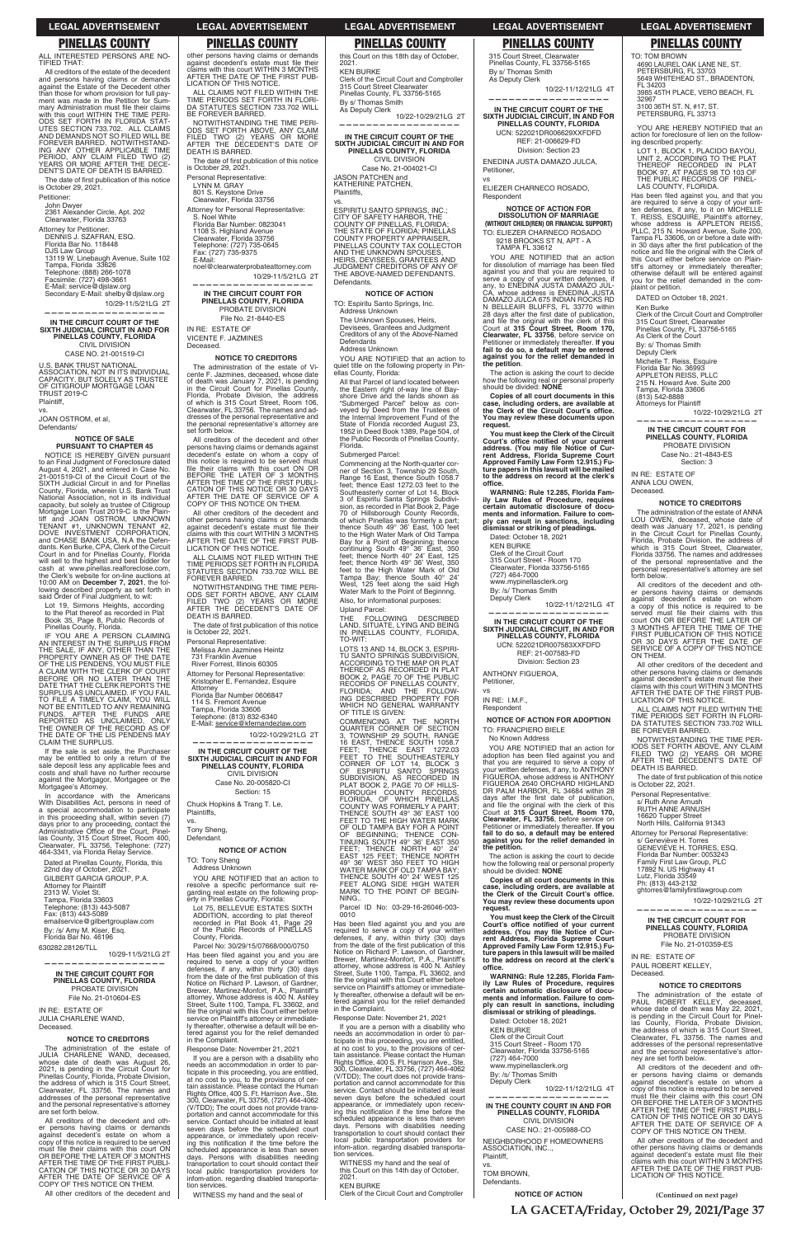**(Continued on next page)**

**LEGAL ADVERTISEMENT LEGAL ADVERTISEMENT LEGAL ADVERTISEMENT LEGAL ADVERTISEMENT LEGAL ADVERTISEMENT**

## **PINELLAS COUNTY PINELLAS COUNTY PINELLAS COUNTY PINELLAS COUNTY PINELLAS COUNTY**

ALL INTERESTED PERSONS ARE NO-TIFIED THAT:

The date of first publication of this notice<br>is October 29, 2021. Petitioner:

All creditors of the estate of the decedent and persons having claims or demands against the Estate of the Decedent other than those for whom provision for full pay-ment was made in the Petition for Summary Administration must file their claims<br>with this court WITHIN THE TIME PERI-<br>ODS SET FORTH IN FLORIDA STAT-UTES SECTION 733.702. ALL CLAIMS AND DEMANDS NOT SO FILED WILL BE FOREVER BARRED. NOTWITHSTAND-ING ANY OTHER APPLICABLE TIME PERIOD, ANY CLAIM FILED TWO (2) YEARS OR MORE AFTER THE DECE-DENT'S DATE OF DEATH IS BARRED.

John Dwyer

2361 Alexander Circle, Apt. 202 Clearwater, Florida 33763

Attorney for Petitioner: DENNIS J. SZAFRAN, ESQ. Florida Bar No. 118448 DJS Law Group<br>13119 W. Linebaugh Avenue, Suite 102 Tampa, Florida 33626 Telephone: (888) 266-1078 Facsimile: (727) 498-3661 E-Mail: service@djslaw.org Secondary E-Mail: shelby@djslaw.org

 10/29-11/5/21LG 2T **——————————————————**

**IN THE CIRCUIT COURT OF THE SIXTH JUDICIAL CIRCUIT IN AND FOR PINELLAS COUNTY, FLORIDA** CIVIL DIVISION CASE NO. 21-001519-CI

U.S. BANK TRUST NATIONAL ASSOCIATION, NOT IN ITS INDIVIDUAL CAPACITY, BUT SOLELY AS TRUSTEE OF CITIGROUP MORTGAGE LOAN TRUST 2019-C Plaintiff,

vs. JOAN OSTROM, et al,

Defendants/

## **NOTICE OF SALE PURSUANT TO CHAPTER 45**

NOTICE IS HEREBY GIVEN pursuant to an Final Judgment of Foreclosure dated August 4, 2021, and entered in Case No. 21-001519-CI of the Circuit Court of the SIXTH Judicial Circuit in and for Pinellas County, Florida, wherein U.S. Bank Trust National Association, not in its individual capacity, but solely as trustee of Citigroup Mortgage Loan Trust 2019-C is the Plain-tiff and JOAN OSTROM, UNKNOWN TENANT #1, UNKNOWN TENANT #2, DOVE INVESTMENT CORPORATION, and CHASE BANK USA, N.A the Defendants. Ken Burke, CPA, Clerk of the Circuit Court in and for Pinellas County, Florida will sell to the highest and best bidder for cash at www.pinellas.realforeclose.com, the Clerk's website for on-line auctions at 10:00 AM on **December 7, 2021**, the following described property as set forth in said Order of Final Judgment, to wit:

The administration of the estate of JULIA CHARLENE WAND, deceased,<br>whose date of death was August 26,<br>2021, is pending in the Circuit Court for<br>Pinellas County, Florida, Probate Division,<br>the address of which is 315 Court addresses of the personal representative and the personal representative's attorney are set forth below.

other persons having claims or demands against decedent's estate must file their<br>claims with this court WITHIN 3 MONTHS<br>AFTER THE DATE OF THE FIRST PUB-

Lot 19, Sirmons Heights, according to the Plat thereof as recorded in Plat Book 35, Page 8, Public Records of Pinellas County, Florida.

IF YOU ARE A PERSON CLAIMING AN INTEREST IN THE SURPLUS FROM THE SALE, IF ANY, OTHER THAN THE PROPERTY OWNER AS OF THE DATE OF THE LIS PENDENS, YOU MUST FILE A CLAIM WITH THE CLERK OF COURT BEFORE OR NO LATER THAN THE DATE THAT THE CLERK REPORTS THE SURPLUS AS UNCLAIMED. IF YOU FAIL TO FILE A TIMELY CLAIM, YOU WILL NOT BE ENTITLED TO ANY REMAINING FUNDS. AFTER THE FUNDS ARE REPORTED AS UNCLAIMED, ONLY THE OWNER OF THE RECORD AS OF THE DATE OF THE LIS PENDENS MAY CLAIM THE SURPLUS.

If the sale is set aside, the Purchaser may be entitled to only a return of the sale deposit less any applicable fees and costs and shall have no further recourse against the Mortgagor, Mortgagee or the Mortgagee's Attorney.

AFTER THE DATE OF SERVICE OF A COPY OF THIS NOTICE ON THEM. All other creditors of the decedent and other persons having claims or demands<br>against decedent's estate must file their<br>claims with this court WITHIN 3 MONTHS<br>AFTER THE DATE OF THE FIRST PUB-

In accordance with the Americans With Disabilities Act, persons in need of a special accommodation to participate in this proceeding shall, within seven (7)<br>days prior to any proceeding, contact the<br>Administrative Office of the Court, Pinellas County, 315 Court Street, Room 400, Clearwater, FL 33756, Telephone: (727) 464-3341, via Florida Relay Service.

Personal Representative: Melissa Ann Jazmines Heintz 731 Franklin Avenue River Forrest, Illinois 60305 Attorney for Personal Representative: Kristopher E. Fernandez, Esquire Attorney Florida Bar Number 0606847 114 S. Fremont Avenue Tampa, Florida 33606 Telephone: (813) 832-6340 E-Mail: service@kfernandezlaw.com 10/22-10/29/21LG 2T **—————————————————— IN THE CIRCUIT COURT OF THE SIXTH JUDICIAL CIRCUIT IN AND FOR PINELLAS COUNTY, FLORIDA** CIVIL DIVISION Case No. 20-005820-CI Section: 15 Chuck Hopkins & Trang T. Le, Plaintiffs, Tony Sheng, Defendant. **NOTICE OF ACTION** TO: Tony Sheng Address Unknown YOU ARE NOTIFIED that an action to resolve a specific performance suit resolve a specific performance suit re-<br>garding real estate on the following prop-<br>erty in Pinellas County, Florida:

Dated at Pinellas County, Florida, this 22nd day of October, 2021. GILBERT GARCIA GROUP, P.A. Attorney for Plaintiff 2313 W. Violet St. Tampa, Florida 33603 Telephone: (813) 443-5087

Fax: (813) 443-5089 emailservice@gilbertgrouplaw.com By: /s/ Amy M. Kiser, Esq. Florida Bar No. 46196

630282.28126/TLL

10/29-11/5/21LG 2T

**——————————————————**

### **IN THE CIRCUIT COURT FOR PINELLAS COUNTY, FLORIDA** PROBATE DIVISION File No. 21-010604-ES

Lot 75, BELLEVUE ESTATES ADDITION, according to plat thereof<br>recorded in Plat Book 41. Page 29 recorded in Plat Book 41, Page 29 of the Public Records of PINELLAS County, Florida.

IN RE: ESTATE OF JULIA CHARLENE WAND, Deceased.

### **NOTICE TO CREDITORS**

Has been filed against you and you are required to serve a copy of your written defenses, if any, within thirty (30) days from the date of the first publication of this Notice on Richard P. Lawson, of Gardner, Brewer, Martinez-Monfort, P.A., Plaintiff"s attorney, Whose address is 400 N. Ashley Street, Suite 1100, Tampa, FL 33602, and file the original with this Court either before<br>service on Plaintiff's attorney or immediately thereafter, otherwise a default will be entered against you for the relief demanded in the Complaint.

All creditors of the decedent and other persons having claims or demands against decedent's estate on whom a copy of this notice is required to be served must file their claims with this court ON<br>OR BEFORE THE LATER OF 3 MONTHS<br>AFTER THE TIME OF THE FIRST PUBLI-CATION OF THIS NOTICE OR 30 DAYS AFTER THE DATE OF SERVICE OF A COPY OF THIS NOTICE ON THEM.

All other creditors of the decedent and

LICATION OF THIS NOTICE.

BE FOREVER BARRED.

ESPIRITU SANTO SPRINGS, INC.;<br>CITY OF SAFETY HARBOR, THE<br>COUNTY OF PINELLAS, FLORIDA;<br>THE STATE OF FLORIDA; PINELLAS<br>COUNTY PROPERTY APPRAISER,<br>PINELLAS COUNTY TAX COLLECTOR<br>AND THE UNKNOWN SPOUSES, HEIRS, DEVISEES, GRANTEES AND JUDGMENT CREDITORS OF ANY OF THE ABOVE-NAMED DEFENDANTS. Defendants.

ALL CLAIMS NOT FILED WITHIN THE TIME PERIODS SET FORTH IN FLORI-DA STATUTES SECTION 733.702 WILL

YOU ARE NOTIFIED that an action to quiet title on the following property in Pinellas County, Florida:

NOTWITHSTANDING THE TIME PERI-ODS SET FORTH ABOVE, ANY CLAIM FILED TWO (2) YEARS OR MORE AFTER THE DECEDENT'S DATE OF

The date of first publication of this notice

DEATH IS BARRED.

is October 29, 2021.

Personal Representative: LYNN M. GRAY 801 S. Keystone Drive Clearwater, Florida 33756

Attorney for Personal Representative: S. Noel White Florida Bar Number: 0823041 1108 S. Highland Avenue Clearwater, Florida 33756 Telephone: (727) 735-0645 Fax: (727) 735-9375

E-Mail:

noel@clearwaterprobateattorney.com

10/29-11/5/21LG 2T

**—————————————————— IN THE CIRCUIT COURT FOR PINELLAS COUNTY, FLORIDA** PROBATE DIVISION File No. 21-8440-ES

> THE FOLLOWING DESCRIBED<br>LAND, SITUATE, LYING AND BEING<br>IN PINELLAS COUNTY, FLORIDA, TO-WIT:

LOTS 13 AND 14, BLOCK 3, ESPIRI-TU SANTO SPRINGS SUBDIVISION,<br>ACCORDING TO THE MAP OR PLAT<br>THEREOF AS RECORDED IN PLAT<br>BOOK 2, PAGE 70 OF THE PUBLIC<br>RECORDS OF PINELLAS COUNTY, FLORIDA; AND THE FOLLOW-ING DESCRIBED PROPERTY FOR WHICH NO GENERAL WARRANTY OF TITLE IS GIVEN:

IN RE: ESTATE OF VICENTE F. JAZMINES

Deceased.

**NOTICE TO CREDITORS** The administration of the estate of Vicente F. Jazmines, deceased, whose date of death was January 7, 2021, is pending in the Circuit Court for Pinellas County, Florida, Probate Division, the address of which is 315 Court Street, Room 106, Clearwater, FL 33756. The names and addresses of the personal representative and the personal representative's attorney are

set forth below.

All creditors of the decedent and other persons having claims or demands against decedent's estate on whom a copy of this notice is required to be served must

file their claims with this court ON OR<br>BEFORE THE LATER OF 3 MONTHS<br>AFTER THE TIME OF THE FIRST PUBLI-<br>CATION OF THIS NOTICE OR 30 DAYS

Has been filed against you and you are required to serve a copy of your written<br>defenses, if any, within thirty (30) days<br>from the date of the first publication of this Notice on Richard P. Lawson, of Gardner,<br>Brewer, Martinez-Monfort, P.A., Plaintiff's Brewer, Martinez-Monfort, P.A., Plaintiff's<br>attorney, whose address is 400 N. Ashley<br>Street, Suite 1100, Tampa, FL 33602, and<br>file the original with this Court either before<br>service on Plaintiff's attorney or immediately thereafter, otherwise a default will be entered against you for the relief demanded in the Complaint.

LICATION OF THIS NOTICE.

ALL CLAIMS NOT FILED WITHIN THE TIME PERIODS SET FORTH IN FLORIDA STATUTES SECTION 733.702 WILL BE

FOREVER BARRED.

NOTWITHSTANDING THE TIME PERI-ODS SET FORTH ABOVE, ANY CLAIM FILED TWO (2) YEARS OR MORE AFTER THE DECEDENT'S DATE OF DEATH IS BARRED.

The date of first publication of this notice<br>is October 22, 2021.

YOU ARE NOTIFIED that an action for dissolution of marriage has been filed<br>against you and that you are required to<br>serve a copy of your written defenses, if<br>any, to ENEDINA JUSTA DAMAZO JUL-CA, whose address is ENEDINA JUSTA DAMAZO JULCA 675 INDIAN ROCKS RD N BELLEAIR BLUFFS, FL 33770 within 28 days after the first date of publication,<br>and file the original with the clerk of this Court at **315 Court Street, Room 170, Clearwater, FL 33756**, before service on Petitioner or immediately thereafter. **lf you fail to do so, a default may be entered against you for the relief demanded in the petition**.

vs.

**You must keep the Clerk of the Circuit**  Court's office notified of your current **address. (You may file Notice of Current Address, Florida Supreme Court <br>Prent Address, Florida Supreme Court<br>Approved Family Law Form 12.915.) Future papers in this lawsuit will be mailed to the address on record at the clerk's**  office.

### Parcel No: 30/29/15/07668/000/0750

YOU ARE NOTIFIED that an action for<br>adoption has been filed against you and that you are required to serve a copy of your written defenses, if any, to ANTHONY FIGUEROA, whose address is ANTHONY FIGUEROA 2640 ORCHARD HIGHLAND<br>DR PALM HARBOR, FL 34684 within 28<br>days after the first date of publication, and file the original with the clerk of this<br>Court at **315 Court Street, Room 170,**<br>**Clearwater, FL 33756**, before service on Petitioner or immediately thereafter. **If you fail to do so, a default may be entered against you for the relief demanded in the petition.**

Response Date: November 21, 2021

**You must keep the Clerk of the Circuit**  Court's office notified of your current<br>address. (You may file Notice of Cur-<br>rent Address, Florida Supreme Court **Approved Family Law Form 12.915.) Fu-ture papers in this lawsuit will be mailed to the address on record at the clerk's**  office.

If you are a person with a disability who needs an accommodation in order to participate in this proceeding, you are entitled, at no cost to you, to the provisions of certain assistance. Please contact the Human Rights Office, 400 S. Ft. Harrison Ave., Ste.<br>300, Clearwater, FL 33756, (727) 464-4062 (V/TDD); The court does not provide transportation and cannot accommodate for this service. Contact should be initiated at least seven days before the scheduled court appearance, or immediately upon receiv-<br>ing this notification if the time before the scheduled appearance is less than seven days. Persons with disabilities needing transportation to court should contact their Iocal public transportation providers for infom-ation. regarding disabled transportation services.

32967 3100 36TH ST. N, #17, ST. PETERSBURG, FL 33713

YOU ARE HEREBY NOTIFIED that an action for foreclosure of lien on the follow-<br>ing described property:

LOT 1, BLOCK 1, PLACIDO BAYOU,<br>UNIT 2, ACCORDING TO THE PLAT<br>THEREOF RECORDED IN PLAT<br>BOOK 97, AT PAGES 98 TO 103 OF<br>THE PUBLIC RECORDS OF PINEL-LAS COUNTY, FLORIDA.

WITNESS my hand and the seal of

this Court on this 18th day of October, 2021. KEN BURKE

Clerk of the Circuit Court and Comptroller 315 Court Street Clearwater Pinellas County, FL 33756-5165 By s/ Thomas Smith As Deputy Clerk

10/22-10/29/21LG 2T **——————————————————**

> Has been filed against you, and that you<br>are required to serve a copy of your writ-<br>ten defenses, if any, to it on MICHELLE T. REISS, ESQUIRE, Plaintiff's attorney,<br>whose address is APPLETON REISS,<br>PLLC, 215 N. Howard Avenue, Suite 200, Tampa FL 33606, on or before a date with-<br>in 30 days after the first publication of the<br>notice and file the original with the Clerk of this Court either be fore service on Plain-tiff's attorney or immediately thereafter; otherwise default will be entered against you for the relief demanded in the com-plaint or petition.

**IN THE CIRCUIT COURT OF THE SIXTH JUDICIAL CIRCUIT IN AND FOR PINELLAS COUNTY, FLORIDA** CIVIL DIVISION

Case No. 21-004021-CI JASON PATCHEN and KATHERINE PATCHEN, Plaintiffs,

vs.

ANNA LOU OWEN, **Deceased** 

### **NOTICE OF ACTION**

TO: Espiritu Santo Springs, Inc. Address Unknown

The Unknown Spouses, Heirs, Devisees, Grantees and Judgment Creditors of any of the Above-Named **Defendants** Address Unknown

> ALL CLAIMS NOT FILED WITHIN THE TIME PERIODS SET FORTH IN FLORI-DA STATUTES SECTION 733.702 WILL BE FOREVER BARRED.

> NOTWITHSTANDING THE TIME PER-IODS SET FORTH ABOVE, ANY CLAIM<br>FILED TWO (2) YEARS OR MORE<br>AFTER THE DECEDENT'S DATE OF DEATH IS BARRED.

> The date of first publication of this notice is October 22, 2021.

All that Parcel of land located between the Eastern right of-way line of Bay-shore Drive and the lands shown as "Submerged Parcel" below as conveyed by Deed from the Trustees of the Internal Improvement Fund of the State of Florida recorded August 23, 1952 in Deed Book 1389, Page 504, of the Public Records of Pinellas County, Florida.

> Attorney for Personal Representative: s/ Geneviève H. Torres<br>GENEVIÈVE H. TORRES, ESQ.<br>Florida Bar Number: 0053243<br>Family First Law Group, PLC<br>17892 N. US Highway 41<br>Lutz, Florida 33549 Ph: (813) 443-2132 ghtorres@familyfirstlawgroup.com

Submerged Parcel:

Commencing at the North-quarter corner of Section 3, Township 29 South, Range 16 East, thence South 1058.7 feet; thence East 1272.03 feet to the Southeasterly corner of Lot 14, Block 3 of Espiritu Santa Springs Subdivi-sion, as recorded in Plat Book 2, Page 70 of Hillsborough County Records, of which Pinellas was formerly a part; thence South 49° 36' East, 100 feet to the High Water Mark of Old Tampa<br>Bay for a Point of Beginning; thence<br>continuing South 49° 36' East, 350<br>feet; thence North 40° 24' East, 125<br>feet; thence North 49° 36' West, 350<br>feet to the High Water Mark of Old<br>Tampa Also, for informational purposes:

Upland Parcel:

COMMENCING AT THE NORTH QUARTER CORNER OF SECTION 3, TOWNSHIP 29 SOUTH, RANGE 16 EAST, THENCE SOUTH 1058.7 FEET; THENCE EAST 1272.03<br>FEET TO THE SOUTHEASTERLY<br>CORNER OF LOT 14, BLOCK 3<br>SC ESPIRITU SANTO SPRNGS<br>SUBDIVISION, AS RECORDED IN<br>PLAT BOOK 2, PAGE 70 OF HILLS-<br>BOROUGH COUNTY RECORDS,<br>COUNTY WAS FORMERLY A PART; THENCE SOUTH 49° 36' EAST 100 FEET TO THE HIGH WATER MARK OF OLD TAMPA BAY FOR A POINT<br>OF BEGINNING; THENCE CON-<br>TINUING SOUTH 49° 36' EAST 350<br>FEET; THENCE NORTH 40° 24'<br>EAST 125 FEET; THENCE NORTH<br>49° 36' WEST 350 FEET TO HIGH WATER MARK OF OLD TAMPA BAY; THENCE SOUTH 40° 24' WEST 125 FEET ALONG SIDE HIGH WATER MARK TO THE POINT OF BEGIN-

NING..

Parcel ID No: 03-29-16-26046-003-

0010

Response Date: November 21, 2021

If you are a person with a disability who needs an accommodation in order to participate in this proceeding, you are entitled,<br>at no cost to you, to the provisions of cer-<br>tain assistance. Please contact the Human<br>Rights Office, 400 S. Ft. Harrison Ave., Ste.<br>300, Clearwater, FL 33756, (727) 464-4062 (V/TDD); The court does not provide transportation and cannot accommodate for this service. Contact should be initiated at least seven days before the scheduled court appearance, or immediately upon receiving this notification if the time before the scheduled appearance is less than seven days. Persons with disabilities needing transportation to court should contact their Iocal public transportation providers for infom-ation. regarding disabled transportation services.

WITNESS my hand and the seal of this Court on this 14th day of October, 2021.

KEN BURKE Clerk of the Circuit Court and Comptroller

315 Court Street, Clearwater Pinellas County, FL 33756-5165 By s/ Thomas Smith As Deputy Clerk

10/22-11/12/21LG 4T **——————————————————**

**IN THE CIRCUIT COURT OF THE SIXTH JUDICIAL CIRCUIT, IN AND FOR PINELLAS COUNTY, FLORIDA** UCN: 522021DR006629XXFDFD REF: 21-006629-FD

Division: Section 23 ENEDINA JUSTA DAMAZO JULCA, Petitioner,

vs

ELIEZER CHARNECO ROSADO, Respondent

**NOTICE OF ACTION FOR DISSOLUTION OF MARRIAGE (WITHOUT CHILD(REN) OR FINANCIAL SUPPORT)** TO: ELIEZER CHARNECO ROSADO 9218 BROOKS ST N, APT - A

TAMPA FL 33612

The action is asking the court to decide how the following real or personal property should be divided: **NONE**

**Copies of all court documents in this**   $\overline{\phantom{a}}$  case, including orders, are available at the Clerk of the Circuit Court's office. **You may review these documents upon request.**

**WARNING: Rule 12.285, Florida Family Law Rules of Procedure, requires certain automatic disclosure of documents and information. Failure to com-ply can result in sanctions, including dismissal or striking of pleadings.**

Dated: October 18, 2021

KEN BURKE

Clerk of the Circuit Court 315 Court Street - Room 170 Clearwater, Florida 33756-5165

(727) 464-7000 www.mypinellasclerk.org

By: /s/ Thomas Smith Deputy Clerk

10/22-11/12/21LG 4T **——————————————————**

**IN THE CIRCUIT COURT OF THE SIXTH JUDICIAL CIRCUIT, IN AND FOR PINELLAS COUNTY, FLORIDA** UCN: 522021DR007583XXFDFD REF: 21-007583-FD Division: Section 23

ANTHONY FIGUEROA, Petitioner,

vs

IN RE: I.M.F., Respondent

**NOTICE OF ACTION FOR ADOPTION** TO: FRANCPIERO BIELE

No Known Address

The action is asking the court to decide how the following real or personal property should be divided: **NONE**

**Copies of all court documents in this**   $\overline{\phantom{a}}$  case, including orders, are available at the Clerk of the Circuit Court's office. **You may review these documents upon** 

**request.**

**WARNING: Rule 12.285, Florida Family Law Rules of Procedure, requires certain automatic disclosure of documents and information. Failure to comply can result in sanctions, including dismissal or striking of pleadings.**

Dated: October 18, 2021<br>KEN BURKE

KEN BURKE Clerk of the Circuit Court 315 Court Street - Room 170 Clearwater, Florida 33756-5165 (727) 464-7000 www.mypinellasclerk.org

By: /s/ Thomas Smith Deputy Clerk

10/22-11/12/21LG 4T **——————————————————**

**IN THE COUNTY COURT IN AND FOR PINELLAS COUNTY, FLORIDA** CIVIL DIVISION CASE NO.: 21-005988-CO

NEIGHBORHOOD F HOMEOWNERS ASSOCIATION, INC..,

Plaintiff,

vs.

TOM BROWN,

Defendants.

**NOTICE OF ACTION**

TO: TOM BROWN 4690 LAUREL OAK LANE NE, ST.

PETERSBURG, FL 33703 5649 WHITEHEAD ST., BRADENTON, FL 34203 3985 45TH PLACE, VERO BEACH, FL

DATED on October 18, 2021.

Ken Burke Clerk of the Circuit Court and Comptroller 315 Court Street, Clearwater Pinellas County, FL 33756-5165 As Clerk of the Court

By: s/ Thomas Smith Deputy Clerk Michelle T. Reiss, Esquire Florida Bar No. 36993 APPLETON REISS, PLLC 215 N. Howard Ave. Suite 200 Tampa, Florida 33606 (813) 542-8888

Attorneys for Plaintiff

10/22-10/29/21LG 2T **—————————————————— IN THE CIRCUIT COURT FOR PINELLAS COUNTY, FLORIDA** PROBATE DIVISION

Case No.: 21-4843-ES Section: 3 IN RE: ESTATE OF

### **NOTICE TO CREDITORS**

The administration of the estate of ANNA LOU OWEN, deceased, whose date of death was January 17, 2021, is pending in the Circuit Court for Pinellas County, Florida, Probate Division, the address of which is 315 Court Street, Clearwater, Florida 33756. The names and addresses of the personal representative and the personal representative's attorney are set forth below.

All creditors of the decedent and other persons having claims or demands<br>against decedent's estate on whom<br>a copy of this notice is required to be<br>served must file their claims with this<br>court ON OR BEFORE THE LATER OF<br>3 MONTHS AFTER THE TIME OF THES NOTICE<br>F SERVICE OF A COPY OF THIS NOTICE ON THEM.

All other creditors of the decedent and other persons having claims or demands<br>against decedent's estate must file their claims with this court WITHIN 3 MONTHS AFTER THE DATE OF THE FIRST PUB-LICATION OF THIS NOTICE.

Personal Representative: s/ Ruth Anne Arnush RUTH ANNE ARNUSH 16620 Tupper Street North Hills, California 91343

### **——————————————————**

**IN THE CIRCUIT COURT FOR PINELLAS COUNTY, FLORIDA** PROBATE DIVISION File No. 21-010359-ES

IN RE: ESTATE OF PAUL ROBERT KELLEY, Deceased.

### **NOTICE TO CREDITORS**

The administration of the estate of PAUL ROBERT KELLEY, deceased, whose date of death was May 22, 2021, is pending in the Circuit Court for Pinel-County, Florida, Probate Division, the address of which is 315 Court Street, Clearwater, FL 33756. The names and addresses of the personal representative and the personal representative's attor-ney are set forth below.

All creditors of the decedent and other persons having claims or demands against decedent's estate on whom a copy of this notice is required to be served must file their claims with this court ON OR BEFORE THE LATER OF 3 MONTHS AFTER THE TIME OF THE FIRST PUBLI-CATION OF THIS NOTICE OR 30 DAYS AFTER THE DATE OF SERVICE OF A COPY OF THIS NOTICE ON THEM.

All other creditors of the decedent and other persons having claims or demands<br>against decedent's estate must file their<br>claims with this court WITHIN 3 MONTHS<br>AFTER THE DATE OF THE FIRST PUB-LICATION OF THIS NOTICE.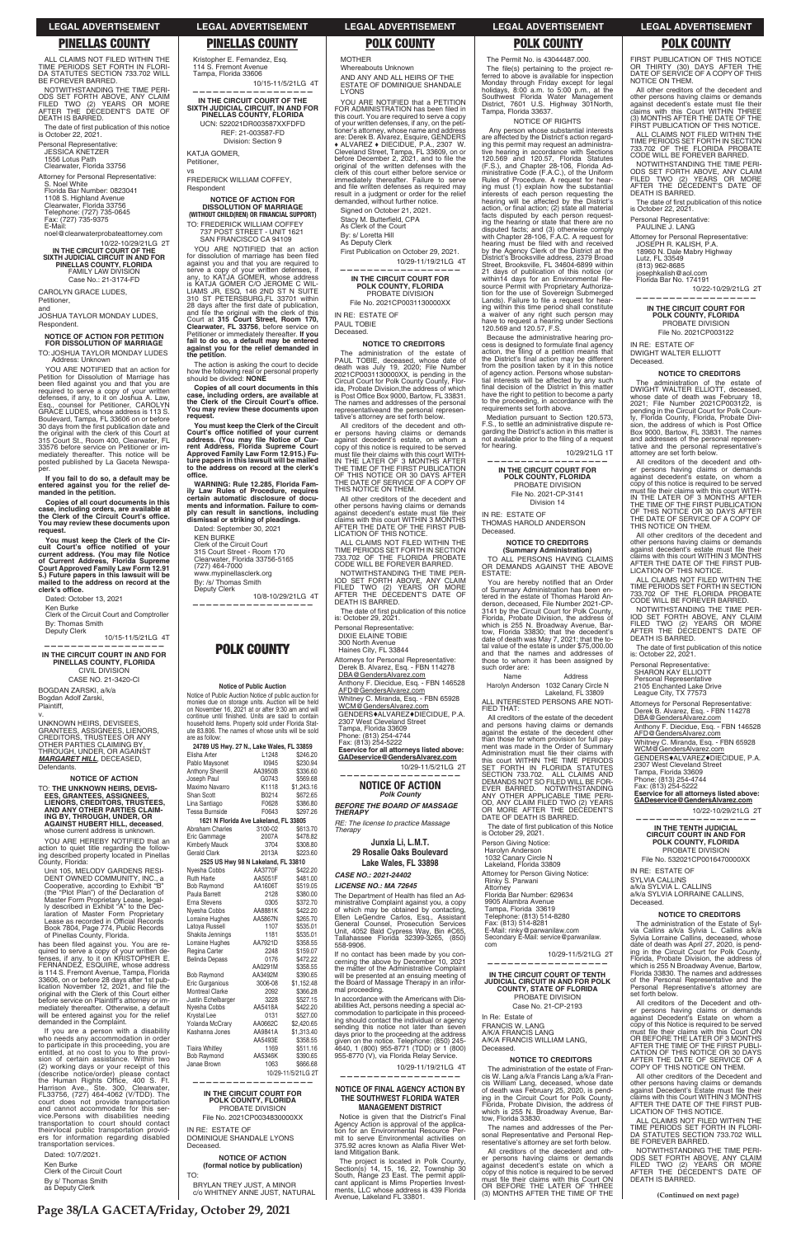ALL CLAIMS NOT FILED WITHIN THE TIME PERIODS SET FORTH IN FLORI-DA STATUTES SECTION 733.702 WILL BE FOREVER BARRED.

The date of first publication of this notice is October 22, 2021.

NOTWITHSTANDING THE TIME PERI-ODS SET FORTH ABOVE, ANY CLAIM FILED TWO (2) YEARS OR MORE AFTER THE DECEDENT'S DATE OF DEATH IS BARRED.

Personal Representative: JESSICA KNETZER

1556 Lotus Path Clearwater, Florida 33756 Attorney for Personal Representative:

S. Noel White Florida Bar Number: 0823041 1108 S. Highland Avenue Clearwater, Florida 33756 Telephone: (727) 735-0645 Fax: (727) 735-9375 E-Mail:

noel@clearwaterprobateattorney.com 10/22-10/29/21LG 2T **IN THE CIRCUIT COURT OF THE SIXTH JUDICIAL CIRCUIT IN AND FOR PINELLAS COUNTY, FLORIDA** FAMILY LAW DIVISION

Case No.: 21-3174-FD CAROLYN GRACE LUDES,

Petitioner, and

JOSHUA TAYLOR MONDAY LUDES, Respondent.

**NOTICE OF ACTION FOR PETITION FOR DISSOLUTION OF MARRIAGE** TO: JOSHUA TAYLOR MONDAY LUDES

 Address: Unknown YOU ARE NOTIFIED that an action for Petition for Dissolution of Marriage has been filed against you and that you are<br>required to serve a copy of your written defenses, if any, to it on Joshua A. Law, Esq., counsel for Petitioner, CAROLYN GRACE LUDES, whose address is 113 S. Boulevard, Tampa, FL 33606 on or before<br>30 days from the first publication date and<br>the original with the clerk of this Court at 315 Court St., Room 400, Clearwater, FL 33576 before service on Petitioner or im-mediately thereafter. This notice will be posted published by La Gaceta Newspaper.

YOU ARE HEREBY NOTIFIED that an action to quiet title regarding the follow-ing described property located in Pinellas County, Florida:

**If you fail to do so, a default may be entered against you for the relief de-manded in the petition.**

**Copies of all court documents in this the Clerk of the Circuit Court's office. You may review these documents upon request.**

You must keep the Clerk of the Circuit Court's office notified of your<br>current address. (You may file Notice<br>of Current Address, Florida Supreme<br>Court Approved Family Law Form 12.91 **5.) Future papers in this lawsuit will be mailed to the address on record at the**  clerk's office.

Dated: October 13, 2021

Ken Burke Clerk of the Circuit Court and Comptroller By: Thomas Smith Deputy Clerk

10/15-11/5/21LG 4T

**—————————————————— IN THE CIRCUIT COURT IN AND FOR PINELLAS COUNTY, FLORIDA**

CIVIL DIVISION CASE NO. 21-3420-CI

BOGDAN ZARSKI, a/k/a Bogdan Adolf Zarski, Plaintiff,

v. UNKNOWN HEIRS, DEVISEES, GRANTEES, ASSIGNEES, LIENORS, CREDITORS, TRUSTEES OR ANY OTHER PARTIES CLAIMING BY, THROUGH, UNDER, OR AGAINST */#4)#4'6-\*+..*, DECEASED, Defendants.

**NOTICE OF ACTION** TO: **THE UNKNOWN HEIRS, DEVIS-EES, GRANTEES, ASSIGNEES, LIENORS, CREDITORS, TRUSTEES, AND ANY OTHER PARTIES CLAIM-ING BY, THROUGH, UNDER, OR AGAINST HUBERT HILL, deceased**, whose current address is unknown.

YOU ARE NOTIFIED that an action for dissolution of marriage has been filed against you and that you are required to serve a copy of your written defenses, if any, to KATJA GOMER, whose address is KATJA GOMER C/O JEROME C WIL-LIAMS JR, ESQ, 146 2ND ST N SUITE 310 ST PETERSBURG,FL 33701 within 28 days after the first date of publication,<br>and file the original with the clerk of this<br>Court at **315 Court Street, Room 170, Clearwater, FL 33756**, before service on Petitioner or immediately thereafter. **lf you fail to do so, a default may be entered against you for the relief demanded in the petition**.

**You must keep the Clerk of the Circuit**  Court's office notified of your current<br>address. (You may file Notice of Cur**rent Address, Florida Supreme Court Approved Family Law Form 12.915.) Fu-ture papers in this lawsuit will be mailed to the address on record at the clerk's**  office.

Unit 105, MELODY GARDENS RESI-DENT OWNED COMMUNITY, INC., a Cooperative, according to Exhibit "B" (the "Plot Plan") of the Declaration of Master Form Proprietary Lease, legal-ly described in Exhibit "A" to the Declaration of Master Form Proprietary Lease as recorded in Official Records<br>Book 7804, Page 774, Public Records of Pinellas County, Florida. has been filed against you. You are required to serve a copy of your written de-fenses, if any, to it on KRISTOPHER E. FERNANDEZ, ESQUIRE, whose address is 114 S. Fremont Avenue, Tampa, Florida 33606, on or before 28 days after 1st pub-<br>lication November 12, 2021, and file the original with the Clerk of this Court either before service on Plaintiff's attorney or immediately thereafter. Otherwise, a default will be entered against you for the relief demanded in the Complaint. If you are a person with a disability who needs any accommodation in order to participate in this proceeding, you are entitled, at no cost to you to the provision of certain assistance. Within two (2) working days or your receipt of this<br>(describe notice/order) please contact<br>the Human Rights Office, 400 S. Ft.<br>Harrison Ave., Ste. 300, Clearwater,<br>FL33756, (727) 464-4062 (V/TDD). The court does not provide transportation and cannot accommodate for this ser-vice.Persons with disabilities needing transportation to court should contact theirvlocal public transportation providers for information regarding disabled transportation services.

DOMINIQUE SHANDALE LYONS **Deceased** 

AND ANY AND ALL HEIRS OF THE ESTATE OF DOMINIQUE SHANDALE **LYONS** 

Dated: 10/7/2021.

Ken Burke Clerk of the Circuit Court By s/ Thomas Smith as Deputy Clerk

Kristopher E. Fernandez, Esq. 114 S. Fremont Avenue Tampa, Florida 33606

> YOU ARE NOTIFIED that a PETITION<br>FOR ADMINISTRATION has been filed in this court. You are required to serve a copy of your written defenses, if any, on the petitioner's attorney, whose name and address<br>are: Derek B. Alvarez, Esquire, GENDERS<br>• ALVAREZ • DIECIDUE, P.A., 2307 W.<br>Cleveland Street, Tampa, FL 33609, on or<br>before December 2, 2021, and to file the<br>original of the writte and file written defenses as required may result in a judgment or order for the relief demanded, without further notice.

10/15-11/5/21LG 4T **—————————————————— IN THE CIRCUIT COURT OF THE SIXTH JUDICIAL CIRCUIT, IN AND FOR** 

**PINELLAS COUNTY, FLORIDA** UCN: 522021DR003587XXFDFD REF: 21-003587-FD Division: Section 9

KATJA GOMER, Petitioner,

vs FREDERICK WILLIAM COFFEY, Respondent

**NOTICE OF ACTION FOR DISSOLUTION OF MARRIAGE (WITHOUT CHILD(REN) OR FINANCIAL SUPPORT)** TO: FREDERICK WILLIAM COFFEY 737 POST STREET - UNIT 1621 SAN FRANCISCO CA 94109

> All other creditors of the decedent and other persons having claims or demands against decedent's estate must file their claims with this court WITHIN 3 MONTHS AFTER THE DATE OF THE FIRST PUB-LICATION OF THIS NOTICE.

DBA@GendersAlvarez.com Anthony F. Diecidue, Esg. - FBN 146528 AFD@GendersAlvarez.com Whitney C. Miranda, Esq. - FBN 65928<br><u>WCM@GendersAlvarez.com</u>

GENDERS♦ALVAREZ♦DIECIDUE, P.A.<br>2307 West Cleveland Street Tampa, Florida 33609 Phone: (813) 254-4744 Fax: (813) 254-5222

### **NOTICE OF ACTION Polk County**

The action is asking the court to decide how the following real or personal property should be divided: **NONE**

> *BEFORE THE BOARD OF MASSAGE 6\*'4#2;*

**Copies of all court documents in this case, including orders, are available at the Clerk of the Circuit Court's office.**<br>You may review these documents upon **request.**

> The Department of Health has filed an Administrative Complaint against you, a copy which may be obtained by contacting Ellen LeGendre Carlos, Esq., Assistant General Counsel, Prosecution Services Unit, 4052 Bald Cypress Way, Bin #C65, Tallahassee Florida 32399-3265, (850) 558-9906. If no contact has been made by you con-cerning the above by December 10, 2021 the matter of the Administrative Complaint will be presented at an ensuing meeting of the Board of Massage Therapy in an informal proceeding. In accordance with the Americans with Disabilities Act, persons needing a special ac-commodation to participate in this proceeding should contact the individual or agency sending this notice not later than seven days prior to the proceeding at the address given on the notice. Telephone: (850) 245- 4640, 1 (800) 955-8771 (TDD) or 1 (800) 955-8770 (V), via Florida Relay Service. 10/29-11/19/21LG 4T

**WARNING: Rule 12.285, Florida Family Law Rules of Procedure, requires certain automatic disclosure of documents and information. Failure to com-ply can result in sanctions, including dismissal or striking of pleadings.**

Dated: September 30, 2021

KEN BURKE

Clerk of the Circuit Court 315 Court Street - Room 170 Clearwater, Florida 33756-5165 (727) 464-7000

The project is located in Polk County, Section(s) 14, 15, 16, 22, Township 30<br>South, Range 23 East. The permit appli-<br>cant applicant is Mims Properties Invest-<br>ments, LLC whose address is 439 Florida Avenue, Lakeland FL 33801.

www.mypinellasclerk.org

By: /s/ Thomas Smith

Deputy Clerk 10/8-10/29/21LG 4T **——————————————————**

## **POLK COUNTY**

The file(s) pertaining to the project referred to above is available for inspection Monday through Friday except for legal holidays, 8:00 a.m. to 5:00 p.m., at the Southwest Florida Water Management District, 7601 U.S. Highway 301North, Tampa, Florida 33637.

### **Notice of Public Auction**

Notice of Public Auction Notice of public auction for monies due on storage units. Auction will be held on November 16, 2021 at or after 9:30 am and will continue until finished. Units are said to contain household items. Property sold under Florida Stat-ute 83.806. The names of whose units will be sold are as follow:

| are as follow:                            |                      |                    |  |  |
|-------------------------------------------|----------------------|--------------------|--|--|
| 24789 US Hwy. 27 N., Lake Wales, FL 33859 |                      |                    |  |  |
| Elisha Arter                              | L1248                | \$246.20           |  |  |
| Pablo Maysonet                            | 10945                | \$230.94           |  |  |
| <b>Anthony Sherrill</b>                   | AA3950B              | \$336.60           |  |  |
| Joseph Paul                               | G0743                | \$569.68           |  |  |
| Maximo Navarro                            | K1118                | \$1,243.16         |  |  |
| Shan Scott                                | B0214                | \$672.65           |  |  |
| Lina Santiago                             | F0628                | \$386.80           |  |  |
| Tessa Burnside                            | F0643                | \$297.26           |  |  |
| 1621 N Florida Ave Lakeland, FL 33805     |                      |                    |  |  |
| <b>Abraham Charles</b>                    | 3100-02              | \$613.70           |  |  |
|                                           | 2007A                |                    |  |  |
| Eric Gammage                              |                      | \$478.82           |  |  |
| <b>Kimberly Mauck</b>                     | 3704                 | \$308.80           |  |  |
| <b>Gerald Clark</b>                       | 2013A                | \$223.60           |  |  |
| 2525 US Hwy 98 N Lakeland, FL 33810       |                      |                    |  |  |
| Nyesha Cobbs                              | AA3770F              | \$422.20           |  |  |
| <b>Ruth Harte</b>                         | AA5051F              | \$481.00           |  |  |
| <b>Bob Raymond</b>                        | AA1606T              | \$519.05           |  |  |
| Paula Barrett                             | 2128                 | \$380.00           |  |  |
| Erna Stevens                              | 0305                 | \$372.70           |  |  |
| Nyesha Cobbs                              | AA8881K              | \$422.20           |  |  |
| Lorraine Hughes                           | AA5867N              | \$265.70           |  |  |
| Latoya Russell                            | 1107                 | \$535.01           |  |  |
| Shakita Jennings                          | 1181                 | \$535.01           |  |  |
| Lorraine Hughes                           | AA7921D              | \$358.55           |  |  |
| Regina Carter                             | 2248                 | \$159.07           |  |  |
| <b>Belinda Depass</b>                     | 0176                 | \$472.22           |  |  |
|                                           | AA0291M              | \$358.55           |  |  |
| <b>Bob Raymond</b>                        | AA3492M              | \$390.65           |  |  |
| Eric Gurganious                           | 3006-08              | \$1,152.48         |  |  |
| <b>Montreal Clarke</b>                    | 2092                 | \$366.28           |  |  |
| Justin Echelbarger                        | 3228                 | \$527.15           |  |  |
| Nyesha Cobbs                              | AA5418A              | \$422.20           |  |  |
| Krystal Lee                               | 0131                 | \$527.00           |  |  |
| Yolanda McCrary                           | AA0662C              | \$2,420.65         |  |  |
| Kashanna Jones                            | AA9841A              | \$1,313.40         |  |  |
|                                           | AA5493E              | \$358.55           |  |  |
| <b>Tiaira Whitley</b>                     | 1169                 | \$511.16           |  |  |
| <b>Bob Raymond</b>                        | AA5346K              | \$390.65           |  |  |
| Janae Brown                               | 1063                 | \$666.68           |  |  |
|                                           |                      | 10/29-11/5/21LG 2T |  |  |
|                                           |                      |                    |  |  |
|                                           |                      |                    |  |  |
| IN THE CIRCUIT COURT FOR                  |                      |                    |  |  |
|                                           | POLK COUNTY, FLORIDA |                    |  |  |
| PROBATE DIVISION                          |                      |                    |  |  |
| File No. 2021CP0034830000XX               |                      |                    |  |  |
| IN RE: ESTATE OF                          |                      |                    |  |  |
| DOMINIQUE SHANDALE LYONS                  |                      |                    |  |  |

**(Summary Administration)** TO ALL PERSONS HAVING CLAIMS OR DEMANDS AGAINST THE ABOVE OR DEM.<br>ESTATE:

You are hereby notified that an Order of Summary Administration has been en-tered in the estate of Thomas Harold An-derson, deceased, File Number 2021-CP-3141 by the Circuit Court for Polk County, Florida, Probate Division, the address of which is 255 N. Broadway Avenue, Bartow, Florida 33830; that the decedent's date of death was May 7, 2021; that the to-tal value of the estate is under \$75,000.00 and that the names and addresses of those to whom it has been assigned by such order are: Name Address

### **NOTICE OF ACTION (formal notice by publication)**

TO:

BRYLAN TREY JUST, A MINOR c/o WHITNEY ANNE JUST, NATURAL MOTHER Whereabouts Unknown

> **IN THE CIRCUIT COURT OF TENTH JUDICIAL CIRCUIT IN AND FOR POLK COUNTY, STATE OF FLORIDA** PROBATE DIVISION Case No. 21-CP-2193

Signed on October 21, 2021. Stacy M. Butterfield, CPA As Clerk of the Court

By: s/ Loretta Hill

As Deputy Clerk First Publication on October 29, 2021.

10/29-11/19/21LG 4T **——————————————————**

**IN THE CIRCUIT COURT FOR POLK COUNTY, FLORIDA** PROBATE DIVISION File No. 2021CP0031130000XX

IN RE: ESTATE OF PAUL TOBIE

## Deceased.

## **NOTICE TO CREDITORS** The administration of the estate of PAUL TOBIE, deceased, whose date of death was July 19, 2020; File Number 2021CP0031130000XX, is pending in the Circuit Court for Polk County County, Flor-ida, Probate Division,the address of which is Post Office Box 9000, Bartow, FL 33831.<br>The names and addresses of the personal<br>representativeand the personal representative's attorney are set forth below.

All creditors of the decedent and oth-er persons having claims or demands against decedent's estate, on whom a copy of this notice is required to be served<br>must file their claims with this court WITH-<br>IN THE LATER OF 3 MONTHS AFTER THE TIME OF THE FIRST PUBLICATION OF THIS NOTICE OR 30 DAYS AFTER THE DATE OF SERVICE OF A COPY OF THIS NOTICE ON THEM.

> Whitney C. Miranda, Esq. - FBN 65928 WCM@GendersAlvarez.com GENDERS<sup>+</sup>ALVAREZ<sup>+</sup>DIECIDUE, P.A.

ALL CLAIMS NOT FILED WITHIN THE TIME PERIODS SET FORTH IN SECTION 733.702 OF THE FLORIDA PROBATE CODE WILL BE FOREVER BARRED.

NOTWITHSTANDING THE TIME PER-IOD SET FORTH ABOVE, ANY CLAIM FILED TWO (2) YEARS OR MORE AFTER THE DECEDENT'S DATE OF DEATH IS BARRED.

The date of first publication of this notice<br>is: October 29, 2021.

Personal Representative: DIXIE ELAINE TOBIE

300 North Avenue Haines City, FL 33844

Attorneys for Personal Representative:

Derek B. Alvarez, Esq. - FBN 114278

**Eservice for all attorneys listed above: GADeservice@GendersAlvarez.com**

10/29-11/5/21LG 2T **——————————————————**

*RE: The license to practice Massage Therapy*

## **Junxia Li, L.M.T. 29 Rosalie Oaks Boulevard Lake Wales, FL 33898**

CASE NO.: 2021-24402 **LICENSE NO.: MA 72645** 

**——————————————————**

### **NOTICE OF FINAL AGENCY ACTION BY THE SOUTHWEST FLORIDA WATER MANAGEMENT DISTRICT**

Notice is given that the District's Final Agency Action is approval of the applica-tion for an Environmental Resource Permit to serve Environmental activities on 375.92 acres known as Alafia River Wetland Mitigation Bank.

The Permit No. is 43044487.000.

### NOTICE OF RIGHTS

 Any person whose substantial interests are affected by the District's action regard-<br>ing this permit may request an administra-<br>tive hearing in accordance with Sections<br>120.569 and 120.57, Florida Statutes<br>(F.S.), and Chapter 28-106, Florida Administrative Code ing must (1) explain how the substantial interests of each person requesting the<br>hearing will be affected by the District's<br>action, or final action; (2) state all material<br>facts disputed by each person request-<br>ing the hearing or state that there are no<br>disputed hearing must be filed with and received<br>by the Agency Clerk of the District at the<br>District's Brooksville address, 2379 Broad<br>Street, Brooksville, FL 34604-6899 within 21 days of publication of this notice (or within14 days for an Environmental Re-source Permit with Proprietary Authoriza-tion for the use of Sovereign Submerged Lands). Failure to file a request for ing within this time period shall constitute a waiver of any right such person may have to request a hearing under Sections 120.569 and 120.57, F.S.

Because the administrative hearing process is designed to formulate final agency<br>action, the filing of a petition means that the District's final action may be different<br>from the position taken by it in this notice of agency action. Persons whose substantial interests will be affected by any such final decision of the District in this matter have the right to petition to become a party to the proceeding, in accordance with the requirements set forth above.

Mediation pursuant to Section 120.573, F.S., to settle an administrative dispute regarding the District's action in this matter is not available prior to the filing of a request for hearing. 10/29/21LG 1T

**——————————————————**

**IN THE CIRCUIT COURT FOR POLK COUNTY, FLORIDA** PROBATE DIVISION File No. 2021-CP-3141 Division 14

IN RE: ESTATE OF THOMAS HAROLD ANDERSON Deceased.

## **NOTICE TO CREDITORS**

Harolyn Anderson 1032 Canary Circle N Lakeland, FL 33809

ALL INTERESTED PERSONS ARE NOTI-FIED THAT: All creditors of the estate of the decedent

and persons having claims or demands against the estate of the decedent other than those for whom provision for full pay-ment was made in the Order of Summary

Administration must file their claims with<br>this court WITHIN THE TIME PERIODS<br>SET FORTH IN FLORIDA STATUTES

SECTION 733.702. ALL CLAIMS AND<br>DEMANDS NOT SO FILED WILL BE FOR-<br>EVER BARRED. NOTWITHSTANDING<br>ANY OTHER APPLICABLE TIME PERI-<br>OD, ANY CLAIM FILED TWO (2) YEARS<br>OR MORE AFTER THE DECEDENT'S

The date of first publication of this Notice<br>is October 29, 2021.

DATE OF DEATH IS BARRED.

Person Giving Notice: Harolyn Anderson 1032 Canary Circle N Lakeland, Florida 33809 Attorney for Person Giving Notice:

Rinky S. Parwani

Attorney Florida Bar Number: 629634

9905 Alambra Avenue Tampa, Florida 33619 Telephone: (813) 514-8280 Fax: (813) 514-8281 E-Mail: rinky@parwanilaw.com Secondary E-Mail: service@parwanilaw. com

### 10/29-11/5/21LG 2T **——————————————————**

In Re: Estate of FRANCIS W. LANG A/K/A FRANCIS LANG A/K/A FRANCIS WILLIAM LANG, Deceased.

### **NOTICE TO CREDITORS**

The administration of the estate of Francis W. Lang a/k/a Francis Lang a/k/a Francis William Lang, deceased, whose date of death was February 25, 2020, is pend-ing in the Circuit Court for Polk County, Florida, Probate Division, the address of which is 255 N. Broadway Avenue, Bartow, Florida 33830.

The names and addresses of the Personal Representative and Personal Representative's attorney are set forth below.

All creditors of the decedent and other persons having claims or demands against decedent's estate on which a copy of this notice is required to be served<br>must file their claims with this Court ON<br>OR BEFORE THE LATER OF THREE (3) MONTHS AFTER THE TIME OF THE

FIRST PUBLICATION OF THIS NOTICE OR THIRTY (30) DAYS AFTER THE DATE OF SERVICE OF A COPY OF THIS

NOTICE ON THEM.

All other creditors of the decedent and other persons having claims or demands against decedent's estate must file their<br>claims with this Court WITHIN THREE<br>(3) MONTHS AFTER THE DATE OF THE<br>FIRST PUBLICATION OF THIS NOTICE. ALL CLAIMS NOT FILED WITHIN THE TIME PERIODS SET FORTH IN SECTION 733.702 OF THE FLORIDA PROBATE CODE WILL BE FOREVER BARRED. NOTWITHSTANDING THE TIME PERI-ODS SET FORTH ABOVE, ANY CLAIM FILED TWO (2) YEARS OR MORE AFTER THE DECEDENT'S DATE OF

The date of first publication of this notice<br>is October 22, 2021.

DEATH IS BARRED.

Personal Representative: PAULINE J. LANG

Attorney for Personal Representative: JOSEPH R. KALISH, P.A. 18960 N. Dale Mabry Highway

Lutz, FL 33549 (813) 962-8685 josephkalish@aol.com Florida Bar No. 174191

10/22-10/29/21LG 2T

**—————————————————— IN THE CIRCUIT COURT FOR POLK COUNTY, FLORIDA** PROBATE DIVISION File No. 2021CP003122

IN RE: ESTATE OF DWIGHT WALTER ELLIOTT

Deceased.

**NOTICE TO CREDITORS** The administration of the estate of DWIGHT WALTER ELLIOTT, deceased, whose date of death was February 18, 2021; File Number 2021CP003122, is

pending in the Circuit Court for Polk Coun-<br>ty, Florida County, Florida, Probate Divi-<br>sion, the address of which is Post Office

Box 9000, Bartow, FL 33831. The names and addresses of the personal represen-tative and the personal representative's

attorney are set forth below.

All creditors of the decedent and oth-er persons having claims or demands against decedent's estate, on whom a

copy of this notice is required to be served<br>must file their claims with this court WITH-<br>IN THE LATER OF 3 MONTHS AFTER<br>THE TIME OF THE FIRST PUBLICATION<br>OF THIS NOTICE OR 30 DAYS AFTER<br>THE DATE OF SERVICE OF A COPY OF

All other creditors of the decedent and other persons having claims or demands against decedent's estate must file their

THIS NOTICE ON THEM.

claims with this court WITHIN 3 MONTHS AFTER THE DATE OF THE FIRST PUB-LICATION OF THIS NOTICE. ALL CLAIMS NOT FILED WITHIN THE TIME PERIODS SET FORTH IN SECTION 733.702 OF THE FLORIDA PROBATE CODE WILL BE FOREVER BARRED. NOTWITHSTANDING THE TIME PER-IOD SET FORTH ABOVE, ANY CLAIM FILED TWO (2) YEARS OR MORE AFTER THE DECEDENT'S DATE OF

The date of first publication of this notice

DEATH IS BARRED.

is: October 22, 2021. Personal Representative: SHARON KAY ELLIOTT Personal Representative 2105 Enchanted Lake Drive League City, TX 77573

Attorneys for Personal Representative: Derek B. Alvarez, Esq. - FBN 114278<br><u>DBA@GendersAlvarez.com</u> Anthony F. Diecidue, Esq. - FBN 146528

AFD@GendersAlvarez.com

2307 West Cleveland Street Tampa, Florida 33609 Phone: (813) 254-4744 Fax: (813) 254-5222

**Eservice for all attorneys listed above: GADeservice@GendersAlvarez.com**

10/22-10/29/21LG 2T

**—————————————————— IN THE TENTH JUDICIAL CIRCUIT COURT IN AND FOR POLK COUNTY, FLORIDA** PROBATE DIVISION File No. 532021CP0016470000XX

IN RE: ESTATE OF SYLVIA CALLINS

Deceased.

## **NOTICE TO CREDITORS**

a/k/a SYLVIA L. CALLINS<br>a/k/a SYLVIA LORRAINE CALLINS,

The administration of the Estate of Syl-via Callins a/k/a Sylvia L. Callins a/k/a Sylvia Lorraine Callins, deceased, whose date of death was April 27, 2020, is pend-ing in the Circuit Court for Polk County, Florida, Probate Division, the address of which is 255 N Broadway Avenue, Bartow, Florida 33830. The names and addresses of the Personal Representative and the Personal Representative's attorney are set forth below.

All creditors of the Decedent and other persons having claims or demands against Decedent's Estate on whom a copy of this Notice is required to be served must file their claims with this Court ON<br>OR BEFORE THE LATER OF 3 MONTHS AFTER THE TIME OF THE FIRST PUBLI-CATION OF THIS NOTICE OR 30 DAYS AFTER THE DATE OF SERVICE OF A COPY OF THIS NOTICE ON THEM.

All other creditors of the Decedent and other persons having claims or demands<br>against Decedent's Estate must file their<br>claims with this Court WITHIN 3 MONTHS AFTER THE DATE OF THE FIRST PUB-LICATION OF THIS NOTICE.

ALL CLAIMS NOT FILED WITHIN THE TIME PERIODS SET FORTH IN FLORI-DA STATUTES SECTION 733.702 WILL BE FOREVER BARRED.

NOTWITHSTANDING THE TIME PERI-ODS SET FORTH ABOVE, ANY CLAIM FILED TWO (2) YEARS OR MORE AFTER THE DECEDENT'S DATE OF DEATH IS BARRED.

## **LEGAL ADVERTISEMENT LEGAL ADVERTISEMENT LEGAL ADVERTISEMENT LEGAL ADVERTISEMENT LEGAL ADVERTISEMENT**

## **PINELLAS COUNTY PINELLAS COUNTY POLK COUNTY POLK COUNTY POLK COUNTY**

**Page 38/LA GACETA/Friday, October 29, 2021**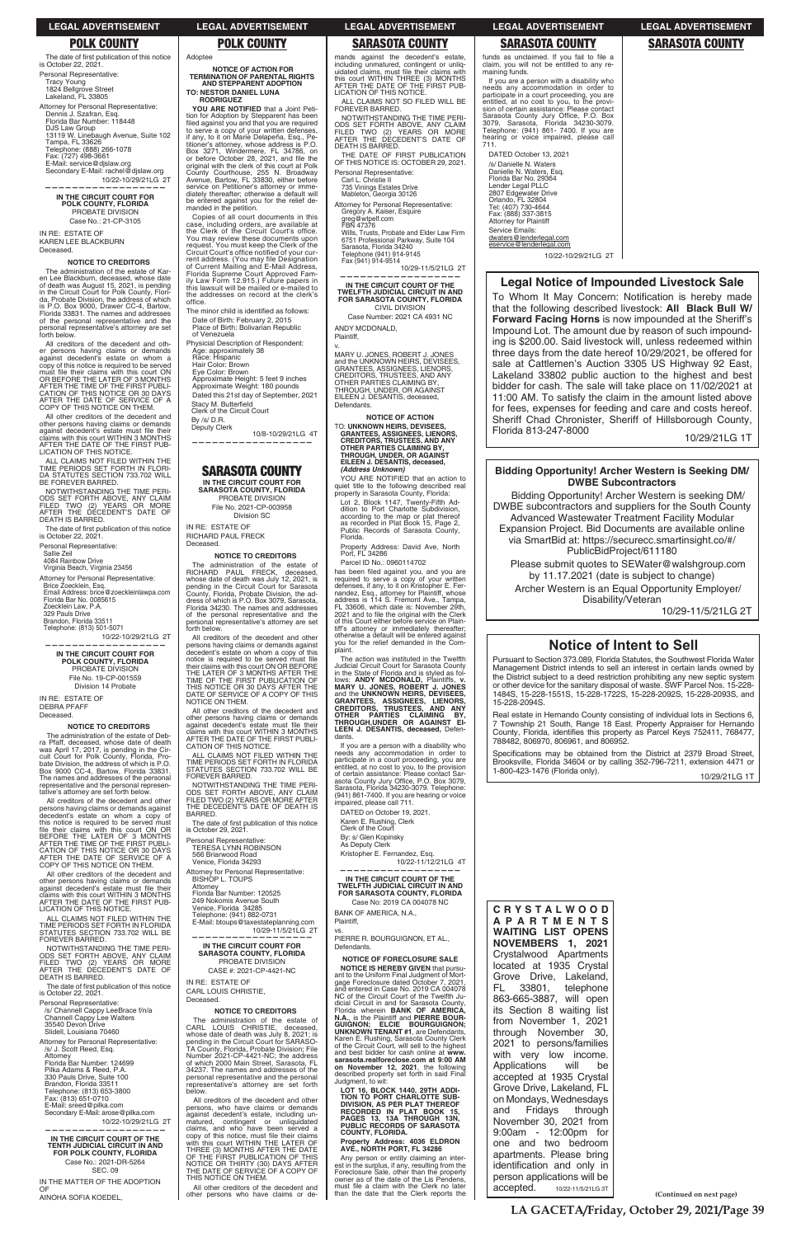**(Continued on next page)**

|  | LIVATION OF THIS NOTICE. |  |
|--|--------------------------|--|
|--|--------------------------|--|

**POLK COUNTY POLK COUNTY SARASOTA COUNTY SARASOTA COUNTY SARASOTA COUNTY**

funds as unclaimed. If you fail to file a claim, you will not be entitled to any remaining funds.

The date of first publication of this notice is October 22, 2021. Personal Representative: Tracy Young 1824 Bellgrove Street Lakeland, FL 33805 Attorney for Personal Representative: Dennis J. Szafran, Esq. Florida Bar Number: 118448 DJS Law Group<br>13119 W. Linebaugh Avenue, Suite 102<br>Tampa, FL 33626 Telephone: (888) 266-1078 Fax: (727) 498-3661 E-Mail: service@djslaw.org Secondary E-Mail: rachel@djslaw.org 10/22-10/29/21LG 2T

**——————————————————**

## **IN THE CIRCUIT COURT FOR POLK COUNTY, FLORIDA** PROBATE DIVISION Case No.: 21-CP-3105

IN RE: ESTATE OF KAREN LEE BLACKBURN Deceased.

### **NOTICE TO CREDITORS**

The administration of the estate of Karen Lee Blackburn, deceased, whose date of death was August 15, 2021, is pending in the Circuit Court for Polk County, Florida, Probate Division, the address of which is P.O. Box 9000, Drawer CC-4, Bartow, Florida 33831. The names and addresses of the personal representative and the personal representative's attorney are set forth below.

The date of first publication of this notice is October 22, 2021.

All creditors of the decedent and other persons having claims or demands against decedent's estate on whom a copy of this notice is required to be served<br>must file their claims with this court ON<br>OR BEFORE THE LATER OF 3 MONTHS<br>AFTER THE TIME OF THE FIRST PUBLI-CATION OF THIS NOTICE OR 30 DAYS AFTER THE DATE OF SERVICE OF A COPY OF THIS NOTICE ON THEM.

All creditors of the decedent and other persons having claims or demands against decedent's estate on whom a copy of this notice is required to be served must file their claims with this court ON OR<br>BEFORE THE LATER OF 3 MONTHS<br>AFTER THE TIME OF THE FIRST PUBLI-<br>CATION OF THIS NOTICE OR 30 DAYS<br>AFTER THE DATE OF SERVICE OF A<br>COPY OF THIS NOTICE ON THEM.

All other creditors of the decedent and other persons having claims or demands<br>against decedent's estate must file their<br>claims with this court WITHIN 3 MONTHS AFTER THE DATE OF THE FIRST PUB-LICATION OF THIS NOTICE.

NOTWITHSTANDING THE TIME PERI-ODS SET FORTH ABOVE, ANY CLAIM FILED TWO (2) YEARS OR MORE AFTER THE DECEDENT'S DATE OF AFTER THE DECE

ALL CLAIMS NOT FILED WITHIN THE TIME PERIODS SET FORTH IN FLORI-DA STATUTES SECTION 733.702 WILL BE FOREVER BARRED.

The date of first publication of this notice is October 22, 2021.

NOTWITHSTANDING THE TIME PERI-ODS SET FORTH ABOVE, ANY CLAIM FILED TWO (2) YEARS OR MORE AFTER THE DECEDENT'S DATE OF DEATH IS BARRED.

Personal Representative:

Sallie Zeil

4084 Rainbow Drive Virginia Beach, Virginia 23456

Attorney for Personal Representative: Brice Zoecklein, Esq. Email Address: brice@zoeckleinlawpa.com Florida Bar No. 0085615 Zoecklein Law, P.A. 329 Pauls Drive Brandon, Florida 33511 Telephone: (813) 501-5071

**YOU ARE NOTIFIED** that a Joint Petition for Adoption by Stepparent has been<br>filed against you and that you are required<br>to serve a copy of your written defenses, if any, to it on Marie Delapeña, Esq., Petitioner's attorney, whose address is P.O.<br>Box 3271, Windermere, FL 34786, on<br>or before October 28, 2021, and file the

 10/22-10/29/21LG 2T **——————————————————**

**IN THE CIRCUIT COURT FOR POLK COUNTY, FLORIDA** PROBATE DIVISION File No. 19-CP-001559 Division 14 Probate

IN RE: ESTATE OF DEBRA PFAFF Deceased.

### **NOTICE TO CREDITORS**

The administration of the estate of Deb-ra Pfaff, deceased, whose date of death was April 17, 2017, is pending in the Cir-cuit Court for Polk County, Florida, Pro-bate Division, the address of which is P.O. Box 9000 CC-4, Bartow, Florida 33831. The names and addresses of the personal representative and the personal representative's attorney are set forth below.

The minor child is identified as follows: Date of Birth: February 2, 2015 Place of Birth: Bolivarian Republic

Stacy M. Butterfield Clerk of the Circuit Court

By /s/ D.R. Deputy Clerk

All other creditors of the decedent and other persons having claims or demands<br>against decedent's estate must file their claims with this court WITHIN 3 MONTHS AFTER THE DATE OF THE FIRST PUB-LICATION OF THIS NOTICE.

ALL CLAIMS NOT FILED WITHIN THE TIME PERIODS SET FORTH IN FLORIDA STATUTES SECTION 733.702 WILL BE FOREVER BARRED.

Personal Representative:

/s/ Channell Cappy LeeBrace f/n/a Channell Cappy Lee Walters 35540 Devon Drive Slidell, Louisiana 70460

lephone: (941) 882-0731 E-Mail: btoups@taxestateplanning.com 10/29-11/5/21LG 2T **—————————————————— IN THE CIRCUIT COURT FOR SARASOTA COUNTY, FLORIDA** PROBATE DIVISION

Attorney for Personal Representative: /s/ J. Scott Reed, Esq. Attorney Florida Bar Number: 124699 Pilka Adams & Reed, P.A. 330 Pauls Drive, Suite 100 Brandon, Florida 33511 Telephone: (813) 653-3800 Fax: (813) 651-0710 E-Mail: sreed@pilka.com Secondary E-Mail: arose@pilka.com

10/22-10/29/21LG 2T

**——————————————————**

**IN THE CIRCUIT COURT OF THE TENTH JUDICIAL CIRCUIT IN AND FOR POLK COUNTY, FLORIDA** Case No.: 2021-DR-5264 SEC. 09 IN THE MATTER OF THE ADOPTION

OF AINOHA SOFIA KOEDEL, Adoptee

office

**NOTICE OF ACTION FOR TERMINATION OF PARENTAL RIGHTS AND STEPPARENT ADOPTION**

**TO: NESTOR DANIEL LUNA RODRIGUEZ**

> Wills, Trusts, Probate and Elder Law Firm 6751 Professional Parkway, Suite 104 Sarasota, Florida 34240 Telephone (941) 914-9145<br>Fax (941) 914-9514

original with the clerk of this court at Polk County Courthouse, 255 N. Broadway Avenue, Bartow, FL 33830, either before service on Petitioner's attorney or imme-diately thereafter; otherwise a default will be entered against you for the relief de-manded in the petition. Copies of all court documents in this case, including orders, are available at the Clerk of the Circuit Court's office. You may review these documents upon request. You must keep the Clerk of the Circuit Court's office notified of your current address. (You may file Designation<br>of Current Mailing and E-Mail Address, Florida Supreme Court Approved Fam-ily Law Form 12.915.) Future papers in this lawsuit will be mailed or e-mailed to the addresses on record at the clerk's

> has been filed against you, and you are<br>required to serve a copy of your written<br>defenses, if any, to it on Kristopher E. Fernandez, Esq., attorney for Plaintiff, whose<br>address is 114 S. Fremont Ave., Tampa, FL 33606, which date is: November 29th, 2021 and to file the original with the Clerk<br>of this Court either before service on Plaintiff's attorney or immediately thereafter; otherwise a default will be entered against<br>you for the relief demanded in the Complaint.

of Venezuela

If you are a person with a disability who needs any accommodation in order to<br>participate in a court proceeding, you are<br>entitled, at no cost to you, to the provision<br>of certain assistance: Please contact Sarasota County Jury Office, P.O. Box 3079,<br>Sarasota, Florida 34230-3079. Telephone:<br>(941) 861-7400. If you are hearing or voice<br>impaired, please call 711.

Physicial Description of Respondent:

Age: approximately 38 Race: Hispanic Hair Color: Brown

Eye Color: Brown Approximate Height: 5 feet 9 inches Approximate Weight: 180 pounds Dated this 21st day of September, 2021

10/8-10/29/21LG 4T

**——————————————————**

PIERRE R. BOURGUIGNON, ET AL., **Defendants** 

**SARASOTA COUNTY IN THE CIRCUIT COURT FOR SARASOTA COUNTY, FLORIDA** PROBATE DIVISION File No. 2021-CP-003958 Division SC

IN RE: ESTATE OF RICHARD PAUL FRECK

Deceased.

**NOTICE TO CREDITORS** The administration of the estate of RICHARD PAUL FRECK, deceased,<br>whose date of death was July 12, 2021, is pending in the Circuit Court for Sarasota County, Florida, Probate Division, the ad-dress of which is P.O. Box 3079, Sarasota, Florida 34230. The names and addresses of the personal representative and the personal representative's attorney are set forth below. All creditors of the decedent and other persons having claims or demands against decedent's estate on whom a copy of this notice is required to be served must file their claims with this court ON OR BEFORE THE LATER OF 3 MONTHS AFTER THE TIME OF THE FIRST PUBLICATION OF THIS NOTICE OR 30 DAYS AFTER THE DATE OF SERVICE OF A COPY OF THIS

NOTICE ON THEM.

THE DECI<br>BARRED.

All other creditors of the decedent and other persons having claims or demands against decedent's estate must file their<br>claims with this court WITHIN 3 MONTHS AFTER THE DATE OF THE FIRST PUBLI-CATION OF THIS NOTICE. ALL CLAIMS NOT FILED WITHIN THE TIME PERIODS SET FORTH IN FLORIDA STATUTES SECTION 733.702 WILL BE FOREVER BARRED.

NOTWITHSTANDING THE TIME PERI-ODS SET FORTH ABOVE, ANY CLAIM FILED TWO (2) YEARS OR MORE AFTER THE DECEDENT'S DATE OF DEATH IS

The date of first publication of this notice

is October 29, 2021. Personal Representative: TERESA LYNN ROBINSON 566 Briarwood Road Venice, Florida 34293

Attorney for Personal Representative:

BISHOP L. TOUPS Attorney

Florida Bar Number: 120525 249 Nokomis Avenue South Venice, Florida 34285

CASE #: 2021-CP-4421-NC

IN RE: ESTATE OF CARL LOUIS CHRISTIE, Deceased.

### **NOTICE TO CREDITORS**

The administration of the estate of CARL LOUIS CHRISTIE, deceased, whose date of death was July 8, 2021; is pending in the Circuit Court for SARASO-TA County, Florida, Probate Division; File Number 2021-CP-4421-NC; the address of which 2000 Main Street, Sarasota, FL 34237. The names and addresses of the personal representative and the personal representative's attorney are set forth below.

All creditors of the decedent and other persons, who have claims or demands against decedent's estate, including un-matured, contingent or unliquidated claims, and who have been served a<br>copy of this notice, must file their claims<br>with this court WITHIN THE LATER OF<br>THREE (3) MONTHS AFTER THE DATE<br>OF THE FIRST PUBLICATION OF THIS<br>NOTICE OR THIRTY (30) DAYS AFTER<br>THE DATE THIS NOTICE ON THEM.

All other creditors of the decedent and other persons who have claims or de-

mands against the decedent's estate, including unmatured, contingent or unliq-<br>uidated claims, must file their claims with<br>this court WITHIN THREE (3) MONTHS AFTER THE DATE OF THE FIRST PUB-LICATION OF THIS NOTICE ALL CLAIMS NOT SO FILED WILL BE FOREVER BARRED.

NOTWITHSTANDING THE TIME PERI-ODS SET FORTH ABOVE, ANY CLAIM FILED TWO (2) YEARS OR MORE AFTER THE DECEDENT'S DATE OF DEATH IS BARRED.

THE DATE OF FIRST PUBLICATION OF THIS NOTICE IS: OCTOBER 29, 2021.

Personal Representative: Carl L. Christie II

735 Vinings Estates Drive Mableton, Georgia 30126

Attorney for Personal Representative: Gregory A. Kaiser, Esquire greg@wtpelf.com FBN 47376

10/29-11/5/21LG 2T

**—————————————————— IN THE CIRCUIT COURT OF THE TWELFTH JUDICIAL CIRCUIT IN AND FOR SARASOTA COUNTY, FLORIDA** CIVIL DIVISION Case Number: 2021 CA 4931 NC ANDY MCDONALD,

Plaintiff,

## v. MARY U. JONES, ROBERT J. JONES and the UNKNOWN HEIRS, DEVISEES, GRANTEES, ASSIGNEES, LIENORS,<br>CREDITORS, TRUSTEES, AND ANY<br>OTHER PARTIES CLAIMING BY, THROUGH, UNDER, OR AGAINST EILEEN J. DESANTIS, deceased, Defendants.

**NOTICE OF ACTION** TO: **UNKNOWN HEIRS, DEVISEES, GRANTEES, ASSIGNEES, LIENORS, CREDITORS, TRUSTEES, AND ANY OTHER PARTIES CLAIMING BY, THROUGH, UNDER, OR AGAINST EILEEN J. DESANTIS, deceased,**

 *(Address Unknown)* YOU ARE NOTIFIED that an action to quiet title to the following described real property in Sarasota County, Florida:

Lot 2, Block 1147, Twenty-Fifth Ad-dition to Port Charlotte Subdivision, according to the map or plat thereof as recorded in Plat Book 15, Page 2, Public Records of Sarasota County, Florida.

Property Address: David Ave, North Port, FL 34286 Parcel ID No.: 0960114702

The action was instituted in the Twelfth Judicial Circuit Court for Sarasota County in the State of Florida and is styled as fol-lows: **ANDY MCDONALD,** Plaintiffs, **v. MARY U. JONES, ROBERT J. JONES**  and the **UNKNOWN HEIRS, DEVISEES,**  GRANTEES, ASSIGNEES, LIENORS,<br>CREDITORS, TRUSTEES, AND ANY<br>OTHER PARTIES CLAIMING BY,<br>THROUGH,UNDER OR AGAINST EI-**LEEN J. DESANTIS, deceased,** Defendants.

DATED on October 19, 2021. Karen E. Rushing, Clerk

Clerk of the Court

By: s/ Glen Kopinsky As Deputy Clerk

Kristopher E. Fernandez, Esq. 10/22-11/12/21LG 4T

**——————————————————**

**IN THE CIRCUIT COURT OF THE TWELFTH JUDICIAL CIRCUIT IN AND FOR SARASOTA COUNTY, FLORIDA** Case No: 2019 CA 004078 NC

BANK OF AMERICA, N.A., Plaintiff,

vs.

## **NOTICE OF FORECLOSURE SALE**

**NOTICE IS HEREBY GIVEN** that pursuant to the Uniform Final Judgment of Mort-gage Foreclosure dated October 7, 2021, and entered in Case No. 2019 CA 004078 NC of the Circuit Court of the Twelfth Ju-dicial Circuit in and for Sarasota County, Florida wherein **BANK OF AMERICA, N.A.**, is the Plaintiff and **PIERRE BOUR-GUIGNON; ELCIE BOURGUIGNON; UNKNOWN TENANT #1**, are Defendants, Karen E. Rushing, Sarasota County Clerk of the Circuit Court, will sell to the highest and best bidder for cash online at **www. sarasota.realforeclose.com at 9:00 AM on November 12, 2021**, the following described property set forth in said Final Judgment, to wit:

**LOT 16, BLOCK 1440, 29TH ADDI-TION TO PORT CHARLOTTE SUB-DIVISION, AS PER PLAT THEREOF RECORDED IN PLAT BOOK 15, PAGES 13, 13A THROUGH 13N, PUBLIC RECORDS OF SARASOTA COUNTY, FLORIDA.**

## **Property Address: 4036 ELDRON AVE., NORTH PORT, FL 34286**

Any person or entity claiming an interest in the surplus, if any, resulting from the Foreclosure Sale, other than the property owner as of the date of the Lis Pendens, must file a claim with the Clerk no later than the date that the Clerk reports the If you are a person with a disability who needs any accommodation in order to participate in a court proceeding, you are<br>entitled, at no cost to you, to the provi-<br>sion of certain assistance: Please contact<br>Sarasota County Jury Office, P.O. Box<br>3079, Sarasota, Florida 34230-3079.<br>Telephone: (941) 86 hearing or voice impaired, please call 711.

DATED October 13, 2021 /s/ Danielle N. Waters Danielle N. Waters, Esq. Florida Bar No. 29364 Lender Legal PLLC 2807 Edgewater Drive Orlando, FL 32804 Tel: (407) 730-4644 Fax: (888) 337-3815 Attorney for Plaintiff Service Emails: dwaters@lenderlegal.com eservice@lenderlegal.com

10/22-10/29/21LG 2T

**C R Y S T A L W O O D A P A R T M E N T S WAITING LIST OPENS NOVEMBERS 1, 2021**  Crystalwood Apartments located at 1935 Crystal Grove Drive, Lakeland, FL 33801, telephone 863-665-3887, will open its Section 8 waiting list from November 1, 2021 through November 30, 2021 to persons/families with very low income. Applications will be accepted at 1935 Crystal Grove Drive, Lakeland, FL on Mondays, Wednesdays and Fridays through November 30, 2021 from 9:00am - 12:00pm for one and two bedroom apartments. Please bring identification and only in person applications will be accepted. 10/22-11/5/21LG 3T

## **Bidding Opportunity! Archer Western is Seeking DM/ DWBE Subcontractors**

Bidding Opportunity! Archer Western is seeking DM/ DWBE subcontractors and suppliers for the South County Advanced Wastewater Treatment Facility Modular Expansion Project. Bid Documents are available online via SmartBid at: https://securecc.smartinsight.co/#/ PublicBidProject/611180 Please submit quotes to SEWater@walshgroup.com by 11.17.2021 (date is subject to change)

Archer Western is an Equal Opportunity Employer/ Disability/Veteran

10/29-11/5/21LG 2T

## **Legal Notice of Impounded Livestock Sale**

To Whom It May Concern: Notification is hereby made that the following described livestock: All Black Bull W/ Forward Facing Horns is now impounded at the Sheriff's Impound Lot. The amount due by reason of such impounding is \$200.00. Said livestock will, unless redeemed within three days from the date hereof 10/29/2021, be offered for sale at Cattlemen's Auction 3305 US Highway 92 East, Lakeland 33802 public auction to the highest and best bidder for cash. The sale will take place on 11/02/2021 at 11:00 AM. To satisfy the claim in the amount listed above for fees, expenses for feeding and care and costs hereof. Sheriff Chad Chronister, Sheriff of Hillsborough County, Florida 813-247-8000<br>10/29/21LG

10/29/21LG 1T

## **Notice of Intent to Sell**

Pursuant to Section 373.089, Florida Statutes, the Southwest Florida Water Management District intends to sell an interest in certain lands owned by the District subject to a deed restriction prohibiting any new septic system or other device for the sanitary disposal of waste. SWF Parcel Nos. 15-228- 1484S, 15-228-1551S, 15-228-1722S, 15-228-2092S, 15-228-2093S, and 15-228-2094S.

Real estate in Hernando County consisting of individual lots in Sections 6, 7 Township 21 South, Range 18 East. Property Appraiser for Hernando County, Florida, identifies this property as Parcel Keys 752411, 768477, 788482, 806970, 806961, and 806952.

Specifications may be obtained from the District at 2379 Broad Street,<br>Brooksville, Florida 34604 or by calling 352-796-7211, extension 4471 or 1-800-423-1476 (Florida only).